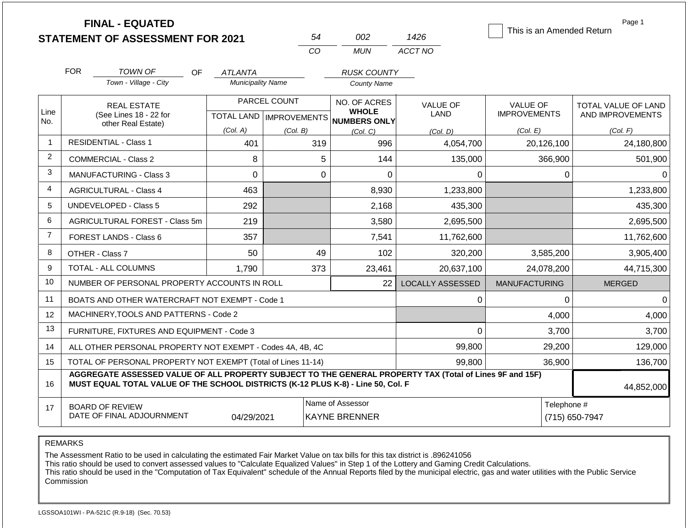|                |                                      | <b>FINAL - EQUATED</b><br><b>STATEMENT OF ASSESSMENT FOR 2021</b>                                                                                                                            |                           |              | 54          | 002                                                 | 1426                    | This is an Amended Return              | Page 1                                         |  |
|----------------|--------------------------------------|----------------------------------------------------------------------------------------------------------------------------------------------------------------------------------------------|---------------------------|--------------|-------------|-----------------------------------------------------|-------------------------|----------------------------------------|------------------------------------------------|--|
|                |                                      |                                                                                                                                                                                              |                           |              | CO          | <b>MUN</b>                                          | ACCT NO                 |                                        |                                                |  |
|                | <b>FOR</b>                           | TOWN OF<br>OF.                                                                                                                                                                               | ATLANTA                   |              |             | <b>RUSK COUNTY</b>                                  |                         |                                        |                                                |  |
|                |                                      | Town - Village - City                                                                                                                                                                        | <b>Municipality Name</b>  |              |             | <b>County Name</b>                                  |                         |                                        |                                                |  |
| Line           |                                      | <b>REAL ESTATE</b><br>(See Lines 18 - 22 for                                                                                                                                                 | TOTAL LAND   IMPROVEMENTS | PARCEL COUNT |             | NO. OF ACRES<br><b>WHOLE</b><br><b>NUMBERS ONLY</b> | <b>VALUE OF</b><br>LAND | <b>VALUE OF</b><br><b>IMPROVEMENTS</b> | <b>TOTAL VALUE OF LAND</b><br>AND IMPROVEMENTS |  |
| No.            |                                      | other Real Estate)                                                                                                                                                                           | (Col. A)                  | (Col. B)     |             | (Col. C)                                            | (Col, D)                | (Col. E)                               | (Col. F)                                       |  |
| $\mathbf{1}$   |                                      | <b>RESIDENTIAL - Class 1</b>                                                                                                                                                                 | 401                       |              | 319         | 996                                                 | 4,054,700               | 20,126,100                             | 24,180,800                                     |  |
| 2              |                                      | COMMERCIAL - Class 2                                                                                                                                                                         | 8                         |              | 5           | 144                                                 | 135,000                 | 366,900                                | 501,900                                        |  |
| 3              |                                      | <b>MANUFACTURING - Class 3</b>                                                                                                                                                               | $\Omega$                  |              | $\mathbf 0$ | $\overline{0}$                                      | 0                       | $\mathbf 0$                            | $\Omega$                                       |  |
| 4              | 463<br><b>AGRICULTURAL - Class 4</b> |                                                                                                                                                                                              |                           |              |             | 8,930                                               | 1,233,800               |                                        | 1,233,800                                      |  |
| 5              |                                      | <b>UNDEVELOPED - Class 5</b>                                                                                                                                                                 | 292                       |              |             | 2,168                                               | 435,300                 |                                        | 435,300                                        |  |
| 6              |                                      | AGRICULTURAL FOREST - Class 5m                                                                                                                                                               | 219                       |              |             | 3,580                                               | 2,695,500               |                                        | 2,695,500                                      |  |
| $\overline{7}$ |                                      | <b>FOREST LANDS - Class 6</b>                                                                                                                                                                | 357                       |              |             | 7,541                                               | 11,762,600              |                                        | 11,762,600                                     |  |
| 8              |                                      | OTHER - Class 7                                                                                                                                                                              | 50                        |              | 49          | 102                                                 | 320,200                 | 3,585,200                              | 3,905,400                                      |  |
| 9              |                                      | TOTAL - ALL COLUMNS                                                                                                                                                                          | 1.790                     |              | 373         | 23,461                                              | 20,637,100              | 24,078,200                             | 44,715,300                                     |  |
| 10             |                                      | NUMBER OF PERSONAL PROPERTY ACCOUNTS IN ROLL                                                                                                                                                 |                           |              |             | 22                                                  | <b>LOCALLY ASSESSED</b> | <b>MANUFACTURING</b>                   | <b>MERGED</b>                                  |  |
| 11             |                                      | BOATS AND OTHER WATERCRAFT NOT EXEMPT - Code 1                                                                                                                                               |                           |              |             |                                                     | $\mathbf 0$             | 0                                      | $\Omega$                                       |  |
| 12             |                                      | MACHINERY, TOOLS AND PATTERNS - Code 2                                                                                                                                                       |                           |              |             |                                                     |                         | 4,000                                  | 4,000                                          |  |
| 13             |                                      | FURNITURE, FIXTURES AND EQUIPMENT - Code 3                                                                                                                                                   |                           |              |             |                                                     | $\Omega$                | 3,700                                  | 3,700                                          |  |
| 14             |                                      | ALL OTHER PERSONAL PROPERTY NOT EXEMPT - Codes 4A, 4B, 4C                                                                                                                                    |                           |              |             |                                                     | 99,800                  | 29,200                                 | 129,000                                        |  |
| 15             |                                      | TOTAL OF PERSONAL PROPERTY NOT EXEMPT (Total of Lines 11-14)                                                                                                                                 |                           |              |             |                                                     | 99,800                  | 36,900                                 | 136,700                                        |  |
| 16             |                                      | AGGREGATE ASSESSED VALUE OF ALL PROPERTY SUBJECT TO THE GENERAL PROPERTY TAX (Total of Lines 9F and 15F)<br>MUST EQUAL TOTAL VALUE OF THE SCHOOL DISTRICTS (K-12 PLUS K-8) - Line 50, Col. F |                           |              |             |                                                     |                         | 44,852,000                             |                                                |  |
| 17             |                                      | <b>BOARD OF REVIEW</b><br>DATE OF FINAL ADJOURNMENT                                                                                                                                          | 04/29/2021                |              |             | Name of Assessor<br><b>KAYNE BRENNER</b>            |                         |                                        | Telephone #<br>(715) 650-7947                  |  |

The Assessment Ratio to be used in calculating the estimated Fair Market Value on tax bills for this tax district is .896241056

This ratio should be used to convert assessed values to "Calculate Equalized Values" in Step 1 of the Lottery and Gaming Credit Calculations.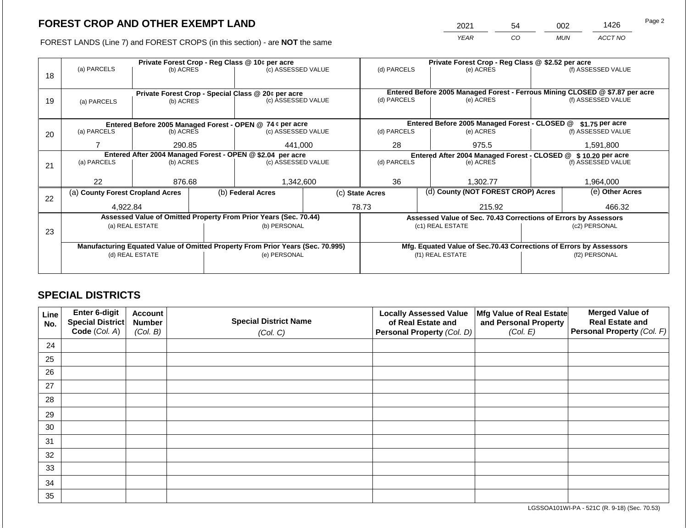2021 54 002 1426

FOREST LANDS (Line 7) and FOREST CROPS (in this section) - are **NOT** the same *YEAR CO MUN ACCT NO*

|    |                                  |                 |  | Private Forest Crop - Reg Class @ 10¢ per acre                                 |                                                               | Private Forest Crop - Reg Class @ \$2.52 per acre                            |                  |                                               |                                                                    |                    |  |
|----|----------------------------------|-----------------|--|--------------------------------------------------------------------------------|---------------------------------------------------------------|------------------------------------------------------------------------------|------------------|-----------------------------------------------|--------------------------------------------------------------------|--------------------|--|
| 18 | (a) PARCELS                      | (b) ACRES       |  | (c) ASSESSED VALUE                                                             |                                                               | (d) PARCELS                                                                  |                  | (e) ACRES                                     |                                                                    | (f) ASSESSED VALUE |  |
|    |                                  |                 |  |                                                                                |                                                               |                                                                              |                  |                                               |                                                                    |                    |  |
|    |                                  |                 |  | Private Forest Crop - Special Class @ 20¢ per acre                             |                                                               | Entered Before 2005 Managed Forest - Ferrous Mining CLOSED @ \$7.87 per acre |                  |                                               |                                                                    |                    |  |
| 19 | (a) PARCELS                      | (b) ACRES       |  | (c) ASSESSED VALUE                                                             |                                                               | (d) PARCELS                                                                  |                  | (e) ACRES                                     |                                                                    | (f) ASSESSED VALUE |  |
|    |                                  |                 |  |                                                                                |                                                               |                                                                              |                  |                                               |                                                                    |                    |  |
|    |                                  |                 |  |                                                                                |                                                               |                                                                              |                  |                                               |                                                                    |                    |  |
|    |                                  |                 |  | Entered Before 2005 Managed Forest - OPEN @ 74 ¢ per acre                      |                                                               |                                                                              |                  | Entered Before 2005 Managed Forest - CLOSED @ |                                                                    | \$1.75 per acre    |  |
| 20 | (a) PARCELS                      | (b) ACRES       |  | (c) ASSESSED VALUE                                                             |                                                               | (d) PARCELS                                                                  |                  | (e) ACRES                                     |                                                                    | (f) ASSESSED VALUE |  |
|    |                                  | 290.85          |  | 441,000                                                                        |                                                               | 28                                                                           |                  | 975.5                                         | 1,591,800                                                          |                    |  |
|    |                                  |                 |  | Entered After 2004 Managed Forest - OPEN @ \$2.04 per acre                     | Entered After 2004 Managed Forest - CLOSED @ \$10.20 per acre |                                                                              |                  |                                               |                                                                    |                    |  |
| 21 | (a) PARCELS                      | (b) ACRES       |  | (c) ASSESSED VALUE                                                             |                                                               | (d) PARCELS                                                                  |                  | (e) ACRES                                     |                                                                    | (f) ASSESSED VALUE |  |
|    |                                  |                 |  |                                                                                |                                                               |                                                                              |                  |                                               |                                                                    |                    |  |
|    | 22                               | 876.68          |  | 1,342,600                                                                      |                                                               | 36                                                                           |                  | 1,302.77                                      |                                                                    | 1,964,000          |  |
|    | (a) County Forest Cropland Acres |                 |  | (b) Federal Acres                                                              |                                                               | (c) State Acres                                                              |                  | (d) County (NOT FOREST CROP) Acres            |                                                                    | (e) Other Acres    |  |
| 22 |                                  |                 |  |                                                                                |                                                               |                                                                              |                  |                                               |                                                                    |                    |  |
|    | 4,922.84                         |                 |  |                                                                                |                                                               | 78.73<br>215.92                                                              |                  |                                               | 466.32                                                             |                    |  |
|    |                                  |                 |  | Assessed Value of Omitted Property From Prior Years (Sec. 70.44)               |                                                               |                                                                              |                  |                                               | Assessed Value of Sec. 70.43 Corrections of Errors by Assessors    |                    |  |
| 23 |                                  | (a) REAL ESTATE |  | (b) PERSONAL                                                                   |                                                               |                                                                              |                  | (c1) REAL ESTATE                              |                                                                    | (c2) PERSONAL      |  |
|    |                                  |                 |  |                                                                                |                                                               |                                                                              |                  |                                               |                                                                    |                    |  |
|    |                                  |                 |  | Manufacturing Equated Value of Omitted Property From Prior Years (Sec. 70.995) |                                                               |                                                                              |                  |                                               | Mfg. Equated Value of Sec.70.43 Corrections of Errors by Assessors |                    |  |
|    |                                  | (d) REAL ESTATE |  | (e) PERSONAL                                                                   |                                                               |                                                                              | (f1) REAL ESTATE |                                               | (f2) PERSONAL                                                      |                    |  |
|    |                                  |                 |  |                                                                                |                                                               |                                                                              |                  |                                               |                                                                    |                    |  |
|    |                                  |                 |  |                                                                                |                                                               |                                                                              |                  |                                               |                                                                    |                    |  |

## **SPECIAL DISTRICTS**

| Line<br>No. | Enter 6-digit<br>Special District | <b>Account</b><br><b>Number</b> | <b>Special District Name</b> | <b>Locally Assessed Value</b><br>of Real Estate and | Mfg Value of Real Estate<br>and Personal Property | <b>Merged Value of</b><br><b>Real Estate and</b> |
|-------------|-----------------------------------|---------------------------------|------------------------------|-----------------------------------------------------|---------------------------------------------------|--------------------------------------------------|
|             | Code (Col. A)                     | (Col. B)                        | (Col. C)                     | Personal Property (Col. D)                          | (Col. E)                                          | Personal Property (Col. F)                       |
| 24          |                                   |                                 |                              |                                                     |                                                   |                                                  |
| 25          |                                   |                                 |                              |                                                     |                                                   |                                                  |
| 26          |                                   |                                 |                              |                                                     |                                                   |                                                  |
| 27          |                                   |                                 |                              |                                                     |                                                   |                                                  |
| 28          |                                   |                                 |                              |                                                     |                                                   |                                                  |
| 29          |                                   |                                 |                              |                                                     |                                                   |                                                  |
| 30          |                                   |                                 |                              |                                                     |                                                   |                                                  |
| 31          |                                   |                                 |                              |                                                     |                                                   |                                                  |
| 32          |                                   |                                 |                              |                                                     |                                                   |                                                  |
| 33          |                                   |                                 |                              |                                                     |                                                   |                                                  |
| 34          |                                   |                                 |                              |                                                     |                                                   |                                                  |
| 35          |                                   |                                 |                              |                                                     |                                                   |                                                  |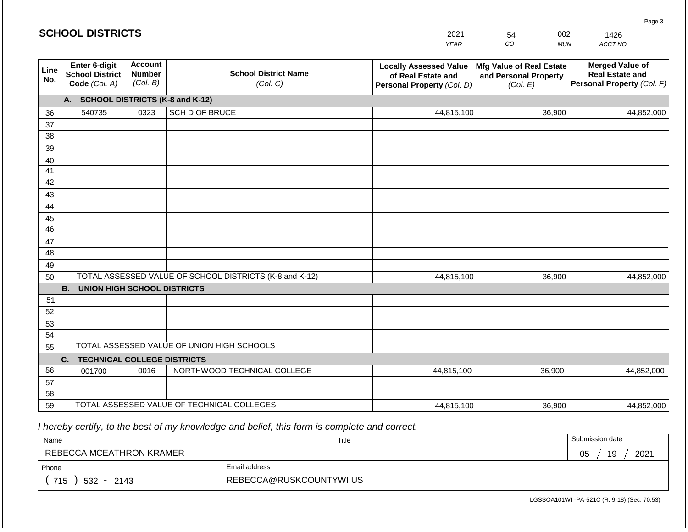#### *YEAR*  2021  $\overline{co}$ 54 *MUN*  002 *ACCT NO*  1426 **SCHOOL DISTRICTS Line No. Enter 6-digit School District Code** *(Col. A)* **Account Number** *(Col. B)* **School District Name** *(Col. C)* **Locally Assessed Value of Real Estate and Personal Property** *(Col. D)* **Mfg Value of Real Estate and Personal Property** *(Col. E)* **Merged Value of Real Estate and Personal Property** *(Col. F)* **A. SCHOOL DISTRICTS (K-8 and K-12)** 36 37 38 39 40 41 42 43 44 45 46 47 48 49 50 TOTAL ASSESSED VALUE OF SCHOOL DISTRICTS (K-8 and K-12) **B. UNION HIGH SCHOOL DISTRICTS** 51 52 53 54 55 **C. TECHNICAL COLLEGE DISTRICTS** 56 57 58 59 TOTAL ASSESSED VALUE OF TECHNICAL COLLEGES TOTAL ASSESSED VALUE OF UNION HIGH SCHOOLS 540735 0323 SCH D OF BRUCE 44,815,100 44,815,100 001700 | 0016 | NORTHWOOD TECHNICAL COLLEGE 44,815,100 36,900 44,852,000 36,900 44,852,000 36,900 44,852,000 44,815,100 36,900 44,852,000

 *I hereby certify, to the best of my knowledge and belief, this form is complete and correct.*

| Name                     |                         | Title | Submission date  |
|--------------------------|-------------------------|-------|------------------|
| REBECCA MCEATHRON KRAMER |                         |       | 19<br>2021<br>05 |
| Email address<br>Phone   |                         |       |                  |
| 715<br>$532 - 2143$      | REBECCA@RUSKCOUNTYWI.US |       |                  |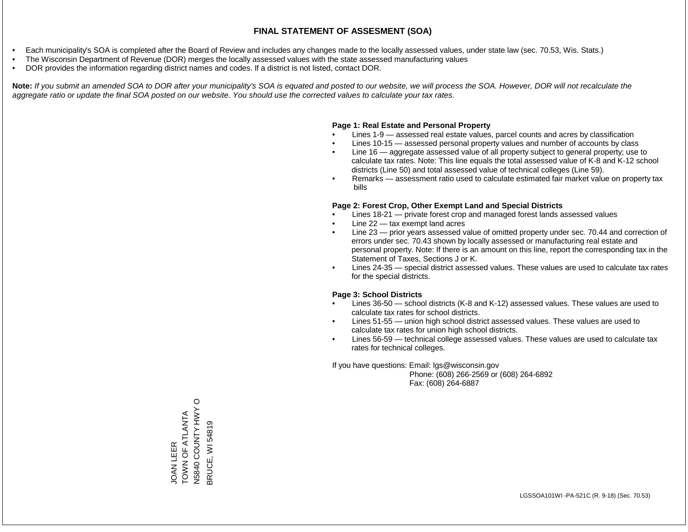- Each municipality's SOA is completed after the Board of Review and includes any changes made to the locally assessed values, under state law (sec. 70.53, Wis. Stats.)
- The Wisconsin Department of Revenue (DOR) merges the locally assessed values with the state assessed manufacturing values
- DOR provides the information regarding district names and codes. If a district is not listed, contact DOR.

Note: If you submit an amended SOA to DOR after your municipality's SOA is equated and posted to our website, we will process the SOA. However, DOR will not recalculate the *aggregate ratio or update the final SOA posted on our website. You should use the corrected values to calculate your tax rates.*

### **Page 1: Real Estate and Personal Property**

- Lines 1-9 assessed real estate values, parcel counts and acres by classification
- Lines 10-15 assessed personal property values and number of accounts by class
- Line 16 aggregate assessed value of all property subject to general property; use to calculate tax rates. Note: This line equals the total assessed value of K-8 and K-12 school districts (Line 50) and total assessed value of technical colleges (Line 59).
- Remarks assessment ratio used to calculate estimated fair market value on property tax bills

### **Page 2: Forest Crop, Other Exempt Land and Special Districts**

- Lines 18-21 private forest crop and managed forest lands assessed values
- Line  $22 -$  tax exempt land acres
- Line 23 prior years assessed value of omitted property under sec. 70.44 and correction of errors under sec. 70.43 shown by locally assessed or manufacturing real estate and personal property. Note: If there is an amount on this line, report the corresponding tax in the Statement of Taxes, Sections J or K.
- Lines 24-35 special district assessed values. These values are used to calculate tax rates for the special districts.

### **Page 3: School Districts**

- Lines 36-50 school districts (K-8 and K-12) assessed values. These values are used to calculate tax rates for school districts.
- Lines 51-55 union high school district assessed values. These values are used to calculate tax rates for union high school districts.
- Lines 56-59 technical college assessed values. These values are used to calculate tax rates for technical colleges.

If you have questions: Email: lgs@wisconsin.gov

 Phone: (608) 266-2569 or (608) 264-6892 Fax: (608) 264-6887

JOAN LEER<br>TOWN OF ATLANTA<br>N5840 COUNTY HWY O N5840 COUNTY HWY O TATLAT AT AD ZANOH 3RUCE, WI 54819 BRUCE, WI 54819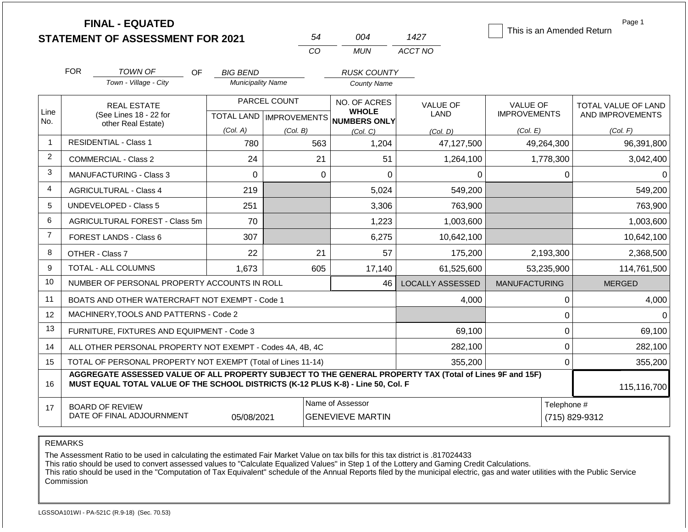|                |            | <b>FINAL - EQUATED</b><br><b>STATEMENT OF ASSESSMENT FOR 2021</b>                                                                                                                            |                                           |          | 54                                          | 004                                                 | 1427                    | This is an Amended Return              | Page 1                                  |  |  |
|----------------|------------|----------------------------------------------------------------------------------------------------------------------------------------------------------------------------------------------|-------------------------------------------|----------|---------------------------------------------|-----------------------------------------------------|-------------------------|----------------------------------------|-----------------------------------------|--|--|
|                |            |                                                                                                                                                                                              |                                           |          | CO                                          | <b>MUN</b>                                          | ACCT NO                 |                                        |                                         |  |  |
|                | <b>FOR</b> | TOWN OF<br>OF.                                                                                                                                                                               | <b>BIG BEND</b>                           |          |                                             | <b>RUSK COUNTY</b>                                  |                         |                                        |                                         |  |  |
|                |            | Town - Village - City                                                                                                                                                                        | <b>Municipality Name</b>                  |          |                                             | <b>County Name</b>                                  |                         |                                        |                                         |  |  |
| Line           |            | <b>REAL ESTATE</b><br>(See Lines 18 - 22 for                                                                                                                                                 | PARCEL COUNT<br>TOTAL LAND   IMPROVEMENTS |          |                                             | NO. OF ACRES<br><b>WHOLE</b><br><b>NUMBERS ONLY</b> | <b>VALUE OF</b><br>LAND | <b>VALUE OF</b><br><b>IMPROVEMENTS</b> | TOTAL VALUE OF LAND<br>AND IMPROVEMENTS |  |  |
| No.            |            | other Real Estate)                                                                                                                                                                           | (Col. A)                                  | (Col. B) |                                             | (Col. C)                                            | (Col, D)                | (Col. E)                               | (Col. F)                                |  |  |
| $\mathbf{1}$   |            | <b>RESIDENTIAL - Class 1</b>                                                                                                                                                                 | 780                                       |          | 563                                         | 1,204                                               | 47,127,500              | 49,264,300                             | 96,391,800                              |  |  |
| 2              |            | COMMERCIAL - Class 2                                                                                                                                                                         | 24                                        |          | 21                                          | 51                                                  | 1,264,100               | 1,778,300                              | 3,042,400                               |  |  |
| 3              |            | <b>MANUFACTURING - Class 3</b>                                                                                                                                                               | $\Omega$                                  |          | $\overline{0}$                              | $\overline{0}$                                      | 0                       | $\mathbf 0$                            | $\Omega$                                |  |  |
| 4              |            | <b>AGRICULTURAL - Class 4</b>                                                                                                                                                                | 219                                       |          |                                             | 5,024                                               | 549,200                 |                                        | 549,200                                 |  |  |
| 5              |            | <b>UNDEVELOPED - Class 5</b>                                                                                                                                                                 | 251                                       |          |                                             | 3,306                                               | 763,900                 |                                        | 763,900                                 |  |  |
| 6              |            | AGRICULTURAL FOREST - Class 5m                                                                                                                                                               | 70                                        |          |                                             | 1,223                                               | 1,003,600               |                                        | 1,003,600                               |  |  |
| $\overline{7}$ |            | <b>FOREST LANDS - Class 6</b>                                                                                                                                                                | 307                                       |          |                                             | 6,275                                               | 10,642,100              |                                        | 10,642,100                              |  |  |
| 8              |            | OTHER - Class 7                                                                                                                                                                              | 22                                        |          | 21                                          | 57                                                  | 175,200                 | 2,193,300                              | 2,368,500                               |  |  |
| 9              |            | TOTAL - ALL COLUMNS                                                                                                                                                                          | 1.673                                     |          | 605                                         | 17,140                                              | 61,525,600              | 53,235,900                             | 114,761,500                             |  |  |
| 10             |            | NUMBER OF PERSONAL PROPERTY ACCOUNTS IN ROLL                                                                                                                                                 |                                           |          |                                             | 46                                                  | <b>LOCALLY ASSESSED</b> | <b>MANUFACTURING</b>                   | <b>MERGED</b>                           |  |  |
| 11             |            | BOATS AND OTHER WATERCRAFT NOT EXEMPT - Code 1                                                                                                                                               |                                           |          |                                             |                                                     | 4,000                   | $\pmb{0}$                              | 4,000                                   |  |  |
| 12             |            | MACHINERY, TOOLS AND PATTERNS - Code 2                                                                                                                                                       |                                           |          |                                             |                                                     |                         | $\mathbf 0$                            | $\Omega$                                |  |  |
| 13             |            | FURNITURE, FIXTURES AND EQUIPMENT - Code 3                                                                                                                                                   |                                           |          |                                             |                                                     | 69,100                  | $\pmb{0}$                              | 69,100                                  |  |  |
| 14             |            | ALL OTHER PERSONAL PROPERTY NOT EXEMPT - Codes 4A, 4B, 4C                                                                                                                                    |                                           |          |                                             |                                                     | 282,100                 | $\overline{0}$                         | 282,100                                 |  |  |
| 15             |            | TOTAL OF PERSONAL PROPERTY NOT EXEMPT (Total of Lines 11-14)                                                                                                                                 |                                           |          |                                             | 355,200                                             | $\mathbf 0$             | 355,200                                |                                         |  |  |
| 16             |            | AGGREGATE ASSESSED VALUE OF ALL PROPERTY SUBJECT TO THE GENERAL PROPERTY TAX (Total of Lines 9F and 15F)<br>MUST EQUAL TOTAL VALUE OF THE SCHOOL DISTRICTS (K-12 PLUS K-8) - Line 50, Col. F |                                           |          |                                             |                                                     |                         | 115,116,700                            |                                         |  |  |
| 17             |            | <b>BOARD OF REVIEW</b><br>DATE OF FINAL ADJOURNMENT                                                                                                                                          | 05/08/2021                                |          | Name of Assessor<br><b>GENEVIEVE MARTIN</b> |                                                     |                         |                                        | Telephone #<br>(715) 829-9312           |  |  |

The Assessment Ratio to be used in calculating the estimated Fair Market Value on tax bills for this tax district is .817024433

This ratio should be used to convert assessed values to "Calculate Equalized Values" in Step 1 of the Lottery and Gaming Credit Calculations.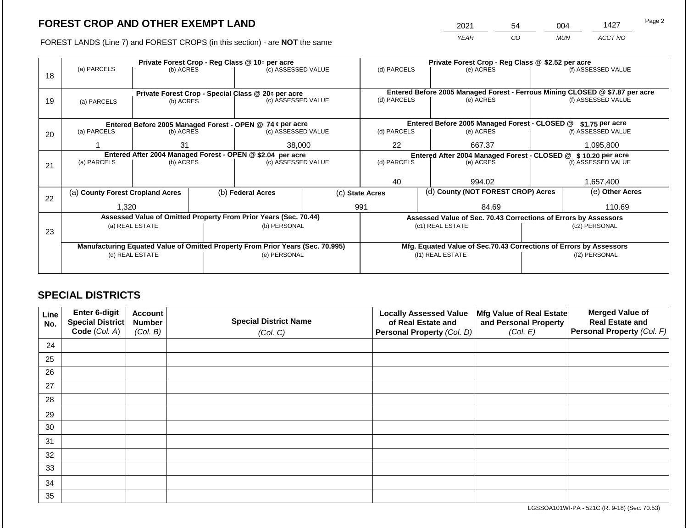2021 54 004 1427

FOREST LANDS (Line 7) and FOREST CROPS (in this section) - are **NOT** the same *YEAR CO MUN ACCT NO*

|    |                                                            |                 |  | Private Forest Crop - Reg Class @ 10¢ per acre                                 |                                                                | Private Forest Crop - Reg Class @ \$2.52 per acre |           |                                                                              |                                                                    |                    |  |
|----|------------------------------------------------------------|-----------------|--|--------------------------------------------------------------------------------|----------------------------------------------------------------|---------------------------------------------------|-----------|------------------------------------------------------------------------------|--------------------------------------------------------------------|--------------------|--|
| 18 | (a) PARCELS                                                | (b) ACRES       |  | (c) ASSESSED VALUE                                                             |                                                                | (d) PARCELS                                       |           | (e) ACRES                                                                    |                                                                    | (f) ASSESSED VALUE |  |
|    |                                                            |                 |  |                                                                                |                                                                |                                                   |           |                                                                              |                                                                    |                    |  |
|    |                                                            |                 |  | Private Forest Crop - Special Class @ 20¢ per acre                             |                                                                |                                                   |           | Entered Before 2005 Managed Forest - Ferrous Mining CLOSED @ \$7.87 per acre |                                                                    |                    |  |
| 19 | (a) PARCELS                                                | (b) ACRES       |  | (c) ASSESSED VALUE                                                             |                                                                | (d) PARCELS                                       |           | (e) ACRES                                                                    |                                                                    | (f) ASSESSED VALUE |  |
|    |                                                            |                 |  |                                                                                |                                                                |                                                   |           |                                                                              |                                                                    |                    |  |
|    |                                                            |                 |  |                                                                                |                                                                |                                                   |           |                                                                              |                                                                    |                    |  |
|    |                                                            |                 |  | Entered Before 2005 Managed Forest - OPEN @ 74 ¢ per acre                      |                                                                |                                                   |           | Entered Before 2005 Managed Forest - CLOSED @                                |                                                                    | $$1.75$ per acre   |  |
| 20 | (a) PARCELS                                                | (b) ACRES       |  | (c) ASSESSED VALUE                                                             |                                                                | (d) PARCELS                                       |           | (e) ACRES                                                                    |                                                                    | (f) ASSESSED VALUE |  |
|    |                                                            | 31              |  | 38,000                                                                         |                                                                | 22                                                |           | 667.37                                                                       |                                                                    | 1,095,800          |  |
|    | Entered After 2004 Managed Forest - OPEN @ \$2.04 per acre |                 |  |                                                                                | Entered After 2004 Managed Forest - CLOSED @ \$ 10.20 per acre |                                                   |           |                                                                              |                                                                    |                    |  |
| 21 | (a) PARCELS                                                | (b) ACRES       |  | (c) ASSESSED VALUE                                                             | (d) PARCELS                                                    |                                                   | (e) ACRES |                                                                              | (f) ASSESSED VALUE                                                 |                    |  |
|    |                                                            |                 |  |                                                                                |                                                                |                                                   |           |                                                                              |                                                                    |                    |  |
|    |                                                            |                 |  |                                                                                |                                                                | 40                                                |           | 994.02                                                                       |                                                                    | 1,657,400          |  |
|    | (a) County Forest Cropland Acres                           |                 |  | (b) Federal Acres                                                              |                                                                | (c) State Acres                                   |           | (d) County (NOT FOREST CROP) Acres                                           |                                                                    | (e) Other Acres    |  |
| 22 |                                                            |                 |  |                                                                                |                                                                |                                                   |           |                                                                              |                                                                    |                    |  |
|    | 1,320                                                      |                 |  |                                                                                |                                                                | 991                                               |           | 84.69                                                                        | 110.69                                                             |                    |  |
|    |                                                            |                 |  | Assessed Value of Omitted Property From Prior Years (Sec. 70.44)               |                                                                |                                                   |           |                                                                              | Assessed Value of Sec. 70.43 Corrections of Errors by Assessors    |                    |  |
| 23 |                                                            | (a) REAL ESTATE |  | (b) PERSONAL                                                                   |                                                                |                                                   |           | (c1) REAL ESTATE                                                             |                                                                    | (c2) PERSONAL      |  |
|    |                                                            |                 |  |                                                                                |                                                                |                                                   |           |                                                                              |                                                                    |                    |  |
|    |                                                            |                 |  | Manufacturing Equated Value of Omitted Property From Prior Years (Sec. 70.995) |                                                                |                                                   |           |                                                                              | Mfg. Equated Value of Sec.70.43 Corrections of Errors by Assessors |                    |  |
|    |                                                            | (d) REAL ESTATE |  | (e) PERSONAL                                                                   | (f1) REAL ESTATE                                               |                                                   |           | (f2) PERSONAL                                                                |                                                                    |                    |  |
|    |                                                            |                 |  |                                                                                |                                                                |                                                   |           |                                                                              |                                                                    |                    |  |
|    |                                                            |                 |  |                                                                                |                                                                |                                                   |           |                                                                              |                                                                    |                    |  |

## **SPECIAL DISTRICTS**

| Line<br>No. | Enter 6-digit<br>Special District<br>Code (Col. A) | <b>Account</b><br><b>Number</b><br>(Col. B) | <b>Special District Name</b><br>(Col. C) | <b>Locally Assessed Value</b><br>of Real Estate and<br><b>Personal Property (Col. D)</b> | Mfg Value of Real Estate<br>and Personal Property<br>(Col. E) | <b>Merged Value of</b><br><b>Real Estate and</b><br>Personal Property (Col. F) |
|-------------|----------------------------------------------------|---------------------------------------------|------------------------------------------|------------------------------------------------------------------------------------------|---------------------------------------------------------------|--------------------------------------------------------------------------------|
| 24          |                                                    |                                             |                                          |                                                                                          |                                                               |                                                                                |
| 25          |                                                    |                                             |                                          |                                                                                          |                                                               |                                                                                |
| 26          |                                                    |                                             |                                          |                                                                                          |                                                               |                                                                                |
| 27          |                                                    |                                             |                                          |                                                                                          |                                                               |                                                                                |
| 28          |                                                    |                                             |                                          |                                                                                          |                                                               |                                                                                |
| 29          |                                                    |                                             |                                          |                                                                                          |                                                               |                                                                                |
| 30          |                                                    |                                             |                                          |                                                                                          |                                                               |                                                                                |
| 31          |                                                    |                                             |                                          |                                                                                          |                                                               |                                                                                |
| 32          |                                                    |                                             |                                          |                                                                                          |                                                               |                                                                                |
| 33          |                                                    |                                             |                                          |                                                                                          |                                                               |                                                                                |
| 34          |                                                    |                                             |                                          |                                                                                          |                                                               |                                                                                |
| 35          |                                                    |                                             |                                          |                                                                                          |                                                               |                                                                                |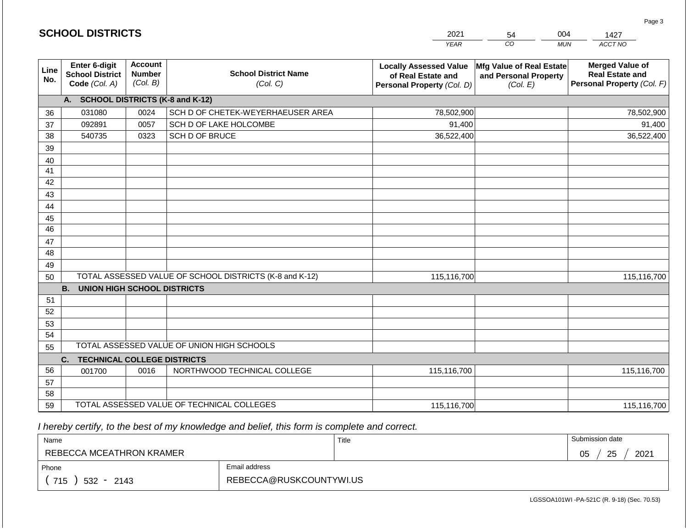|             | <b>SCHOOL DISTRICTS</b>                                  |                                             |                                                         | 2021                                                                              | 54                                                            | 004<br>1427                                                                    |
|-------------|----------------------------------------------------------|---------------------------------------------|---------------------------------------------------------|-----------------------------------------------------------------------------------|---------------------------------------------------------------|--------------------------------------------------------------------------------|
|             |                                                          |                                             |                                                         | <b>YEAR</b>                                                                       | CO                                                            | ACCT NO<br><b>MUN</b>                                                          |
| Line<br>No. | Enter 6-digit<br><b>School District</b><br>Code (Col. A) | <b>Account</b><br><b>Number</b><br>(Col. B) | <b>School District Name</b><br>(Col. C)                 | <b>Locally Assessed Value</b><br>of Real Estate and<br>Personal Property (Col. D) | Mfg Value of Real Estate<br>and Personal Property<br>(Col. E) | <b>Merged Value of</b><br><b>Real Estate and</b><br>Personal Property (Col. F) |
|             | A. SCHOOL DISTRICTS (K-8 and K-12)                       |                                             |                                                         |                                                                                   |                                                               |                                                                                |
| 36          | 031080                                                   | 0024                                        | SCH D OF CHETEK-WEYERHAEUSER AREA                       | 78,502,900                                                                        |                                                               | 78,502,900                                                                     |
| 37          | 092891                                                   | 0057                                        | SCH D OF LAKE HOLCOMBE                                  | 91,400                                                                            |                                                               | 91,400                                                                         |
| 38          | 540735                                                   | 0323                                        | SCH D OF BRUCE                                          | 36,522,400                                                                        |                                                               | 36,522,400                                                                     |
| 39          |                                                          |                                             |                                                         |                                                                                   |                                                               |                                                                                |
| 40          |                                                          |                                             |                                                         |                                                                                   |                                                               |                                                                                |
| 41          |                                                          |                                             |                                                         |                                                                                   |                                                               |                                                                                |
| 42          |                                                          |                                             |                                                         |                                                                                   |                                                               |                                                                                |
| 43          |                                                          |                                             |                                                         |                                                                                   |                                                               |                                                                                |
| 44          |                                                          |                                             |                                                         |                                                                                   |                                                               |                                                                                |
| 45          |                                                          |                                             |                                                         |                                                                                   |                                                               |                                                                                |
| 46          |                                                          |                                             |                                                         |                                                                                   |                                                               |                                                                                |
| 47          |                                                          |                                             |                                                         |                                                                                   |                                                               |                                                                                |
| 48          |                                                          |                                             |                                                         |                                                                                   |                                                               |                                                                                |
| 49          |                                                          |                                             |                                                         |                                                                                   |                                                               |                                                                                |
| 50          |                                                          |                                             | TOTAL ASSESSED VALUE OF SCHOOL DISTRICTS (K-8 and K-12) | 115,116,700                                                                       |                                                               | 115,116,700                                                                    |
|             | <b>B.</b><br><b>UNION HIGH SCHOOL DISTRICTS</b>          |                                             |                                                         |                                                                                   |                                                               |                                                                                |
| 51<br>52    |                                                          |                                             |                                                         |                                                                                   |                                                               |                                                                                |
| 53          |                                                          |                                             |                                                         |                                                                                   |                                                               |                                                                                |
| 54          |                                                          |                                             |                                                         |                                                                                   |                                                               |                                                                                |
| 55          |                                                          |                                             | TOTAL ASSESSED VALUE OF UNION HIGH SCHOOLS              |                                                                                   |                                                               |                                                                                |
|             | <b>TECHNICAL COLLEGE DISTRICTS</b><br>C.                 |                                             |                                                         |                                                                                   |                                                               |                                                                                |
| 56          | 001700                                                   | 0016                                        | NORTHWOOD TECHNICAL COLLEGE                             | 115,116,700                                                                       |                                                               | 115,116,700                                                                    |
| 57          |                                                          |                                             |                                                         |                                                                                   |                                                               |                                                                                |
| 58          |                                                          |                                             |                                                         |                                                                                   |                                                               |                                                                                |
| 59          |                                                          |                                             | TOTAL ASSESSED VALUE OF TECHNICAL COLLEGES              | 115,116,700                                                                       |                                                               | 115,116,700                                                                    |

**SCHOOL DISTRICTS**

| Name                     |                         | Title | Submission date  |
|--------------------------|-------------------------|-------|------------------|
| REBECCA MCEATHRON KRAMER |                         |       | 25<br>2021<br>05 |
| Email address<br>Phone   |                         |       |                  |
| 715<br>$532 -$<br>2143   | REBECCA@RUSKCOUNTYWI.US |       |                  |

Page 3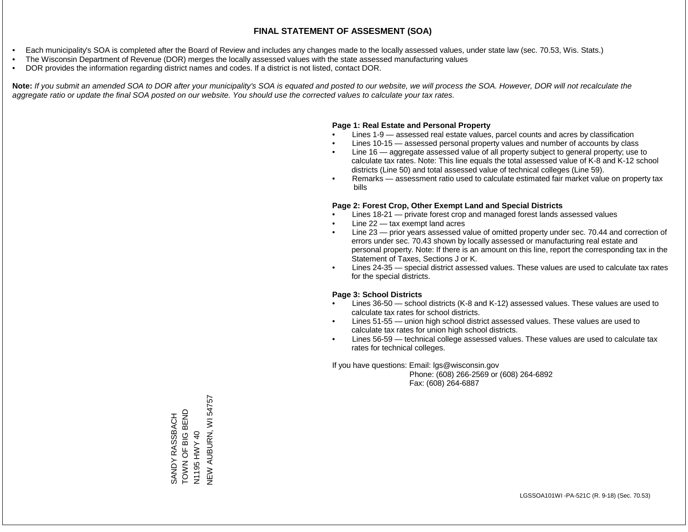- Each municipality's SOA is completed after the Board of Review and includes any changes made to the locally assessed values, under state law (sec. 70.53, Wis. Stats.)
- The Wisconsin Department of Revenue (DOR) merges the locally assessed values with the state assessed manufacturing values
- DOR provides the information regarding district names and codes. If a district is not listed, contact DOR.

Note: If you submit an amended SOA to DOR after your municipality's SOA is equated and posted to our website, we will process the SOA. However, DOR will not recalculate the *aggregate ratio or update the final SOA posted on our website. You should use the corrected values to calculate your tax rates.*

#### **Page 1: Real Estate and Personal Property**

- Lines 1-9 assessed real estate values, parcel counts and acres by classification
- Lines 10-15 assessed personal property values and number of accounts by class
- Line 16 aggregate assessed value of all property subject to general property; use to calculate tax rates. Note: This line equals the total assessed value of K-8 and K-12 school districts (Line 50) and total assessed value of technical colleges (Line 59).
- Remarks assessment ratio used to calculate estimated fair market value on property tax bills

#### **Page 2: Forest Crop, Other Exempt Land and Special Districts**

- Lines 18-21 private forest crop and managed forest lands assessed values
- Line  $22 -$  tax exempt land acres
- Line 23 prior years assessed value of omitted property under sec. 70.44 and correction of errors under sec. 70.43 shown by locally assessed or manufacturing real estate and personal property. Note: If there is an amount on this line, report the corresponding tax in the Statement of Taxes, Sections J or K.
- Lines 24-35 special district assessed values. These values are used to calculate tax rates for the special districts.

#### **Page 3: School Districts**

- Lines 36-50 school districts (K-8 and K-12) assessed values. These values are used to calculate tax rates for school districts.
- Lines 51-55 union high school district assessed values. These values are used to calculate tax rates for union high school districts.
- Lines 56-59 technical college assessed values. These values are used to calculate tax rates for technical colleges.

If you have questions: Email: lgs@wisconsin.gov

 Phone: (608) 266-2569 or (608) 264-6892 Fax: (608) 264-6887

**NEW AUBURN, WI 54757** NEW AUBURN, WI 54757TOWN OF BIG BEND SANDY RASSBACH<br>TOWN OF BIG BEND SANDY RASSBACH HWY 40 N1195 HWY 40 N1195<sup>1</sup>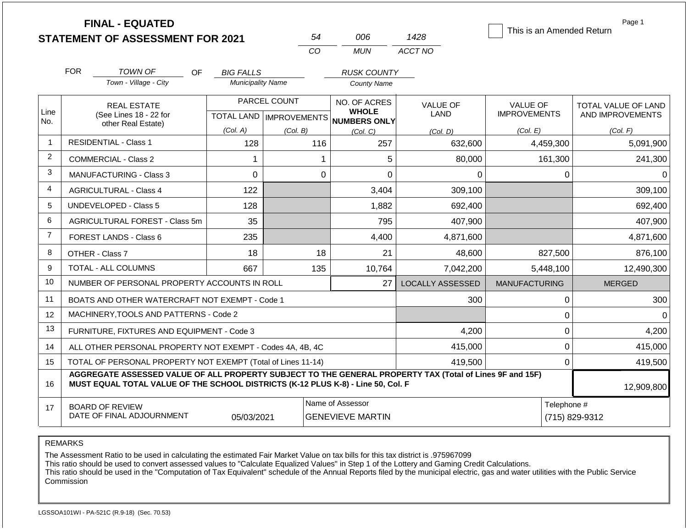|                |            | <b>FINAL - EQUATED</b><br><b>STATEMENT OF ASSESSMENT FOR 2021</b>                                                                                                                            |                          | 54                                        | 006                                          | 1428                    | This is an Amended Return              | Page 1                                  |
|----------------|------------|----------------------------------------------------------------------------------------------------------------------------------------------------------------------------------------------|--------------------------|-------------------------------------------|----------------------------------------------|-------------------------|----------------------------------------|-----------------------------------------|
|                |            |                                                                                                                                                                                              |                          | CO                                        | <b>MUN</b>                                   | ACCT NO                 |                                        |                                         |
|                | <b>FOR</b> | <b>TOWN OF</b><br><b>OF</b>                                                                                                                                                                  | <b>BIG FALLS</b>         |                                           | <b>RUSK COUNTY</b>                           |                         |                                        |                                         |
|                |            | Town - Village - City                                                                                                                                                                        | <b>Municipality Name</b> |                                           | <b>County Name</b>                           |                         |                                        |                                         |
| Line<br>No.    |            | <b>REAL ESTATE</b><br>(See Lines 18 - 22 for                                                                                                                                                 |                          | PARCEL COUNT<br>TOTAL LAND   IMPROVEMENTS | NO. OF ACRES<br><b>WHOLE</b><br>NUMBERS ONLY | <b>VALUE OF</b><br>LAND | <b>VALUE OF</b><br><b>IMPROVEMENTS</b> | TOTAL VALUE OF LAND<br>AND IMPROVEMENTS |
|                |            | other Real Estate)                                                                                                                                                                           | (Col. A)                 | (Col, B)                                  | (Col, C)                                     | (Col. D)                | (Col. E)                               | (Col. F)                                |
| $\overline{1}$ |            | <b>RESIDENTIAL - Class 1</b>                                                                                                                                                                 | 128                      | 116                                       | 257                                          | 632,600                 | 4,459,300                              | 5,091,900                               |
| 2              |            | <b>COMMERCIAL - Class 2</b>                                                                                                                                                                  | 1                        |                                           | 5<br>1                                       | 80,000                  | 161,300                                | 241,300                                 |
| 3              |            | <b>MANUFACTURING - Class 3</b>                                                                                                                                                               | $\Omega$                 |                                           | $\Omega$<br>$\Omega$                         | $\Omega$                | $\Omega$                               | $\Omega$                                |
| $\overline{4}$ |            | <b>AGRICULTURAL - Class 4</b>                                                                                                                                                                | 122                      |                                           | 3,404                                        | 309,100                 |                                        | 309,100                                 |
| 5              |            | <b>UNDEVELOPED - Class 5</b>                                                                                                                                                                 | 128                      |                                           | 1,882                                        | 692,400                 |                                        | 692,400                                 |
| 6              |            | AGRICULTURAL FOREST - Class 5m                                                                                                                                                               | 35                       |                                           | 795                                          | 407.900                 |                                        | 407,900                                 |
| $\overline{7}$ |            | FOREST LANDS - Class 6                                                                                                                                                                       | 235                      |                                           | 4,400                                        | 4,871,600               |                                        | 4,871,600                               |
| 8              |            | OTHER - Class 7                                                                                                                                                                              | 18                       | 18                                        | 21                                           | 48,600                  | 827,500                                | 876,100                                 |
| 9              |            | <b>TOTAL - ALL COLUMNS</b>                                                                                                                                                                   | 667                      | 135                                       | 10,764                                       | 7,042,200               | 5,448,100                              | 12,490,300                              |
| 10             |            | NUMBER OF PERSONAL PROPERTY ACCOUNTS IN ROLL                                                                                                                                                 |                          |                                           | 27                                           | <b>LOCALLY ASSESSED</b> | <b>MANUFACTURING</b>                   | <b>MERGED</b>                           |
| 11             |            | BOATS AND OTHER WATERCRAFT NOT EXEMPT - Code 1                                                                                                                                               |                          |                                           |                                              | 300                     | $\boldsymbol{0}$                       | 300                                     |
| 12             |            | MACHINERY, TOOLS AND PATTERNS - Code 2                                                                                                                                                       |                          |                                           |                                              |                         | $\pmb{0}$                              | $\Omega$                                |
| 13             |            | FURNITURE, FIXTURES AND EQUIPMENT - Code 3                                                                                                                                                   |                          |                                           |                                              | 4,200                   | $\mathbf 0$                            | 4,200                                   |
| 14             |            | ALL OTHER PERSONAL PROPERTY NOT EXEMPT - Codes 4A, 4B, 4C                                                                                                                                    |                          |                                           |                                              | 415,000                 | $\mathbf 0$                            | 415,000                                 |
| 15             |            | TOTAL OF PERSONAL PROPERTY NOT EXEMPT (Total of Lines 11-14)                                                                                                                                 |                          |                                           |                                              | 419,500                 | $\Omega$                               | 419,500                                 |
| 16             |            | AGGREGATE ASSESSED VALUE OF ALL PROPERTY SUBJECT TO THE GENERAL PROPERTY TAX (Total of Lines 9F and 15F)<br>MUST EQUAL TOTAL VALUE OF THE SCHOOL DISTRICTS (K-12 PLUS K-8) - Line 50, Col. F |                          |                                           |                                              |                         |                                        | 12,909,800                              |
| 17             |            | <b>BOARD OF REVIEW</b><br>DATE OF FINAL ADJOURNMENT                                                                                                                                          | 05/03/2021               |                                           | Name of Assessor<br><b>GENEVIEVE MARTIN</b>  |                         | Telephone #                            | (715) 829-9312                          |

The Assessment Ratio to be used in calculating the estimated Fair Market Value on tax bills for this tax district is .975967099

This ratio should be used to convert assessed values to "Calculate Equalized Values" in Step 1 of the Lottery and Gaming Credit Calculations.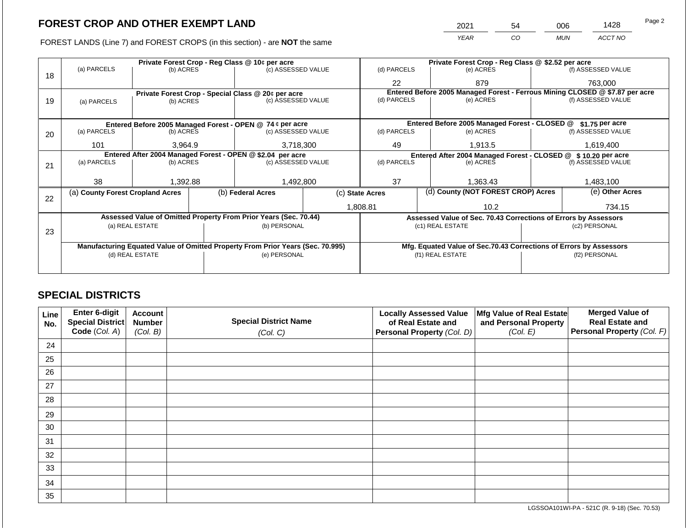FOREST LANDS (Line 7) and FOREST CROPS (in this section) - are **NOT** the same

| 2021 | 54 | 006        | 1428    | Page 2 |
|------|----|------------|---------|--------|
| YEAR | CO | <b>MUN</b> | ACCT NO |        |

|    |                                                                                |                 |  | Private Forest Crop - Reg Class @ 10¢ per acre                   |                                                                  | Private Forest Crop - Reg Class @ \$2.52 per acre                            |                  |                                               |               |                                                                    |  |
|----|--------------------------------------------------------------------------------|-----------------|--|------------------------------------------------------------------|------------------------------------------------------------------|------------------------------------------------------------------------------|------------------|-----------------------------------------------|---------------|--------------------------------------------------------------------|--|
|    | (a) PARCELS                                                                    | (b) ACRES       |  | (c) ASSESSED VALUE                                               |                                                                  | (d) PARCELS                                                                  |                  | (e) ACRES                                     |               | (f) ASSESSED VALUE                                                 |  |
| 18 |                                                                                |                 |  |                                                                  |                                                                  | 22                                                                           |                  | 879                                           |               | 763,000                                                            |  |
|    |                                                                                |                 |  | Private Forest Crop - Special Class @ 20¢ per acre               |                                                                  | Entered Before 2005 Managed Forest - Ferrous Mining CLOSED @ \$7.87 per acre |                  |                                               |               |                                                                    |  |
| 19 | (a) PARCELS                                                                    | (b) ACRES       |  | (c) ASSESSED VALUE                                               |                                                                  | (d) PARCELS                                                                  |                  | (e) ACRES                                     |               | (f) ASSESSED VALUE                                                 |  |
|    |                                                                                |                 |  |                                                                  |                                                                  |                                                                              |                  |                                               |               |                                                                    |  |
|    |                                                                                |                 |  | Entered Before 2005 Managed Forest - OPEN @ 74 ¢ per acre        |                                                                  |                                                                              |                  | Entered Before 2005 Managed Forest - CLOSED @ |               | \$1.75 per acre                                                    |  |
| 20 | (a) PARCELS                                                                    | (b) ACRES       |  | (c) ASSESSED VALUE                                               |                                                                  | (d) PARCELS                                                                  |                  | (e) ACRES                                     |               | (f) ASSESSED VALUE                                                 |  |
|    | 101                                                                            | 3.964.9         |  | 3,718,300                                                        |                                                                  | 49                                                                           |                  | 1,913.5                                       |               | 1,619,400                                                          |  |
|    |                                                                                |                 |  | Entered After 2004 Managed Forest - OPEN @ \$2.04 per acre       | Entered After 2004 Managed Forest - CLOSED @<br>\$10.20 per acre |                                                                              |                  |                                               |               |                                                                    |  |
| 21 | (a) PARCELS                                                                    | (b) ACRES       |  | (c) ASSESSED VALUE                                               |                                                                  | (d) PARCELS                                                                  |                  | (e) ACRES                                     |               | (f) ASSESSED VALUE                                                 |  |
|    |                                                                                |                 |  |                                                                  |                                                                  |                                                                              |                  |                                               |               |                                                                    |  |
|    | 38                                                                             | 1,392.88        |  | 1,492,800                                                        |                                                                  | 37                                                                           |                  | 1,363.43                                      |               | 1,483,100                                                          |  |
| 22 | (a) County Forest Cropland Acres                                               |                 |  | (b) Federal Acres                                                |                                                                  | (d) County (NOT FOREST CROP) Acres<br>(c) State Acres                        |                  |                                               |               | (e) Other Acres                                                    |  |
|    |                                                                                |                 |  |                                                                  |                                                                  | 1,808.81<br>10.2                                                             |                  |                                               | 734.15        |                                                                    |  |
|    |                                                                                |                 |  | Assessed Value of Omitted Property From Prior Years (Sec. 70.44) |                                                                  |                                                                              |                  |                                               |               | Assessed Value of Sec. 70.43 Corrections of Errors by Assessors    |  |
|    |                                                                                | (a) REAL ESTATE |  | (b) PERSONAL                                                     |                                                                  |                                                                              | (c1) REAL ESTATE |                                               | (c2) PERSONAL |                                                                    |  |
| 23 |                                                                                |                 |  |                                                                  |                                                                  |                                                                              |                  |                                               |               |                                                                    |  |
|    | Manufacturing Equated Value of Omitted Property From Prior Years (Sec. 70.995) |                 |  |                                                                  |                                                                  |                                                                              |                  |                                               |               | Mfg. Equated Value of Sec.70.43 Corrections of Errors by Assessors |  |
|    |                                                                                | (d) REAL ESTATE |  | (e) PERSONAL                                                     |                                                                  |                                                                              | (f1) REAL ESTATE |                                               | (f2) PERSONAL |                                                                    |  |
|    |                                                                                |                 |  |                                                                  |                                                                  |                                                                              |                  |                                               |               |                                                                    |  |
|    |                                                                                |                 |  |                                                                  |                                                                  |                                                                              |                  |                                               |               |                                                                    |  |

## **SPECIAL DISTRICTS**

| Line<br>No. | Enter 6-digit<br>Special District<br>Code (Col. A) | <b>Account</b><br><b>Special District Name</b><br><b>Number</b><br>(Col. B)<br>(Col. C) |  | Mfg Value of Real Estate<br><b>Locally Assessed Value</b><br>of Real Estate and<br>and Personal Property<br>(Col. E)<br>Personal Property (Col. D) |  | <b>Merged Value of</b><br><b>Real Estate and</b><br>Personal Property (Col. F) |
|-------------|----------------------------------------------------|-----------------------------------------------------------------------------------------|--|----------------------------------------------------------------------------------------------------------------------------------------------------|--|--------------------------------------------------------------------------------|
| 24          |                                                    |                                                                                         |  |                                                                                                                                                    |  |                                                                                |
| 25          |                                                    |                                                                                         |  |                                                                                                                                                    |  |                                                                                |
| 26          |                                                    |                                                                                         |  |                                                                                                                                                    |  |                                                                                |
| 27          |                                                    |                                                                                         |  |                                                                                                                                                    |  |                                                                                |
| 28          |                                                    |                                                                                         |  |                                                                                                                                                    |  |                                                                                |
| 29          |                                                    |                                                                                         |  |                                                                                                                                                    |  |                                                                                |
| 30          |                                                    |                                                                                         |  |                                                                                                                                                    |  |                                                                                |
| 31          |                                                    |                                                                                         |  |                                                                                                                                                    |  |                                                                                |
| 32          |                                                    |                                                                                         |  |                                                                                                                                                    |  |                                                                                |
| 33          |                                                    |                                                                                         |  |                                                                                                                                                    |  |                                                                                |
| 34          |                                                    |                                                                                         |  |                                                                                                                                                    |  |                                                                                |
| 35          |                                                    |                                                                                         |  |                                                                                                                                                    |  |                                                                                |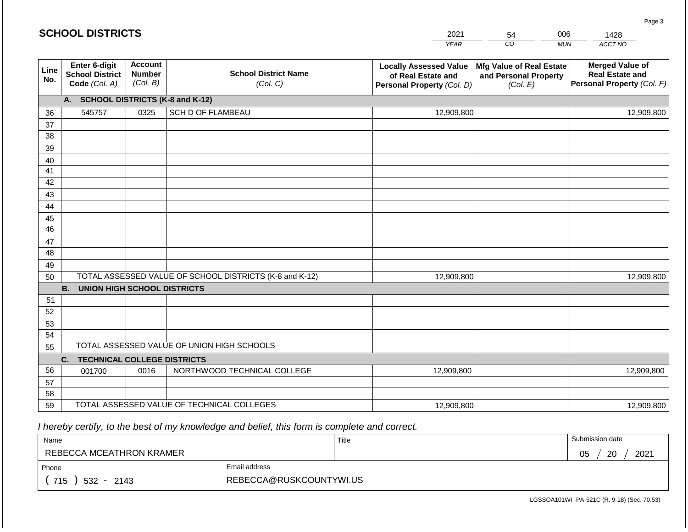|                 | <b>SCHOOL DISTRICTS</b>                                                                                                                            |      |                                                         | 2021                                                                              | 54                                                            | 006        | 1428                                                                           |  |
|-----------------|----------------------------------------------------------------------------------------------------------------------------------------------------|------|---------------------------------------------------------|-----------------------------------------------------------------------------------|---------------------------------------------------------------|------------|--------------------------------------------------------------------------------|--|
|                 |                                                                                                                                                    |      |                                                         | <b>YEAR</b>                                                                       | CO                                                            | <b>MUN</b> | ACCT NO                                                                        |  |
| Line<br>No.     | Enter 6-digit<br><b>Account</b><br><b>School District Name</b><br><b>Number</b><br><b>School District</b><br>(Col. B)<br>Code (Col. A)<br>(Col. C) |      |                                                         | <b>Locally Assessed Value</b><br>of Real Estate and<br>Personal Property (Col. D) | Mfg Value of Real Estate<br>and Personal Property<br>(Col. E) |            | <b>Merged Value of</b><br><b>Real Estate and</b><br>Personal Property (Col. F) |  |
|                 | A. SCHOOL DISTRICTS (K-8 and K-12)                                                                                                                 |      |                                                         |                                                                                   |                                                               |            |                                                                                |  |
| 36              | 545757                                                                                                                                             | 0325 | <b>SCH D OF FLAMBEAU</b>                                | 12,909,800                                                                        |                                                               |            | 12,909,800                                                                     |  |
| 37              |                                                                                                                                                    |      |                                                         |                                                                                   |                                                               |            |                                                                                |  |
| 38              |                                                                                                                                                    |      |                                                         |                                                                                   |                                                               |            |                                                                                |  |
| 39              |                                                                                                                                                    |      |                                                         |                                                                                   |                                                               |            |                                                                                |  |
| 40              |                                                                                                                                                    |      |                                                         |                                                                                   |                                                               |            |                                                                                |  |
| 41<br>42        |                                                                                                                                                    |      |                                                         |                                                                                   |                                                               |            |                                                                                |  |
| 43              |                                                                                                                                                    |      |                                                         |                                                                                   |                                                               |            |                                                                                |  |
| 44              |                                                                                                                                                    |      |                                                         |                                                                                   |                                                               |            |                                                                                |  |
| 45              |                                                                                                                                                    |      |                                                         |                                                                                   |                                                               |            |                                                                                |  |
| $\overline{46}$ |                                                                                                                                                    |      |                                                         |                                                                                   |                                                               |            |                                                                                |  |
| 47              |                                                                                                                                                    |      |                                                         |                                                                                   |                                                               |            |                                                                                |  |
| 48              |                                                                                                                                                    |      |                                                         |                                                                                   |                                                               |            |                                                                                |  |
| 49              |                                                                                                                                                    |      |                                                         |                                                                                   |                                                               |            |                                                                                |  |
| 50              |                                                                                                                                                    |      | TOTAL ASSESSED VALUE OF SCHOOL DISTRICTS (K-8 and K-12) | 12,909,800                                                                        |                                                               |            | 12,909,800                                                                     |  |
|                 | <b>B. UNION HIGH SCHOOL DISTRICTS</b>                                                                                                              |      |                                                         |                                                                                   |                                                               |            |                                                                                |  |
| 51              |                                                                                                                                                    |      |                                                         |                                                                                   |                                                               |            |                                                                                |  |
| 52<br>53        |                                                                                                                                                    |      |                                                         |                                                                                   |                                                               |            |                                                                                |  |
| 54              |                                                                                                                                                    |      |                                                         |                                                                                   |                                                               |            |                                                                                |  |
| 55              |                                                                                                                                                    |      | TOTAL ASSESSED VALUE OF UNION HIGH SCHOOLS              |                                                                                   |                                                               |            |                                                                                |  |
|                 | <b>TECHNICAL COLLEGE DISTRICTS</b><br>C.                                                                                                           |      |                                                         |                                                                                   |                                                               |            |                                                                                |  |
| 56              | 001700                                                                                                                                             | 0016 | NORTHWOOD TECHNICAL COLLEGE                             | 12,909,800                                                                        |                                                               |            | 12,909,800                                                                     |  |
| 57              |                                                                                                                                                    |      |                                                         |                                                                                   |                                                               |            |                                                                                |  |
| 58              |                                                                                                                                                    |      |                                                         |                                                                                   |                                                               |            |                                                                                |  |
| 59              |                                                                                                                                                    |      | TOTAL ASSESSED VALUE OF TECHNICAL COLLEGES              | 12,909,800                                                                        |                                                               |            | 12,909,800                                                                     |  |

**SCHOOL DISTRICTS**

| Name                         |                         | Title | Submission date  |
|------------------------------|-------------------------|-------|------------------|
| REBECCA MCEATHRON KRAMER     |                         |       | 20<br>2021<br>05 |
| Phone                        | Email address           |       |                  |
| 715<br>532<br>2143<br>$\sim$ | REBECCA@RUSKCOUNTYWI.US |       |                  |

Page 3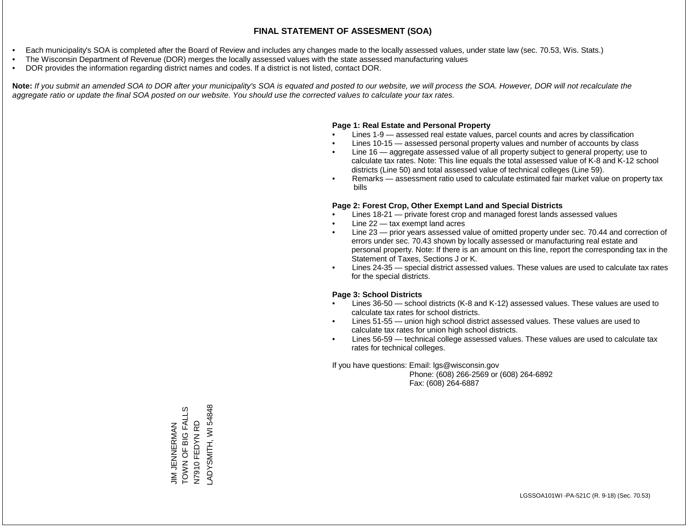- Each municipality's SOA is completed after the Board of Review and includes any changes made to the locally assessed values, under state law (sec. 70.53, Wis. Stats.)
- The Wisconsin Department of Revenue (DOR) merges the locally assessed values with the state assessed manufacturing values
- DOR provides the information regarding district names and codes. If a district is not listed, contact DOR.

Note: If you submit an amended SOA to DOR after your municipality's SOA is equated and posted to our website, we will process the SOA. However, DOR will not recalculate the *aggregate ratio or update the final SOA posted on our website. You should use the corrected values to calculate your tax rates.*

#### **Page 1: Real Estate and Personal Property**

- Lines 1-9 assessed real estate values, parcel counts and acres by classification
- Lines 10-15 assessed personal property values and number of accounts by class
- Line 16 aggregate assessed value of all property subject to general property; use to calculate tax rates. Note: This line equals the total assessed value of K-8 and K-12 school districts (Line 50) and total assessed value of technical colleges (Line 59).
- Remarks assessment ratio used to calculate estimated fair market value on property tax bills

#### **Page 2: Forest Crop, Other Exempt Land and Special Districts**

- Lines 18-21 private forest crop and managed forest lands assessed values
- Line  $22 -$  tax exempt land acres
- Line 23 prior years assessed value of omitted property under sec. 70.44 and correction of errors under sec. 70.43 shown by locally assessed or manufacturing real estate and personal property. Note: If there is an amount on this line, report the corresponding tax in the Statement of Taxes, Sections J or K.
- Lines 24-35 special district assessed values. These values are used to calculate tax rates for the special districts.

#### **Page 3: School Districts**

- Lines 36-50 school districts (K-8 and K-12) assessed values. These values are used to calculate tax rates for school districts.
- Lines 51-55 union high school district assessed values. These values are used to calculate tax rates for union high school districts.
- Lines 56-59 technical college assessed values. These values are used to calculate tax rates for technical colleges.

If you have questions: Email: lgs@wisconsin.gov

 Phone: (608) 266-2569 or (608) 264-6892 Fax: (608) 264-6887

LADYSMITH, WI 54848 TOWN OF BIG FALLS LADYSMITH, WI 54848JIM JENNERMAN<br>TOWN OF BIG FALLS N7910 FEDYN RD N7910 FEDYN RD JIM JENNERMAN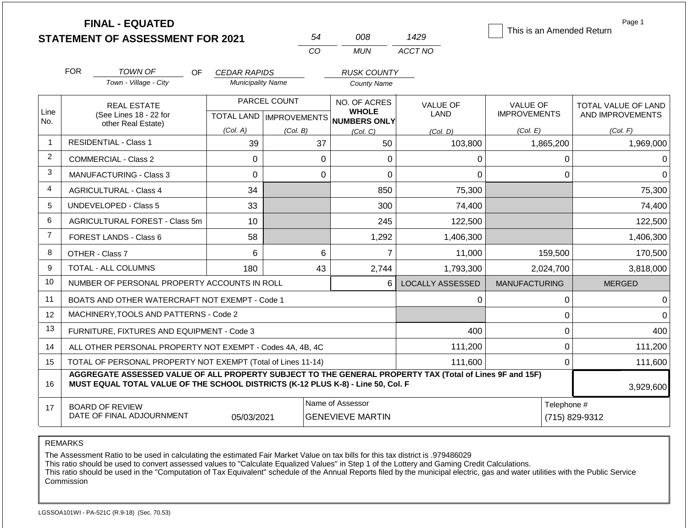|                |                                                                   | <b>FINAL - EQUATED</b><br><b>STATEMENT OF ASSESSMENT FOR 2021</b>                                                                                                                            |                           |              | 54             | 008                                          | 1429                           | Page 1<br>This is an Amended Return    |                                                |  |
|----------------|-------------------------------------------------------------------|----------------------------------------------------------------------------------------------------------------------------------------------------------------------------------------------|---------------------------|--------------|----------------|----------------------------------------------|--------------------------------|----------------------------------------|------------------------------------------------|--|
|                |                                                                   |                                                                                                                                                                                              |                           |              | CO             | <b>MUN</b>                                   | ACCT NO                        |                                        |                                                |  |
|                | <b>FOR</b>                                                        | <b>TOWN OF</b><br><b>OF</b>                                                                                                                                                                  | <b>CEDAR RAPIDS</b>       |              |                | <b>RUSK COUNTY</b>                           |                                |                                        |                                                |  |
|                |                                                                   | Town - Village - City                                                                                                                                                                        | <b>Municipality Name</b>  |              |                | <b>County Name</b>                           |                                |                                        |                                                |  |
| Line           |                                                                   | <b>REAL ESTATE</b><br>(See Lines 18 - 22 for                                                                                                                                                 | TOTAL LAND   IMPROVEMENTS | PARCEL COUNT |                | NO. OF ACRES<br><b>WHOLE</b><br>NUMBERS ONLY | <b>VALUE OF</b><br><b>LAND</b> | <b>VALUE OF</b><br><b>IMPROVEMENTS</b> | <b>TOTAL VALUE OF LAND</b><br>AND IMPROVEMENTS |  |
| No.            |                                                                   | other Real Estate)                                                                                                                                                                           | (Col. A)                  | (Col. B)     |                | (Col, C)                                     | (Col. D)                       | (Col. E)                               | (Col. F)                                       |  |
| $\mathbf{1}$   |                                                                   | <b>RESIDENTIAL - Class 1</b>                                                                                                                                                                 | 39                        |              | 37             | 50                                           | 103,800                        | 1,865,200                              | 1,969,000                                      |  |
| 2              |                                                                   | <b>COMMERCIAL - Class 2</b>                                                                                                                                                                  | 0                         |              | $\overline{0}$ | 0                                            | 0                              |                                        | $\mathsf 0$<br>$\Omega$                        |  |
| 3              |                                                                   | MANUFACTURING - Class 3                                                                                                                                                                      | 0                         |              | 0              | $\overline{0}$                               | 0                              |                                        | $\mathbf 0$<br>$\Omega$                        |  |
| 4              |                                                                   | <b>AGRICULTURAL - Class 4</b>                                                                                                                                                                | 34                        |              |                | 850                                          | 75,300                         |                                        | 75,300                                         |  |
| 5              |                                                                   | <b>UNDEVELOPED - Class 5</b>                                                                                                                                                                 | 33                        |              |                | 300                                          | 74,400                         |                                        | 74,400                                         |  |
| 6              |                                                                   | AGRICULTURAL FOREST - Class 5m                                                                                                                                                               | 10                        |              |                | 245                                          | 122,500                        |                                        | 122,500                                        |  |
| $\overline{7}$ |                                                                   | <b>FOREST LANDS - Class 6</b>                                                                                                                                                                | 58                        |              |                | 1,292                                        | 1,406,300                      |                                        | 1,406,300                                      |  |
| 8              |                                                                   | OTHER - Class 7                                                                                                                                                                              | 6                         |              | 6              | $\overline{7}$                               | 11,000                         | 159,500                                | 170,500                                        |  |
| 9              |                                                                   | TOTAL - ALL COLUMNS                                                                                                                                                                          | 180                       |              | 43             | 2,744                                        | 1,793,300                      | 2,024,700                              | 3,818,000                                      |  |
| 10             |                                                                   | NUMBER OF PERSONAL PROPERTY ACCOUNTS IN ROLL                                                                                                                                                 |                           |              |                | 6                                            | <b>LOCALLY ASSESSED</b>        | <b>MANUFACTURING</b>                   | <b>MERGED</b>                                  |  |
| 11             |                                                                   | BOATS AND OTHER WATERCRAFT NOT EXEMPT - Code 1                                                                                                                                               |                           |              |                |                                              | 0                              |                                        | $\mathbf{0}$<br>$\Omega$                       |  |
| 12             |                                                                   | MACHINERY, TOOLS AND PATTERNS - Code 2                                                                                                                                                       |                           |              |                |                                              |                                |                                        | $\mathbf 0$<br>$\Omega$                        |  |
| 13             |                                                                   | FURNITURE, FIXTURES AND EQUIPMENT - Code 3                                                                                                                                                   |                           |              |                |                                              | 400                            |                                        | $\mathbf 0$<br>400                             |  |
| 14             |                                                                   | ALL OTHER PERSONAL PROPERTY NOT EXEMPT - Codes 4A, 4B, 4C                                                                                                                                    |                           |              |                |                                              | 111,200                        |                                        | $\mathbf 0$<br>111,200                         |  |
| 15             | TOTAL OF PERSONAL PROPERTY NOT EXEMPT (Total of Lines 11-14)      |                                                                                                                                                                                              |                           |              |                |                                              | 111,600                        |                                        | 111,600<br>$\Omega$                            |  |
| 16             |                                                                   | AGGREGATE ASSESSED VALUE OF ALL PROPERTY SUBJECT TO THE GENERAL PROPERTY TAX (Total of Lines 9F and 15F)<br>MUST EQUAL TOTAL VALUE OF THE SCHOOL DISTRICTS (K-12 PLUS K-8) - Line 50, Col. F |                           |              |                |                                              |                                |                                        | 3,929,600                                      |  |
| 17             | <b>BOARD OF REVIEW</b><br>DATE OF FINAL ADJOURNMENT<br>05/03/2021 |                                                                                                                                                                                              |                           |              |                | Name of Assessor<br><b>GENEVIEVE MARTIN</b>  |                                |                                        | Telephone #<br>(715) 829-9312                  |  |

The Assessment Ratio to be used in calculating the estimated Fair Market Value on tax bills for this tax district is .979486029

This ratio should be used to convert assessed values to "Calculate Equalized Values" in Step 1 of the Lottery and Gaming Credit Calculations.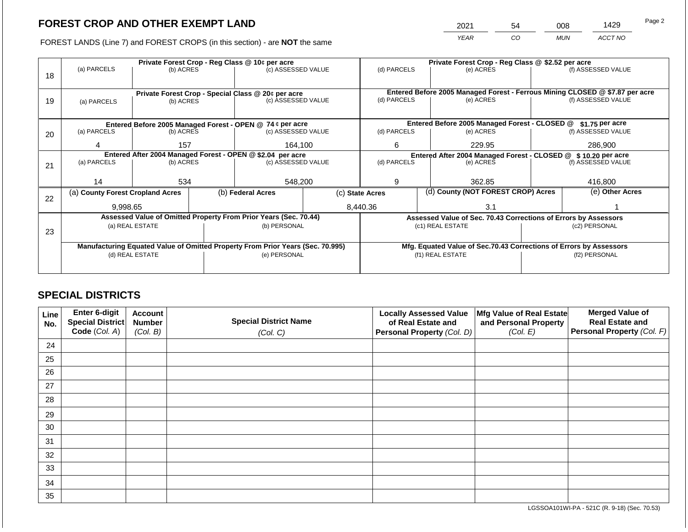2021 54 008 1429

FOREST LANDS (Line 7) and FOREST CROPS (in this section) - are **NOT** the same *YEAR CO MUN ACCT NO*

|    |                                                                                |           |  | Private Forest Crop - Reg Class @ 10¢ per acre                           |                                                               | Private Forest Crop - Reg Class @ \$2.52 per acre |  |                                                                    |                                                                              |                    |
|----|--------------------------------------------------------------------------------|-----------|--|--------------------------------------------------------------------------|---------------------------------------------------------------|---------------------------------------------------|--|--------------------------------------------------------------------|------------------------------------------------------------------------------|--------------------|
|    | (a) PARCELS                                                                    | (b) ACRES |  | (c) ASSESSED VALUE                                                       |                                                               | (d) PARCELS                                       |  | (e) ACRES                                                          |                                                                              | (f) ASSESSED VALUE |
| 18 |                                                                                |           |  |                                                                          |                                                               |                                                   |  |                                                                    |                                                                              |                    |
|    |                                                                                |           |  |                                                                          |                                                               |                                                   |  |                                                                    | Entered Before 2005 Managed Forest - Ferrous Mining CLOSED @ \$7.87 per acre |                    |
| 19 |                                                                                | (b) ACRES |  | Private Forest Crop - Special Class @ 20¢ per acre<br>(c) ASSESSED VALUE |                                                               | (d) PARCELS                                       |  | (e) ACRES                                                          | (f) ASSESSED VALUE                                                           |                    |
|    | (a) PARCELS                                                                    |           |  |                                                                          |                                                               |                                                   |  |                                                                    |                                                                              |                    |
|    |                                                                                |           |  |                                                                          |                                                               |                                                   |  |                                                                    |                                                                              |                    |
|    |                                                                                |           |  | Entered Before 2005 Managed Forest - OPEN @ 74 ¢ per acre                |                                                               |                                                   |  | Entered Before 2005 Managed Forest - CLOSED @                      |                                                                              | $$1.75$ per acre   |
| 20 | (a) PARCELS<br>(b) ACRES                                                       |           |  | (c) ASSESSED VALUE                                                       |                                                               | (d) PARCELS                                       |  | (e) ACRES                                                          |                                                                              | (f) ASSESSED VALUE |
|    |                                                                                |           |  |                                                                          |                                                               |                                                   |  |                                                                    |                                                                              |                    |
|    | 4                                                                              | 157       |  | 164.100                                                                  |                                                               | 6                                                 |  | 229.95                                                             |                                                                              | 286,900            |
|    |                                                                                |           |  | Entered After 2004 Managed Forest - OPEN @ \$2.04 per acre               | Entered After 2004 Managed Forest - CLOSED @ \$10.20 per acre |                                                   |  |                                                                    |                                                                              |                    |
| 21 | (a) PARCELS                                                                    | (b) ACRES |  | (c) ASSESSED VALUE                                                       |                                                               | (d) PARCELS                                       |  | (e) ACRES                                                          |                                                                              | (f) ASSESSED VALUE |
|    |                                                                                |           |  |                                                                          |                                                               |                                                   |  |                                                                    |                                                                              |                    |
|    | 14                                                                             | 534       |  | 548,200                                                                  |                                                               | 9                                                 |  | 362.85                                                             |                                                                              | 416,800            |
|    | (a) County Forest Cropland Acres                                               |           |  | (b) Federal Acres                                                        |                                                               | (c) State Acres                                   |  | (d) County (NOT FOREST CROP) Acres                                 |                                                                              | (e) Other Acres    |
| 22 |                                                                                |           |  |                                                                          |                                                               |                                                   |  |                                                                    |                                                                              |                    |
|    | 9.998.65                                                                       |           |  |                                                                          |                                                               | 8,440.36                                          |  | 3.1                                                                |                                                                              |                    |
|    |                                                                                |           |  | Assessed Value of Omitted Property From Prior Years (Sec. 70.44)         |                                                               |                                                   |  | Assessed Value of Sec. 70.43 Corrections of Errors by Assessors    |                                                                              |                    |
|    | (a) REAL ESTATE                                                                |           |  | (b) PERSONAL                                                             |                                                               |                                                   |  | (c1) REAL ESTATE                                                   |                                                                              | (c2) PERSONAL      |
| 23 |                                                                                |           |  |                                                                          |                                                               |                                                   |  |                                                                    |                                                                              |                    |
|    | Manufacturing Equated Value of Omitted Property From Prior Years (Sec. 70.995) |           |  |                                                                          |                                                               |                                                   |  | Mfg. Equated Value of Sec.70.43 Corrections of Errors by Assessors |                                                                              |                    |
|    | (d) REAL ESTATE                                                                |           |  | (e) PERSONAL                                                             |                                                               | (f1) REAL ESTATE                                  |  |                                                                    | (f2) PERSONAL                                                                |                    |
|    |                                                                                |           |  |                                                                          |                                                               |                                                   |  |                                                                    |                                                                              |                    |
|    |                                                                                |           |  |                                                                          |                                                               |                                                   |  |                                                                    |                                                                              |                    |

## **SPECIAL DISTRICTS**

| Line<br>No. | Enter 6-digit<br>Special District<br>Code (Col. A) | <b>Account</b><br><b>Special District Name</b><br><b>Number</b><br>(Col. B)<br>(Col. C) |  | <b>Locally Assessed Value</b><br>of Real Estate and<br><b>Personal Property (Col. D)</b> | Mfg Value of Real Estate<br>and Personal Property<br>(Col. E) | <b>Merged Value of</b><br><b>Real Estate and</b><br>Personal Property (Col. F) |
|-------------|----------------------------------------------------|-----------------------------------------------------------------------------------------|--|------------------------------------------------------------------------------------------|---------------------------------------------------------------|--------------------------------------------------------------------------------|
| 24          |                                                    |                                                                                         |  |                                                                                          |                                                               |                                                                                |
| 25          |                                                    |                                                                                         |  |                                                                                          |                                                               |                                                                                |
| 26          |                                                    |                                                                                         |  |                                                                                          |                                                               |                                                                                |
| 27          |                                                    |                                                                                         |  |                                                                                          |                                                               |                                                                                |
| 28          |                                                    |                                                                                         |  |                                                                                          |                                                               |                                                                                |
| 29          |                                                    |                                                                                         |  |                                                                                          |                                                               |                                                                                |
| 30          |                                                    |                                                                                         |  |                                                                                          |                                                               |                                                                                |
| 31          |                                                    |                                                                                         |  |                                                                                          |                                                               |                                                                                |
| 32          |                                                    |                                                                                         |  |                                                                                          |                                                               |                                                                                |
| 33          |                                                    |                                                                                         |  |                                                                                          |                                                               |                                                                                |
| 34          |                                                    |                                                                                         |  |                                                                                          |                                                               |                                                                                |
| 35          |                                                    |                                                                                         |  |                                                                                          |                                                               |                                                                                |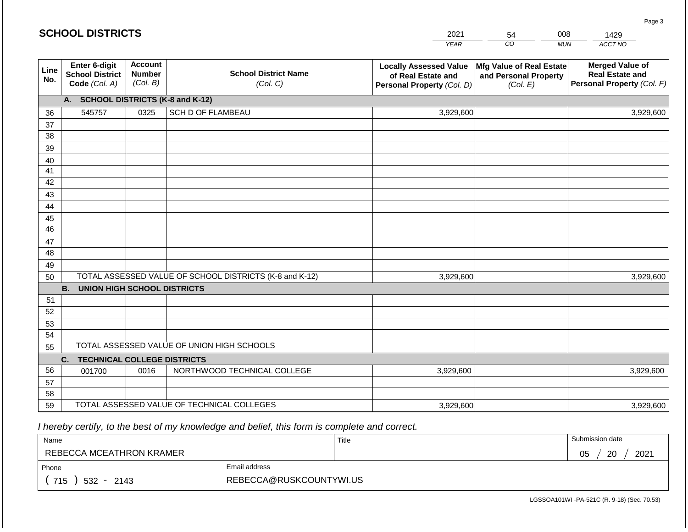|             | <b>SCHOOL DISTRICTS</b>                                  |                                             |                                                         | 2021                                                                              | 54                                                            | 008        | 1429                                                                           |
|-------------|----------------------------------------------------------|---------------------------------------------|---------------------------------------------------------|-----------------------------------------------------------------------------------|---------------------------------------------------------------|------------|--------------------------------------------------------------------------------|
|             |                                                          |                                             |                                                         | <b>YEAR</b>                                                                       | CO                                                            | <b>MUN</b> | ACCT NO                                                                        |
| Line<br>No. | Enter 6-digit<br><b>School District</b><br>Code (Col. A) | <b>Account</b><br><b>Number</b><br>(Col. B) | <b>School District Name</b><br>(Col. C)                 | <b>Locally Assessed Value</b><br>of Real Estate and<br>Personal Property (Col. D) | Mfg Value of Real Estate<br>and Personal Property<br>(Col. E) |            | <b>Merged Value of</b><br><b>Real Estate and</b><br>Personal Property (Col. F) |
|             | A. SCHOOL DISTRICTS (K-8 and K-12)                       |                                             |                                                         |                                                                                   |                                                               |            |                                                                                |
| 36          | 545757                                                   | 0325                                        | SCH D OF FLAMBEAU                                       | 3,929,600                                                                         |                                                               |            | 3,929,600                                                                      |
| 37          |                                                          |                                             |                                                         |                                                                                   |                                                               |            |                                                                                |
| 38          |                                                          |                                             |                                                         |                                                                                   |                                                               |            |                                                                                |
| 39          |                                                          |                                             |                                                         |                                                                                   |                                                               |            |                                                                                |
| 40<br>41    |                                                          |                                             |                                                         |                                                                                   |                                                               |            |                                                                                |
| 42          |                                                          |                                             |                                                         |                                                                                   |                                                               |            |                                                                                |
| 43          |                                                          |                                             |                                                         |                                                                                   |                                                               |            |                                                                                |
| 44          |                                                          |                                             |                                                         |                                                                                   |                                                               |            |                                                                                |
| 45          |                                                          |                                             |                                                         |                                                                                   |                                                               |            |                                                                                |
| 46          |                                                          |                                             |                                                         |                                                                                   |                                                               |            |                                                                                |
| 47          |                                                          |                                             |                                                         |                                                                                   |                                                               |            |                                                                                |
| 48          |                                                          |                                             |                                                         |                                                                                   |                                                               |            |                                                                                |
| 49          |                                                          |                                             |                                                         |                                                                                   |                                                               |            |                                                                                |
| 50          |                                                          |                                             | TOTAL ASSESSED VALUE OF SCHOOL DISTRICTS (K-8 and K-12) | 3,929,600                                                                         |                                                               |            | 3,929,600                                                                      |
| 51          | <b>B. UNION HIGH SCHOOL DISTRICTS</b>                    |                                             |                                                         |                                                                                   |                                                               |            |                                                                                |
| 52          |                                                          |                                             |                                                         |                                                                                   |                                                               |            |                                                                                |
| 53          |                                                          |                                             |                                                         |                                                                                   |                                                               |            |                                                                                |
| 54          |                                                          |                                             |                                                         |                                                                                   |                                                               |            |                                                                                |
| 55          |                                                          |                                             | TOTAL ASSESSED VALUE OF UNION HIGH SCHOOLS              |                                                                                   |                                                               |            |                                                                                |
|             | C.<br><b>TECHNICAL COLLEGE DISTRICTS</b>                 |                                             |                                                         |                                                                                   |                                                               |            |                                                                                |
| 56          | 001700                                                   | 0016                                        | NORTHWOOD TECHNICAL COLLEGE                             | 3,929,600                                                                         |                                                               |            | 3,929,600                                                                      |
| 57          |                                                          |                                             |                                                         |                                                                                   |                                                               |            |                                                                                |
| 58          |                                                          |                                             |                                                         |                                                                                   |                                                               |            |                                                                                |
| 59          |                                                          |                                             | TOTAL ASSESSED VALUE OF TECHNICAL COLLEGES              | 3,929,600                                                                         |                                                               |            | 3,929,600                                                                      |

| Name                     |                         | Title | Submission date       |
|--------------------------|-------------------------|-------|-----------------------|
| REBECCA MCEATHRON KRAMER |                         |       | 2021<br>20<br>∩ҕ<br>◡ |
| Phone                    | Email address           |       |                       |
| 715<br>$532 -$<br>2143   | REBECCA@RUSKCOUNTYWI.US |       |                       |

Page 3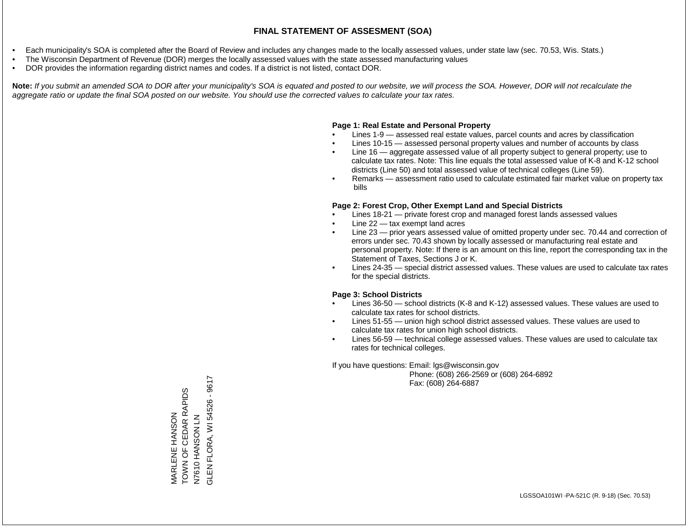- Each municipality's SOA is completed after the Board of Review and includes any changes made to the locally assessed values, under state law (sec. 70.53, Wis. Stats.)
- The Wisconsin Department of Revenue (DOR) merges the locally assessed values with the state assessed manufacturing values
- DOR provides the information regarding district names and codes. If a district is not listed, contact DOR.

Note: If you submit an amended SOA to DOR after your municipality's SOA is equated and posted to our website, we will process the SOA. However, DOR will not recalculate the *aggregate ratio or update the final SOA posted on our website. You should use the corrected values to calculate your tax rates.*

#### **Page 1: Real Estate and Personal Property**

- Lines 1-9 assessed real estate values, parcel counts and acres by classification
- Lines 10-15 assessed personal property values and number of accounts by class
- Line 16 aggregate assessed value of all property subject to general property; use to calculate tax rates. Note: This line equals the total assessed value of K-8 and K-12 school districts (Line 50) and total assessed value of technical colleges (Line 59).
- Remarks assessment ratio used to calculate estimated fair market value on property tax bills

#### **Page 2: Forest Crop, Other Exempt Land and Special Districts**

- Lines 18-21 private forest crop and managed forest lands assessed values
- Line  $22 -$  tax exempt land acres
- Line 23 prior years assessed value of omitted property under sec. 70.44 and correction of errors under sec. 70.43 shown by locally assessed or manufacturing real estate and personal property. Note: If there is an amount on this line, report the corresponding tax in the Statement of Taxes, Sections J or K.
- Lines 24-35 special district assessed values. These values are used to calculate tax rates for the special districts.

#### **Page 3: School Districts**

- Lines 36-50 school districts (K-8 and K-12) assessed values. These values are used to calculate tax rates for school districts.
- Lines 51-55 union high school district assessed values. These values are used to calculate tax rates for union high school districts.
- Lines 56-59 technical college assessed values. These values are used to calculate tax rates for technical colleges.

If you have questions: Email: lgs@wisconsin.gov

 Phone: (608) 266-2569 or (608) 264-6892 Fax: (608) 264-6887

FLORA, WI 54526 - 9617 GLEN FLORA, WI 54526 - 9617MARLENE HANSON<br>TOWN OF CEDAR RAPIDS TOWN OF CEDAR RAPIDS MARLENE HANSON HANSON LN N7 NOSNAH OLOLN N7610<sup>H</sup> **GLENF**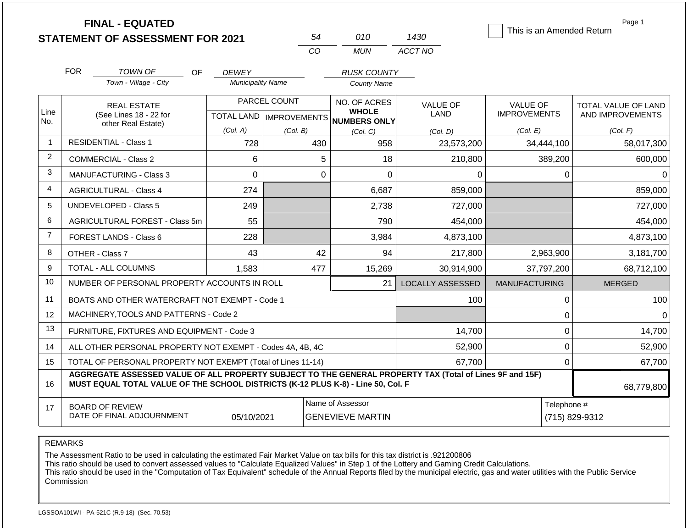|                |                                                                                                                                                                                              | <b>FINAL - EQUATED</b><br><b>STATEMENT OF ASSESSMENT FOR 2021</b> |                          | 54           | 010                                                 | 1430                    | This is an Amended Return | Page 1                        |  |
|----------------|----------------------------------------------------------------------------------------------------------------------------------------------------------------------------------------------|-------------------------------------------------------------------|--------------------------|--------------|-----------------------------------------------------|-------------------------|---------------------------|-------------------------------|--|
|                |                                                                                                                                                                                              |                                                                   |                          | CO           | <b>MUN</b>                                          | ACCT NO                 |                           |                               |  |
|                | <b>FOR</b>                                                                                                                                                                                   | TOWN OF<br>OF.                                                    | <b>DEWEY</b>             |              | <b>RUSK COUNTY</b>                                  |                         |                           |                               |  |
|                |                                                                                                                                                                                              | Town - Village - City                                             | <b>Municipality Name</b> |              | County Name                                         |                         |                           |                               |  |
|                |                                                                                                                                                                                              | <b>REAL ESTATE</b>                                                |                          | PARCEL COUNT | NO. OF ACRES                                        | <b>VALUE OF</b>         | <b>VALUE OF</b>           | TOTAL VALUE OF LAND           |  |
| Line<br>No.    |                                                                                                                                                                                              | (See Lines 18 - 22 for<br>other Real Estate)                      |                          |              | <b>WHOLE</b><br>TOTAL LAND MPROVEMENTS NUMBERS ONLY | LAND                    | <b>IMPROVEMENTS</b>       | AND IMPROVEMENTS              |  |
|                |                                                                                                                                                                                              |                                                                   | (Col. A)                 | (Col. B)     | (Col. C)                                            | (Col, D)                | (Col. E)                  | (Col. F)                      |  |
| $\mathbf{1}$   |                                                                                                                                                                                              | <b>RESIDENTIAL - Class 1</b>                                      | 728                      | 430          | 958                                                 | 23,573,200              | 34,444,100                | 58,017,300                    |  |
| $\overline{2}$ |                                                                                                                                                                                              | <b>COMMERCIAL - Class 2</b>                                       | 6                        |              | 5<br>18                                             | 210,800                 | 389,200                   | 600,000                       |  |
| 3              |                                                                                                                                                                                              | <b>MANUFACTURING - Class 3</b>                                    | $\mathbf 0$              |              | $\mathbf 0$<br>0                                    | 0                       | $\mathbf 0$               | 0                             |  |
| 4              |                                                                                                                                                                                              | <b>AGRICULTURAL - Class 4</b>                                     | 274                      |              | 6,687                                               | 859,000                 |                           | 859,000                       |  |
| 5              |                                                                                                                                                                                              | <b>UNDEVELOPED - Class 5</b>                                      | 249                      |              | 2,738                                               | 727,000                 |                           | 727,000                       |  |
| 6              |                                                                                                                                                                                              | <b>AGRICULTURAL FOREST - Class 5m</b>                             | 55                       |              | 790                                                 | 454,000                 |                           | 454,000                       |  |
| $\overline{7}$ |                                                                                                                                                                                              | <b>FOREST LANDS - Class 6</b>                                     | 228                      |              | 3,984                                               | 4,873,100               |                           | 4,873,100                     |  |
| 8              |                                                                                                                                                                                              | OTHER - Class 7                                                   | 43                       |              | 42<br>94                                            | 217,800                 | 2,963,900                 | 3,181,700                     |  |
| 9              |                                                                                                                                                                                              | <b>TOTAL - ALL COLUMNS</b>                                        | 1,583                    | 477          | 15,269                                              | 30,914,900              | 37,797,200                | 68,712,100                    |  |
| 10             |                                                                                                                                                                                              | NUMBER OF PERSONAL PROPERTY ACCOUNTS IN ROLL                      |                          |              | 21                                                  | <b>LOCALLY ASSESSED</b> | <b>MANUFACTURING</b>      | <b>MERGED</b>                 |  |
| 11             |                                                                                                                                                                                              | BOATS AND OTHER WATERCRAFT NOT EXEMPT - Code 1                    |                          |              |                                                     | 100                     | 0                         | 100                           |  |
| 12             |                                                                                                                                                                                              | MACHINERY, TOOLS AND PATTERNS - Code 2                            |                          |              |                                                     |                         | 0                         | $\Omega$                      |  |
| 13             |                                                                                                                                                                                              | FURNITURE, FIXTURES AND EQUIPMENT - Code 3                        |                          |              |                                                     | 14,700                  | 0                         | 14,700                        |  |
| 14             |                                                                                                                                                                                              | ALL OTHER PERSONAL PROPERTY NOT EXEMPT - Codes 4A, 4B, 4C         |                          |              |                                                     | 52,900                  | $\pmb{0}$                 | 52,900                        |  |
| 15             |                                                                                                                                                                                              | TOTAL OF PERSONAL PROPERTY NOT EXEMPT (Total of Lines 11-14)      |                          |              |                                                     | 67,700                  | $\Omega$                  | 67,700                        |  |
| 16             | AGGREGATE ASSESSED VALUE OF ALL PROPERTY SUBJECT TO THE GENERAL PROPERTY TAX (Total of Lines 9F and 15F)<br>MUST EQUAL TOTAL VALUE OF THE SCHOOL DISTRICTS (K-12 PLUS K-8) - Line 50, Col. F |                                                                   |                          |              |                                                     |                         |                           | 68,779,800                    |  |
| 17             | <b>BOARD OF REVIEW</b><br>DATE OF FINAL ADJOURNMENT<br>05/10/2021                                                                                                                            |                                                                   |                          |              | Name of Assessor<br><b>GENEVIEVE MARTIN</b>         |                         |                           | Telephone #<br>(715) 829-9312 |  |

The Assessment Ratio to be used in calculating the estimated Fair Market Value on tax bills for this tax district is .921200806

This ratio should be used to convert assessed values to "Calculate Equalized Values" in Step 1 of the Lottery and Gaming Credit Calculations.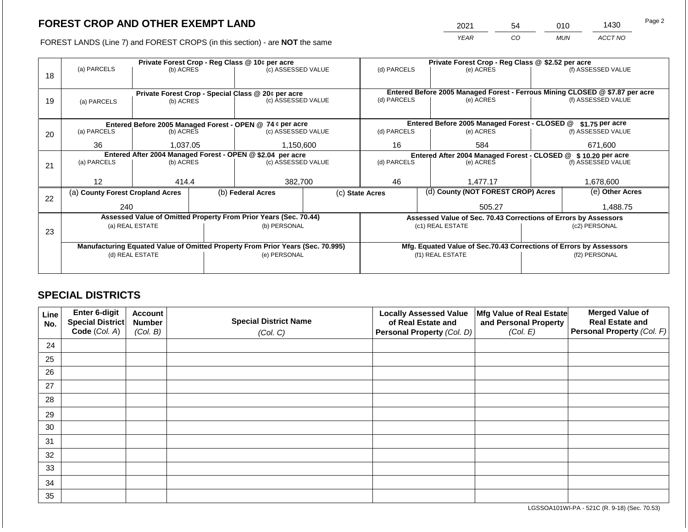2021 54 010 1430

FOREST LANDS (Line 7) and FOREST CROPS (in this section) - are **NOT** the same *YEAR CO MUN ACCT NO*

|    |                                                                                |           |  | Private Forest Crop - Reg Class @ 10¢ per acre            |                                                               | Private Forest Crop - Reg Class @ \$2.52 per acre     |  |                                                                    |               |                                                                              |  |  |
|----|--------------------------------------------------------------------------------|-----------|--|-----------------------------------------------------------|---------------------------------------------------------------|-------------------------------------------------------|--|--------------------------------------------------------------------|---------------|------------------------------------------------------------------------------|--|--|
|    | (a) PARCELS                                                                    | (b) ACRES |  | (c) ASSESSED VALUE                                        |                                                               | (d) PARCELS                                           |  | (e) ACRES                                                          |               | (f) ASSESSED VALUE                                                           |  |  |
| 18 |                                                                                |           |  |                                                           |                                                               |                                                       |  |                                                                    |               |                                                                              |  |  |
|    |                                                                                |           |  |                                                           |                                                               |                                                       |  |                                                                    |               |                                                                              |  |  |
|    |                                                                                |           |  | Private Forest Crop - Special Class @ 20¢ per acre        |                                                               |                                                       |  |                                                                    |               | Entered Before 2005 Managed Forest - Ferrous Mining CLOSED @ \$7.87 per acre |  |  |
| 19 | (a) PARCELS                                                                    | (b) ACRES |  | (c) ASSESSED VALUE                                        |                                                               | (d) PARCELS                                           |  | (e) ACRES                                                          |               | (f) ASSESSED VALUE                                                           |  |  |
|    |                                                                                |           |  |                                                           |                                                               |                                                       |  |                                                                    |               |                                                                              |  |  |
|    |                                                                                |           |  | Entered Before 2005 Managed Forest - OPEN @ 74 ¢ per acre |                                                               |                                                       |  | Entered Before 2005 Managed Forest - CLOSED @                      |               | \$1.75 per acre                                                              |  |  |
| 20 | (a) PARCELS<br>(b) ACRES                                                       |           |  | (c) ASSESSED VALUE                                        |                                                               | (d) PARCELS                                           |  | (e) ACRES                                                          |               | (f) ASSESSED VALUE                                                           |  |  |
|    |                                                                                |           |  |                                                           |                                                               |                                                       |  |                                                                    |               |                                                                              |  |  |
|    | 36                                                                             | 1,037.05  |  | 1,150,600                                                 |                                                               | 16                                                    |  | 584                                                                |               | 671,600                                                                      |  |  |
|    | Entered After 2004 Managed Forest - OPEN @ \$2.04 per acre                     |           |  |                                                           | Entered After 2004 Managed Forest - CLOSED @ \$10.20 per acre |                                                       |  |                                                                    |               |                                                                              |  |  |
| 21 | (a) PARCELS                                                                    | (b) ACRES |  | (c) ASSESSED VALUE                                        |                                                               | (d) PARCELS                                           |  | (e) ACRES                                                          |               | (f) ASSESSED VALUE                                                           |  |  |
|    |                                                                                |           |  |                                                           |                                                               |                                                       |  |                                                                    |               |                                                                              |  |  |
|    | 12                                                                             | 414.4     |  | 382,700                                                   |                                                               | 46                                                    |  | 1,477.17                                                           |               | 1,678,600                                                                    |  |  |
|    | (a) County Forest Cropland Acres                                               |           |  | (b) Federal Acres                                         |                                                               | (d) County (NOT FOREST CROP) Acres<br>(c) State Acres |  | (e) Other Acres                                                    |               |                                                                              |  |  |
| 22 |                                                                                |           |  |                                                           |                                                               |                                                       |  |                                                                    |               |                                                                              |  |  |
|    | 240                                                                            |           |  |                                                           |                                                               |                                                       |  | 505.27                                                             |               | 1,488.75                                                                     |  |  |
|    | Assessed Value of Omitted Property From Prior Years (Sec. 70.44)               |           |  |                                                           |                                                               |                                                       |  | Assessed Value of Sec. 70.43 Corrections of Errors by Assessors    |               |                                                                              |  |  |
|    | (a) REAL ESTATE                                                                |           |  | (b) PERSONAL                                              |                                                               | (c1) REAL ESTATE                                      |  |                                                                    | (c2) PERSONAL |                                                                              |  |  |
| 23 |                                                                                |           |  |                                                           |                                                               |                                                       |  |                                                                    |               |                                                                              |  |  |
|    | Manufacturing Equated Value of Omitted Property From Prior Years (Sec. 70.995) |           |  |                                                           |                                                               |                                                       |  | Mfg. Equated Value of Sec.70.43 Corrections of Errors by Assessors |               |                                                                              |  |  |
|    | (d) REAL ESTATE                                                                |           |  | (e) PERSONAL                                              |                                                               | (f1) REAL ESTATE                                      |  |                                                                    | (f2) PERSONAL |                                                                              |  |  |
|    |                                                                                |           |  |                                                           |                                                               |                                                       |  |                                                                    |               |                                                                              |  |  |
|    |                                                                                |           |  |                                                           |                                                               |                                                       |  |                                                                    |               |                                                                              |  |  |

## **SPECIAL DISTRICTS**

| Line<br>No. | <b>Enter 6-digit</b><br>Special District | <b>Account</b><br><b>Number</b> | <b>Special District Name</b> | <b>Locally Assessed Value</b><br>of Real Estate and | Mfg Value of Real Estate<br>and Personal Property | <b>Merged Value of</b><br><b>Real Estate and</b> |
|-------------|------------------------------------------|---------------------------------|------------------------------|-----------------------------------------------------|---------------------------------------------------|--------------------------------------------------|
|             | Code (Col. A)                            | (Col. B)                        | (Col. C)                     | Personal Property (Col. D)                          | (Col. E)                                          | Personal Property (Col. F)                       |
| 24          |                                          |                                 |                              |                                                     |                                                   |                                                  |
| 25          |                                          |                                 |                              |                                                     |                                                   |                                                  |
| 26          |                                          |                                 |                              |                                                     |                                                   |                                                  |
| 27          |                                          |                                 |                              |                                                     |                                                   |                                                  |
| 28          |                                          |                                 |                              |                                                     |                                                   |                                                  |
| 29          |                                          |                                 |                              |                                                     |                                                   |                                                  |
| 30          |                                          |                                 |                              |                                                     |                                                   |                                                  |
| 31          |                                          |                                 |                              |                                                     |                                                   |                                                  |
| 32          |                                          |                                 |                              |                                                     |                                                   |                                                  |
| 33          |                                          |                                 |                              |                                                     |                                                   |                                                  |
| 34          |                                          |                                 |                              |                                                     |                                                   |                                                  |
| 35          |                                          |                                 |                              |                                                     |                                                   |                                                  |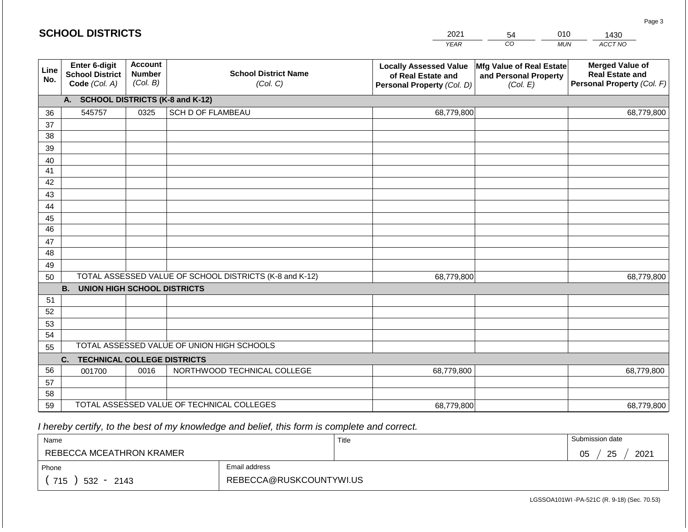|             | <b>SCHOOL DISTRICTS</b>                                         |                                             |                                                         | 2021                                                                              | 54                                                            | 010        | 1430                                                                           |
|-------------|-----------------------------------------------------------------|---------------------------------------------|---------------------------------------------------------|-----------------------------------------------------------------------------------|---------------------------------------------------------------|------------|--------------------------------------------------------------------------------|
|             |                                                                 |                                             |                                                         | <b>YEAR</b>                                                                       | CO                                                            | <b>MUN</b> | ACCT NO                                                                        |
| Line<br>No. | <b>Enter 6-digit</b><br><b>School District</b><br>Code (Col. A) | <b>Account</b><br><b>Number</b><br>(Col. B) | <b>School District Name</b><br>(Col. C)                 | <b>Locally Assessed Value</b><br>of Real Estate and<br>Personal Property (Col. D) | Mfg Value of Real Estate<br>and Personal Property<br>(Col. E) |            | <b>Merged Value of</b><br><b>Real Estate and</b><br>Personal Property (Col. F) |
|             | A. SCHOOL DISTRICTS (K-8 and K-12)                              |                                             |                                                         |                                                                                   |                                                               |            |                                                                                |
| 36          | 545757                                                          | 0325                                        | SCH D OF FLAMBEAU                                       | 68,779,800                                                                        |                                                               |            | 68,779,800                                                                     |
| 37          |                                                                 |                                             |                                                         |                                                                                   |                                                               |            |                                                                                |
| 38          |                                                                 |                                             |                                                         |                                                                                   |                                                               |            |                                                                                |
| 39          |                                                                 |                                             |                                                         |                                                                                   |                                                               |            |                                                                                |
| 40          |                                                                 |                                             |                                                         |                                                                                   |                                                               |            |                                                                                |
| 41<br>42    |                                                                 |                                             |                                                         |                                                                                   |                                                               |            |                                                                                |
| 43          |                                                                 |                                             |                                                         |                                                                                   |                                                               |            |                                                                                |
| 44          |                                                                 |                                             |                                                         |                                                                                   |                                                               |            |                                                                                |
| 45          |                                                                 |                                             |                                                         |                                                                                   |                                                               |            |                                                                                |
| 46          |                                                                 |                                             |                                                         |                                                                                   |                                                               |            |                                                                                |
| 47          |                                                                 |                                             |                                                         |                                                                                   |                                                               |            |                                                                                |
| 48          |                                                                 |                                             |                                                         |                                                                                   |                                                               |            |                                                                                |
| 49          |                                                                 |                                             |                                                         |                                                                                   |                                                               |            |                                                                                |
| 50          |                                                                 |                                             | TOTAL ASSESSED VALUE OF SCHOOL DISTRICTS (K-8 and K-12) | 68,779,800                                                                        |                                                               |            | 68,779,800                                                                     |
|             | <b>B. UNION HIGH SCHOOL DISTRICTS</b>                           |                                             |                                                         |                                                                                   |                                                               |            |                                                                                |
| 51<br>52    |                                                                 |                                             |                                                         |                                                                                   |                                                               |            |                                                                                |
| 53          |                                                                 |                                             |                                                         |                                                                                   |                                                               |            |                                                                                |
| 54          |                                                                 |                                             |                                                         |                                                                                   |                                                               |            |                                                                                |
| 55          |                                                                 |                                             | TOTAL ASSESSED VALUE OF UNION HIGH SCHOOLS              |                                                                                   |                                                               |            |                                                                                |
|             | <b>TECHNICAL COLLEGE DISTRICTS</b><br>C.                        |                                             |                                                         |                                                                                   |                                                               |            |                                                                                |
| 56          | 001700                                                          | 0016                                        | NORTHWOOD TECHNICAL COLLEGE                             | 68,779,800                                                                        |                                                               |            | 68,779,800                                                                     |
| 57          |                                                                 |                                             |                                                         |                                                                                   |                                                               |            |                                                                                |
| 58          |                                                                 |                                             |                                                         |                                                                                   |                                                               |            |                                                                                |
| 59          |                                                                 |                                             | TOTAL ASSESSED VALUE OF TECHNICAL COLLEGES              | 68,779,800                                                                        |                                                               |            | 68,779,800                                                                     |

| Name                         |                         | Title | Submission date  |
|------------------------------|-------------------------|-------|------------------|
| REBECCA MCEATHRON KRAMER     |                         |       | 25<br>2021<br>05 |
| Phone                        | Email address           |       |                  |
| 715<br>532<br>2143<br>$\sim$ | REBECCA@RUSKCOUNTYWI.US |       |                  |

Page 3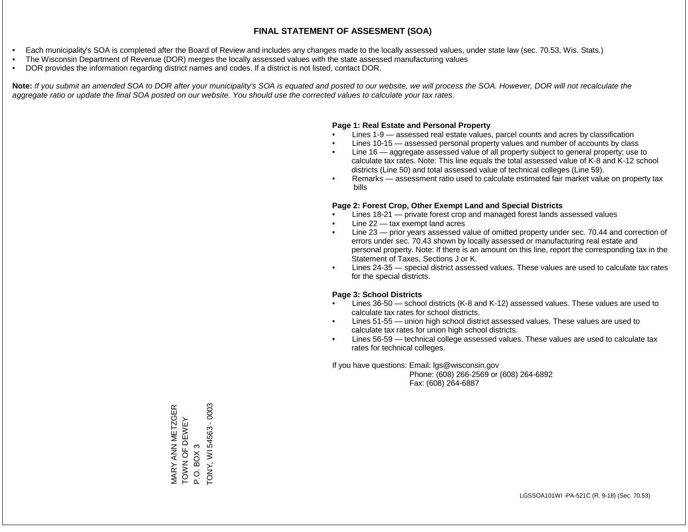- Each municipality's SOA is completed after the Board of Review and includes any changes made to the locally assessed values, under state law (sec. 70.53, Wis. Stats.)
- The Wisconsin Department of Revenue (DOR) merges the locally assessed values with the state assessed manufacturing values
- DOR provides the information regarding district names and codes. If a district is not listed, contact DOR.

Note: If you submit an amended SOA to DOR after your municipality's SOA is equated and posted to our website, we will process the SOA. However, DOR will not recalculate the *aggregate ratio or update the final SOA posted on our website. You should use the corrected values to calculate your tax rates.*

### **Page 1: Real Estate and Personal Property**

- Lines 1-9 assessed real estate values, parcel counts and acres by classification
- Lines 10-15 assessed personal property values and number of accounts by class
- Line 16 aggregate assessed value of all property subject to general property; use to calculate tax rates. Note: This line equals the total assessed value of K-8 and K-12 school districts (Line 50) and total assessed value of technical colleges (Line 59).
- Remarks assessment ratio used to calculate estimated fair market value on property tax bills

### **Page 2: Forest Crop, Other Exempt Land and Special Districts**

- Lines 18-21 private forest crop and managed forest lands assessed values
- Line  $22 -$  tax exempt land acres
- Line 23 prior years assessed value of omitted property under sec. 70.44 and correction of errors under sec. 70.43 shown by locally assessed or manufacturing real estate and personal property. Note: If there is an amount on this line, report the corresponding tax in the Statement of Taxes, Sections J or K.
- Lines 24-35 special district assessed values. These values are used to calculate tax rates for the special districts.

### **Page 3: School Districts**

- Lines 36-50 school districts (K-8 and K-12) assessed values. These values are used to calculate tax rates for school districts.
- Lines 51-55 union high school district assessed values. These values are used to calculate tax rates for union high school districts.
- Lines 56-59 technical college assessed values. These values are used to calculate tax rates for technical colleges.

If you have questions: Email: lgs@wisconsin.gov

 Phone: (608) 266-2569 or (608) 264-6892 Fax: (608) 264-6887

TONY, WI 54563 - 0003 TONY, WI 54563 - 0003MARY ANN METZGER<br>TOWN OF DEWEY MARY ANN METZGER TOWN OF DEWEY P.O. BOX 3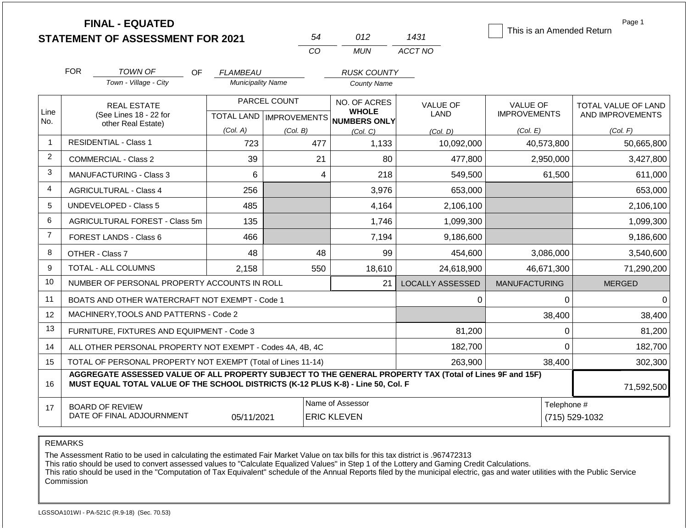|                |                                                                                                                                                                                              | <b>FINAL - EQUATED</b><br><b>STATEMENT OF ASSESSMENT FOR 2021</b> |                          | 54                                     | 012                                                  | 1431                    | This is an Amended Return | Page 1              |
|----------------|----------------------------------------------------------------------------------------------------------------------------------------------------------------------------------------------|-------------------------------------------------------------------|--------------------------|----------------------------------------|------------------------------------------------------|-------------------------|---------------------------|---------------------|
|                |                                                                                                                                                                                              |                                                                   |                          | CO                                     | <b>MUN</b>                                           | ACCT NO                 |                           |                     |
|                | <b>FOR</b>                                                                                                                                                                                   | <b>TOWN OF</b><br><b>OF</b>                                       | <b>FLAMBEAU</b>          |                                        | <b>RUSK COUNTY</b>                                   |                         |                           |                     |
|                |                                                                                                                                                                                              | Town - Village - City                                             | <b>Municipality Name</b> |                                        | County Name                                          |                         |                           |                     |
|                |                                                                                                                                                                                              | <b>REAL ESTATE</b>                                                |                          | PARCEL COUNT                           | NO. OF ACRES                                         | <b>VALUE OF</b>         | <b>VALUE OF</b>           | TOTAL VALUE OF LAND |
| Line<br>No.    |                                                                                                                                                                                              | (See Lines 18 - 22 for<br>other Real Estate)                      |                          |                                        | <b>WHOLE</b><br>TOTAL LAND IMPROVEMENTS NUMBERS ONLY | <b>LAND</b>             | <b>IMPROVEMENTS</b>       | AND IMPROVEMENTS    |
|                |                                                                                                                                                                                              |                                                                   | (Col. A)                 | (Col. B)                               | (Col, C)                                             | (Col, D)                | (Col. E)                  | (Col. F)            |
| 1              |                                                                                                                                                                                              | <b>RESIDENTIAL - Class 1</b>                                      | 723                      | 477                                    | 1,133                                                | 10,092,000              | 40,573,800                | 50,665,800          |
| 2              |                                                                                                                                                                                              | <b>COMMERCIAL - Class 2</b>                                       | 39                       | 21                                     | 80                                                   | 477,800                 | 2,950,000                 | 3,427,800           |
| 3              |                                                                                                                                                                                              | MANUFACTURING - Class 3                                           | 6                        | $\overline{\mathbf{4}}$                | 218                                                  | 549,500                 | 61,500                    | 611,000             |
| 4              |                                                                                                                                                                                              | <b>AGRICULTURAL - Class 4</b>                                     | 256                      |                                        | 3,976                                                | 653,000                 |                           | 653,000             |
| 5              |                                                                                                                                                                                              | UNDEVELOPED - Class 5                                             | 485                      |                                        | 4,164                                                | 2,106,100               |                           | 2,106,100           |
| 6              |                                                                                                                                                                                              | <b>AGRICULTURAL FOREST - Class 5m</b>                             | 135                      |                                        | 1,746                                                | 1,099,300               |                           | 1,099,300           |
| $\overline{7}$ |                                                                                                                                                                                              | <b>FOREST LANDS - Class 6</b>                                     | 466                      |                                        | 7,194                                                | 9,186,600               |                           | 9,186,600           |
| 8              |                                                                                                                                                                                              | OTHER - Class 7                                                   | 48                       | 48                                     | 99                                                   | 454,600                 | 3,086,000                 | 3,540,600           |
| 9              |                                                                                                                                                                                              | <b>TOTAL - ALL COLUMNS</b>                                        | 2.158                    | 550                                    | 18,610                                               | 24,618,900              | 46,671,300                | 71,290,200          |
| 10             |                                                                                                                                                                                              | NUMBER OF PERSONAL PROPERTY ACCOUNTS IN ROLL                      |                          |                                        | 21                                                   | <b>LOCALLY ASSESSED</b> | <b>MANUFACTURING</b>      | <b>MERGED</b>       |
| 11             |                                                                                                                                                                                              | BOATS AND OTHER WATERCRAFT NOT EXEMPT - Code 1                    |                          |                                        |                                                      | 0                       | 0                         | $\Omega$            |
| 12             |                                                                                                                                                                                              | MACHINERY, TOOLS AND PATTERNS - Code 2                            |                          |                                        |                                                      |                         | 38,400                    | 38,400              |
| 13             |                                                                                                                                                                                              | FURNITURE, FIXTURES AND EQUIPMENT - Code 3                        |                          |                                        |                                                      | 81,200                  | $\Omega$                  | 81,200              |
| 14             |                                                                                                                                                                                              | ALL OTHER PERSONAL PROPERTY NOT EXEMPT - Codes 4A, 4B, 4C         |                          |                                        |                                                      | 182,700                 | $\Omega$                  | 182,700             |
| 15             |                                                                                                                                                                                              | TOTAL OF PERSONAL PROPERTY NOT EXEMPT (Total of Lines 11-14)      |                          |                                        |                                                      | 263,900                 | 38,400                    | 302,300             |
| 16             | AGGREGATE ASSESSED VALUE OF ALL PROPERTY SUBJECT TO THE GENERAL PROPERTY TAX (Total of Lines 9F and 15F)<br>MUST EQUAL TOTAL VALUE OF THE SCHOOL DISTRICTS (K-12 PLUS K-8) - Line 50, Col. F |                                                                   |                          |                                        |                                                      |                         |                           | 71,592,500          |
| 17             |                                                                                                                                                                                              | <b>BOARD OF REVIEW</b><br>DATE OF FINAL ADJOURNMENT               | 05/11/2021               | Name of Assessor<br><b>ERIC KLEVEN</b> |                                                      | Telephone #             | (715) 529-1032            |                     |

The Assessment Ratio to be used in calculating the estimated Fair Market Value on tax bills for this tax district is .967472313

This ratio should be used to convert assessed values to "Calculate Equalized Values" in Step 1 of the Lottery and Gaming Credit Calculations.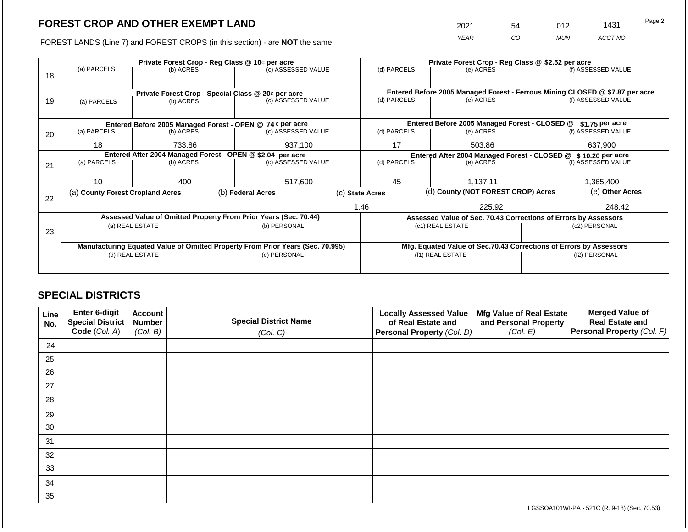2021 54 012 1431

FOREST LANDS (Line 7) and FOREST CROPS (in this section) - are **NOT** the same *YEAR CO MUN ACCT NO*

|    | Private Forest Crop - Reg Class @ 10¢ per acre             |                   |                                                    |                                                                                |                    | Private Forest Crop - Reg Class @ \$2.52 per acre                                           |        |                                                                    |               |                    |
|----|------------------------------------------------------------|-------------------|----------------------------------------------------|--------------------------------------------------------------------------------|--------------------|---------------------------------------------------------------------------------------------|--------|--------------------------------------------------------------------|---------------|--------------------|
|    | (a) PARCELS                                                | (b) ACRES         |                                                    | (c) ASSESSED VALUE                                                             |                    | (d) PARCELS                                                                                 |        | (e) ACRES                                                          |               | (f) ASSESSED VALUE |
| 18 |                                                            |                   |                                                    |                                                                                |                    |                                                                                             |        |                                                                    |               |                    |
|    |                                                            |                   |                                                    |                                                                                |                    |                                                                                             |        |                                                                    |               |                    |
| 19 |                                                            | (b) ACRES         | Private Forest Crop - Special Class @ 20¢ per acre |                                                                                | (c) ASSESSED VALUE | Entered Before 2005 Managed Forest - Ferrous Mining CLOSED @ \$7.87 per acre<br>(d) PARCELS |        | (e) ACRES                                                          |               | (f) ASSESSED VALUE |
|    | (a) PARCELS                                                |                   |                                                    |                                                                                |                    |                                                                                             |        |                                                                    |               |                    |
|    |                                                            |                   |                                                    |                                                                                |                    |                                                                                             |        |                                                                    |               |                    |
|    |                                                            |                   |                                                    | Entered Before 2005 Managed Forest - OPEN @ 74 ¢ per acre                      |                    |                                                                                             |        | Entered Before 2005 Managed Forest - CLOSED @                      |               | \$1.75 per acre    |
| 20 | (a) PARCELS                                                | (b) ACRES         |                                                    | (c) ASSESSED VALUE                                                             |                    | (d) PARCELS                                                                                 |        | (e) ACRES                                                          |               | (f) ASSESSED VALUE |
|    | 18                                                         | 937,100<br>733.86 |                                                    |                                                                                | 17                 |                                                                                             | 503.86 |                                                                    | 637,900       |                    |
|    |                                                            |                   |                                                    |                                                                                |                    |                                                                                             |        |                                                                    |               |                    |
|    | Entered After 2004 Managed Forest - OPEN @ \$2.04 per acre |                   |                                                    |                                                                                |                    | Entered After 2004 Managed Forest - CLOSED @ \$10.20 per acre                               |        |                                                                    |               |                    |
| 21 | (a) PARCELS                                                | (b) ACRES         |                                                    | (c) ASSESSED VALUE                                                             |                    | (d) PARCELS                                                                                 |        | (e) ACRES                                                          |               | (f) ASSESSED VALUE |
|    |                                                            |                   |                                                    |                                                                                |                    |                                                                                             |        |                                                                    |               |                    |
|    | 10                                                         | 400               |                                                    | 517,600                                                                        |                    | 45                                                                                          |        | 1,137.11                                                           |               | 1,365,400          |
|    | (a) County Forest Cropland Acres                           |                   |                                                    | (b) Federal Acres                                                              | (c) State Acres    |                                                                                             |        | (d) County (NOT FOREST CROP) Acres                                 |               | (e) Other Acres    |
| 22 |                                                            |                   |                                                    |                                                                                |                    |                                                                                             |        |                                                                    |               |                    |
|    |                                                            |                   |                                                    |                                                                                |                    | 1.46                                                                                        |        | 225.92                                                             |               | 248.42             |
|    |                                                            |                   |                                                    | Assessed Value of Omitted Property From Prior Years (Sec. 70.44)               |                    |                                                                                             |        | Assessed Value of Sec. 70.43 Corrections of Errors by Assessors    |               |                    |
|    |                                                            | (a) REAL ESTATE   |                                                    | (b) PERSONAL                                                                   |                    |                                                                                             |        | (c1) REAL ESTATE                                                   |               | (c2) PERSONAL      |
| 23 |                                                            |                   |                                                    |                                                                                |                    |                                                                                             |        |                                                                    |               |                    |
|    |                                                            |                   |                                                    | Manufacturing Equated Value of Omitted Property From Prior Years (Sec. 70.995) |                    |                                                                                             |        | Mfg. Equated Value of Sec.70.43 Corrections of Errors by Assessors |               |                    |
|    |                                                            | (d) REAL ESTATE   |                                                    | (e) PERSONAL                                                                   |                    |                                                                                             |        | (f1) REAL ESTATE                                                   | (f2) PERSONAL |                    |
|    |                                                            |                   |                                                    |                                                                                |                    |                                                                                             |        |                                                                    |               |                    |
|    |                                                            |                   |                                                    |                                                                                |                    |                                                                                             |        |                                                                    |               |                    |

## **SPECIAL DISTRICTS**

| Line<br>No. | <b>Enter 6-digit</b><br>Special District | <b>Account</b><br><b>Number</b> | <b>Special District Name</b> | <b>Locally Assessed Value</b><br>of Real Estate and | Mfg Value of Real Estate<br>and Personal Property | <b>Merged Value of</b><br><b>Real Estate and</b> |
|-------------|------------------------------------------|---------------------------------|------------------------------|-----------------------------------------------------|---------------------------------------------------|--------------------------------------------------|
|             | Code (Col. A)                            | (Col. B)                        | (Col. C)                     | Personal Property (Col. D)                          | (Col. E)                                          | Personal Property (Col. F)                       |
| 24          |                                          |                                 |                              |                                                     |                                                   |                                                  |
| 25          |                                          |                                 |                              |                                                     |                                                   |                                                  |
| 26          |                                          |                                 |                              |                                                     |                                                   |                                                  |
| 27          |                                          |                                 |                              |                                                     |                                                   |                                                  |
| 28          |                                          |                                 |                              |                                                     |                                                   |                                                  |
| 29          |                                          |                                 |                              |                                                     |                                                   |                                                  |
| 30          |                                          |                                 |                              |                                                     |                                                   |                                                  |
| 31          |                                          |                                 |                              |                                                     |                                                   |                                                  |
| 32          |                                          |                                 |                              |                                                     |                                                   |                                                  |
| 33          |                                          |                                 |                              |                                                     |                                                   |                                                  |
| 34          |                                          |                                 |                              |                                                     |                                                   |                                                  |
| 35          |                                          |                                 |                              |                                                     |                                                   |                                                  |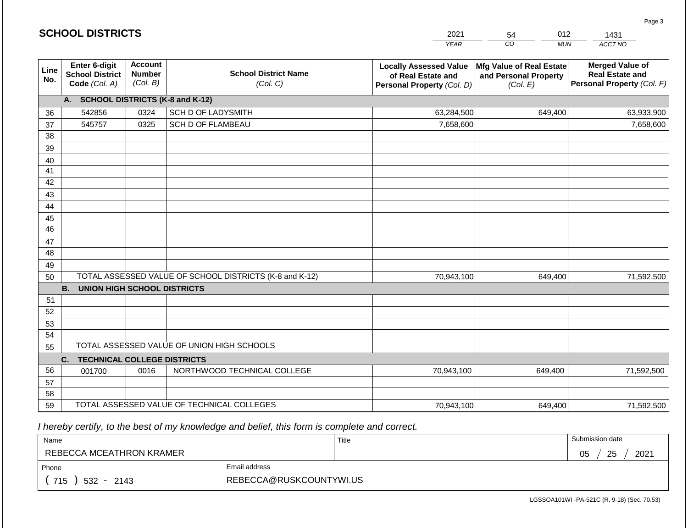|             | <b>SCHOOL DISTRICTS</b>                                  |                                                                                        |                                                         | 2021                                                                              | 012<br>54                                                     | 1431                                                                           |  |
|-------------|----------------------------------------------------------|----------------------------------------------------------------------------------------|---------------------------------------------------------|-----------------------------------------------------------------------------------|---------------------------------------------------------------|--------------------------------------------------------------------------------|--|
|             |                                                          |                                                                                        |                                                         | <b>YEAR</b>                                                                       | CO<br><b>MUN</b>                                              | ACCT NO                                                                        |  |
| Line<br>No. | Enter 6-digit<br><b>School District</b><br>Code (Col. A) | <b>Account</b><br><b>School District Name</b><br><b>Number</b><br>(Col. B)<br>(Col. C) |                                                         | <b>Locally Assessed Value</b><br>of Real Estate and<br>Personal Property (Col. D) | Mfg Value of Real Estate<br>and Personal Property<br>(Col. E) | <b>Merged Value of</b><br><b>Real Estate and</b><br>Personal Property (Col. F) |  |
|             | A. SCHOOL DISTRICTS (K-8 and K-12)                       |                                                                                        |                                                         |                                                                                   |                                                               |                                                                                |  |
| 36          | 542856                                                   | 0324                                                                                   | <b>SCH D OF LADYSMITH</b>                               | 63,284,500                                                                        | 649,400                                                       | 63,933,900                                                                     |  |
| 37          | 545757                                                   | 0325                                                                                   | <b>SCH D OF FLAMBEAU</b>                                | 7,658,600                                                                         |                                                               | 7,658,600                                                                      |  |
| 38          |                                                          |                                                                                        |                                                         |                                                                                   |                                                               |                                                                                |  |
| 39          |                                                          |                                                                                        |                                                         |                                                                                   |                                                               |                                                                                |  |
| 40          |                                                          |                                                                                        |                                                         |                                                                                   |                                                               |                                                                                |  |
| 41          |                                                          |                                                                                        |                                                         |                                                                                   |                                                               |                                                                                |  |
| 42          |                                                          |                                                                                        |                                                         |                                                                                   |                                                               |                                                                                |  |
| 43          |                                                          |                                                                                        |                                                         |                                                                                   |                                                               |                                                                                |  |
| 44          |                                                          |                                                                                        |                                                         |                                                                                   |                                                               |                                                                                |  |
| 45<br>46    |                                                          |                                                                                        |                                                         |                                                                                   |                                                               |                                                                                |  |
| 47          |                                                          |                                                                                        |                                                         |                                                                                   |                                                               |                                                                                |  |
| 48          |                                                          |                                                                                        |                                                         |                                                                                   |                                                               |                                                                                |  |
| 49          |                                                          |                                                                                        |                                                         |                                                                                   |                                                               |                                                                                |  |
| 50          |                                                          |                                                                                        | TOTAL ASSESSED VALUE OF SCHOOL DISTRICTS (K-8 and K-12) | 70,943,100                                                                        | 649,400                                                       | 71,592,500                                                                     |  |
|             | <b>B.</b><br><b>UNION HIGH SCHOOL DISTRICTS</b>          |                                                                                        |                                                         |                                                                                   |                                                               |                                                                                |  |
| 51          |                                                          |                                                                                        |                                                         |                                                                                   |                                                               |                                                                                |  |
| 52          |                                                          |                                                                                        |                                                         |                                                                                   |                                                               |                                                                                |  |
| 53          |                                                          |                                                                                        |                                                         |                                                                                   |                                                               |                                                                                |  |
| 54          |                                                          |                                                                                        |                                                         |                                                                                   |                                                               |                                                                                |  |
| 55          |                                                          |                                                                                        | TOTAL ASSESSED VALUE OF UNION HIGH SCHOOLS              |                                                                                   |                                                               |                                                                                |  |
|             | <b>TECHNICAL COLLEGE DISTRICTS</b><br>C.                 |                                                                                        |                                                         |                                                                                   |                                                               |                                                                                |  |
| 56          | 001700                                                   | 0016                                                                                   | NORTHWOOD TECHNICAL COLLEGE                             | 70,943,100                                                                        | 649,400                                                       | 71,592,500                                                                     |  |
| 57          |                                                          |                                                                                        |                                                         |                                                                                   |                                                               |                                                                                |  |
| 58          |                                                          |                                                                                        |                                                         |                                                                                   |                                                               |                                                                                |  |
| 59          |                                                          |                                                                                        | TOTAL ASSESSED VALUE OF TECHNICAL COLLEGES              | 70,943,100                                                                        | 649,400                                                       | 71,592,500                                                                     |  |

**SCHOOL DISTRICTS**

| Name                     |                         | Title | Submission date  |
|--------------------------|-------------------------|-------|------------------|
| REBECCA MCEATHRON KRAMER |                         |       | 25<br>2021<br>05 |
| Phone                    | Email address           |       |                  |
| 715<br>$532 -$<br>2143   | REBECCA@RUSKCOUNTYWI.US |       |                  |

LGSSOA101WI -PA-521C (R. 9-18) (Sec. 70.53)

Page 3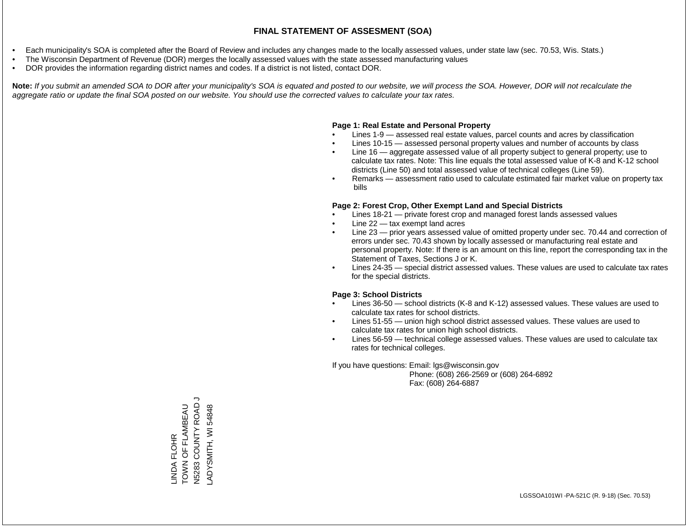- Each municipality's SOA is completed after the Board of Review and includes any changes made to the locally assessed values, under state law (sec. 70.53, Wis. Stats.)
- The Wisconsin Department of Revenue (DOR) merges the locally assessed values with the state assessed manufacturing values
- DOR provides the information regarding district names and codes. If a district is not listed, contact DOR.

Note: If you submit an amended SOA to DOR after your municipality's SOA is equated and posted to our website, we will process the SOA. However, DOR will not recalculate the *aggregate ratio or update the final SOA posted on our website. You should use the corrected values to calculate your tax rates.*

### **Page 1: Real Estate and Personal Property**

- Lines 1-9 assessed real estate values, parcel counts and acres by classification
- Lines 10-15 assessed personal property values and number of accounts by class
- Line 16 aggregate assessed value of all property subject to general property; use to calculate tax rates. Note: This line equals the total assessed value of K-8 and K-12 school districts (Line 50) and total assessed value of technical colleges (Line 59).
- Remarks assessment ratio used to calculate estimated fair market value on property tax bills

### **Page 2: Forest Crop, Other Exempt Land and Special Districts**

- Lines 18-21 private forest crop and managed forest lands assessed values
- Line  $22 -$  tax exempt land acres
- Line 23 prior years assessed value of omitted property under sec. 70.44 and correction of errors under sec. 70.43 shown by locally assessed or manufacturing real estate and personal property. Note: If there is an amount on this line, report the corresponding tax in the Statement of Taxes, Sections J or K.
- Lines 24-35 special district assessed values. These values are used to calculate tax rates for the special districts.

### **Page 3: School Districts**

- Lines 36-50 school districts (K-8 and K-12) assessed values. These values are used to calculate tax rates for school districts.
- Lines 51-55 union high school district assessed values. These values are used to calculate tax rates for union high school districts.
- Lines 56-59 technical college assessed values. These values are used to calculate tax rates for technical colleges.

If you have questions: Email: lgs@wisconsin.gov

 Phone: (608) 266-2569 or (608) 264-6892 Fax: (608) 264-6887

LINDA FLOHR<br>TOWN OF FLAMBEAU<br>N5283 COUNTY ROAD J N5283 COUNTY ROAD J TOWN OF FLAMBEAU 54848 LADYSMITH, WI 54848ADYSMITH, WI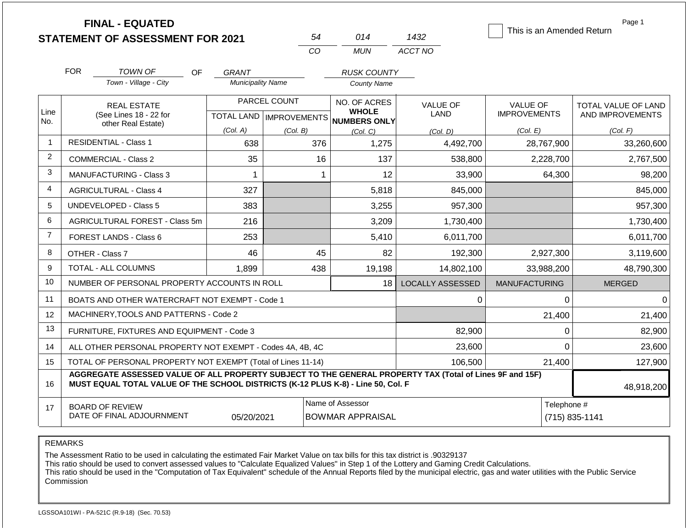|                |                                                                                                                                                                                              | <b>FINAL - EQUATED</b><br><b>STATEMENT OF ASSESSMENT FOR 2021</b> |                          | 54                        | 014                                         | 1432                    | This is an Amended Return | Page 1              |
|----------------|----------------------------------------------------------------------------------------------------------------------------------------------------------------------------------------------|-------------------------------------------------------------------|--------------------------|---------------------------|---------------------------------------------|-------------------------|---------------------------|---------------------|
|                |                                                                                                                                                                                              |                                                                   |                          | CO                        | <b>MUN</b>                                  | ACCT NO                 |                           |                     |
|                | <b>FOR</b>                                                                                                                                                                                   | TOWN OF<br>OF                                                     | GRANT                    |                           | <b>RUSK COUNTY</b>                          |                         |                           |                     |
|                |                                                                                                                                                                                              | Town - Village - City                                             | <b>Municipality Name</b> |                           | <b>County Name</b>                          |                         |                           |                     |
|                |                                                                                                                                                                                              | <b>REAL ESTATE</b>                                                |                          | PARCEL COUNT              | NO. OF ACRES                                | <b>VALUE OF</b>         | <b>VALUE OF</b>           | TOTAL VALUE OF LAND |
| Line<br>No.    |                                                                                                                                                                                              | (See Lines 18 - 22 for<br>other Real Estate)                      |                          | TOTAL LAND   IMPROVEMENTS | <b>WHOLE</b><br>NUMBERS ONLY                | LAND                    | <b>IMPROVEMENTS</b>       | AND IMPROVEMENTS    |
|                |                                                                                                                                                                                              |                                                                   | (Col. A)                 | (Col. B)                  | (Col. C)                                    | (Col. D)                | (Col. E)                  | (Col. F)            |
| -1             |                                                                                                                                                                                              | <b>RESIDENTIAL - Class 1</b>                                      | 638                      | 376                       | 1,275                                       | 4,492,700               | 28,767,900                | 33,260,600          |
| 2              |                                                                                                                                                                                              | <b>COMMERCIAL - Class 2</b>                                       | 35                       | 16                        | 137                                         | 538,800                 | 2,228,700                 | 2,767,500           |
| 3              |                                                                                                                                                                                              | <b>MANUFACTURING - Class 3</b>                                    | $\mathbf 1$              | -1                        | 12                                          | 33,900                  | 64,300                    | 98,200              |
| 4              |                                                                                                                                                                                              | <b>AGRICULTURAL - Class 4</b>                                     | 327                      |                           | 5,818                                       | 845,000                 |                           | 845,000             |
| 5              |                                                                                                                                                                                              | <b>UNDEVELOPED - Class 5</b>                                      | 383                      |                           | 3,255                                       | 957,300                 |                           | 957,300             |
| 6              |                                                                                                                                                                                              | <b>AGRICULTURAL FOREST - Class 5m</b>                             | 216                      |                           | 3,209                                       | 1,730,400               |                           | 1,730,400           |
| $\overline{7}$ |                                                                                                                                                                                              | <b>FOREST LANDS - Class 6</b>                                     | 253                      |                           | 5,410                                       | 6,011,700               |                           | 6,011,700           |
| 8              |                                                                                                                                                                                              | OTHER - Class 7                                                   | 46                       | 45                        | 82                                          | 192,300                 | 2,927,300                 | 3,119,600           |
| 9              |                                                                                                                                                                                              | TOTAL - ALL COLUMNS                                               | 1,899                    | 438                       | 19,198                                      | 14,802,100              | 33,988,200                | 48,790,300          |
| 10             |                                                                                                                                                                                              | NUMBER OF PERSONAL PROPERTY ACCOUNTS IN ROLL                      |                          |                           | 18                                          | <b>LOCALLY ASSESSED</b> | <b>MANUFACTURING</b>      | <b>MERGED</b>       |
| 11             |                                                                                                                                                                                              | BOATS AND OTHER WATERCRAFT NOT EXEMPT - Code 1                    |                          |                           |                                             | 0                       | $\Omega$                  | $\Omega$            |
| 12             |                                                                                                                                                                                              | MACHINERY, TOOLS AND PATTERNS - Code 2                            |                          |                           |                                             |                         | 21,400                    | 21,400              |
| 13             |                                                                                                                                                                                              | FURNITURE, FIXTURES AND EQUIPMENT - Code 3                        |                          |                           |                                             | 82,900                  | 0                         | 82,900              |
| 14             |                                                                                                                                                                                              | ALL OTHER PERSONAL PROPERTY NOT EXEMPT - Codes 4A, 4B, 4C         |                          |                           |                                             | 23,600                  | $\Omega$                  | 23,600              |
| 15             |                                                                                                                                                                                              | TOTAL OF PERSONAL PROPERTY NOT EXEMPT (Total of Lines 11-14)      |                          |                           |                                             | 106,500                 | 21,400                    | 127,900             |
| 16             | AGGREGATE ASSESSED VALUE OF ALL PROPERTY SUBJECT TO THE GENERAL PROPERTY TAX (Total of Lines 9F and 15F)<br>MUST EQUAL TOTAL VALUE OF THE SCHOOL DISTRICTS (K-12 PLUS K-8) - Line 50, Col. F |                                                                   |                          |                           |                                             |                         |                           |                     |
| 17             |                                                                                                                                                                                              | <b>BOARD OF REVIEW</b><br>DATE OF FINAL ADJOURNMENT               | 05/20/2021               |                           | Name of Assessor<br><b>BOWMAR APPRAISAL</b> |                         | Telephone #               | (715) 835-1141      |

The Assessment Ratio to be used in calculating the estimated Fair Market Value on tax bills for this tax district is .90329137

This ratio should be used to convert assessed values to "Calculate Equalized Values" in Step 1 of the Lottery and Gaming Credit Calculations.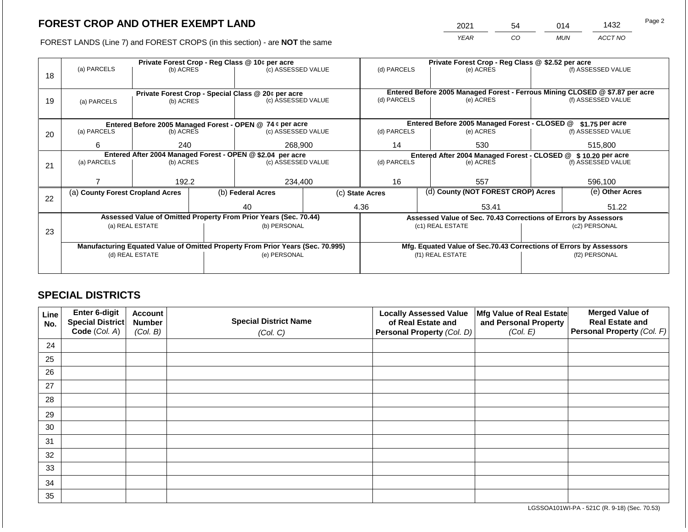2021 54 014 1432

FOREST LANDS (Line 7) and FOREST CROPS (in this section) - are **NOT** the same *YEAR CO MUN ACCT NO*

|    | Private Forest Crop - Reg Class @ 10¢ per acre             |                                                    |  |                                                                                |  | Private Forest Crop - Reg Class @ \$2.52 per acre     |                                                                |                                                                    |               |                                                                                                    |
|----|------------------------------------------------------------|----------------------------------------------------|--|--------------------------------------------------------------------------------|--|-------------------------------------------------------|----------------------------------------------------------------|--------------------------------------------------------------------|---------------|----------------------------------------------------------------------------------------------------|
|    | (a) PARCELS                                                | (b) ACRES                                          |  | (c) ASSESSED VALUE                                                             |  | (d) PARCELS                                           |                                                                | (e) ACRES                                                          |               | (f) ASSESSED VALUE                                                                                 |
| 18 |                                                            |                                                    |  |                                                                                |  |                                                       |                                                                |                                                                    |               |                                                                                                    |
|    |                                                            |                                                    |  |                                                                                |  |                                                       |                                                                |                                                                    |               |                                                                                                    |
|    |                                                            | Private Forest Crop - Special Class @ 20¢ per acre |  |                                                                                |  | (d) PARCELS                                           |                                                                | (e) ACRES                                                          |               | Entered Before 2005 Managed Forest - Ferrous Mining CLOSED @ \$7.87 per acre<br>(f) ASSESSED VALUE |
| 19 | (a) PARCELS                                                | (b) ACRES                                          |  | (c) ASSESSED VALUE                                                             |  |                                                       |                                                                |                                                                    |               |                                                                                                    |
|    |                                                            |                                                    |  |                                                                                |  |                                                       |                                                                |                                                                    |               |                                                                                                    |
|    |                                                            |                                                    |  | Entered Before 2005 Managed Forest - OPEN @ 74 ¢ per acre                      |  |                                                       |                                                                | Entered Before 2005 Managed Forest - CLOSED @                      |               | $$1.75$ per acre                                                                                   |
| 20 | (a) PARCELS                                                | (b) ACRES                                          |  | (c) ASSESSED VALUE                                                             |  | (d) PARCELS                                           |                                                                | (e) ACRES                                                          |               | (f) ASSESSED VALUE                                                                                 |
|    |                                                            |                                                    |  |                                                                                |  |                                                       |                                                                |                                                                    |               |                                                                                                    |
|    | 6                                                          | 240                                                |  | 268,900                                                                        |  | 14                                                    |                                                                | 530                                                                |               | 515,800                                                                                            |
|    | Entered After 2004 Managed Forest - OPEN @ \$2.04 per acre |                                                    |  |                                                                                |  |                                                       | Entered After 2004 Managed Forest - CLOSED @ \$ 10.20 per acre |                                                                    |               |                                                                                                    |
| 21 | (a) PARCELS                                                | (b) ACRES                                          |  | (c) ASSESSED VALUE                                                             |  | (d) PARCELS                                           |                                                                | (e) ACRES                                                          |               | (f) ASSESSED VALUE                                                                                 |
|    |                                                            |                                                    |  |                                                                                |  |                                                       |                                                                |                                                                    |               |                                                                                                    |
|    |                                                            | 192.2                                              |  | 234,400                                                                        |  | 16                                                    |                                                                | 557                                                                |               | 596,100                                                                                            |
|    | (a) County Forest Cropland Acres                           |                                                    |  | (b) Federal Acres                                                              |  | (d) County (NOT FOREST CROP) Acres<br>(c) State Acres |                                                                |                                                                    |               | (e) Other Acres                                                                                    |
| 22 |                                                            |                                                    |  |                                                                                |  |                                                       |                                                                |                                                                    |               |                                                                                                    |
|    |                                                            |                                                    |  | 40                                                                             |  | 4.36                                                  |                                                                | 53.41                                                              |               | 51.22                                                                                              |
|    |                                                            |                                                    |  | Assessed Value of Omitted Property From Prior Years (Sec. 70.44)               |  |                                                       |                                                                | Assessed Value of Sec. 70.43 Corrections of Errors by Assessors    |               |                                                                                                    |
|    |                                                            | (a) REAL ESTATE                                    |  | (b) PERSONAL                                                                   |  |                                                       |                                                                | (c1) REAL ESTATE                                                   |               | (c2) PERSONAL                                                                                      |
| 23 |                                                            |                                                    |  |                                                                                |  |                                                       |                                                                |                                                                    |               |                                                                                                    |
|    |                                                            |                                                    |  | Manufacturing Equated Value of Omitted Property From Prior Years (Sec. 70.995) |  |                                                       |                                                                | Mfg. Equated Value of Sec.70.43 Corrections of Errors by Assessors |               |                                                                                                    |
|    | (d) REAL ESTATE                                            |                                                    |  | (e) PERSONAL                                                                   |  |                                                       |                                                                | (f1) REAL ESTATE                                                   | (f2) PERSONAL |                                                                                                    |
|    |                                                            |                                                    |  |                                                                                |  |                                                       |                                                                |                                                                    |               |                                                                                                    |
|    |                                                            |                                                    |  |                                                                                |  |                                                       |                                                                |                                                                    |               |                                                                                                    |

## **SPECIAL DISTRICTS**

| Line<br>No. | Enter 6-digit<br>Special District<br>Code (Col. A) | <b>Account</b><br><b>Number</b><br>(Col. B) | <b>Special District Name</b><br>(Col. C) | <b>Locally Assessed Value</b><br>of Real Estate and<br><b>Personal Property (Col. D)</b> | Mfg Value of Real Estate<br>and Personal Property<br>(Col. E) | <b>Merged Value of</b><br><b>Real Estate and</b><br>Personal Property (Col. F) |
|-------------|----------------------------------------------------|---------------------------------------------|------------------------------------------|------------------------------------------------------------------------------------------|---------------------------------------------------------------|--------------------------------------------------------------------------------|
| 24          |                                                    |                                             |                                          |                                                                                          |                                                               |                                                                                |
| 25          |                                                    |                                             |                                          |                                                                                          |                                                               |                                                                                |
| 26          |                                                    |                                             |                                          |                                                                                          |                                                               |                                                                                |
| 27          |                                                    |                                             |                                          |                                                                                          |                                                               |                                                                                |
| 28          |                                                    |                                             |                                          |                                                                                          |                                                               |                                                                                |
| 29          |                                                    |                                             |                                          |                                                                                          |                                                               |                                                                                |
| 30          |                                                    |                                             |                                          |                                                                                          |                                                               |                                                                                |
| 31          |                                                    |                                             |                                          |                                                                                          |                                                               |                                                                                |
| 32          |                                                    |                                             |                                          |                                                                                          |                                                               |                                                                                |
| 33          |                                                    |                                             |                                          |                                                                                          |                                                               |                                                                                |
| 34          |                                                    |                                             |                                          |                                                                                          |                                                               |                                                                                |
| 35          |                                                    |                                             |                                          |                                                                                          |                                                               |                                                                                |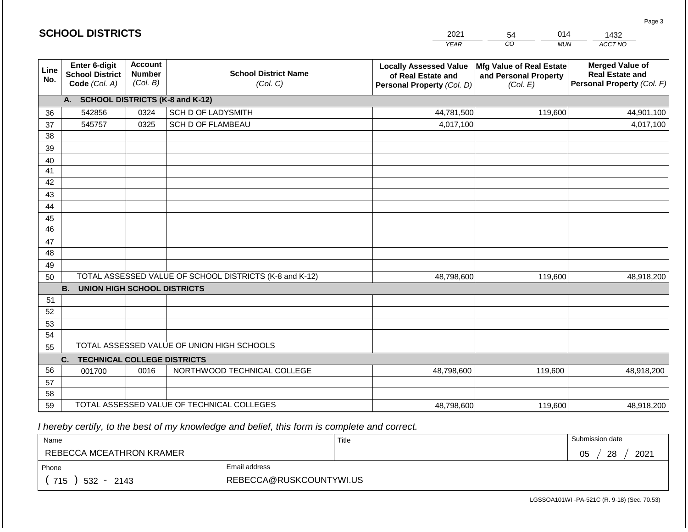|                 | <b>SCHOOL DISTRICTS</b>                                                                                                                            |      |                                                         | 2021                                                                              | 014<br>54                                                     | 1432                                                                           |  |
|-----------------|----------------------------------------------------------------------------------------------------------------------------------------------------|------|---------------------------------------------------------|-----------------------------------------------------------------------------------|---------------------------------------------------------------|--------------------------------------------------------------------------------|--|
|                 |                                                                                                                                                    |      |                                                         | <b>YEAR</b>                                                                       | CO<br><b>MUN</b>                                              | ACCT NO                                                                        |  |
| Line<br>No.     | Enter 6-digit<br><b>Account</b><br><b>School District Name</b><br><b>Number</b><br><b>School District</b><br>(Col. B)<br>Code (Col. A)<br>(Col. C) |      |                                                         | <b>Locally Assessed Value</b><br>of Real Estate and<br>Personal Property (Col. D) | Mfg Value of Real Estate<br>and Personal Property<br>(Col. E) | <b>Merged Value of</b><br><b>Real Estate and</b><br>Personal Property (Col. F) |  |
|                 | A. SCHOOL DISTRICTS (K-8 and K-12)                                                                                                                 |      |                                                         |                                                                                   |                                                               |                                                                                |  |
| 36              | 542856                                                                                                                                             | 0324 | <b>SCH D OF LADYSMITH</b>                               | 44,781,500                                                                        | 119,600                                                       | 44,901,100                                                                     |  |
| 37              | 545757                                                                                                                                             | 0325 | <b>SCH D OF FLAMBEAU</b>                                | 4,017,100                                                                         |                                                               | 4,017,100                                                                      |  |
| 38              |                                                                                                                                                    |      |                                                         |                                                                                   |                                                               |                                                                                |  |
| 39              |                                                                                                                                                    |      |                                                         |                                                                                   |                                                               |                                                                                |  |
| 40              |                                                                                                                                                    |      |                                                         |                                                                                   |                                                               |                                                                                |  |
| 41              |                                                                                                                                                    |      |                                                         |                                                                                   |                                                               |                                                                                |  |
| 42              |                                                                                                                                                    |      |                                                         |                                                                                   |                                                               |                                                                                |  |
| 43              |                                                                                                                                                    |      |                                                         |                                                                                   |                                                               |                                                                                |  |
| 44<br>45        |                                                                                                                                                    |      |                                                         |                                                                                   |                                                               |                                                                                |  |
| $\overline{46}$ |                                                                                                                                                    |      |                                                         |                                                                                   |                                                               |                                                                                |  |
| 47              |                                                                                                                                                    |      |                                                         |                                                                                   |                                                               |                                                                                |  |
| 48              |                                                                                                                                                    |      |                                                         |                                                                                   |                                                               |                                                                                |  |
| 49              |                                                                                                                                                    |      |                                                         |                                                                                   |                                                               |                                                                                |  |
| 50              |                                                                                                                                                    |      | TOTAL ASSESSED VALUE OF SCHOOL DISTRICTS (K-8 and K-12) | 48,798,600                                                                        | 119,600                                                       | 48,918,200                                                                     |  |
|                 | <b>B.</b><br><b>UNION HIGH SCHOOL DISTRICTS</b>                                                                                                    |      |                                                         |                                                                                   |                                                               |                                                                                |  |
| 51              |                                                                                                                                                    |      |                                                         |                                                                                   |                                                               |                                                                                |  |
| 52              |                                                                                                                                                    |      |                                                         |                                                                                   |                                                               |                                                                                |  |
| 53              |                                                                                                                                                    |      |                                                         |                                                                                   |                                                               |                                                                                |  |
| 54              |                                                                                                                                                    |      |                                                         |                                                                                   |                                                               |                                                                                |  |
| 55              |                                                                                                                                                    |      | TOTAL ASSESSED VALUE OF UNION HIGH SCHOOLS              |                                                                                   |                                                               |                                                                                |  |
|                 | <b>TECHNICAL COLLEGE DISTRICTS</b><br>C.                                                                                                           |      |                                                         |                                                                                   |                                                               |                                                                                |  |
| 56              | 001700                                                                                                                                             | 0016 | NORTHWOOD TECHNICAL COLLEGE                             | 48,798,600                                                                        | 119,600                                                       | 48,918,200                                                                     |  |
| 57              |                                                                                                                                                    |      |                                                         |                                                                                   |                                                               |                                                                                |  |
| 58              |                                                                                                                                                    |      | TOTAL ASSESSED VALUE OF TECHNICAL COLLEGES              |                                                                                   |                                                               |                                                                                |  |
| 59              |                                                                                                                                                    |      |                                                         | 48,798,600                                                                        | 119,600                                                       | 48,918,200                                                                     |  |

**SCHOOL DISTRICTS**

| Name                         |                         | Title | Submission date  |
|------------------------------|-------------------------|-------|------------------|
| REBECCA MCEATHRON KRAMER     |                         |       | 28<br>2021<br>05 |
| Phone                        | Email address           |       |                  |
| 715<br>532<br>2143<br>$\sim$ | REBECCA@RUSKCOUNTYWI.US |       |                  |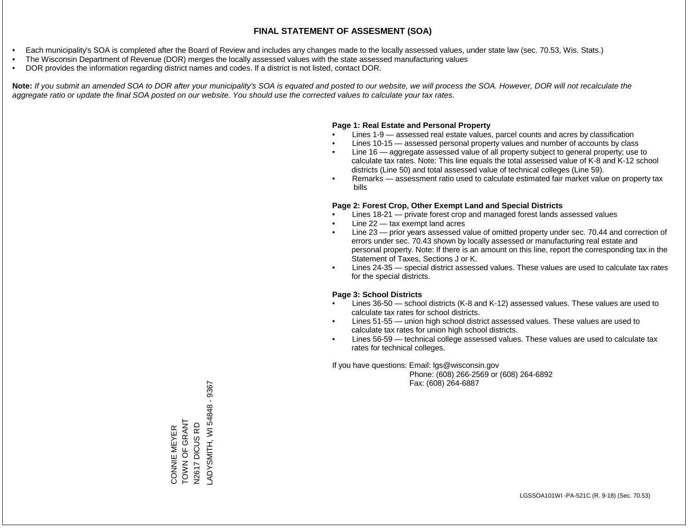- Each municipality's SOA is completed after the Board of Review and includes any changes made to the locally assessed values, under state law (sec. 70.53, Wis. Stats.)
- The Wisconsin Department of Revenue (DOR) merges the locally assessed values with the state assessed manufacturing values
- DOR provides the information regarding district names and codes. If a district is not listed, contact DOR.

Note: If you submit an amended SOA to DOR after your municipality's SOA is equated and posted to our website, we will process the SOA. However, DOR will not recalculate the *aggregate ratio or update the final SOA posted on our website. You should use the corrected values to calculate your tax rates.*

### **Page 1: Real Estate and Personal Property**

- Lines 1-9 assessed real estate values, parcel counts and acres by classification
- Lines 10-15 assessed personal property values and number of accounts by class
- Line 16 aggregate assessed value of all property subject to general property; use to calculate tax rates. Note: This line equals the total assessed value of K-8 and K-12 school districts (Line 50) and total assessed value of technical colleges (Line 59).
- Remarks assessment ratio used to calculate estimated fair market value on property tax bills

### **Page 2: Forest Crop, Other Exempt Land and Special Districts**

- Lines 18-21 private forest crop and managed forest lands assessed values
- Line  $22 -$  tax exempt land acres
- Line 23 prior years assessed value of omitted property under sec. 70.44 and correction of errors under sec. 70.43 shown by locally assessed or manufacturing real estate and personal property. Note: If there is an amount on this line, report the corresponding tax in the Statement of Taxes, Sections J or K.
- Lines 24-35 special district assessed values. These values are used to calculate tax rates for the special districts.

### **Page 3: School Districts**

- Lines 36-50 school districts (K-8 and K-12) assessed values. These values are used to calculate tax rates for school districts.
- Lines 51-55 union high school district assessed values. These values are used to calculate tax rates for union high school districts.
- Lines 56-59 technical college assessed values. These values are used to calculate tax rates for technical colleges.

If you have questions: Email: lgs@wisconsin.gov

 Phone: (608) 266-2569 or (608) 264-6892 Fax: (608) 264-6887

LADYSMITH, WI 54848 - 9367ADYSMITH, WI54848 - 9367 CONNIE MEYER<br>TOWN OF GRANT TOWN OF GRANT DICUS RD N2617 DICUS RD CONNIE MEYER N2617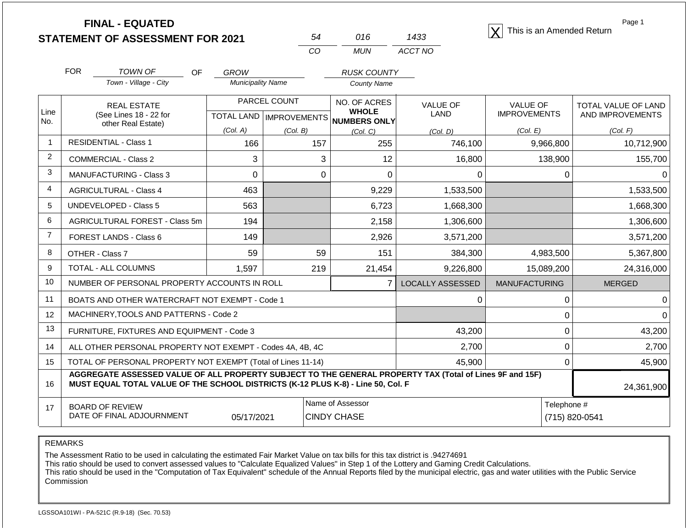| <b>FINAL - EQUATED</b>                  |  |      | This is an Amended Return |
|-----------------------------------------|--|------|---------------------------|
| <b>STATEMENT OF ASSESSMENT FOR 2021</b> |  | 1433 |                           |

| 54  | 016 | 1433    |
|-----|-----|---------|
| CO. | MUN | ACCT NO |

Page 1

|                | <b>FOR</b>                                                                                                                                                                                   | TOWN OF<br>OF                                             | <b>GROW</b>              |              | <b>RUSK COUNTY</b>                  |                         |                      |                            |  |
|----------------|----------------------------------------------------------------------------------------------------------------------------------------------------------------------------------------------|-----------------------------------------------------------|--------------------------|--------------|-------------------------------------|-------------------------|----------------------|----------------------------|--|
|                |                                                                                                                                                                                              | Town - Village - City                                     | <b>Municipality Name</b> |              | <b>County Name</b>                  |                         |                      |                            |  |
| Line           |                                                                                                                                                                                              | <b>REAL ESTATE</b>                                        |                          | PARCEL COUNT | NO. OF ACRES<br><b>WHOLE</b>        | <b>VALUE OF</b>         | <b>VALUE OF</b>      | <b>TOTAL VALUE OF LAND</b> |  |
| No.            |                                                                                                                                                                                              | (See Lines 18 - 22 for<br>other Real Estate)              |                          |              | TOTAL LAND MPROVEMENTS NUMBERS ONLY | <b>LAND</b>             | <b>IMPROVEMENTS</b>  | AND IMPROVEMENTS           |  |
|                |                                                                                                                                                                                              |                                                           | (Col. A)                 | (Col. B)     | (Col. C)                            | (Col, D)                | (Col. E)             | (Col. F)                   |  |
| $\overline{1}$ |                                                                                                                                                                                              | <b>RESIDENTIAL - Class 1</b>                              | 166                      | 157          | 255                                 | 746,100                 | 9,966,800            | 10,712,900                 |  |
| 2              |                                                                                                                                                                                              | <b>COMMERCIAL - Class 2</b>                               | 3                        | 3            | 12                                  | 16,800                  | 138,900              | 155,700                    |  |
| 3              |                                                                                                                                                                                              | <b>MANUFACTURING - Class 3</b>                            | $\Omega$                 | 0            | $\Omega$                            | 0                       | 0                    | $\Omega$                   |  |
| 4              |                                                                                                                                                                                              | <b>AGRICULTURAL - Class 4</b>                             | 463                      |              | 9,229                               | 1,533,500               |                      | 1,533,500                  |  |
| 5              |                                                                                                                                                                                              | <b>UNDEVELOPED - Class 5</b>                              | 563                      |              | 6,723                               | 1,668,300               |                      | 1,668,300                  |  |
| 6              |                                                                                                                                                                                              | AGRICULTURAL FOREST - Class 5m                            | 194                      |              | 2,158                               | 1,306,600               |                      | 1,306,600                  |  |
| $\overline{7}$ | <b>FOREST LANDS - Class 6</b>                                                                                                                                                                |                                                           | 149                      |              | 2,926                               | 3,571,200               |                      | 3,571,200                  |  |
| 8              |                                                                                                                                                                                              | OTHER - Class 7                                           | 59                       | 59           | 151                                 | 384,300                 | 4,983,500            | 5,367,800                  |  |
| 9              |                                                                                                                                                                                              | TOTAL - ALL COLUMNS                                       | 1,597                    | 219          | 21,454                              | 9,226,800               | 15,089,200           | 24,316,000                 |  |
| 10             |                                                                                                                                                                                              | NUMBER OF PERSONAL PROPERTY ACCOUNTS IN ROLL              |                          |              | $\overline{7}$                      | <b>LOCALLY ASSESSED</b> | <b>MANUFACTURING</b> | <b>MERGED</b>              |  |
| 11             |                                                                                                                                                                                              | BOATS AND OTHER WATERCRAFT NOT EXEMPT - Code 1            |                          |              |                                     | 0                       | 0                    | 0                          |  |
| 12             |                                                                                                                                                                                              | MACHINERY, TOOLS AND PATTERNS - Code 2                    |                          |              |                                     |                         | 0                    | 0                          |  |
| 13             |                                                                                                                                                                                              | FURNITURE, FIXTURES AND EQUIPMENT - Code 3                |                          |              |                                     | 43,200                  | 0                    | 43,200                     |  |
| 14             |                                                                                                                                                                                              | ALL OTHER PERSONAL PROPERTY NOT EXEMPT - Codes 4A, 4B, 4C |                          |              |                                     | 2,700                   | $\pmb{0}$            | 2,700                      |  |
| 15             | TOTAL OF PERSONAL PROPERTY NOT EXEMPT (Total of Lines 11-14)<br>45,900<br>0                                                                                                                  |                                                           |                          |              |                                     |                         |                      |                            |  |
| 16             | AGGREGATE ASSESSED VALUE OF ALL PROPERTY SUBJECT TO THE GENERAL PROPERTY TAX (Total of Lines 9F and 15F)<br>MUST EQUAL TOTAL VALUE OF THE SCHOOL DISTRICTS (K-12 PLUS K-8) - Line 50, Col. F |                                                           |                          |              |                                     |                         |                      | 24,361,900                 |  |
| 17             |                                                                                                                                                                                              | <b>BOARD OF REVIEW</b>                                    |                          |              | Name of Assessor                    |                         | Telephone #          |                            |  |
|                |                                                                                                                                                                                              | DATE OF FINAL ADJOURNMENT                                 | 05/17/2021               |              | <b>CINDY CHASE</b>                  |                         |                      | (715) 820-0541             |  |

REMARKS

The Assessment Ratio to be used in calculating the estimated Fair Market Value on tax bills for this tax district is .94274691

This ratio should be used to convert assessed values to "Calculate Equalized Values" in Step 1 of the Lottery and Gaming Credit Calculations.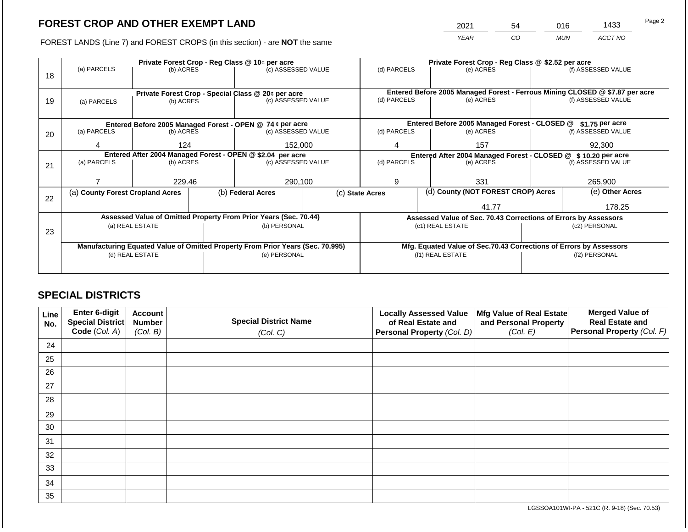2021 54 016 1433

FOREST LANDS (Line 7) and FOREST CROPS (in this section) - are **NOT** the same *YEAR CO MUN ACCT NO*

|    |                                                                                |                                                            | Private Forest Crop - Reg Class @ \$2.52 per acre |                                                                      |                                                                    |             |  |                                                                 |                    |                                                                              |
|----|--------------------------------------------------------------------------------|------------------------------------------------------------|---------------------------------------------------|----------------------------------------------------------------------|--------------------------------------------------------------------|-------------|--|-----------------------------------------------------------------|--------------------|------------------------------------------------------------------------------|
|    | (a) PARCELS                                                                    | (b) ACRES                                                  |                                                   | Private Forest Crop - Reg Class @ 10¢ per acre<br>(c) ASSESSED VALUE |                                                                    | (d) PARCELS |  | (e) ACRES                                                       |                    | (f) ASSESSED VALUE                                                           |
| 18 |                                                                                |                                                            |                                                   |                                                                      |                                                                    |             |  |                                                                 |                    |                                                                              |
|    |                                                                                |                                                            |                                                   |                                                                      |                                                                    |             |  |                                                                 |                    |                                                                              |
|    |                                                                                |                                                            |                                                   | Private Forest Crop - Special Class @ 20¢ per acre                   |                                                                    |             |  |                                                                 |                    | Entered Before 2005 Managed Forest - Ferrous Mining CLOSED @ \$7.87 per acre |
| 19 | (a) PARCELS                                                                    | (c) ASSESSED VALUE<br>(b) ACRES                            |                                                   | (d) PARCELS                                                          |                                                                    | (e) ACRES   |  | (f) ASSESSED VALUE                                              |                    |                                                                              |
|    |                                                                                |                                                            |                                                   |                                                                      |                                                                    |             |  |                                                                 |                    |                                                                              |
|    |                                                                                |                                                            |                                                   | Entered Before 2005 Managed Forest - OPEN @ 74 ¢ per acre            |                                                                    |             |  | Entered Before 2005 Managed Forest - CLOSED @                   |                    | \$1.75 per acre                                                              |
| 20 | (a) PARCELS                                                                    | (b) ACRES                                                  |                                                   | (c) ASSESSED VALUE                                                   |                                                                    | (d) PARCELS |  | (e) ACRES                                                       |                    | (f) ASSESSED VALUE                                                           |
|    |                                                                                |                                                            |                                                   |                                                                      |                                                                    |             |  |                                                                 |                    |                                                                              |
|    | 4                                                                              | 124                                                        |                                                   | 152,000                                                              |                                                                    | 4           |  | 157                                                             |                    | 92,300                                                                       |
|    |                                                                                | Entered After 2004 Managed Forest - OPEN @ \$2.04 per acre |                                                   |                                                                      | Entered After 2004 Managed Forest - CLOSED @ \$10.20 per acre      |             |  |                                                                 |                    |                                                                              |
| 21 | (a) PARCELS                                                                    | (b) ACRES                                                  |                                                   | (c) ASSESSED VALUE                                                   |                                                                    | (d) PARCELS |  | (e) ACRES                                                       | (f) ASSESSED VALUE |                                                                              |
|    |                                                                                |                                                            |                                                   |                                                                      |                                                                    |             |  |                                                                 |                    |                                                                              |
|    |                                                                                | 229.46                                                     |                                                   | 290,100                                                              |                                                                    | 9           |  | 331                                                             |                    | 265,900                                                                      |
|    | (a) County Forest Cropland Acres                                               |                                                            |                                                   | (b) Federal Acres                                                    | (c) State Acres                                                    |             |  | (d) County (NOT FOREST CROP) Acres                              |                    | (e) Other Acres                                                              |
| 22 |                                                                                |                                                            |                                                   |                                                                      |                                                                    |             |  |                                                                 |                    |                                                                              |
|    |                                                                                |                                                            |                                                   |                                                                      |                                                                    |             |  | 41.77                                                           |                    | 178.25                                                                       |
|    |                                                                                |                                                            |                                                   | Assessed Value of Omitted Property From Prior Years (Sec. 70.44)     |                                                                    |             |  | Assessed Value of Sec. 70.43 Corrections of Errors by Assessors |                    |                                                                              |
|    |                                                                                | (a) REAL ESTATE                                            |                                                   | (b) PERSONAL                                                         |                                                                    |             |  | (c1) REAL ESTATE                                                |                    | (c2) PERSONAL                                                                |
| 23 |                                                                                |                                                            |                                                   |                                                                      |                                                                    |             |  |                                                                 |                    |                                                                              |
|    | Manufacturing Equated Value of Omitted Property From Prior Years (Sec. 70.995) |                                                            |                                                   |                                                                      | Mfg. Equated Value of Sec.70.43 Corrections of Errors by Assessors |             |  |                                                                 |                    |                                                                              |
|    | (d) REAL ESTATE                                                                |                                                            |                                                   | (e) PERSONAL                                                         |                                                                    |             |  | (f1) REAL ESTATE                                                | (f2) PERSONAL      |                                                                              |
|    |                                                                                |                                                            |                                                   |                                                                      |                                                                    |             |  |                                                                 |                    |                                                                              |
|    |                                                                                |                                                            |                                                   |                                                                      |                                                                    |             |  |                                                                 |                    |                                                                              |

## **SPECIAL DISTRICTS**

| Line<br>No. | Enter 6-digit<br>Special District<br>Code (Col. A) | <b>Account</b><br><b>Number</b><br>(Col. B) | <b>Special District Name</b><br>(Col. C) | <b>Locally Assessed Value</b><br>of Real Estate and<br><b>Personal Property (Col. D)</b> | Mfg Value of Real Estate<br>and Personal Property<br>(Col. E) | <b>Merged Value of</b><br><b>Real Estate and</b><br>Personal Property (Col. F) |
|-------------|----------------------------------------------------|---------------------------------------------|------------------------------------------|------------------------------------------------------------------------------------------|---------------------------------------------------------------|--------------------------------------------------------------------------------|
| 24          |                                                    |                                             |                                          |                                                                                          |                                                               |                                                                                |
| 25          |                                                    |                                             |                                          |                                                                                          |                                                               |                                                                                |
| 26          |                                                    |                                             |                                          |                                                                                          |                                                               |                                                                                |
| 27          |                                                    |                                             |                                          |                                                                                          |                                                               |                                                                                |
| 28          |                                                    |                                             |                                          |                                                                                          |                                                               |                                                                                |
| 29          |                                                    |                                             |                                          |                                                                                          |                                                               |                                                                                |
| 30          |                                                    |                                             |                                          |                                                                                          |                                                               |                                                                                |
| 31          |                                                    |                                             |                                          |                                                                                          |                                                               |                                                                                |
| 32          |                                                    |                                             |                                          |                                                                                          |                                                               |                                                                                |
| 33          |                                                    |                                             |                                          |                                                                                          |                                                               |                                                                                |
| 34          |                                                    |                                             |                                          |                                                                                          |                                                               |                                                                                |
| 35          |                                                    |                                             |                                          |                                                                                          |                                                               |                                                                                |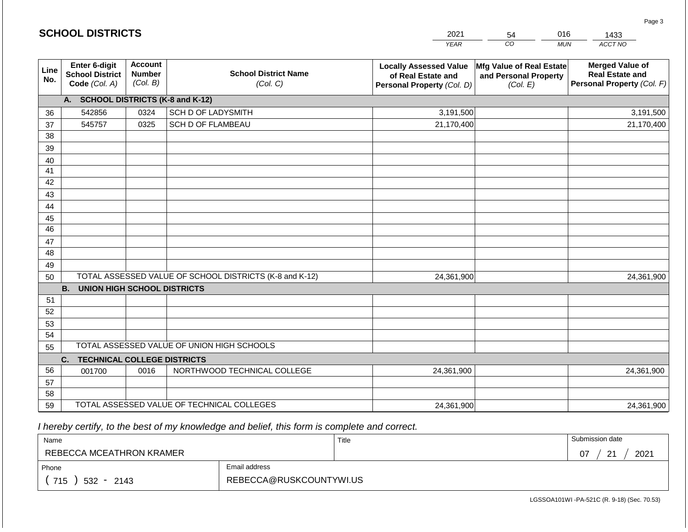|                       | <b>SCHOOL DISTRICTS</b>                                  |                                             |                                                         | 2021                                                                              | 54                                                            | 016<br>1433                                                                    |
|-----------------------|----------------------------------------------------------|---------------------------------------------|---------------------------------------------------------|-----------------------------------------------------------------------------------|---------------------------------------------------------------|--------------------------------------------------------------------------------|
|                       |                                                          |                                             |                                                         | <b>YEAR</b>                                                                       | CO                                                            | ACCT NO<br><b>MUN</b>                                                          |
| Line<br>No.           | Enter 6-digit<br><b>School District</b><br>Code (Col. A) | <b>Account</b><br><b>Number</b><br>(Col. B) | <b>School District Name</b><br>(Col. C)                 | <b>Locally Assessed Value</b><br>of Real Estate and<br>Personal Property (Col. D) | Mfg Value of Real Estate<br>and Personal Property<br>(Col. E) | <b>Merged Value of</b><br><b>Real Estate and</b><br>Personal Property (Col. F) |
|                       | A. SCHOOL DISTRICTS (K-8 and K-12)                       |                                             |                                                         |                                                                                   |                                                               |                                                                                |
| 36                    | 542856                                                   | 0324                                        | <b>SCH D OF LADYSMITH</b>                               | 3,191,500                                                                         |                                                               | 3,191,500                                                                      |
| 37                    | 545757                                                   | 0325                                        | <b>SCH D OF FLAMBEAU</b>                                | 21,170,400                                                                        |                                                               | 21,170,400                                                                     |
| 38                    |                                                          |                                             |                                                         |                                                                                   |                                                               |                                                                                |
| 39                    |                                                          |                                             |                                                         |                                                                                   |                                                               |                                                                                |
| 40                    |                                                          |                                             |                                                         |                                                                                   |                                                               |                                                                                |
| 41                    |                                                          |                                             |                                                         |                                                                                   |                                                               |                                                                                |
| 42                    |                                                          |                                             |                                                         |                                                                                   |                                                               |                                                                                |
| 43                    |                                                          |                                             |                                                         |                                                                                   |                                                               |                                                                                |
| 44                    |                                                          |                                             |                                                         |                                                                                   |                                                               |                                                                                |
| 45<br>$\overline{46}$ |                                                          |                                             |                                                         |                                                                                   |                                                               |                                                                                |
|                       |                                                          |                                             |                                                         |                                                                                   |                                                               |                                                                                |
| 47<br>48              |                                                          |                                             |                                                         |                                                                                   |                                                               |                                                                                |
| 49                    |                                                          |                                             |                                                         |                                                                                   |                                                               |                                                                                |
| 50                    |                                                          |                                             | TOTAL ASSESSED VALUE OF SCHOOL DISTRICTS (K-8 and K-12) | 24,361,900                                                                        |                                                               | 24,361,900                                                                     |
|                       | <b>B.</b><br><b>UNION HIGH SCHOOL DISTRICTS</b>          |                                             |                                                         |                                                                                   |                                                               |                                                                                |
| 51                    |                                                          |                                             |                                                         |                                                                                   |                                                               |                                                                                |
| 52                    |                                                          |                                             |                                                         |                                                                                   |                                                               |                                                                                |
| 53                    |                                                          |                                             |                                                         |                                                                                   |                                                               |                                                                                |
| 54                    |                                                          |                                             |                                                         |                                                                                   |                                                               |                                                                                |
| 55                    |                                                          |                                             | TOTAL ASSESSED VALUE OF UNION HIGH SCHOOLS              |                                                                                   |                                                               |                                                                                |
|                       | <b>TECHNICAL COLLEGE DISTRICTS</b><br>C.                 |                                             |                                                         |                                                                                   |                                                               |                                                                                |
| 56                    | 001700                                                   | 0016                                        | NORTHWOOD TECHNICAL COLLEGE                             | 24,361,900                                                                        |                                                               | 24,361,900                                                                     |
| 57                    |                                                          |                                             |                                                         |                                                                                   |                                                               |                                                                                |
| 58                    |                                                          |                                             |                                                         |                                                                                   |                                                               |                                                                                |
| 59                    |                                                          |                                             | TOTAL ASSESSED VALUE OF TECHNICAL COLLEGES              | 24,361,900                                                                        |                                                               | 24,361,900                                                                     |

**SCHOOL DISTRICTS**

| Name                     |                         | Title | Submission date        |
|--------------------------|-------------------------|-------|------------------------|
| REBECCA MCEATHRON KRAMER |                         |       | $\Omega$<br>2021<br>07 |
| Phone                    | Email address           |       |                        |
| 715<br>$532 -$<br>2143   | REBECCA@RUSKCOUNTYWI.US |       |                        |

Page 3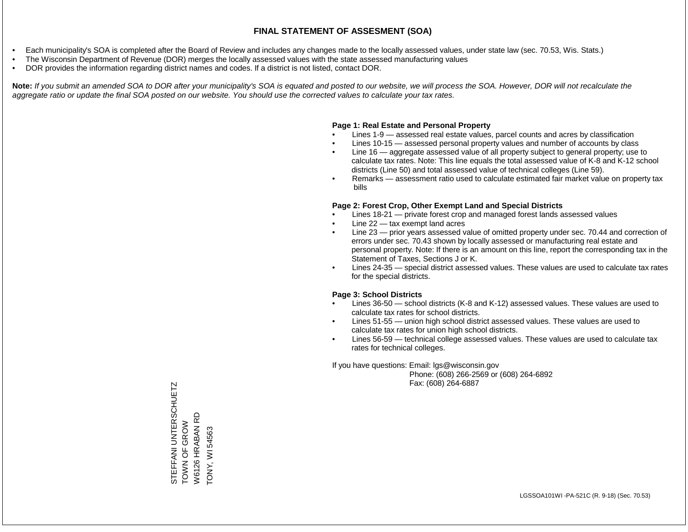- Each municipality's SOA is completed after the Board of Review and includes any changes made to the locally assessed values, under state law (sec. 70.53, Wis. Stats.)
- The Wisconsin Department of Revenue (DOR) merges the locally assessed values with the state assessed manufacturing values
- DOR provides the information regarding district names and codes. If a district is not listed, contact DOR.

Note: If you submit an amended SOA to DOR after your municipality's SOA is equated and posted to our website, we will process the SOA. However, DOR will not recalculate the *aggregate ratio or update the final SOA posted on our website. You should use the corrected values to calculate your tax rates.*

#### **Page 1: Real Estate and Personal Property**

- Lines 1-9 assessed real estate values, parcel counts and acres by classification
- Lines 10-15 assessed personal property values and number of accounts by class
- Line 16 aggregate assessed value of all property subject to general property; use to calculate tax rates. Note: This line equals the total assessed value of K-8 and K-12 school districts (Line 50) and total assessed value of technical colleges (Line 59).
- Remarks assessment ratio used to calculate estimated fair market value on property tax bills

#### **Page 2: Forest Crop, Other Exempt Land and Special Districts**

- Lines 18-21 private forest crop and managed forest lands assessed values
- Line  $22 -$  tax exempt land acres
- Line 23 prior years assessed value of omitted property under sec. 70.44 and correction of errors under sec. 70.43 shown by locally assessed or manufacturing real estate and personal property. Note: If there is an amount on this line, report the corresponding tax in the Statement of Taxes, Sections J or K.
- Lines 24-35 special district assessed values. These values are used to calculate tax rates for the special districts.

#### **Page 3: School Districts**

- Lines 36-50 school districts (K-8 and K-12) assessed values. These values are used to calculate tax rates for school districts.
- Lines 51-55 union high school district assessed values. These values are used to calculate tax rates for union high school districts.
- Lines 56-59 technical college assessed values. These values are used to calculate tax rates for technical colleges.

If you have questions: Email: lgs@wisconsin.gov

 Phone: (608) 266-2569 or (608) 264-6892 Fax: (608) 264-6887

STEFFANI UNTERSCHUETZ<br>TOWN OF GROW<br>W6126 HRABAN RD STEFFANI UNTERSCHUETZ W6126 HRABAN RD TOWN OF GROW TONY, WI 54563 TONY, WI 54563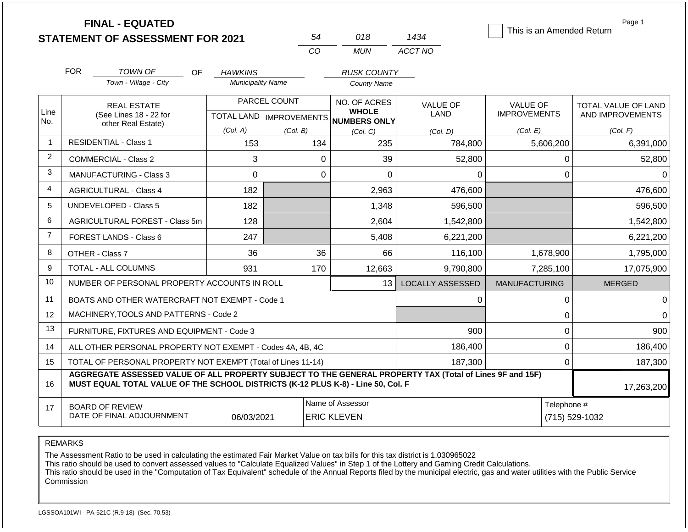|                |            | <b>FINAL - EQUATED</b><br><b>STATEMENT OF ASSESSMENT FOR 2021</b>                                                                                                                            |                          |              | 54          | 018                                                  | 1434                    | This is an Amended Return | Page 1                        |
|----------------|------------|----------------------------------------------------------------------------------------------------------------------------------------------------------------------------------------------|--------------------------|--------------|-------------|------------------------------------------------------|-------------------------|---------------------------|-------------------------------|
|                |            |                                                                                                                                                                                              |                          |              | CO          | <b>MUN</b>                                           | ACCT NO                 |                           |                               |
|                | <b>FOR</b> | <b>TOWN OF</b><br>OF.                                                                                                                                                                        | <b>HAWKINS</b>           |              |             | <b>RUSK COUNTY</b>                                   |                         |                           |                               |
|                |            | Town - Village - City                                                                                                                                                                        | <b>Municipality Name</b> |              |             | <b>County Name</b>                                   |                         |                           |                               |
|                |            | <b>REAL ESTATE</b>                                                                                                                                                                           |                          | PARCEL COUNT |             | NO. OF ACRES                                         | <b>VALUE OF</b>         | VALUE OF                  | TOTAL VALUE OF LAND           |
| Line<br>No.    |            | (See Lines 18 - 22 for<br>other Real Estate)                                                                                                                                                 |                          |              |             | <b>WHOLE</b><br>TOTAL LAND IMPROVEMENTS NUMBERS ONLY | LAND                    | <b>IMPROVEMENTS</b>       | AND IMPROVEMENTS              |
|                |            |                                                                                                                                                                                              | (Col. A)                 | (Col. B)     |             | (Col, C)                                             | (Col, D)                | (Col. E)                  | (Col. F)                      |
| -1             |            | <b>RESIDENTIAL - Class 1</b>                                                                                                                                                                 | 153                      |              | 134         | 235                                                  | 784,800                 | 5,606,200                 | 6,391,000                     |
| 2              |            | <b>COMMERCIAL - Class 2</b>                                                                                                                                                                  | 3                        |              | $\mathbf 0$ | 39                                                   | 52,800                  | $\mathbf 0$               | 52,800                        |
| 3              |            | <b>MANUFACTURING - Class 3</b>                                                                                                                                                               | $\mathbf 0$              |              | $\mathbf 0$ | 0                                                    | 0                       | 0                         | $\Omega$                      |
| 4              |            | <b>AGRICULTURAL - Class 4</b>                                                                                                                                                                | 182                      |              |             | 2,963                                                | 476,600                 |                           | 476,600                       |
| 5              |            | UNDEVELOPED - Class 5                                                                                                                                                                        | 182                      |              |             | 1,348                                                | 596,500                 |                           | 596,500                       |
| 6              |            | <b>AGRICULTURAL FOREST - Class 5m</b>                                                                                                                                                        | 128                      |              |             | 2,604                                                | 1,542,800               |                           | 1,542,800                     |
| $\overline{7}$ |            | FOREST LANDS - Class 6                                                                                                                                                                       | 247                      |              |             | 5,408                                                | 6,221,200               |                           | 6,221,200                     |
| 8              |            | OTHER - Class 7                                                                                                                                                                              | 36                       |              | 36          | 66                                                   | 116,100                 | 1,678,900                 | 1,795,000                     |
| 9              |            | <b>TOTAL - ALL COLUMNS</b>                                                                                                                                                                   | 931                      |              | 170         | 12,663                                               | 9.790.800               | 7,285,100                 | 17,075,900                    |
| 10             |            | NUMBER OF PERSONAL PROPERTY ACCOUNTS IN ROLL                                                                                                                                                 |                          |              |             | 13                                                   | <b>LOCALLY ASSESSED</b> | <b>MANUFACTURING</b>      | <b>MERGED</b>                 |
| 11             |            | BOATS AND OTHER WATERCRAFT NOT EXEMPT - Code 1                                                                                                                                               |                          |              |             |                                                      | 0                       | $\pmb{0}$                 | $\Omega$                      |
| 12             |            | MACHINERY, TOOLS AND PATTERNS - Code 2                                                                                                                                                       |                          |              |             |                                                      |                         | 0                         | $\Omega$                      |
| 13             |            | FURNITURE, FIXTURES AND EQUIPMENT - Code 3                                                                                                                                                   |                          |              |             |                                                      | 900                     | $\mathbf 0$               | 900                           |
| 14             |            | ALL OTHER PERSONAL PROPERTY NOT EXEMPT - Codes 4A, 4B, 4C                                                                                                                                    |                          |              |             |                                                      | 186,400                 | $\mathbf 0$               | 186,400                       |
| 15             |            | TOTAL OF PERSONAL PROPERTY NOT EXEMPT (Total of Lines 11-14)                                                                                                                                 |                          |              | 187,300     |                                                      |                         | $\mathbf 0$               | 187,300                       |
| 16             |            | AGGREGATE ASSESSED VALUE OF ALL PROPERTY SUBJECT TO THE GENERAL PROPERTY TAX (Total of Lines 9F and 15F)<br>MUST EQUAL TOTAL VALUE OF THE SCHOOL DISTRICTS (K-12 PLUS K-8) - Line 50, Col. F |                          |              |             |                                                      |                         |                           | 17,263,200                    |
| 17             |            | <b>BOARD OF REVIEW</b><br>DATE OF FINAL ADJOURNMENT                                                                                                                                          | 06/03/2021               |              |             | Name of Assessor<br><b>ERIC KLEVEN</b>               |                         |                           | Telephone #<br>(715) 529-1032 |

The Assessment Ratio to be used in calculating the estimated Fair Market Value on tax bills for this tax district is 1.030965022

This ratio should be used to convert assessed values to "Calculate Equalized Values" in Step 1 of the Lottery and Gaming Credit Calculations.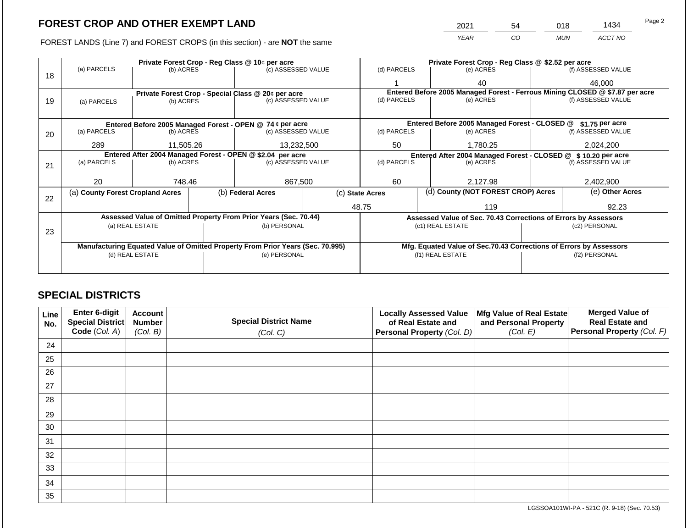2021 54 018 1434

FOREST LANDS (Line 7) and FOREST CROPS (in this section) - are **NOT** the same *YEAR CO MUN ACCT NO*

|    |                                                                                |                                                            | Private Forest Crop - Reg Class @ \$2.52 per acre |                                                                  |                 |                                                                  |                                                                              |                                                                    |               |                    |
|----|--------------------------------------------------------------------------------|------------------------------------------------------------|---------------------------------------------------|------------------------------------------------------------------|-----------------|------------------------------------------------------------------|------------------------------------------------------------------------------|--------------------------------------------------------------------|---------------|--------------------|
| 18 | (a) PARCELS                                                                    | (b) ACRES                                                  |                                                   | (c) ASSESSED VALUE                                               |                 | (d) PARCELS                                                      |                                                                              | (e) ACRES                                                          |               | (f) ASSESSED VALUE |
|    |                                                                                |                                                            |                                                   |                                                                  |                 |                                                                  |                                                                              | 40                                                                 |               | 46,000             |
|    |                                                                                |                                                            |                                                   | Private Forest Crop - Special Class @ 20¢ per acre               |                 |                                                                  | Entered Before 2005 Managed Forest - Ferrous Mining CLOSED @ \$7.87 per acre |                                                                    |               |                    |
| 19 | (a) PARCELS                                                                    | (b) ACRES                                                  |                                                   | (c) ASSESSED VALUE                                               |                 | (d) PARCELS                                                      |                                                                              | (e) ACRES                                                          |               | (f) ASSESSED VALUE |
|    |                                                                                |                                                            |                                                   |                                                                  |                 |                                                                  |                                                                              |                                                                    |               |                    |
|    |                                                                                |                                                            |                                                   | Entered Before 2005 Managed Forest - OPEN @ 74 ¢ per acre        |                 |                                                                  |                                                                              | Entered Before 2005 Managed Forest - CLOSED @                      |               | \$1.75 per acre    |
| 20 | (a) PARCELS                                                                    | (b) ACRES                                                  |                                                   | (c) ASSESSED VALUE                                               |                 | (d) PARCELS                                                      |                                                                              | (e) ACRES                                                          |               | (f) ASSESSED VALUE |
|    | 289                                                                            | 11,505.26                                                  |                                                   | 13,232,500                                                       |                 | 50                                                               |                                                                              | 1,780.25                                                           |               | 2,024,200          |
|    |                                                                                | Entered After 2004 Managed Forest - OPEN @ \$2.04 per acre |                                                   |                                                                  |                 | Entered After 2004 Managed Forest - CLOSED @<br>\$10.20 per acre |                                                                              |                                                                    |               |                    |
| 21 | (a) PARCELS                                                                    | (b) ACRES                                                  |                                                   | (c) ASSESSED VALUE                                               |                 | (d) PARCELS<br>(e) ACRES                                         |                                                                              | (f) ASSESSED VALUE                                                 |               |                    |
|    |                                                                                |                                                            |                                                   |                                                                  |                 |                                                                  |                                                                              |                                                                    |               |                    |
|    | 20                                                                             | 748.46                                                     |                                                   | 867,500                                                          | 60              |                                                                  |                                                                              | 2,127.98                                                           |               | 2,402,900          |
| 22 | (a) County Forest Cropland Acres                                               |                                                            |                                                   | (b) Federal Acres                                                | (c) State Acres |                                                                  |                                                                              | (d) County (NOT FOREST CROP) Acres                                 |               | (e) Other Acres    |
|    |                                                                                |                                                            |                                                   |                                                                  |                 | 48.75                                                            |                                                                              | 119                                                                |               | 92.23              |
|    |                                                                                |                                                            |                                                   | Assessed Value of Omitted Property From Prior Years (Sec. 70.44) |                 |                                                                  |                                                                              | Assessed Value of Sec. 70.43 Corrections of Errors by Assessors    |               |                    |
|    |                                                                                | (a) REAL ESTATE                                            |                                                   | (b) PERSONAL                                                     |                 |                                                                  |                                                                              | (c1) REAL ESTATE                                                   |               | (c2) PERSONAL      |
| 23 |                                                                                |                                                            |                                                   |                                                                  |                 |                                                                  |                                                                              |                                                                    |               |                    |
|    | Manufacturing Equated Value of Omitted Property From Prior Years (Sec. 70.995) |                                                            |                                                   |                                                                  |                 |                                                                  |                                                                              | Mfg. Equated Value of Sec.70.43 Corrections of Errors by Assessors |               |                    |
|    | (d) REAL ESTATE                                                                |                                                            |                                                   | (e) PERSONAL                                                     |                 | (f1) REAL ESTATE                                                 |                                                                              |                                                                    | (f2) PERSONAL |                    |
|    |                                                                                |                                                            |                                                   |                                                                  |                 |                                                                  |                                                                              |                                                                    |               |                    |
|    |                                                                                |                                                            |                                                   |                                                                  |                 |                                                                  |                                                                              |                                                                    |               |                    |

## **SPECIAL DISTRICTS**

| Line<br>No. | Enter 6-digit<br>Special District | <b>Account</b><br><b>Number</b> | <b>Special District Name</b> | <b>Locally Assessed Value</b><br>of Real Estate and | Mfg Value of Real Estate<br>and Personal Property | <b>Merged Value of</b><br><b>Real Estate and</b> |
|-------------|-----------------------------------|---------------------------------|------------------------------|-----------------------------------------------------|---------------------------------------------------|--------------------------------------------------|
|             | Code (Col. A)                     | (Col. B)                        | (Col. C)                     | Personal Property (Col. D)                          | (Col. E)                                          | Personal Property (Col. F)                       |
| 24          |                                   |                                 |                              |                                                     |                                                   |                                                  |
| 25          |                                   |                                 |                              |                                                     |                                                   |                                                  |
| 26          |                                   |                                 |                              |                                                     |                                                   |                                                  |
| 27          |                                   |                                 |                              |                                                     |                                                   |                                                  |
| 28          |                                   |                                 |                              |                                                     |                                                   |                                                  |
| 29          |                                   |                                 |                              |                                                     |                                                   |                                                  |
| 30          |                                   |                                 |                              |                                                     |                                                   |                                                  |
| 31          |                                   |                                 |                              |                                                     |                                                   |                                                  |
| 32          |                                   |                                 |                              |                                                     |                                                   |                                                  |
| 33          |                                   |                                 |                              |                                                     |                                                   |                                                  |
| 34          |                                   |                                 |                              |                                                     |                                                   |                                                  |
| 35          |                                   |                                 |                              |                                                     |                                                   |                                                  |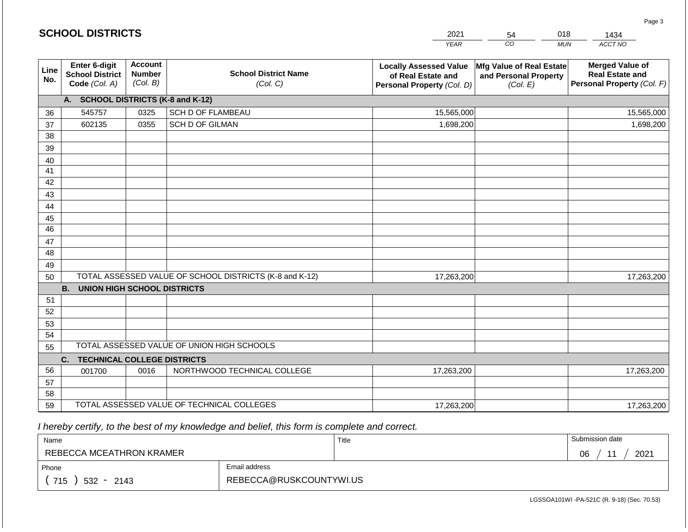|             | <b>SCHOOL DISTRICTS</b>                                  |                                             |                                                         | 2021                                                                              | 54                                                            | 018<br>1434                                                                    |
|-------------|----------------------------------------------------------|---------------------------------------------|---------------------------------------------------------|-----------------------------------------------------------------------------------|---------------------------------------------------------------|--------------------------------------------------------------------------------|
|             |                                                          |                                             |                                                         | <b>YEAR</b>                                                                       | CO                                                            | ACCT NO<br><b>MUN</b>                                                          |
| Line<br>No. | Enter 6-digit<br><b>School District</b><br>Code (Col. A) | <b>Account</b><br><b>Number</b><br>(Col. B) | <b>School District Name</b><br>(Col. C)                 | <b>Locally Assessed Value</b><br>of Real Estate and<br>Personal Property (Col. D) | Mfg Value of Real Estate<br>and Personal Property<br>(Col. E) | <b>Merged Value of</b><br><b>Real Estate and</b><br>Personal Property (Col. F) |
|             | A. SCHOOL DISTRICTS (K-8 and K-12)                       |                                             |                                                         |                                                                                   |                                                               |                                                                                |
| 36          | 545757                                                   | 0325                                        | <b>SCH D OF FLAMBEAU</b>                                | 15,565,000                                                                        |                                                               | 15,565,000                                                                     |
| 37          | 602135                                                   | 0355                                        | SCH D OF GILMAN                                         | 1,698,200                                                                         |                                                               | 1,698,200                                                                      |
| 38          |                                                          |                                             |                                                         |                                                                                   |                                                               |                                                                                |
| 39          |                                                          |                                             |                                                         |                                                                                   |                                                               |                                                                                |
| 40          |                                                          |                                             |                                                         |                                                                                   |                                                               |                                                                                |
| 41          |                                                          |                                             |                                                         |                                                                                   |                                                               |                                                                                |
| 42          |                                                          |                                             |                                                         |                                                                                   |                                                               |                                                                                |
| 43          |                                                          |                                             |                                                         |                                                                                   |                                                               |                                                                                |
| 44<br>45    |                                                          |                                             |                                                         |                                                                                   |                                                               |                                                                                |
| 46          |                                                          |                                             |                                                         |                                                                                   |                                                               |                                                                                |
| 47          |                                                          |                                             |                                                         |                                                                                   |                                                               |                                                                                |
| 48          |                                                          |                                             |                                                         |                                                                                   |                                                               |                                                                                |
| 49          |                                                          |                                             |                                                         |                                                                                   |                                                               |                                                                                |
| 50          |                                                          |                                             | TOTAL ASSESSED VALUE OF SCHOOL DISTRICTS (K-8 and K-12) | 17,263,200                                                                        |                                                               | 17,263,200                                                                     |
|             | <b>B. UNION HIGH SCHOOL DISTRICTS</b>                    |                                             |                                                         |                                                                                   |                                                               |                                                                                |
| 51          |                                                          |                                             |                                                         |                                                                                   |                                                               |                                                                                |
| 52          |                                                          |                                             |                                                         |                                                                                   |                                                               |                                                                                |
| 53          |                                                          |                                             |                                                         |                                                                                   |                                                               |                                                                                |
| 54          |                                                          |                                             |                                                         |                                                                                   |                                                               |                                                                                |
| 55          |                                                          |                                             | TOTAL ASSESSED VALUE OF UNION HIGH SCHOOLS              |                                                                                   |                                                               |                                                                                |
|             | C.<br><b>TECHNICAL COLLEGE DISTRICTS</b>                 |                                             |                                                         |                                                                                   |                                                               |                                                                                |
| 56          | 001700                                                   | 0016                                        | NORTHWOOD TECHNICAL COLLEGE                             | 17,263,200                                                                        |                                                               | 17,263,200                                                                     |
| 57          |                                                          |                                             |                                                         |                                                                                   |                                                               |                                                                                |
| 58<br>59    |                                                          |                                             | TOTAL ASSESSED VALUE OF TECHNICAL COLLEGES              |                                                                                   |                                                               |                                                                                |
|             |                                                          |                                             |                                                         | 17,263,200                                                                        |                                                               | 17,263,200                                                                     |

**SCHOOL DISTRICTS**

| Name                     |                         | Title | Submission date |
|--------------------------|-------------------------|-------|-----------------|
| REBECCA MCEATHRON KRAMER |                         |       | 2021<br>06      |
| Phone                    | Email address           |       |                 |
| 715<br>$532 -$<br>2143   | REBECCA@RUSKCOUNTYWI.US |       |                 |

LGSSOA101WI -PA-521C (R. 9-18) (Sec. 70.53)

Page 3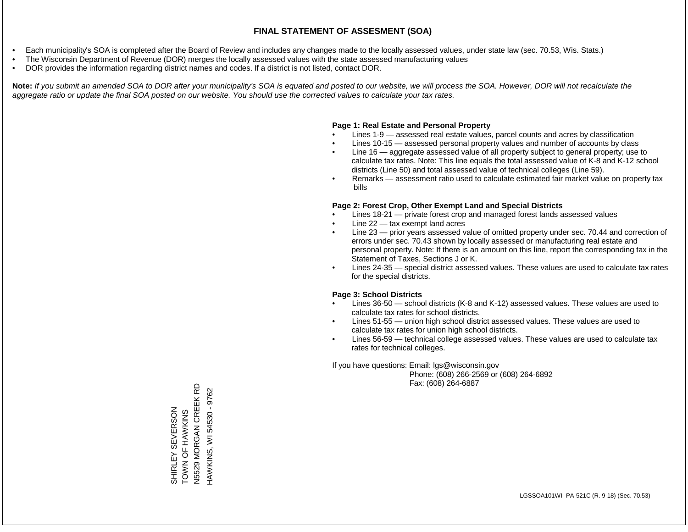- Each municipality's SOA is completed after the Board of Review and includes any changes made to the locally assessed values, under state law (sec. 70.53, Wis. Stats.)
- The Wisconsin Department of Revenue (DOR) merges the locally assessed values with the state assessed manufacturing values
- DOR provides the information regarding district names and codes. If a district is not listed, contact DOR.

Note: If you submit an amended SOA to DOR after your municipality's SOA is equated and posted to our website, we will process the SOA. However, DOR will not recalculate the *aggregate ratio or update the final SOA posted on our website. You should use the corrected values to calculate your tax rates.*

### **Page 1: Real Estate and Personal Property**

- Lines 1-9 assessed real estate values, parcel counts and acres by classification
- Lines 10-15 assessed personal property values and number of accounts by class
- Line 16 aggregate assessed value of all property subject to general property; use to calculate tax rates. Note: This line equals the total assessed value of K-8 and K-12 school districts (Line 50) and total assessed value of technical colleges (Line 59).
- Remarks assessment ratio used to calculate estimated fair market value on property tax bills

### **Page 2: Forest Crop, Other Exempt Land and Special Districts**

- Lines 18-21 private forest crop and managed forest lands assessed values
- Line  $22 -$  tax exempt land acres
- Line 23 prior years assessed value of omitted property under sec. 70.44 and correction of errors under sec. 70.43 shown by locally assessed or manufacturing real estate and personal property. Note: If there is an amount on this line, report the corresponding tax in the Statement of Taxes, Sections J or K.
- Lines 24-35 special district assessed values. These values are used to calculate tax rates for the special districts.

### **Page 3: School Districts**

- Lines 36-50 school districts (K-8 and K-12) assessed values. These values are used to calculate tax rates for school districts.
- Lines 51-55 union high school district assessed values. These values are used to calculate tax rates for union high school districts.
- Lines 56-59 technical college assessed values. These values are used to calculate tax rates for technical colleges.

If you have questions: Email: lgs@wisconsin.gov

 Phone: (608) 266-2569 or (608) 264-6892 Fax: (608) 264-6887

SHIRLEY SEVERSON<br>TOWN OF HAWKINS<br>N5529 MORGAN CREEK RD N5529 MORGAN CREEK RD HAWKINS, WI 54530 - 9762 HAWKINS, WI 54530 - 9762SHIRLEY SEVERSON TOWN OF HAWKINS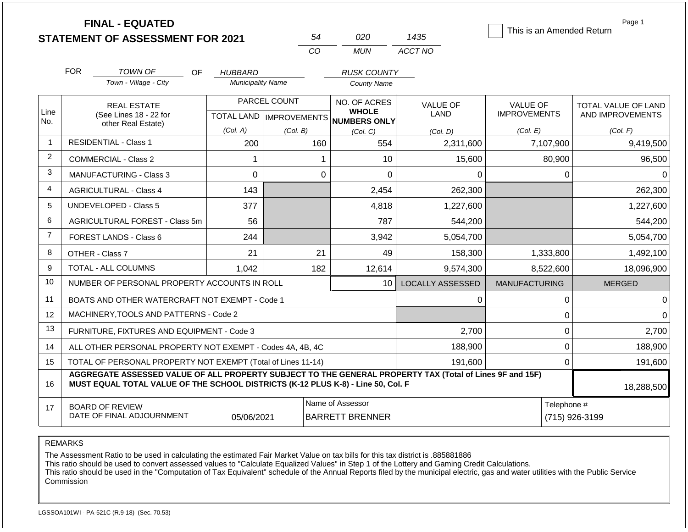|                |                                                                                                                                                                                              | <b>FINAL - EQUATED</b><br><b>STATEMENT OF ASSESSMENT FOR 2021</b> |                                |              | 54                                                   | 020                | 1435                    | This is an Amended Return | Page 1              |
|----------------|----------------------------------------------------------------------------------------------------------------------------------------------------------------------------------------------|-------------------------------------------------------------------|--------------------------------|--------------|------------------------------------------------------|--------------------|-------------------------|---------------------------|---------------------|
|                |                                                                                                                                                                                              |                                                                   |                                | CO           |                                                      | <b>MUN</b>         | ACCT NO                 |                           |                     |
|                | <b>FOR</b>                                                                                                                                                                                   | <b>TOWN OF</b><br>OF.                                             | HUBBARD                        |              |                                                      | <b>RUSK COUNTY</b> |                         |                           |                     |
|                |                                                                                                                                                                                              | Town - Village - City                                             | <b>Municipality Name</b>       |              |                                                      | <b>County Name</b> |                         |                           |                     |
|                |                                                                                                                                                                                              | <b>REAL ESTATE</b>                                                |                                | PARCEL COUNT | NO. OF ACRES                                         |                    | <b>VALUE OF</b>         | <b>VALUE OF</b>           | TOTAL VALUE OF LAND |
| Line<br>No.    | (See Lines 18 - 22 for                                                                                                                                                                       |                                                                   |                                |              | <b>WHOLE</b><br>TOTAL LAND IMPROVEMENTS NUMBERS ONLY |                    | LAND                    | <b>IMPROVEMENTS</b>       | AND IMPROVEMENTS    |
|                | other Real Estate)                                                                                                                                                                           |                                                                   | (Col. A)                       | (Col. B)     |                                                      | (Col, C)           | (Col, D)                | (Col. E)                  | (Col. F)            |
| 1              |                                                                                                                                                                                              | <b>RESIDENTIAL - Class 1</b>                                      | 160<br>200<br>554<br>2,311,600 |              | 7,107,900                                            | 9,419,500          |                         |                           |                     |
| $\overline{2}$ | <b>COMMERCIAL - Class 2</b>                                                                                                                                                                  |                                                                   | 1                              |              | 1                                                    | 10                 | 15,600                  | 80,900                    | 96,500              |
| 3              | $\mathbf 0$<br><b>MANUFACTURING - Class 3</b>                                                                                                                                                |                                                                   |                                | $\mathbf 0$  | 0                                                    | 0                  | $\mathbf 0$             | 0                         |                     |
| 4              | 143<br><b>AGRICULTURAL - Class 4</b>                                                                                                                                                         |                                                                   |                                |              | 2,454                                                | 262,300            |                         | 262,300                   |                     |
| 5              |                                                                                                                                                                                              | UNDEVELOPED - Class 5                                             | 377                            |              |                                                      | 4,818              | 1,227,600               |                           | 1,227,600           |
| 6              |                                                                                                                                                                                              | AGRICULTURAL FOREST - Class 5m                                    | 56                             |              |                                                      | 787                | 544,200                 |                           | 544,200             |
| $\overline{7}$ |                                                                                                                                                                                              | <b>FOREST LANDS - Class 6</b>                                     | 244                            |              |                                                      | 3,942              | 5,054,700               |                           | 5,054,700           |
| 8              |                                                                                                                                                                                              | OTHER - Class 7                                                   | 21                             |              | 21                                                   | 49                 | 158,300                 | 1,333,800                 | 1,492,100           |
| 9              |                                                                                                                                                                                              | <b>TOTAL - ALL COLUMNS</b>                                        | 1,042                          |              | 182                                                  | 12,614             | 9,574,300               | 8,522,600                 | 18,096,900          |
| 10             |                                                                                                                                                                                              | NUMBER OF PERSONAL PROPERTY ACCOUNTS IN ROLL                      |                                |              |                                                      | 10                 | <b>LOCALLY ASSESSED</b> | <b>MANUFACTURING</b>      | <b>MERGED</b>       |
| 11             |                                                                                                                                                                                              | BOATS AND OTHER WATERCRAFT NOT EXEMPT - Code 1                    |                                |              |                                                      |                    | 0                       | $\mathsf 0$               | 0                   |
| 12             |                                                                                                                                                                                              | MACHINERY, TOOLS AND PATTERNS - Code 2                            |                                |              |                                                      |                    |                         | 0                         | $\Omega$            |
| 13             |                                                                                                                                                                                              | FURNITURE, FIXTURES AND EQUIPMENT - Code 3                        |                                |              |                                                      |                    | 2,700                   | $\mathbf{0}$              | 2,700               |
| 14             |                                                                                                                                                                                              | ALL OTHER PERSONAL PROPERTY NOT EXEMPT - Codes 4A, 4B, 4C         |                                |              |                                                      |                    | 188,900                 | $\mathbf 0$               | 188,900             |
| 15             | TOTAL OF PERSONAL PROPERTY NOT EXEMPT (Total of Lines 11-14)                                                                                                                                 |                                                                   |                                |              |                                                      |                    | 191,600                 | $\mathbf 0$               | 191,600             |
| 16             | AGGREGATE ASSESSED VALUE OF ALL PROPERTY SUBJECT TO THE GENERAL PROPERTY TAX (Total of Lines 9F and 15F)<br>MUST EQUAL TOTAL VALUE OF THE SCHOOL DISTRICTS (K-12 PLUS K-8) - Line 50, Col. F |                                                                   |                                |              |                                                      |                    |                         |                           | 18,288,500          |
| 17             | Name of Assessor<br>Telephone #<br><b>BOARD OF REVIEW</b><br>DATE OF FINAL ADJOURNMENT<br>05/06/2021<br><b>BARRETT BRENNER</b>                                                               |                                                                   |                                |              |                                                      |                    |                         | (715) 926-3199            |                     |

The Assessment Ratio to be used in calculating the estimated Fair Market Value on tax bills for this tax district is .885881886

This ratio should be used to convert assessed values to "Calculate Equalized Values" in Step 1 of the Lottery and Gaming Credit Calculations.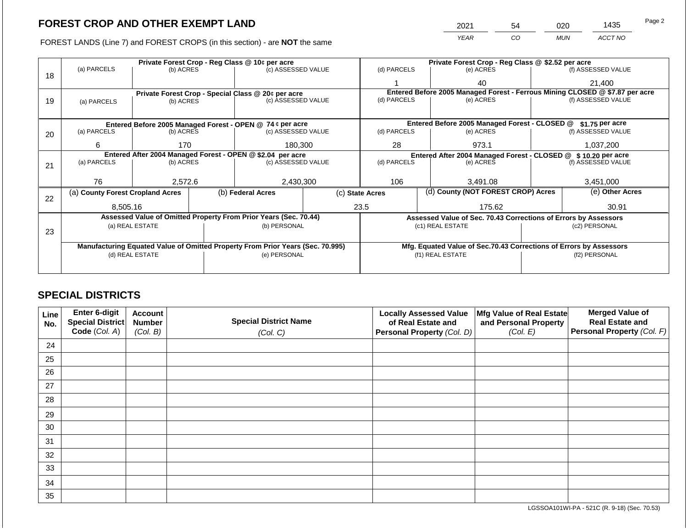FOREST LANDS (Line 7) and FOREST CROPS (in this section) - are **NOT** the same

| 2021 | 54 |     | 1435    | Page 2 |
|------|----|-----|---------|--------|
| YFAR | 30 | MUN | ACCT NO |        |

|    | Private Forest Crop - Reg Class @ 10¢ per acre             |                     |  |                                                                                |  | Private Forest Crop - Reg Class @ \$2.52 per acre                            |                                                                    |               |                    |  |
|----|------------------------------------------------------------|---------------------|--|--------------------------------------------------------------------------------|--|------------------------------------------------------------------------------|--------------------------------------------------------------------|---------------|--------------------|--|
|    | (a) PARCELS                                                | (b) ACRES           |  | (c) ASSESSED VALUE                                                             |  | (d) PARCELS                                                                  | (e) ACRES                                                          |               | (f) ASSESSED VALUE |  |
| 18 |                                                            |                     |  |                                                                                |  |                                                                              | 40                                                                 |               | 21,400             |  |
|    |                                                            |                     |  | Private Forest Crop - Special Class @ 20¢ per acre                             |  | Entered Before 2005 Managed Forest - Ferrous Mining CLOSED @ \$7.87 per acre |                                                                    |               |                    |  |
| 19 | (a) PARCELS                                                | (b) ACRES           |  | (c) ASSESSED VALUE                                                             |  | (d) PARCELS                                                                  | (e) ACRES                                                          |               | (f) ASSESSED VALUE |  |
|    |                                                            |                     |  |                                                                                |  |                                                                              |                                                                    |               |                    |  |
|    |                                                            |                     |  | Entered Before 2005 Managed Forest - OPEN @ 74 ¢ per acre                      |  |                                                                              | Entered Before 2005 Managed Forest - CLOSED @                      |               | \$1.75 per acre    |  |
| 20 | (a) PARCELS<br>(b) ACRES                                   |                     |  | (c) ASSESSED VALUE                                                             |  | (d) PARCELS                                                                  | (e) ACRES                                                          |               | (f) ASSESSED VALUE |  |
|    |                                                            |                     |  |                                                                                |  |                                                                              |                                                                    |               |                    |  |
|    |                                                            | 180,300<br>6<br>170 |  |                                                                                |  | 28<br>973.1                                                                  |                                                                    | 1,037,200     |                    |  |
|    | Entered After 2004 Managed Forest - OPEN @ \$2.04 per acre |                     |  |                                                                                |  | Entered After 2004 Managed Forest - CLOSED @ \$10.20 per acre                |                                                                    |               |                    |  |
| 21 | (a) PARCELS                                                | (b) ACRES           |  | (c) ASSESSED VALUE                                                             |  | (d) PARCELS                                                                  | (e) ACRES                                                          |               | (f) ASSESSED VALUE |  |
|    |                                                            |                     |  |                                                                                |  |                                                                              |                                                                    |               |                    |  |
|    | 76                                                         | 2,572.6             |  | 2,430,300                                                                      |  | 106                                                                          | 3.491.08                                                           |               | 3,451,000          |  |
| 22 | (a) County Forest Cropland Acres                           |                     |  | (b) Federal Acres                                                              |  | (d) County (NOT FOREST CROP) Acres<br>(c) State Acres                        |                                                                    |               | (e) Other Acres    |  |
|    |                                                            |                     |  |                                                                                |  |                                                                              |                                                                    |               |                    |  |
|    | 8,505.16                                                   |                     |  |                                                                                |  | 23.5                                                                         | 175.62                                                             |               | 30.91              |  |
|    |                                                            |                     |  | Assessed Value of Omitted Property From Prior Years (Sec. 70.44)               |  |                                                                              | Assessed Value of Sec. 70.43 Corrections of Errors by Assessors    |               |                    |  |
| 23 |                                                            | (a) REAL ESTATE     |  | (b) PERSONAL                                                                   |  |                                                                              | (c1) REAL ESTATE                                                   |               | (c2) PERSONAL      |  |
|    |                                                            |                     |  |                                                                                |  |                                                                              |                                                                    |               |                    |  |
|    |                                                            |                     |  | Manufacturing Equated Value of Omitted Property From Prior Years (Sec. 70.995) |  |                                                                              | Mfg. Equated Value of Sec.70.43 Corrections of Errors by Assessors |               |                    |  |
|    |                                                            | (d) REAL ESTATE     |  | (e) PERSONAL                                                                   |  |                                                                              | (f1) REAL ESTATE                                                   | (f2) PERSONAL |                    |  |
|    |                                                            |                     |  |                                                                                |  |                                                                              |                                                                    |               |                    |  |
|    |                                                            |                     |  |                                                                                |  |                                                                              |                                                                    |               |                    |  |

## **SPECIAL DISTRICTS**

| <b>Line</b><br>No. | Enter 6-digit<br>Special District | <b>Account</b><br><b>Number</b> | <b>Special District Name</b> | <b>Locally Assessed Value</b><br>of Real Estate and | Mfg Value of Real Estate<br>and Personal Property | <b>Merged Value of</b><br><b>Real Estate and</b> |
|--------------------|-----------------------------------|---------------------------------|------------------------------|-----------------------------------------------------|---------------------------------------------------|--------------------------------------------------|
|                    | Code (Col. A)                     | (Col. B)                        | (Col. C)                     | Personal Property (Col. D)                          | (Col. E)                                          | Personal Property (Col. F)                       |
| 24                 |                                   |                                 |                              |                                                     |                                                   |                                                  |
| 25                 |                                   |                                 |                              |                                                     |                                                   |                                                  |
| 26                 |                                   |                                 |                              |                                                     |                                                   |                                                  |
| 27                 |                                   |                                 |                              |                                                     |                                                   |                                                  |
| 28                 |                                   |                                 |                              |                                                     |                                                   |                                                  |
| 29                 |                                   |                                 |                              |                                                     |                                                   |                                                  |
| 30                 |                                   |                                 |                              |                                                     |                                                   |                                                  |
| 31                 |                                   |                                 |                              |                                                     |                                                   |                                                  |
| 32                 |                                   |                                 |                              |                                                     |                                                   |                                                  |
| 33                 |                                   |                                 |                              |                                                     |                                                   |                                                  |
| 34                 |                                   |                                 |                              |                                                     |                                                   |                                                  |
| 35                 |                                   |                                 |                              |                                                     |                                                   |                                                  |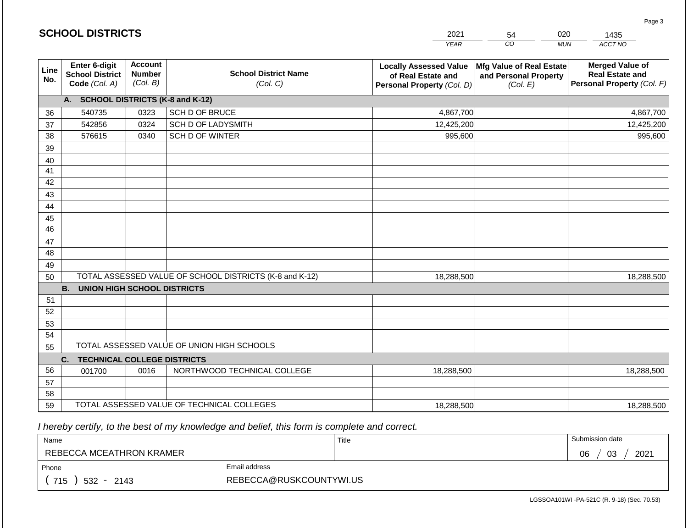| <b>SCHOOL DISTRICTS</b><br>2021<br>020<br>54 |                                                                 |                                             |                                                         |                                                                                   | 1435                                                          |                                                                                |
|----------------------------------------------|-----------------------------------------------------------------|---------------------------------------------|---------------------------------------------------------|-----------------------------------------------------------------------------------|---------------------------------------------------------------|--------------------------------------------------------------------------------|
|                                              |                                                                 |                                             |                                                         | <b>YEAR</b>                                                                       | CO<br><b>MUN</b>                                              | ACCT NO                                                                        |
| Line<br>No.                                  | <b>Enter 6-digit</b><br><b>School District</b><br>Code (Col. A) | <b>Account</b><br><b>Number</b><br>(Col. B) | <b>School District Name</b><br>(Col. C)                 | <b>Locally Assessed Value</b><br>of Real Estate and<br>Personal Property (Col. D) | Mfg Value of Real Estate<br>and Personal Property<br>(Col. E) | <b>Merged Value of</b><br><b>Real Estate and</b><br>Personal Property (Col. F) |
|                                              | A. SCHOOL DISTRICTS (K-8 and K-12)                              |                                             |                                                         |                                                                                   |                                                               |                                                                                |
| 36                                           | 540735                                                          | 0323                                        | SCH D OF BRUCE                                          | 4,867,700                                                                         |                                                               | 4,867,700                                                                      |
| 37                                           | 542856                                                          | 0324                                        | SCH D OF LADYSMITH                                      | 12,425,200                                                                        |                                                               | 12,425,200                                                                     |
| 38                                           | 576615                                                          | 0340                                        | SCH D OF WINTER                                         | 995,600                                                                           |                                                               | 995,600                                                                        |
| 39                                           |                                                                 |                                             |                                                         |                                                                                   |                                                               |                                                                                |
| 40                                           |                                                                 |                                             |                                                         |                                                                                   |                                                               |                                                                                |
| 41                                           |                                                                 |                                             |                                                         |                                                                                   |                                                               |                                                                                |
| 42                                           |                                                                 |                                             |                                                         |                                                                                   |                                                               |                                                                                |
| 43                                           |                                                                 |                                             |                                                         |                                                                                   |                                                               |                                                                                |
| 44                                           |                                                                 |                                             |                                                         |                                                                                   |                                                               |                                                                                |
| 45<br>46                                     |                                                                 |                                             |                                                         |                                                                                   |                                                               |                                                                                |
| 47                                           |                                                                 |                                             |                                                         |                                                                                   |                                                               |                                                                                |
| 48                                           |                                                                 |                                             |                                                         |                                                                                   |                                                               |                                                                                |
| 49                                           |                                                                 |                                             |                                                         |                                                                                   |                                                               |                                                                                |
| 50                                           |                                                                 |                                             | TOTAL ASSESSED VALUE OF SCHOOL DISTRICTS (K-8 and K-12) | 18,288,500                                                                        |                                                               | 18,288,500                                                                     |
|                                              | <b>B.</b><br><b>UNION HIGH SCHOOL DISTRICTS</b>                 |                                             |                                                         |                                                                                   |                                                               |                                                                                |
| 51                                           |                                                                 |                                             |                                                         |                                                                                   |                                                               |                                                                                |
| 52                                           |                                                                 |                                             |                                                         |                                                                                   |                                                               |                                                                                |
| 53                                           |                                                                 |                                             |                                                         |                                                                                   |                                                               |                                                                                |
| 54                                           |                                                                 |                                             |                                                         |                                                                                   |                                                               |                                                                                |
| 55                                           |                                                                 |                                             | TOTAL ASSESSED VALUE OF UNION HIGH SCHOOLS              |                                                                                   |                                                               |                                                                                |
|                                              | C.<br><b>TECHNICAL COLLEGE DISTRICTS</b>                        |                                             |                                                         |                                                                                   |                                                               |                                                                                |
| 56                                           | 001700                                                          | 0016                                        | NORTHWOOD TECHNICAL COLLEGE                             | 18,288,500                                                                        |                                                               | 18,288,500                                                                     |
| 57                                           |                                                                 |                                             |                                                         |                                                                                   |                                                               |                                                                                |
| 58                                           |                                                                 |                                             |                                                         |                                                                                   |                                                               |                                                                                |
| 59                                           |                                                                 |                                             | TOTAL ASSESSED VALUE OF TECHNICAL COLLEGES              | 18,288,500                                                                        |                                                               | 18,288,500                                                                     |

| Name                     |                         | Title | Submission date  |
|--------------------------|-------------------------|-------|------------------|
| REBECCA MCEATHRON KRAMER |                         |       | 2021<br>03<br>06 |
| Phone                    | Email address           |       |                  |
| 715<br>$532 - 2143$      | REBECCA@RUSKCOUNTYWI.US |       |                  |

Page 3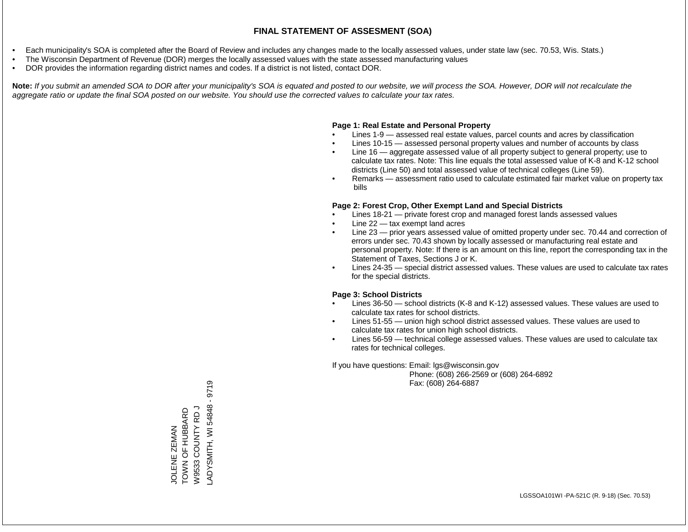- Each municipality's SOA is completed after the Board of Review and includes any changes made to the locally assessed values, under state law (sec. 70.53, Wis. Stats.)
- The Wisconsin Department of Revenue (DOR) merges the locally assessed values with the state assessed manufacturing values
- DOR provides the information regarding district names and codes. If a district is not listed, contact DOR.

Note: If you submit an amended SOA to DOR after your municipality's SOA is equated and posted to our website, we will process the SOA. However, DOR will not recalculate the *aggregate ratio or update the final SOA posted on our website. You should use the corrected values to calculate your tax rates.*

### **Page 1: Real Estate and Personal Property**

- Lines 1-9 assessed real estate values, parcel counts and acres by classification
- Lines 10-15 assessed personal property values and number of accounts by class
- Line 16 aggregate assessed value of all property subject to general property; use to calculate tax rates. Note: This line equals the total assessed value of K-8 and K-12 school districts (Line 50) and total assessed value of technical colleges (Line 59).
- Remarks assessment ratio used to calculate estimated fair market value on property tax bills

### **Page 2: Forest Crop, Other Exempt Land and Special Districts**

- Lines 18-21 private forest crop and managed forest lands assessed values
- Line  $22 -$  tax exempt land acres
- Line 23 prior years assessed value of omitted property under sec. 70.44 and correction of errors under sec. 70.43 shown by locally assessed or manufacturing real estate and personal property. Note: If there is an amount on this line, report the corresponding tax in the Statement of Taxes, Sections J or K.
- Lines 24-35 special district assessed values. These values are used to calculate tax rates for the special districts.

### **Page 3: School Districts**

- Lines 36-50 school districts (K-8 and K-12) assessed values. These values are used to calculate tax rates for school districts.
- Lines 51-55 union high school district assessed values. These values are used to calculate tax rates for union high school districts.
- Lines 56-59 technical college assessed values. These values are used to calculate tax rates for technical colleges.

If you have questions: Email: lgs@wisconsin.gov

 Phone: (608) 266-2569 or (608) 264-6892 Fax: (608) 264-6887

9719 LADYSMITH, WI 54848 - 9719-ADYSMITH, WI 54848 W9533 COUNTY RD J TOWN OF HUBBARD W9533 COUNTY RD J JOLENE ZEMAN<br>TOWN OF HUBBARD JOLENE ZEMAN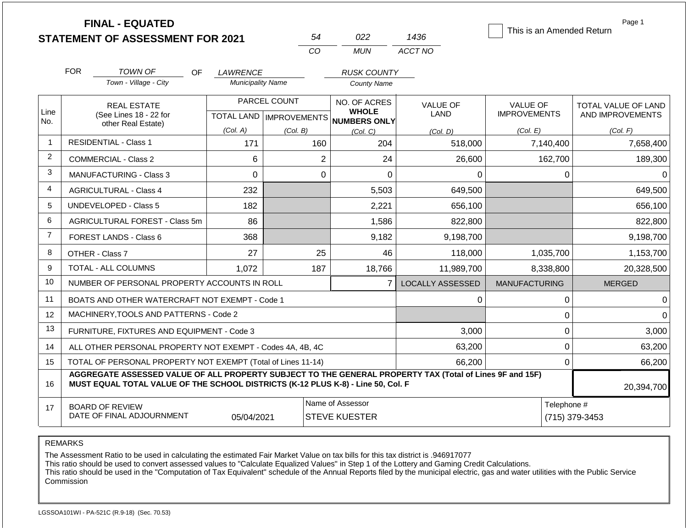|                |                                                                                                               | <b>FINAL - EQUATED</b><br><b>STATEMENT OF ASSESSMENT FOR 2021</b>                                                                                                                            |                          |                                           | 54             | 022                                                 | 1436                    | This is an Amended Return              | Page 1                                  |
|----------------|---------------------------------------------------------------------------------------------------------------|----------------------------------------------------------------------------------------------------------------------------------------------------------------------------------------------|--------------------------|-------------------------------------------|----------------|-----------------------------------------------------|-------------------------|----------------------------------------|-----------------------------------------|
|                |                                                                                                               |                                                                                                                                                                                              |                          |                                           | CO             | <b>MUN</b>                                          | ACCT NO                 |                                        |                                         |
|                | <b>FOR</b>                                                                                                    | TOWN OF<br>OF.                                                                                                                                                                               | LAWRENCE                 |                                           |                | <b>RUSK COUNTY</b>                                  |                         |                                        |                                         |
|                |                                                                                                               | Town - Village - City                                                                                                                                                                        | <b>Municipality Name</b> |                                           |                | <b>County Name</b>                                  |                         |                                        |                                         |
| Line           |                                                                                                               | <b>REAL ESTATE</b><br>(See Lines 18 - 22 for                                                                                                                                                 |                          | PARCEL COUNT<br>TOTAL LAND   IMPROVEMENTS |                | NO. OF ACRES<br><b>WHOLE</b><br><b>NUMBERS ONLY</b> | <b>VALUE OF</b><br>LAND | <b>VALUE OF</b><br><b>IMPROVEMENTS</b> | TOTAL VALUE OF LAND<br>AND IMPROVEMENTS |
| No.            |                                                                                                               | other Real Estate)                                                                                                                                                                           | (Col. A)                 | (Col. B)                                  |                | (Col. C)                                            | (Col, D)                | (Col. E)                               | (Col. F)                                |
| $\mathbf{1}$   |                                                                                                               | <b>RESIDENTIAL - Class 1</b>                                                                                                                                                                 | 171                      |                                           | 160            | 204                                                 | 518,000                 | 7,140,400                              | 7,658,400                               |
| 2              |                                                                                                               | COMMERCIAL - Class 2                                                                                                                                                                         | 6                        |                                           | $\overline{2}$ | 24                                                  | 26,600                  | 162,700                                | 189,300                                 |
| 3              |                                                                                                               | <b>MANUFACTURING - Class 3</b>                                                                                                                                                               | $\Omega$                 |                                           | $\mathbf 0$    | $\Omega$                                            | $\Omega$                | $\mathbf 0$                            | $\Omega$                                |
| 4              |                                                                                                               | <b>AGRICULTURAL - Class 4</b>                                                                                                                                                                | 232                      |                                           |                | 5,503                                               | 649,500                 |                                        | 649,500                                 |
| 5              |                                                                                                               | <b>UNDEVELOPED - Class 5</b>                                                                                                                                                                 | 182                      |                                           |                | 2,221                                               | 656,100                 |                                        | 656,100                                 |
| 6              |                                                                                                               | AGRICULTURAL FOREST - Class 5m                                                                                                                                                               | 86                       |                                           |                | 1,586                                               | 822,800                 |                                        | 822,800                                 |
| $\overline{7}$ |                                                                                                               | <b>FOREST LANDS - Class 6</b>                                                                                                                                                                | 368                      |                                           |                | 9,182                                               | 9,198,700               |                                        | 9,198,700                               |
| 8              |                                                                                                               | OTHER - Class 7                                                                                                                                                                              | 27                       |                                           | 25             | 46                                                  | 118,000                 | 1,035,700                              | 1,153,700                               |
| 9              |                                                                                                               | TOTAL - ALL COLUMNS                                                                                                                                                                          | 1,072                    |                                           | 187            | 18,766                                              | 11,989,700              | 8,338,800                              | 20,328,500                              |
| 10             |                                                                                                               | NUMBER OF PERSONAL PROPERTY ACCOUNTS IN ROLL                                                                                                                                                 |                          |                                           |                | $\overline{7}$                                      | <b>LOCALLY ASSESSED</b> | <b>MANUFACTURING</b>                   | <b>MERGED</b>                           |
| 11             |                                                                                                               | BOATS AND OTHER WATERCRAFT NOT EXEMPT - Code 1                                                                                                                                               |                          |                                           |                |                                                     | $\mathbf 0$             | $\pmb{0}$                              | $\Omega$                                |
| 12             |                                                                                                               | MACHINERY, TOOLS AND PATTERNS - Code 2                                                                                                                                                       |                          |                                           |                |                                                     |                         | $\mathbf 0$                            | $\Omega$                                |
| 13             |                                                                                                               | FURNITURE, FIXTURES AND EQUIPMENT - Code 3                                                                                                                                                   |                          |                                           |                |                                                     | 3,000                   | $\pmb{0}$                              | 3,000                                   |
| 14             |                                                                                                               | ALL OTHER PERSONAL PROPERTY NOT EXEMPT - Codes 4A, 4B, 4C                                                                                                                                    |                          |                                           |                |                                                     | 63,200                  | $\overline{0}$                         | 63,200                                  |
| 15             |                                                                                                               | TOTAL OF PERSONAL PROPERTY NOT EXEMPT (Total of Lines 11-14)                                                                                                                                 |                          |                                           |                |                                                     | 66,200                  | $\mathbf 0$                            | 66,200                                  |
| 16             |                                                                                                               | AGGREGATE ASSESSED VALUE OF ALL PROPERTY SUBJECT TO THE GENERAL PROPERTY TAX (Total of Lines 9F and 15F)<br>MUST EQUAL TOTAL VALUE OF THE SCHOOL DISTRICTS (K-12 PLUS K-8) - Line 50, Col. F |                          |                                           |                |                                                     |                         |                                        | 20,394,700                              |
| 17             | Name of Assessor<br><b>BOARD OF REVIEW</b><br>DATE OF FINAL ADJOURNMENT<br>05/04/2021<br><b>STEVE KUESTER</b> |                                                                                                                                                                                              |                          |                                           |                |                                                     |                         | Telephone #                            | (715) 379-3453                          |

The Assessment Ratio to be used in calculating the estimated Fair Market Value on tax bills for this tax district is .946917077

This ratio should be used to convert assessed values to "Calculate Equalized Values" in Step 1 of the Lottery and Gaming Credit Calculations.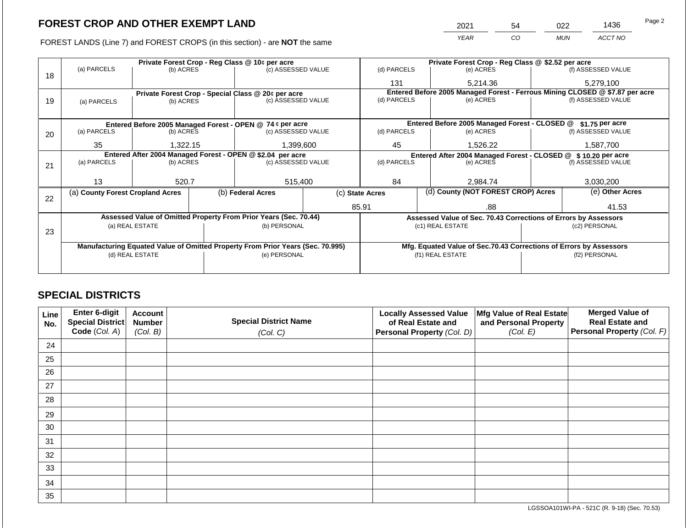FOREST LANDS (Line 7) and FOREST CROPS (in this section) - are **NOT** the same

| 2021 | 54 | ገጋጋ        | 1436    | Page 2 |
|------|----|------------|---------|--------|
| YFAR | 20 | <b>MUN</b> | ACCT NO |        |

|    | Private Forest Crop - Reg Class @ 10¢ per acre             |                                 |  |                                                                                |                    | Private Forest Crop - Reg Class @ \$2.52 per acre             |                                                                              |  |                    |  |
|----|------------------------------------------------------------|---------------------------------|--|--------------------------------------------------------------------------------|--------------------|---------------------------------------------------------------|------------------------------------------------------------------------------|--|--------------------|--|
| 18 | (a) PARCELS                                                | (b) ACRES                       |  | (c) ASSESSED VALUE                                                             |                    | (d) PARCELS                                                   | (e) ACRES                                                                    |  | (f) ASSESSED VALUE |  |
|    |                                                            |                                 |  |                                                                                |                    | 131                                                           | 5,214.36                                                                     |  | 5,279,100          |  |
|    |                                                            |                                 |  | Private Forest Crop - Special Class $@20¢$ per acre                            |                    |                                                               | Entered Before 2005 Managed Forest - Ferrous Mining CLOSED @ \$7.87 per acre |  |                    |  |
| 19 | (a) PARCELS                                                | (b) ACRES                       |  | (c) ASSESSED VALUE                                                             |                    | (d) PARCELS                                                   | (e) ACRES                                                                    |  | (f) ASSESSED VALUE |  |
|    |                                                            |                                 |  |                                                                                |                    |                                                               |                                                                              |  |                    |  |
|    | Entered Before 2005 Managed Forest - OPEN @ 74 ¢ per acre  |                                 |  |                                                                                |                    |                                                               | Entered Before 2005 Managed Forest - CLOSED @                                |  | \$1.75 per acre    |  |
| 20 | (a) PARCELS                                                | (c) ASSESSED VALUE<br>(b) ACRES |  | (d) PARCELS                                                                    | (e) ACRES          |                                                               | (f) ASSESSED VALUE                                                           |  |                    |  |
|    |                                                            |                                 |  |                                                                                |                    |                                                               |                                                                              |  |                    |  |
|    | 35                                                         | 1.322.15                        |  | 1,399,600                                                                      |                    | 45                                                            | 1.526.22                                                                     |  | 1,587,700          |  |
|    | Entered After 2004 Managed Forest - OPEN @ \$2.04 per acre |                                 |  |                                                                                |                    | Entered After 2004 Managed Forest - CLOSED @ \$10.20 per acre |                                                                              |  |                    |  |
| 21 | (a) PARCELS                                                | (b) ACRES                       |  |                                                                                | (c) ASSESSED VALUE |                                                               | (e) ACRES                                                                    |  | (f) ASSESSED VALUE |  |
|    |                                                            |                                 |  |                                                                                |                    |                                                               |                                                                              |  |                    |  |
|    | 13                                                         | 520.7                           |  | 515,400                                                                        |                    | 84                                                            | 2,984.74                                                                     |  | 3,030,200          |  |
|    | (a) County Forest Cropland Acres                           |                                 |  | (b) Federal Acres                                                              |                    | (d) County (NOT FOREST CROP) Acres<br>(c) State Acres         |                                                                              |  | (e) Other Acres    |  |
| 22 |                                                            |                                 |  |                                                                                |                    |                                                               |                                                                              |  |                    |  |
|    |                                                            |                                 |  |                                                                                |                    | 85.91                                                         | .88                                                                          |  | 41.53              |  |
|    |                                                            |                                 |  | Assessed Value of Omitted Property From Prior Years (Sec. 70.44)               |                    |                                                               | Assessed Value of Sec. 70.43 Corrections of Errors by Assessors              |  |                    |  |
|    |                                                            | (a) REAL ESTATE                 |  | (b) PERSONAL                                                                   |                    |                                                               | (c1) REAL ESTATE                                                             |  | (c2) PERSONAL      |  |
| 23 |                                                            |                                 |  |                                                                                |                    |                                                               |                                                                              |  |                    |  |
|    |                                                            |                                 |  | Manufacturing Equated Value of Omitted Property From Prior Years (Sec. 70.995) |                    |                                                               | Mfg. Equated Value of Sec.70.43 Corrections of Errors by Assessors           |  |                    |  |
|    |                                                            | (d) REAL ESTATE                 |  | (e) PERSONAL                                                                   |                    |                                                               | (f1) REAL ESTATE                                                             |  | (f2) PERSONAL      |  |
|    |                                                            |                                 |  |                                                                                |                    |                                                               |                                                                              |  |                    |  |
|    |                                                            |                                 |  |                                                                                |                    |                                                               |                                                                              |  |                    |  |

## **SPECIAL DISTRICTS**

| <b>Line</b><br>No. | Enter 6-digit<br>Special District | <b>Account</b><br><b>Number</b> | <b>Special District Name</b> | <b>Locally Assessed Value</b><br>of Real Estate and | Mfg Value of Real Estate<br>and Personal Property | <b>Merged Value of</b><br><b>Real Estate and</b> |
|--------------------|-----------------------------------|---------------------------------|------------------------------|-----------------------------------------------------|---------------------------------------------------|--------------------------------------------------|
|                    | Code (Col. A)                     | (Col. B)                        | (Col. C)                     | Personal Property (Col. D)                          | (Col. E)                                          | Personal Property (Col. F)                       |
| 24                 |                                   |                                 |                              |                                                     |                                                   |                                                  |
| 25                 |                                   |                                 |                              |                                                     |                                                   |                                                  |
| 26                 |                                   |                                 |                              |                                                     |                                                   |                                                  |
| 27                 |                                   |                                 |                              |                                                     |                                                   |                                                  |
| 28                 |                                   |                                 |                              |                                                     |                                                   |                                                  |
| 29                 |                                   |                                 |                              |                                                     |                                                   |                                                  |
| 30                 |                                   |                                 |                              |                                                     |                                                   |                                                  |
| 31                 |                                   |                                 |                              |                                                     |                                                   |                                                  |
| 32                 |                                   |                                 |                              |                                                     |                                                   |                                                  |
| 33                 |                                   |                                 |                              |                                                     |                                                   |                                                  |
| 34                 |                                   |                                 |                              |                                                     |                                                   |                                                  |
| 35                 |                                   |                                 |                              |                                                     |                                                   |                                                  |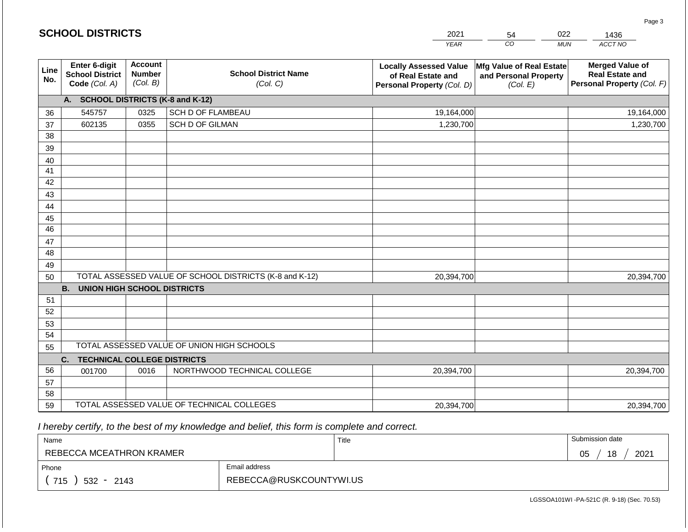|             | <b>SCHOOL DISTRICTS</b><br>2021<br>022<br>54             |                                             |                                                         | 1436                                                                              |                                                               |                                                                                |
|-------------|----------------------------------------------------------|---------------------------------------------|---------------------------------------------------------|-----------------------------------------------------------------------------------|---------------------------------------------------------------|--------------------------------------------------------------------------------|
|             |                                                          |                                             |                                                         | <b>YEAR</b>                                                                       | CO                                                            | ACCT NO<br><b>MUN</b>                                                          |
| Line<br>No. | Enter 6-digit<br><b>School District</b><br>Code (Col. A) | <b>Account</b><br><b>Number</b><br>(Col. B) | <b>School District Name</b><br>(Col. C)                 | <b>Locally Assessed Value</b><br>of Real Estate and<br>Personal Property (Col. D) | Mfg Value of Real Estate<br>and Personal Property<br>(Col. E) | <b>Merged Value of</b><br><b>Real Estate and</b><br>Personal Property (Col. F) |
|             | A. SCHOOL DISTRICTS (K-8 and K-12)                       |                                             |                                                         |                                                                                   |                                                               |                                                                                |
| 36          | 545757                                                   | 0325                                        | <b>SCH D OF FLAMBEAU</b>                                | 19,164,000                                                                        |                                                               | 19,164,000                                                                     |
| 37          | 602135                                                   | 0355                                        | SCH D OF GILMAN                                         | 1,230,700                                                                         |                                                               | 1,230,700                                                                      |
| 38          |                                                          |                                             |                                                         |                                                                                   |                                                               |                                                                                |
| 39          |                                                          |                                             |                                                         |                                                                                   |                                                               |                                                                                |
| 40          |                                                          |                                             |                                                         |                                                                                   |                                                               |                                                                                |
| 41          |                                                          |                                             |                                                         |                                                                                   |                                                               |                                                                                |
| 42          |                                                          |                                             |                                                         |                                                                                   |                                                               |                                                                                |
| 43          |                                                          |                                             |                                                         |                                                                                   |                                                               |                                                                                |
| 44<br>45    |                                                          |                                             |                                                         |                                                                                   |                                                               |                                                                                |
| 46          |                                                          |                                             |                                                         |                                                                                   |                                                               |                                                                                |
| 47          |                                                          |                                             |                                                         |                                                                                   |                                                               |                                                                                |
| 48          |                                                          |                                             |                                                         |                                                                                   |                                                               |                                                                                |
| 49          |                                                          |                                             |                                                         |                                                                                   |                                                               |                                                                                |
| 50          |                                                          |                                             | TOTAL ASSESSED VALUE OF SCHOOL DISTRICTS (K-8 and K-12) | 20,394,700                                                                        |                                                               | 20,394,700                                                                     |
|             | <b>B.</b><br><b>UNION HIGH SCHOOL DISTRICTS</b>          |                                             |                                                         |                                                                                   |                                                               |                                                                                |
| 51          |                                                          |                                             |                                                         |                                                                                   |                                                               |                                                                                |
| 52          |                                                          |                                             |                                                         |                                                                                   |                                                               |                                                                                |
| 53          |                                                          |                                             |                                                         |                                                                                   |                                                               |                                                                                |
| 54          |                                                          |                                             |                                                         |                                                                                   |                                                               |                                                                                |
| 55          |                                                          |                                             | TOTAL ASSESSED VALUE OF UNION HIGH SCHOOLS              |                                                                                   |                                                               |                                                                                |
|             | <b>TECHNICAL COLLEGE DISTRICTS</b><br>C.                 |                                             |                                                         |                                                                                   |                                                               |                                                                                |
| 56          | 001700                                                   | 0016                                        | NORTHWOOD TECHNICAL COLLEGE                             | 20,394,700                                                                        |                                                               | 20,394,700                                                                     |
| 57<br>58    |                                                          |                                             |                                                         |                                                                                   |                                                               |                                                                                |
| 59          |                                                          |                                             | TOTAL ASSESSED VALUE OF TECHNICAL COLLEGES              | 20,394,700                                                                        |                                                               | 20,394,700                                                                     |
|             |                                                          |                                             |                                                         |                                                                                   |                                                               |                                                                                |

**SCHOOL DISTRICTS**

| Name                     |                         | Title | Submission date  |
|--------------------------|-------------------------|-------|------------------|
| REBECCA MCEATHRON KRAMER |                         |       | 18<br>2021<br>05 |
| Phone                    | Email address           |       |                  |
| 715<br>$532 -$<br>2143   | REBECCA@RUSKCOUNTYWI.US |       |                  |

LGSSOA101WI -PA-521C (R. 9-18) (Sec. 70.53)

Page 3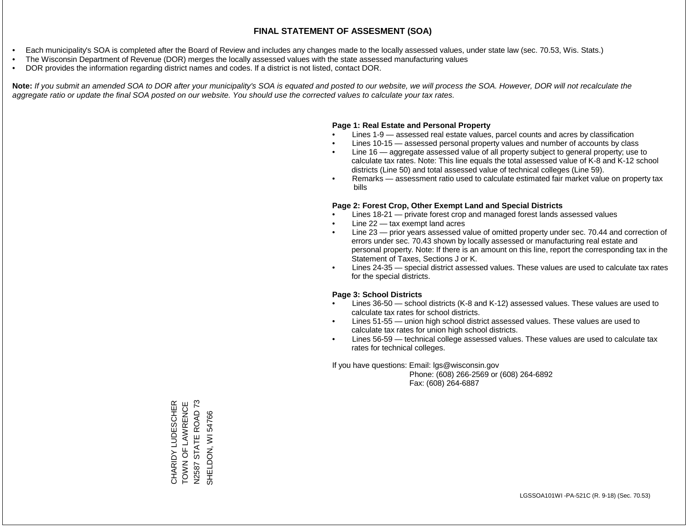- Each municipality's SOA is completed after the Board of Review and includes any changes made to the locally assessed values, under state law (sec. 70.53, Wis. Stats.)
- The Wisconsin Department of Revenue (DOR) merges the locally assessed values with the state assessed manufacturing values
- DOR provides the information regarding district names and codes. If a district is not listed, contact DOR.

Note: If you submit an amended SOA to DOR after your municipality's SOA is equated and posted to our website, we will process the SOA. However, DOR will not recalculate the *aggregate ratio or update the final SOA posted on our website. You should use the corrected values to calculate your tax rates.*

### **Page 1: Real Estate and Personal Property**

- Lines 1-9 assessed real estate values, parcel counts and acres by classification
- Lines 10-15 assessed personal property values and number of accounts by class
- Line 16 aggregate assessed value of all property subject to general property; use to calculate tax rates. Note: This line equals the total assessed value of K-8 and K-12 school districts (Line 50) and total assessed value of technical colleges (Line 59).
- Remarks assessment ratio used to calculate estimated fair market value on property tax bills

#### **Page 2: Forest Crop, Other Exempt Land and Special Districts**

- Lines 18-21 private forest crop and managed forest lands assessed values
- Line  $22 -$  tax exempt land acres
- Line 23 prior years assessed value of omitted property under sec. 70.44 and correction of errors under sec. 70.43 shown by locally assessed or manufacturing real estate and personal property. Note: If there is an amount on this line, report the corresponding tax in the Statement of Taxes, Sections J or K.
- Lines 24-35 special district assessed values. These values are used to calculate tax rates for the special districts.

### **Page 3: School Districts**

- Lines 36-50 school districts (K-8 and K-12) assessed values. These values are used to calculate tax rates for school districts.
- Lines 51-55 union high school district assessed values. These values are used to calculate tax rates for union high school districts.
- Lines 56-59 technical college assessed values. These values are used to calculate tax rates for technical colleges.

If you have questions: Email: lgs@wisconsin.gov

 Phone: (608) 266-2569 or (608) 264-6892 Fax: (608) 264-6887

CHARIDY LUDESCHER<br>TOWN OF LAWRENCE<br>N2587 STATE ROAD 73 TOWN OF LAWRENCE N2587 STATE ROAD 73 CHARIDY LUDESCHER 54766 SHELDON, WI 54766SHELDON, WI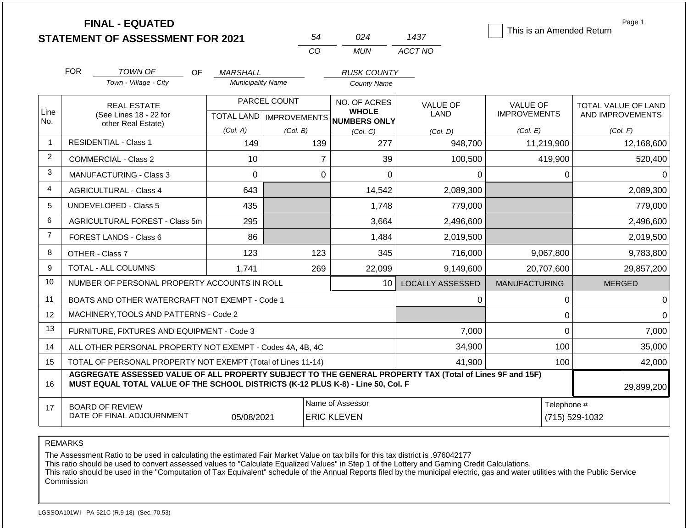|                | <b>FINAL - EQUATED</b><br><b>STATEMENT OF ASSESSMENT FOR 2021</b>                                                                                                                            |                          | 54           | 024                                                                 | 1437                    | This is an Amended Return              | Page 1                                         |
|----------------|----------------------------------------------------------------------------------------------------------------------------------------------------------------------------------------------|--------------------------|--------------|---------------------------------------------------------------------|-------------------------|----------------------------------------|------------------------------------------------|
|                |                                                                                                                                                                                              |                          | CO           | <b>MUN</b>                                                          | ACCT NO                 |                                        |                                                |
|                | <b>FOR</b><br><b>TOWN OF</b><br>OF.                                                                                                                                                          | <i>MARSHALL</i>          |              | <b>RUSK COUNTY</b>                                                  |                         |                                        |                                                |
|                | Town - Village - City                                                                                                                                                                        | <b>Municipality Name</b> |              | <b>County Name</b>                                                  |                         |                                        |                                                |
| Line           | <b>REAL ESTATE</b><br>(See Lines 18 - 22 for                                                                                                                                                 |                          | PARCEL COUNT | NO. OF ACRES<br><b>WHOLE</b><br>TOTAL LAND MPROVEMENTS NUMBERS ONLY | <b>VALUE OF</b><br>LAND | <b>VALUE OF</b><br><b>IMPROVEMENTS</b> | <b>TOTAL VALUE OF LAND</b><br>AND IMPROVEMENTS |
| No.            | other Real Estate)                                                                                                                                                                           | (Col. A)                 | (Col. B)     | (Col. C)                                                            | (Col, D)                | (Col. E)                               | (Col. F)                                       |
| $\overline{1}$ | <b>RESIDENTIAL - Class 1</b>                                                                                                                                                                 | 149                      | 139          | 277                                                                 | 948,700                 | 11,219,900                             | 12,168,600                                     |
| $\overline{2}$ | COMMERCIAL - Class 2                                                                                                                                                                         | 10                       |              | $\overline{7}$<br>39                                                | 100,500                 | 419,900                                | 520,400                                        |
| 3              | <b>MANUFACTURING - Class 3</b><br>$\Omega$                                                                                                                                                   |                          |              | $\mathbf 0$<br>$\overline{0}$                                       | 0                       | 0                                      | $\Omega$                                       |
| 4              | <b>AGRICULTURAL - Class 4</b>                                                                                                                                                                | 643                      |              | 14,542                                                              | 2,089,300               |                                        | 2,089,300                                      |
| 5              | <b>UNDEVELOPED - Class 5</b>                                                                                                                                                                 | 435                      |              | 1,748                                                               | 779,000                 |                                        | 779,000                                        |
| 6              | AGRICULTURAL FOREST - Class 5m                                                                                                                                                               | 295                      |              | 3,664                                                               | 2,496,600               |                                        | 2,496,600                                      |
| $\overline{7}$ | FOREST LANDS - Class 6                                                                                                                                                                       | 86                       |              | 1,484                                                               | 2,019,500               |                                        | 2,019,500                                      |
| 8              | OTHER - Class 7                                                                                                                                                                              | 123                      | 123          | 345                                                                 | 716,000                 | 9,067,800                              | 9,783,800                                      |
| 9              | <b>TOTAL - ALL COLUMNS</b>                                                                                                                                                                   | 1,741                    | 269          | 22,099                                                              | 9,149,600               | 20,707,600                             | 29,857,200                                     |
| 10             | NUMBER OF PERSONAL PROPERTY ACCOUNTS IN ROLL                                                                                                                                                 |                          |              | 10                                                                  | LOCALLY ASSESSED        | <b>MANUFACTURING</b>                   | <b>MERGED</b>                                  |
| 11             | BOATS AND OTHER WATERCRAFT NOT EXEMPT - Code 1                                                                                                                                               |                          |              |                                                                     | 0                       | $\mathbf 0$                            | $\Omega$                                       |
| 12             | MACHINERY, TOOLS AND PATTERNS - Code 2                                                                                                                                                       |                          |              |                                                                     |                         | $\mathbf 0$                            | $\Omega$                                       |
| 13             | FURNITURE, FIXTURES AND EQUIPMENT - Code 3                                                                                                                                                   |                          |              |                                                                     | 7,000                   | $\mathbf 0$                            | 7,000                                          |
| 14             | ALL OTHER PERSONAL PROPERTY NOT EXEMPT - Codes 4A, 4B, 4C                                                                                                                                    |                          |              |                                                                     | 34,900                  | 100                                    | 35,000                                         |
| 15             | TOTAL OF PERSONAL PROPERTY NOT EXEMPT (Total of Lines 11-14)                                                                                                                                 |                          |              |                                                                     | 41,900                  | 100                                    | 42,000                                         |
| 16             | AGGREGATE ASSESSED VALUE OF ALL PROPERTY SUBJECT TO THE GENERAL PROPERTY TAX (Total of Lines 9F and 15F)<br>MUST EQUAL TOTAL VALUE OF THE SCHOOL DISTRICTS (K-12 PLUS K-8) - Line 50, Col. F |                          |              |                                                                     |                         |                                        | 29,899,200                                     |
| 17             | <b>BOARD OF REVIEW</b><br>DATE OF FINAL ADJOURNMENT                                                                                                                                          | 05/08/2021               |              | Name of Assessor<br><b>ERIC KLEVEN</b>                              |                         | Telephone #                            | (715) 529-1032                                 |

The Assessment Ratio to be used in calculating the estimated Fair Market Value on tax bills for this tax district is .976042177

This ratio should be used to convert assessed values to "Calculate Equalized Values" in Step 1 of the Lottery and Gaming Credit Calculations.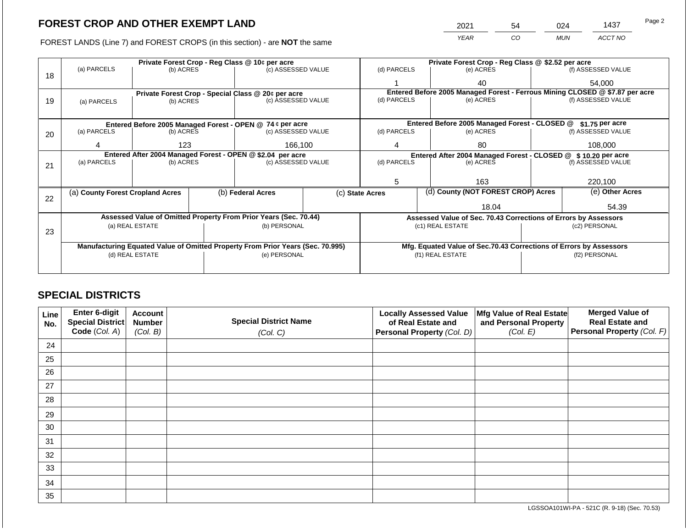2021 54 024 1437

FOREST LANDS (Line 7) and FOREST CROPS (in this section) - are **NOT** the same *YEAR CO MUN ACCT NO*

|    |                                                            |                 |  | Private Forest Crop - Reg Class @ 10¢ per acre                                 |           |                                                                              | Private Forest Crop - Reg Class @ \$2.52 per acre                  |  |                    |  |
|----|------------------------------------------------------------|-----------------|--|--------------------------------------------------------------------------------|-----------|------------------------------------------------------------------------------|--------------------------------------------------------------------|--|--------------------|--|
| 18 | (a) PARCELS                                                | (b) ACRES       |  | (c) ASSESSED VALUE                                                             |           | (d) PARCELS                                                                  | (e) ACRES                                                          |  | (f) ASSESSED VALUE |  |
|    |                                                            |                 |  |                                                                                |           |                                                                              | 40                                                                 |  | 54.000             |  |
|    |                                                            |                 |  | Private Forest Crop - Special Class @ 20¢ per acre                             |           | Entered Before 2005 Managed Forest - Ferrous Mining CLOSED @ \$7.87 per acre |                                                                    |  |                    |  |
| 19 | (a) PARCELS                                                | (b) ACRES       |  | (c) ASSESSED VALUE                                                             |           | (d) PARCELS                                                                  | (e) ACRES                                                          |  | (f) ASSESSED VALUE |  |
|    |                                                            |                 |  |                                                                                |           |                                                                              |                                                                    |  |                    |  |
|    |                                                            |                 |  | Entered Before 2005 Managed Forest - OPEN @ 74 ¢ per acre                      |           |                                                                              | Entered Before 2005 Managed Forest - CLOSED @                      |  | $$1.75$ per acre   |  |
| 20 | (a) PARCELS<br>(b) ACRES<br>(c) ASSESSED VALUE             |                 |  | (d) PARCELS                                                                    | (e) ACRES |                                                                              | (f) ASSESSED VALUE                                                 |  |                    |  |
|    |                                                            | 123             |  | 166,100                                                                        |           | 4                                                                            | 80                                                                 |  | 108.000            |  |
|    | Entered After 2004 Managed Forest - OPEN @ \$2.04 per acre |                 |  |                                                                                |           |                                                                              | Entered After 2004 Managed Forest - CLOSED @ \$ 10.20 per acre     |  |                    |  |
| 21 | (a) PARCELS                                                | (b) ACRES       |  | (c) ASSESSED VALUE                                                             |           | (d) PARCELS                                                                  | (e) ACRES                                                          |  | (f) ASSESSED VALUE |  |
|    |                                                            |                 |  |                                                                                |           |                                                                              |                                                                    |  |                    |  |
|    |                                                            |                 |  |                                                                                |           | 5                                                                            | 163                                                                |  |                    |  |
|    | (a) County Forest Cropland Acres                           |                 |  | (b) Federal Acres                                                              |           | (d) County (NOT FOREST CROP) Acres<br>(c) State Acres                        |                                                                    |  | (e) Other Acres    |  |
| 22 |                                                            |                 |  |                                                                                |           |                                                                              | 18.04                                                              |  | 54.39              |  |
|    |                                                            |                 |  |                                                                                |           |                                                                              |                                                                    |  |                    |  |
|    |                                                            |                 |  | Assessed Value of Omitted Property From Prior Years (Sec. 70.44)               |           |                                                                              | Assessed Value of Sec. 70.43 Corrections of Errors by Assessors    |  |                    |  |
| 23 |                                                            | (a) REAL ESTATE |  | (b) PERSONAL                                                                   |           |                                                                              | (c1) REAL ESTATE                                                   |  | (c2) PERSONAL      |  |
|    |                                                            |                 |  |                                                                                |           |                                                                              |                                                                    |  |                    |  |
|    |                                                            |                 |  | Manufacturing Equated Value of Omitted Property From Prior Years (Sec. 70.995) |           |                                                                              | Mfg. Equated Value of Sec.70.43 Corrections of Errors by Assessors |  |                    |  |
|    |                                                            | (d) REAL ESTATE |  | (e) PERSONAL                                                                   |           |                                                                              | (f1) REAL ESTATE                                                   |  | (f2) PERSONAL      |  |
|    |                                                            |                 |  |                                                                                |           |                                                                              |                                                                    |  |                    |  |
|    |                                                            |                 |  |                                                                                |           |                                                                              |                                                                    |  |                    |  |

## **SPECIAL DISTRICTS**

| Line<br>No. | Enter 6-digit<br>Special District | <b>Account</b><br><b>Number</b> | <b>Special District Name</b> | <b>Locally Assessed Value</b><br>of Real Estate and | Mfg Value of Real Estate<br>and Personal Property | <b>Merged Value of</b><br><b>Real Estate and</b> |
|-------------|-----------------------------------|---------------------------------|------------------------------|-----------------------------------------------------|---------------------------------------------------|--------------------------------------------------|
|             | Code (Col. A)                     | (Col. B)                        | (Col. C)                     | Personal Property (Col. D)                          | (Col. E)                                          | Personal Property (Col. F)                       |
| 24          |                                   |                                 |                              |                                                     |                                                   |                                                  |
| 25          |                                   |                                 |                              |                                                     |                                                   |                                                  |
| 26          |                                   |                                 |                              |                                                     |                                                   |                                                  |
| 27          |                                   |                                 |                              |                                                     |                                                   |                                                  |
| 28          |                                   |                                 |                              |                                                     |                                                   |                                                  |
| 29          |                                   |                                 |                              |                                                     |                                                   |                                                  |
| 30          |                                   |                                 |                              |                                                     |                                                   |                                                  |
| 31          |                                   |                                 |                              |                                                     |                                                   |                                                  |
| 32          |                                   |                                 |                              |                                                     |                                                   |                                                  |
| 33          |                                   |                                 |                              |                                                     |                                                   |                                                  |
| 34          |                                   |                                 |                              |                                                     |                                                   |                                                  |
| 35          |                                   |                                 |                              |                                                     |                                                   |                                                  |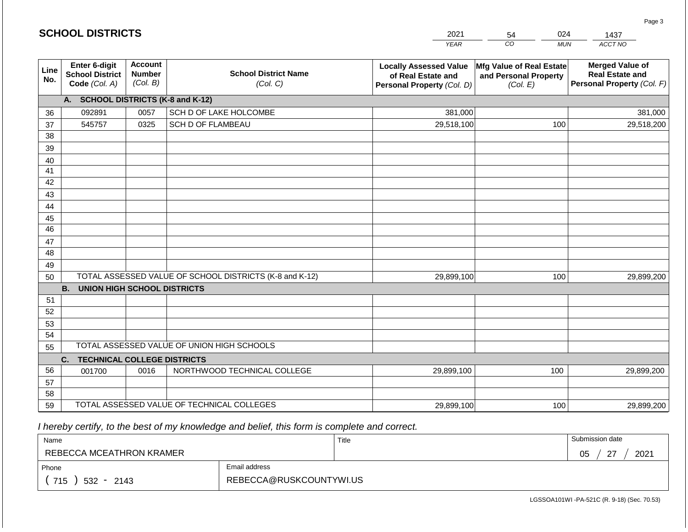|                       | <b>SCHOOL DISTRICTS</b>                                  |                                             |                                                         | 2021                                                                              | 024<br>54                                                     | 1437                                                                           |
|-----------------------|----------------------------------------------------------|---------------------------------------------|---------------------------------------------------------|-----------------------------------------------------------------------------------|---------------------------------------------------------------|--------------------------------------------------------------------------------|
|                       |                                                          |                                             |                                                         | <b>YEAR</b>                                                                       | CO<br><b>MUN</b>                                              | ACCT NO                                                                        |
| Line<br>No.           | Enter 6-digit<br><b>School District</b><br>Code (Col. A) | <b>Account</b><br><b>Number</b><br>(Col. B) | <b>School District Name</b><br>(Col. C)                 | <b>Locally Assessed Value</b><br>of Real Estate and<br>Personal Property (Col. D) | Mfg Value of Real Estate<br>and Personal Property<br>(Col. E) | <b>Merged Value of</b><br><b>Real Estate and</b><br>Personal Property (Col. F) |
|                       | A. SCHOOL DISTRICTS (K-8 and K-12)                       |                                             |                                                         |                                                                                   |                                                               |                                                                                |
| 36                    | 092891                                                   | 0057                                        | SCH D OF LAKE HOLCOMBE                                  | 381,000                                                                           |                                                               | 381,000                                                                        |
| 37                    | 545757                                                   | 0325                                        | <b>SCH D OF FLAMBEAU</b>                                | 29,518,100                                                                        | 100                                                           | 29,518,200                                                                     |
| 38                    |                                                          |                                             |                                                         |                                                                                   |                                                               |                                                                                |
| 39                    |                                                          |                                             |                                                         |                                                                                   |                                                               |                                                                                |
| 40                    |                                                          |                                             |                                                         |                                                                                   |                                                               |                                                                                |
| 41                    |                                                          |                                             |                                                         |                                                                                   |                                                               |                                                                                |
| 42                    |                                                          |                                             |                                                         |                                                                                   |                                                               |                                                                                |
| 43                    |                                                          |                                             |                                                         |                                                                                   |                                                               |                                                                                |
| 44                    |                                                          |                                             |                                                         |                                                                                   |                                                               |                                                                                |
| 45<br>$\overline{46}$ |                                                          |                                             |                                                         |                                                                                   |                                                               |                                                                                |
| 47                    |                                                          |                                             |                                                         |                                                                                   |                                                               |                                                                                |
| 48                    |                                                          |                                             |                                                         |                                                                                   |                                                               |                                                                                |
| 49                    |                                                          |                                             |                                                         |                                                                                   |                                                               |                                                                                |
| 50                    |                                                          |                                             | TOTAL ASSESSED VALUE OF SCHOOL DISTRICTS (K-8 and K-12) | 29,899,100                                                                        | 100                                                           | 29,899,200                                                                     |
|                       | <b>B. UNION HIGH SCHOOL DISTRICTS</b>                    |                                             |                                                         |                                                                                   |                                                               |                                                                                |
| 51                    |                                                          |                                             |                                                         |                                                                                   |                                                               |                                                                                |
| 52                    |                                                          |                                             |                                                         |                                                                                   |                                                               |                                                                                |
| 53                    |                                                          |                                             |                                                         |                                                                                   |                                                               |                                                                                |
| 54                    |                                                          |                                             |                                                         |                                                                                   |                                                               |                                                                                |
| 55                    |                                                          |                                             | TOTAL ASSESSED VALUE OF UNION HIGH SCHOOLS              |                                                                                   |                                                               |                                                                                |
|                       | C.<br><b>TECHNICAL COLLEGE DISTRICTS</b>                 |                                             |                                                         |                                                                                   |                                                               |                                                                                |
| 56                    | 001700                                                   | 0016                                        | NORTHWOOD TECHNICAL COLLEGE                             | 29,899,100                                                                        | 100                                                           | 29,899,200                                                                     |
| 57                    |                                                          |                                             |                                                         |                                                                                   |                                                               |                                                                                |
| 58                    |                                                          |                                             |                                                         |                                                                                   |                                                               |                                                                                |
| 59                    |                                                          |                                             | TOTAL ASSESSED VALUE OF TECHNICAL COLLEGES              | 29,899,100                                                                        | 100                                                           | 29,899,200                                                                     |

**SCHOOL DISTRICTS**

| Name                     |                         | Title | Submission date            |
|--------------------------|-------------------------|-------|----------------------------|
| REBECCA MCEATHRON KRAMER |                         |       | 2021<br>$\sim$<br>∩ҕ<br>◡◡ |
| Phone                    | Email address           |       |                            |
| 715<br>$532 -$<br>2143   | REBECCA@RUSKCOUNTYWI.US |       |                            |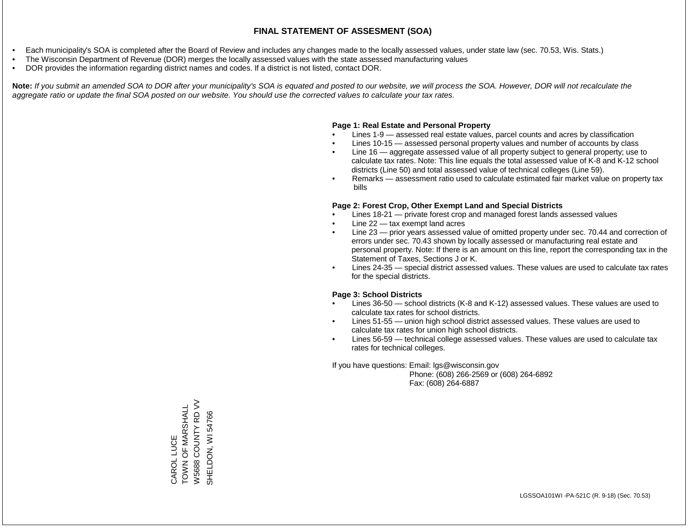- Each municipality's SOA is completed after the Board of Review and includes any changes made to the locally assessed values, under state law (sec. 70.53, Wis. Stats.)
- The Wisconsin Department of Revenue (DOR) merges the locally assessed values with the state assessed manufacturing values
- DOR provides the information regarding district names and codes. If a district is not listed, contact DOR.

Note: If you submit an amended SOA to DOR after your municipality's SOA is equated and posted to our website, we will process the SOA. However, DOR will not recalculate the *aggregate ratio or update the final SOA posted on our website. You should use the corrected values to calculate your tax rates.*

### **Page 1: Real Estate and Personal Property**

- Lines 1-9 assessed real estate values, parcel counts and acres by classification
- Lines 10-15 assessed personal property values and number of accounts by class
- Line 16 aggregate assessed value of all property subject to general property; use to calculate tax rates. Note: This line equals the total assessed value of K-8 and K-12 school districts (Line 50) and total assessed value of technical colleges (Line 59).
- Remarks assessment ratio used to calculate estimated fair market value on property tax bills

### **Page 2: Forest Crop, Other Exempt Land and Special Districts**

- Lines 18-21 private forest crop and managed forest lands assessed values
- Line  $22 -$  tax exempt land acres
- Line 23 prior years assessed value of omitted property under sec. 70.44 and correction of errors under sec. 70.43 shown by locally assessed or manufacturing real estate and personal property. Note: If there is an amount on this line, report the corresponding tax in the Statement of Taxes, Sections J or K.
- Lines 24-35 special district assessed values. These values are used to calculate tax rates for the special districts.

### **Page 3: School Districts**

- Lines 36-50 school districts (K-8 and K-12) assessed values. These values are used to calculate tax rates for school districts.
- Lines 51-55 union high school district assessed values. These values are used to calculate tax rates for union high school districts.
- Lines 56-59 technical college assessed values. These values are used to calculate tax rates for technical colleges.

If you have questions: Email: lgs@wisconsin.gov

 Phone: (608) 266-2569 or (608) 264-6892 Fax: (608) 264-6887

W5688 COUNTY RD VV W5688 COUNTY RD VV CAROL LUCE<br>TOWN OF MARSHALL TOWN OF MARSHALL SHELDON, WI 54766 SHELDON, WI 54766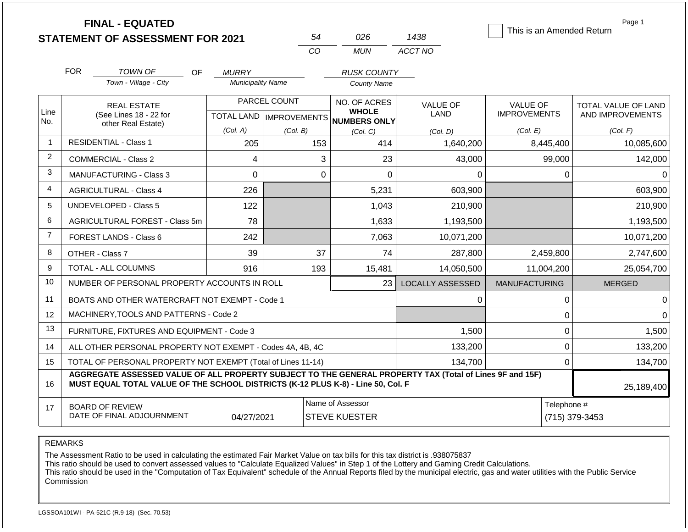|                |            | <b>FINAL - EQUATED</b><br><b>STATEMENT OF ASSESSMENT FOR 2021</b>                                                                                                                            |                          | 54           | 026                                                                 | 1438                    | This is an Amended Return              | Page 1                                         |
|----------------|------------|----------------------------------------------------------------------------------------------------------------------------------------------------------------------------------------------|--------------------------|--------------|---------------------------------------------------------------------|-------------------------|----------------------------------------|------------------------------------------------|
|                |            |                                                                                                                                                                                              |                          | CO           | <b>MUN</b>                                                          | ACCT NO                 |                                        |                                                |
|                | <b>FOR</b> | <b>TOWN OF</b><br>OF.                                                                                                                                                                        | <b>MURRY</b>             |              | <b>RUSK COUNTY</b>                                                  |                         |                                        |                                                |
|                |            | Town - Village - City                                                                                                                                                                        | <b>Municipality Name</b> |              | <b>County Name</b>                                                  |                         |                                        |                                                |
| Line<br>No.    |            | <b>REAL ESTATE</b><br>(See Lines 18 - 22 for                                                                                                                                                 |                          | PARCEL COUNT | NO. OF ACRES<br><b>WHOLE</b><br>TOTAL LAND MPROVEMENTS NUMBERS ONLY | <b>VALUE OF</b><br>LAND | <b>VALUE OF</b><br><b>IMPROVEMENTS</b> | <b>TOTAL VALUE OF LAND</b><br>AND IMPROVEMENTS |
|                |            | other Real Estate)                                                                                                                                                                           | (Col. A)                 | (Col. B)     | (Col. C)                                                            | (Col, D)                | (Col. E)                               | (Col. F)                                       |
| $\mathbf{1}$   |            | <b>RESIDENTIAL - Class 1</b>                                                                                                                                                                 | 205                      | 153          | 414                                                                 | 1,640,200               | 8,445,400                              | 10,085,600                                     |
| 2              |            | COMMERCIAL - Class 2                                                                                                                                                                         | 4                        |              | 3<br>23                                                             | 43,000                  | 99,000                                 | 142,000                                        |
| 3              |            | MANUFACTURING - Class 3                                                                                                                                                                      | 0                        |              | $\overline{0}$<br>$\Omega$                                          | $\Omega$                | $\mathbf 0$                            | $\Omega$                                       |
| 4              |            | <b>AGRICULTURAL - Class 4</b>                                                                                                                                                                | 226                      |              | 5,231                                                               | 603,900                 |                                        | 603,900                                        |
| 5              |            | <b>UNDEVELOPED - Class 5</b>                                                                                                                                                                 | 122                      |              | 1,043                                                               | 210,900                 |                                        | 210,900                                        |
| 6              |            | AGRICULTURAL FOREST - Class 5m                                                                                                                                                               | 78                       |              | 1,633                                                               | 1,193,500               |                                        | 1,193,500                                      |
| $\overline{7}$ |            | <b>FOREST LANDS - Class 6</b>                                                                                                                                                                | 242                      |              | 7,063                                                               | 10,071,200              |                                        | 10,071,200                                     |
| 8              |            | OTHER - Class 7                                                                                                                                                                              | 39                       | 37           | 74                                                                  | 287,800                 | 2,459,800                              | 2,747,600                                      |
| 9              |            | <b>TOTAL - ALL COLUMNS</b>                                                                                                                                                                   | 916                      | 193          | 15,481                                                              | 14,050,500              | 11,004,200                             | 25,054,700                                     |
| 10             |            | NUMBER OF PERSONAL PROPERTY ACCOUNTS IN ROLL                                                                                                                                                 |                          |              | 23                                                                  | <b>LOCALLY ASSESSED</b> | <b>MANUFACTURING</b>                   | <b>MERGED</b>                                  |
| 11             |            | BOATS AND OTHER WATERCRAFT NOT EXEMPT - Code 1                                                                                                                                               |                          |              |                                                                     | 0                       | $\pmb{0}$                              | $\Omega$                                       |
| 12             |            | MACHINERY.TOOLS AND PATTERNS - Code 2                                                                                                                                                        |                          |              |                                                                     |                         | $\mathbf 0$                            | $\Omega$                                       |
| 13             |            | FURNITURE, FIXTURES AND EQUIPMENT - Code 3                                                                                                                                                   |                          |              |                                                                     | 1,500                   | $\pmb{0}$                              | 1,500                                          |
| 14             |            | ALL OTHER PERSONAL PROPERTY NOT EXEMPT - Codes 4A, 4B, 4C                                                                                                                                    |                          |              |                                                                     | 133,200                 | $\mathbf 0$                            | 133,200                                        |
| 15             |            | TOTAL OF PERSONAL PROPERTY NOT EXEMPT (Total of Lines 11-14)                                                                                                                                 |                          |              |                                                                     | 134,700                 | $\mathbf 0$                            | 134,700                                        |
| 16             |            | AGGREGATE ASSESSED VALUE OF ALL PROPERTY SUBJECT TO THE GENERAL PROPERTY TAX (Total of Lines 9F and 15F)<br>MUST EQUAL TOTAL VALUE OF THE SCHOOL DISTRICTS (K-12 PLUS K-8) - Line 50, Col. F |                          |              |                                                                     |                         |                                        | 25,189,400                                     |
| 17             |            | <b>BOARD OF REVIEW</b><br>DATE OF FINAL ADJOURNMENT                                                                                                                                          | 04/27/2021               |              | Name of Assessor<br><b>STEVE KUESTER</b>                            |                         | Telephone #                            | (715) 379-3453                                 |

The Assessment Ratio to be used in calculating the estimated Fair Market Value on tax bills for this tax district is .938075837

This ratio should be used to convert assessed values to "Calculate Equalized Values" in Step 1 of the Lottery and Gaming Credit Calculations.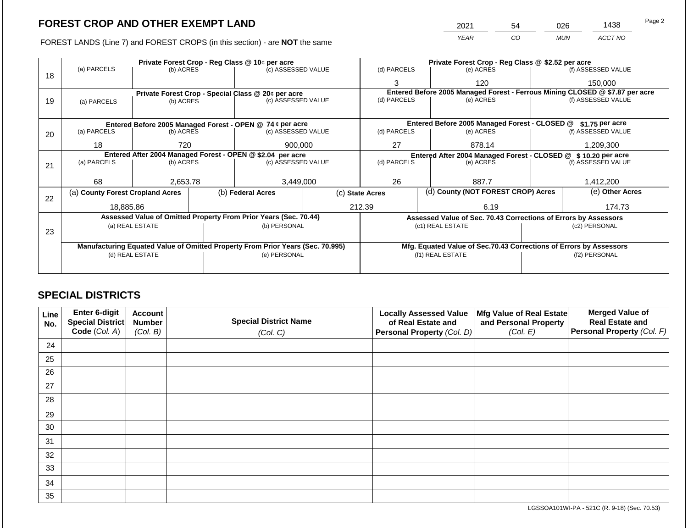FOREST LANDS (Line 7) and FOREST CROPS (in this section) - are **NOT** the same

| 2021 | 54 | ว26 | 1438    | Page 2 |
|------|----|-----|---------|--------|
| YFAR | ာဝ | MUN | ACCT NO |        |

|    |                                                |                 | Private Forest Crop - Reg Class @ 10¢ per acre                                 |           | Private Forest Crop - Reg Class @ \$2.52 per acre                            |                                                                    |  |                    |  |
|----|------------------------------------------------|-----------------|--------------------------------------------------------------------------------|-----------|------------------------------------------------------------------------------|--------------------------------------------------------------------|--|--------------------|--|
| 18 | (a) PARCELS                                    | (b) ACRES       | (c) ASSESSED VALUE                                                             |           | (d) PARCELS                                                                  | (e) ACRES                                                          |  | (f) ASSESSED VALUE |  |
|    |                                                |                 |                                                                                |           | 3                                                                            | 120                                                                |  | 150,000            |  |
|    |                                                |                 | Private Forest Crop - Special Class @ 20¢ per acre                             |           | Entered Before 2005 Managed Forest - Ferrous Mining CLOSED @ \$7.87 per acre |                                                                    |  |                    |  |
| 19 | (a) PARCELS                                    | (b) ACRES       | (c) ASSESSED VALUE                                                             |           | (d) PARCELS                                                                  | (e) ACRES                                                          |  | (f) ASSESSED VALUE |  |
|    |                                                |                 |                                                                                |           |                                                                              |                                                                    |  |                    |  |
|    |                                                |                 | Entered Before 2005 Managed Forest - OPEN @ 74 ¢ per acre                      |           |                                                                              | Entered Before 2005 Managed Forest - CLOSED @                      |  | \$1.75 per acre    |  |
| 20 | (c) ASSESSED VALUE<br>(a) PARCELS<br>(b) ACRES |                 | (d) PARCELS                                                                    | (e) ACRES |                                                                              | (f) ASSESSED VALUE                                                 |  |                    |  |
|    |                                                |                 |                                                                                |           |                                                                              |                                                                    |  |                    |  |
|    | 18                                             | 720             | 900,000                                                                        |           | 27                                                                           | 878.14                                                             |  | 1,209,300          |  |
|    |                                                |                 | Entered After 2004 Managed Forest - OPEN @ \$2.04 per acre                     |           |                                                                              | Entered After 2004 Managed Forest - CLOSED @ \$10.20 per acre      |  |                    |  |
| 21 | (a) PARCELS                                    | (b) ACRES       | (c) ASSESSED VALUE                                                             |           | (d) PARCELS                                                                  | (e) ACRES                                                          |  | (f) ASSESSED VALUE |  |
|    |                                                |                 |                                                                                |           |                                                                              |                                                                    |  |                    |  |
|    | 68                                             | 2,653.78        | 3,449,000                                                                      |           | 26<br>887.7                                                                  |                                                                    |  | 1,412,200          |  |
| 22 | (a) County Forest Cropland Acres               |                 | (b) Federal Acres                                                              |           | (c) State Acres                                                              | (d) County (NOT FOREST CROP) Acres                                 |  | (e) Other Acres    |  |
|    | 18,885,86                                      |                 |                                                                                |           | 212.39                                                                       | 6.19                                                               |  | 174.73             |  |
|    |                                                |                 | Assessed Value of Omitted Property From Prior Years (Sec. 70.44)               |           |                                                                              | Assessed Value of Sec. 70.43 Corrections of Errors by Assessors    |  |                    |  |
|    |                                                | (a) REAL ESTATE | (b) PERSONAL                                                                   |           |                                                                              | (c1) REAL ESTATE                                                   |  | (c2) PERSONAL      |  |
| 23 |                                                |                 |                                                                                |           |                                                                              |                                                                    |  |                    |  |
|    |                                                |                 | Manufacturing Equated Value of Omitted Property From Prior Years (Sec. 70.995) |           |                                                                              | Mfg. Equated Value of Sec.70.43 Corrections of Errors by Assessors |  |                    |  |
|    |                                                | (d) REAL ESTATE | (e) PERSONAL                                                                   |           |                                                                              | (f1) REAL ESTATE                                                   |  | (f2) PERSONAL      |  |
|    |                                                |                 |                                                                                |           |                                                                              |                                                                    |  |                    |  |
|    |                                                |                 |                                                                                |           |                                                                              |                                                                    |  |                    |  |

## **SPECIAL DISTRICTS**

| Line<br>No. | Enter 6-digit<br><b>Special District</b> | <b>Account</b><br><b>Number</b> | <b>Special District Name</b> | <b>Locally Assessed Value</b><br>of Real Estate and | Mfg Value of Real Estate<br>and Personal Property | <b>Merged Value of</b><br><b>Real Estate and</b> |
|-------------|------------------------------------------|---------------------------------|------------------------------|-----------------------------------------------------|---------------------------------------------------|--------------------------------------------------|
|             | Code (Col. A)                            | (Col. B)                        | (Col. C)                     | Personal Property (Col. D)                          | (Col. E)                                          | Personal Property (Col. F)                       |
| 24          |                                          |                                 |                              |                                                     |                                                   |                                                  |
| 25          |                                          |                                 |                              |                                                     |                                                   |                                                  |
| 26          |                                          |                                 |                              |                                                     |                                                   |                                                  |
| 27          |                                          |                                 |                              |                                                     |                                                   |                                                  |
| 28          |                                          |                                 |                              |                                                     |                                                   |                                                  |
| 29          |                                          |                                 |                              |                                                     |                                                   |                                                  |
| 30          |                                          |                                 |                              |                                                     |                                                   |                                                  |
| 31          |                                          |                                 |                              |                                                     |                                                   |                                                  |
| 32          |                                          |                                 |                              |                                                     |                                                   |                                                  |
| 33          |                                          |                                 |                              |                                                     |                                                   |                                                  |
| 34          |                                          |                                 |                              |                                                     |                                                   |                                                  |
| 35          |                                          |                                 |                              |                                                     |                                                   |                                                  |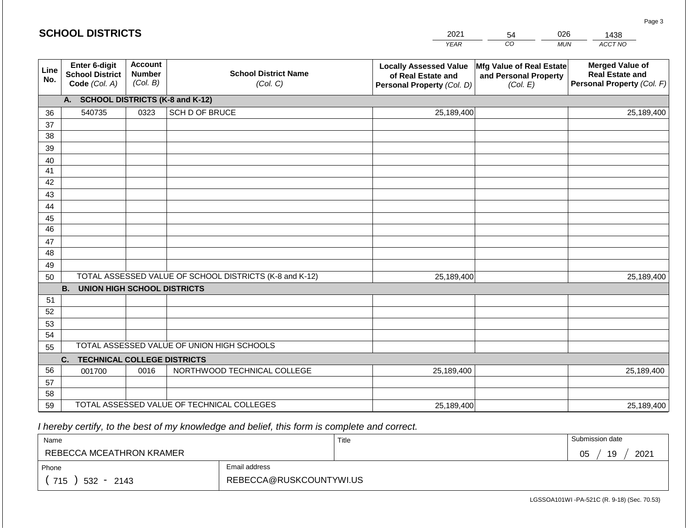|             | <b>SCHOOL DISTRICTS</b>                                  |                                             |                                                         | 2021                                                                              | 54                                                            | 026        | 1438                                                                           |
|-------------|----------------------------------------------------------|---------------------------------------------|---------------------------------------------------------|-----------------------------------------------------------------------------------|---------------------------------------------------------------|------------|--------------------------------------------------------------------------------|
|             |                                                          |                                             |                                                         | <b>YEAR</b>                                                                       | CO                                                            | <b>MUN</b> | ACCT NO                                                                        |
| Line<br>No. | Enter 6-digit<br><b>School District</b><br>Code (Col. A) | <b>Account</b><br><b>Number</b><br>(Col. B) | <b>School District Name</b><br>(Col. C)                 | <b>Locally Assessed Value</b><br>of Real Estate and<br>Personal Property (Col. D) | Mfg Value of Real Estate<br>and Personal Property<br>(Col. E) |            | <b>Merged Value of</b><br><b>Real Estate and</b><br>Personal Property (Col. F) |
|             | A. SCHOOL DISTRICTS (K-8 and K-12)                       |                                             |                                                         |                                                                                   |                                                               |            |                                                                                |
| 36          | 540735                                                   | 0323                                        | SCH D OF BRUCE                                          | 25,189,400                                                                        |                                                               |            | 25,189,400                                                                     |
| 37          |                                                          |                                             |                                                         |                                                                                   |                                                               |            |                                                                                |
| 38          |                                                          |                                             |                                                         |                                                                                   |                                                               |            |                                                                                |
| 39          |                                                          |                                             |                                                         |                                                                                   |                                                               |            |                                                                                |
| 40<br>41    |                                                          |                                             |                                                         |                                                                                   |                                                               |            |                                                                                |
| 42          |                                                          |                                             |                                                         |                                                                                   |                                                               |            |                                                                                |
| 43          |                                                          |                                             |                                                         |                                                                                   |                                                               |            |                                                                                |
| 44          |                                                          |                                             |                                                         |                                                                                   |                                                               |            |                                                                                |
| 45          |                                                          |                                             |                                                         |                                                                                   |                                                               |            |                                                                                |
| 46          |                                                          |                                             |                                                         |                                                                                   |                                                               |            |                                                                                |
| 47          |                                                          |                                             |                                                         |                                                                                   |                                                               |            |                                                                                |
| 48          |                                                          |                                             |                                                         |                                                                                   |                                                               |            |                                                                                |
| 49          |                                                          |                                             |                                                         |                                                                                   |                                                               |            |                                                                                |
| 50          |                                                          |                                             | TOTAL ASSESSED VALUE OF SCHOOL DISTRICTS (K-8 and K-12) | 25,189,400                                                                        |                                                               |            | 25,189,400                                                                     |
|             | <b>B. UNION HIGH SCHOOL DISTRICTS</b>                    |                                             |                                                         |                                                                                   |                                                               |            |                                                                                |
| 51<br>52    |                                                          |                                             |                                                         |                                                                                   |                                                               |            |                                                                                |
| 53          |                                                          |                                             |                                                         |                                                                                   |                                                               |            |                                                                                |
| 54          |                                                          |                                             |                                                         |                                                                                   |                                                               |            |                                                                                |
| 55          |                                                          |                                             | TOTAL ASSESSED VALUE OF UNION HIGH SCHOOLS              |                                                                                   |                                                               |            |                                                                                |
|             | <b>TECHNICAL COLLEGE DISTRICTS</b><br>C.                 |                                             |                                                         |                                                                                   |                                                               |            |                                                                                |
| 56          | 001700                                                   | 0016                                        | NORTHWOOD TECHNICAL COLLEGE                             | 25,189,400                                                                        |                                                               |            | 25,189,400                                                                     |
| 57          |                                                          |                                             |                                                         |                                                                                   |                                                               |            |                                                                                |
| 58          |                                                          |                                             |                                                         |                                                                                   |                                                               |            |                                                                                |
| 59          |                                                          |                                             | TOTAL ASSESSED VALUE OF TECHNICAL COLLEGES              | 25,189,400                                                                        |                                                               |            | 25,189,400                                                                     |

| Name                     |                         | Title | Submission date  |
|--------------------------|-------------------------|-------|------------------|
| REBECCA MCEATHRON KRAMER |                         |       | 19<br>2021<br>05 |
| Phone                    | Email address           |       |                  |
| 715<br>$532 - 2143$      | REBECCA@RUSKCOUNTYWI.US |       |                  |

Page 3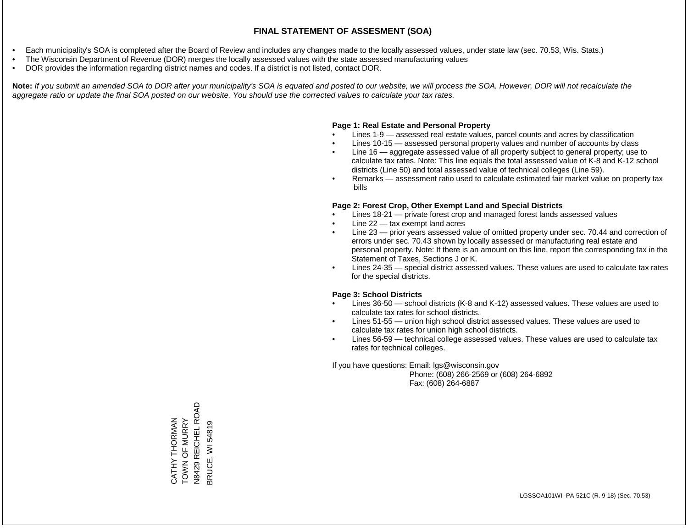- Each municipality's SOA is completed after the Board of Review and includes any changes made to the locally assessed values, under state law (sec. 70.53, Wis. Stats.)
- The Wisconsin Department of Revenue (DOR) merges the locally assessed values with the state assessed manufacturing values
- DOR provides the information regarding district names and codes. If a district is not listed, contact DOR.

Note: If you submit an amended SOA to DOR after your municipality's SOA is equated and posted to our website, we will process the SOA. However, DOR will not recalculate the *aggregate ratio or update the final SOA posted on our website. You should use the corrected values to calculate your tax rates.*

### **Page 1: Real Estate and Personal Property**

- Lines 1-9 assessed real estate values, parcel counts and acres by classification
- Lines 10-15 assessed personal property values and number of accounts by class
- Line 16 aggregate assessed value of all property subject to general property; use to calculate tax rates. Note: This line equals the total assessed value of K-8 and K-12 school districts (Line 50) and total assessed value of technical colleges (Line 59).
- Remarks assessment ratio used to calculate estimated fair market value on property tax bills

### **Page 2: Forest Crop, Other Exempt Land and Special Districts**

- Lines 18-21 private forest crop and managed forest lands assessed values
- Line  $22 -$  tax exempt land acres
- Line 23 prior years assessed value of omitted property under sec. 70.44 and correction of errors under sec. 70.43 shown by locally assessed or manufacturing real estate and personal property. Note: If there is an amount on this line, report the corresponding tax in the Statement of Taxes, Sections J or K.
- Lines 24-35 special district assessed values. These values are used to calculate tax rates for the special districts.

### **Page 3: School Districts**

- Lines 36-50 school districts (K-8 and K-12) assessed values. These values are used to calculate tax rates for school districts.
- Lines 51-55 union high school district assessed values. These values are used to calculate tax rates for union high school districts.
- Lines 56-59 technical college assessed values. These values are used to calculate tax rates for technical colleges.

If you have questions: Email: lgs@wisconsin.gov

 Phone: (608) 266-2569 or (608) 264-6892 Fax: (608) 264-6887

REICHEL ROAD N8429 REICHEL ROAD CATHY THORMAN<br>TOWN OF MURRY<br>N8429 REICHEL RO TOWN OF MURRY CATHY THORMAN 3RUCE, WI 54819 BRUCE, WI 54819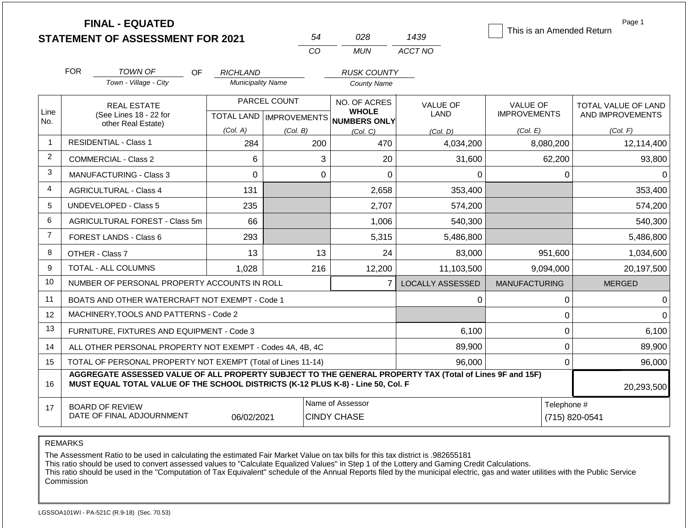|                |            | <b>FINAL - EQUATED</b><br><b>STATEMENT OF ASSESSMENT FOR 2021</b>                                                                                                                            |                          | 54                                        | 028                                                 | 1439                    | This is an Amended Return              | Page 1                                         |
|----------------|------------|----------------------------------------------------------------------------------------------------------------------------------------------------------------------------------------------|--------------------------|-------------------------------------------|-----------------------------------------------------|-------------------------|----------------------------------------|------------------------------------------------|
|                |            |                                                                                                                                                                                              |                          | CO                                        | <b>MUN</b>                                          | ACCT NO                 |                                        |                                                |
|                | <b>FOR</b> | TOWN OF<br>OF.                                                                                                                                                                               | <b>RICHLAND</b>          |                                           | <b>RUSK COUNTY</b>                                  |                         |                                        |                                                |
|                |            | Town - Village - City                                                                                                                                                                        | <b>Municipality Name</b> |                                           | <b>County Name</b>                                  |                         |                                        |                                                |
| Line<br>No.    |            | <b>REAL ESTATE</b><br>(See Lines 18 - 22 for                                                                                                                                                 |                          | PARCEL COUNT<br>TOTAL LAND   IMPROVEMENTS | NO. OF ACRES<br><b>WHOLE</b><br><b>NUMBERS ONLY</b> | <b>VALUE OF</b><br>LAND | <b>VALUE OF</b><br><b>IMPROVEMENTS</b> | <b>TOTAL VALUE OF LAND</b><br>AND IMPROVEMENTS |
|                |            | other Real Estate)                                                                                                                                                                           | (Col. A)                 | (Col. B)                                  | (Col, C)                                            | (Col. D)                | (Col. E)                               | (Col. F)                                       |
| $\mathbf 1$    |            | <b>RESIDENTIAL - Class 1</b>                                                                                                                                                                 | 284                      | 200                                       | 470                                                 | 4,034,200               | 8,080,200                              | 12,114,400                                     |
| $\overline{2}$ |            | <b>COMMERCIAL - Class 2</b>                                                                                                                                                                  | 6                        |                                           | 3<br>20                                             | 31.600                  | 62,200                                 | 93,800                                         |
| 3              |            | <b>MANUFACTURING - Class 3</b>                                                                                                                                                               | $\Omega$                 |                                           | $\Omega$<br>$\Omega$                                | 0                       | $\Omega$                               | $\Omega$                                       |
| 4              |            | <b>AGRICULTURAL - Class 4</b>                                                                                                                                                                | 131                      |                                           | 2,658                                               | 353,400                 |                                        | 353,400                                        |
| 5              |            | <b>UNDEVELOPED - Class 5</b>                                                                                                                                                                 | 235                      |                                           | 2,707                                               | 574,200                 |                                        | 574,200                                        |
| 6              |            | AGRICULTURAL FOREST - Class 5m                                                                                                                                                               | 66                       |                                           | 1,006                                               | 540,300                 |                                        | 540,300                                        |
| $\overline{7}$ |            | <b>FOREST LANDS - Class 6</b>                                                                                                                                                                | 293                      |                                           | 5,315                                               | 5,486,800               |                                        | 5,486,800                                      |
| 8              |            | OTHER - Class 7                                                                                                                                                                              | 13                       | 13                                        | 24                                                  | 83,000                  | 951,600                                | 1,034,600                                      |
| 9              |            | <b>TOTAL - ALL COLUMNS</b>                                                                                                                                                                   | 1,028                    | 216                                       | 12,200                                              | 11,103,500              | 9,094,000                              | 20,197,500                                     |
| 10             |            | NUMBER OF PERSONAL PROPERTY ACCOUNTS IN ROLL                                                                                                                                                 |                          |                                           | $\overline{7}$                                      | LOCALLY ASSESSED        | <b>MANUFACTURING</b>                   | <b>MERGED</b>                                  |
| 11             |            | BOATS AND OTHER WATERCRAFT NOT EXEMPT - Code 1                                                                                                                                               |                          |                                           |                                                     | 0                       | 0                                      | $\Omega$                                       |
| 12             |            | MACHINERY, TOOLS AND PATTERNS - Code 2                                                                                                                                                       |                          |                                           |                                                     |                         | $\mathbf 0$                            | $\Omega$                                       |
| 13             |            | FURNITURE, FIXTURES AND EQUIPMENT - Code 3                                                                                                                                                   |                          |                                           |                                                     | 6,100                   | $\mathbf 0$                            | 6,100                                          |
| 14             |            | ALL OTHER PERSONAL PROPERTY NOT EXEMPT - Codes 4A, 4B, 4C                                                                                                                                    |                          |                                           |                                                     | 89,900                  | $\mathbf 0$                            | 89,900                                         |
| 15             |            | TOTAL OF PERSONAL PROPERTY NOT EXEMPT (Total of Lines 11-14)                                                                                                                                 |                          |                                           |                                                     | 96,000                  | $\mathbf 0$                            | 96,000                                         |
| 16             |            | AGGREGATE ASSESSED VALUE OF ALL PROPERTY SUBJECT TO THE GENERAL PROPERTY TAX (Total of Lines 9F and 15F)<br>MUST EQUAL TOTAL VALUE OF THE SCHOOL DISTRICTS (K-12 PLUS K-8) - Line 50, Col. F |                          |                                           |                                                     |                         |                                        | 20,293,500                                     |
| 17             |            | <b>BOARD OF REVIEW</b><br>DATE OF FINAL ADJOURNMENT                                                                                                                                          | 06/02/2021               |                                           | Name of Assessor<br><b>CINDY CHASE</b>              |                         | Telephone #                            | (715) 820-0541                                 |

The Assessment Ratio to be used in calculating the estimated Fair Market Value on tax bills for this tax district is .982655181

This ratio should be used to convert assessed values to "Calculate Equalized Values" in Step 1 of the Lottery and Gaming Credit Calculations.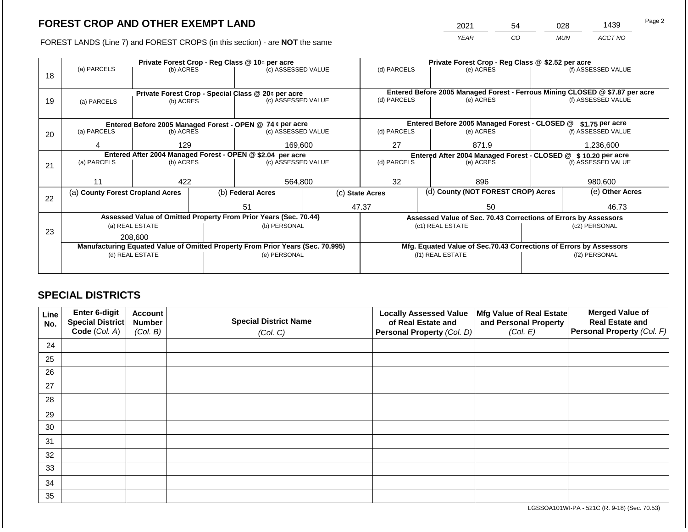2021 54 028 1439

FOREST LANDS (Line 7) and FOREST CROPS (in this section) - are **NOT** the same *YEAR CO MUN ACCT NO*

|    |                                                                                |                 |  | Private Forest Crop - Reg Class @ 10¢ per acre                           |                                                               | Private Forest Crop - Reg Class @ \$2.52 per acre |  |                                                                    |                                                                              |                    |
|----|--------------------------------------------------------------------------------|-----------------|--|--------------------------------------------------------------------------|---------------------------------------------------------------|---------------------------------------------------|--|--------------------------------------------------------------------|------------------------------------------------------------------------------|--------------------|
|    | (a) PARCELS                                                                    | (b) ACRES       |  | (c) ASSESSED VALUE                                                       |                                                               | (d) PARCELS                                       |  | (e) ACRES                                                          |                                                                              | (f) ASSESSED VALUE |
| 18 |                                                                                |                 |  |                                                                          |                                                               |                                                   |  |                                                                    |                                                                              |                    |
|    |                                                                                |                 |  |                                                                          |                                                               |                                                   |  |                                                                    | Entered Before 2005 Managed Forest - Ferrous Mining CLOSED @ \$7.87 per acre |                    |
| 19 | (a) PARCELS                                                                    | (b) ACRES       |  | Private Forest Crop - Special Class @ 20¢ per acre<br>(c) ASSESSED VALUE |                                                               | (d) PARCELS                                       |  | (e) ACRES                                                          |                                                                              | (f) ASSESSED VALUE |
|    |                                                                                |                 |  |                                                                          |                                                               |                                                   |  |                                                                    |                                                                              |                    |
|    |                                                                                |                 |  |                                                                          |                                                               |                                                   |  |                                                                    |                                                                              |                    |
|    |                                                                                |                 |  | Entered Before 2005 Managed Forest - OPEN @ 74 ¢ per acre                |                                                               |                                                   |  | Entered Before 2005 Managed Forest - CLOSED @                      |                                                                              | \$1.75 per acre    |
| 20 | (a) PARCELS                                                                    | (b) ACRES       |  | (c) ASSESSED VALUE                                                       |                                                               | (d) PARCELS                                       |  | (e) ACRES                                                          |                                                                              | (f) ASSESSED VALUE |
|    | 4                                                                              | 129             |  | 169,600                                                                  |                                                               | 27                                                |  | 871.9                                                              |                                                                              | 1,236,600          |
|    |                                                                                |                 |  |                                                                          |                                                               |                                                   |  |                                                                    |                                                                              |                    |
|    |                                                                                |                 |  | Entered After 2004 Managed Forest - OPEN @ \$2.04 per acre               | Entered After 2004 Managed Forest - CLOSED @ \$10.20 per acre |                                                   |  |                                                                    |                                                                              |                    |
| 21 | (a) PARCELS                                                                    | (b) ACRES       |  | (c) ASSESSED VALUE                                                       |                                                               | (d) PARCELS                                       |  | (e) ACRES                                                          |                                                                              | (f) ASSESSED VALUE |
|    |                                                                                |                 |  |                                                                          |                                                               |                                                   |  |                                                                    |                                                                              |                    |
|    | 11                                                                             | 422             |  | 564,800                                                                  |                                                               | 32                                                |  | 896                                                                |                                                                              | 980,600            |
|    | (a) County Forest Cropland Acres                                               |                 |  | (b) Federal Acres                                                        |                                                               | (c) State Acres                                   |  | (d) County (NOT FOREST CROP) Acres                                 |                                                                              | (e) Other Acres    |
| 22 |                                                                                |                 |  |                                                                          |                                                               |                                                   |  |                                                                    |                                                                              |                    |
|    |                                                                                |                 |  | 51                                                                       |                                                               | 47.37<br>50                                       |  |                                                                    | 46.73                                                                        |                    |
|    |                                                                                |                 |  | Assessed Value of Omitted Property From Prior Years (Sec. 70.44)         |                                                               |                                                   |  | Assessed Value of Sec. 70.43 Corrections of Errors by Assessors    |                                                                              |                    |
|    |                                                                                | (a) REAL ESTATE |  | (b) PERSONAL                                                             |                                                               |                                                   |  | (c1) REAL ESTATE                                                   | (c2) PERSONAL                                                                |                    |
| 23 | 208.600                                                                        |                 |  |                                                                          |                                                               |                                                   |  |                                                                    |                                                                              |                    |
|    | Manufacturing Equated Value of Omitted Property From Prior Years (Sec. 70.995) |                 |  |                                                                          |                                                               |                                                   |  | Mfg. Equated Value of Sec.70.43 Corrections of Errors by Assessors |                                                                              |                    |
|    | (d) REAL ESTATE                                                                |                 |  | (e) PERSONAL                                                             | (f1) REAL ESTATE                                              |                                                   |  | (f2) PERSONAL                                                      |                                                                              |                    |
|    |                                                                                |                 |  |                                                                          |                                                               |                                                   |  |                                                                    |                                                                              |                    |
|    |                                                                                |                 |  |                                                                          |                                                               |                                                   |  |                                                                    |                                                                              |                    |

## **SPECIAL DISTRICTS**

| Line<br>No. | Enter 6-digit<br>Special District<br>Code (Col. A) | <b>Account</b><br><b>Number</b><br>(Col. B) | <b>Special District Name</b><br>(Col. C) | <b>Locally Assessed Value</b><br>of Real Estate and<br><b>Personal Property (Col. D)</b> | Mfg Value of Real Estate<br>and Personal Property<br>(Col. E) | <b>Merged Value of</b><br><b>Real Estate and</b><br>Personal Property (Col. F) |
|-------------|----------------------------------------------------|---------------------------------------------|------------------------------------------|------------------------------------------------------------------------------------------|---------------------------------------------------------------|--------------------------------------------------------------------------------|
| 24          |                                                    |                                             |                                          |                                                                                          |                                                               |                                                                                |
| 25          |                                                    |                                             |                                          |                                                                                          |                                                               |                                                                                |
| 26          |                                                    |                                             |                                          |                                                                                          |                                                               |                                                                                |
| 27          |                                                    |                                             |                                          |                                                                                          |                                                               |                                                                                |
| 28          |                                                    |                                             |                                          |                                                                                          |                                                               |                                                                                |
| 29          |                                                    |                                             |                                          |                                                                                          |                                                               |                                                                                |
| 30          |                                                    |                                             |                                          |                                                                                          |                                                               |                                                                                |
| 31          |                                                    |                                             |                                          |                                                                                          |                                                               |                                                                                |
| 32          |                                                    |                                             |                                          |                                                                                          |                                                               |                                                                                |
| 33          |                                                    |                                             |                                          |                                                                                          |                                                               |                                                                                |
| 34          |                                                    |                                             |                                          |                                                                                          |                                                               |                                                                                |
| 35          |                                                    |                                             |                                          |                                                                                          |                                                               |                                                                                |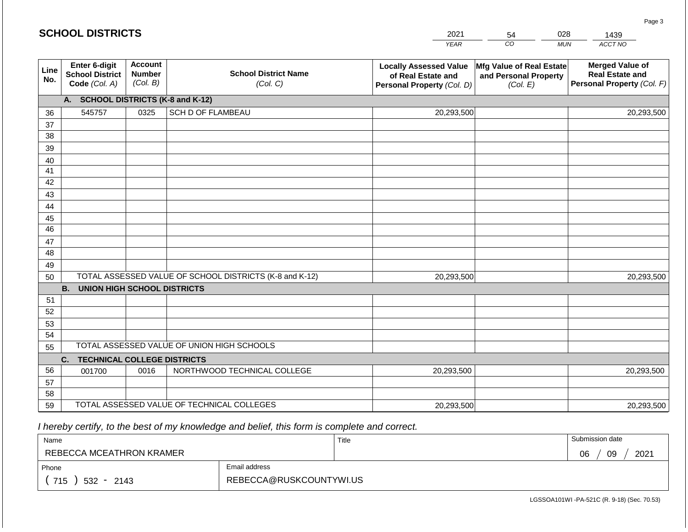|             | <b>SCHOOL DISTRICTS</b>                                         |                                             |                                                         | 2021                                                                              | 54                                                            | 028        | 1439                                                                           |
|-------------|-----------------------------------------------------------------|---------------------------------------------|---------------------------------------------------------|-----------------------------------------------------------------------------------|---------------------------------------------------------------|------------|--------------------------------------------------------------------------------|
|             |                                                                 |                                             |                                                         | <b>YEAR</b>                                                                       | CO                                                            | <b>MUN</b> | ACCT NO                                                                        |
| Line<br>No. | <b>Enter 6-digit</b><br><b>School District</b><br>Code (Col. A) | <b>Account</b><br><b>Number</b><br>(Col. B) | <b>School District Name</b><br>(Col. C)                 | <b>Locally Assessed Value</b><br>of Real Estate and<br>Personal Property (Col. D) | Mfg Value of Real Estate<br>and Personal Property<br>(Col. E) |            | <b>Merged Value of</b><br><b>Real Estate and</b><br>Personal Property (Col. F) |
|             | A. SCHOOL DISTRICTS (K-8 and K-12)                              |                                             |                                                         |                                                                                   |                                                               |            |                                                                                |
| 36          | 545757                                                          | 0325                                        | SCH D OF FLAMBEAU                                       | 20,293,500                                                                        |                                                               |            | 20,293,500                                                                     |
| 37          |                                                                 |                                             |                                                         |                                                                                   |                                                               |            |                                                                                |
| 38          |                                                                 |                                             |                                                         |                                                                                   |                                                               |            |                                                                                |
| 39          |                                                                 |                                             |                                                         |                                                                                   |                                                               |            |                                                                                |
| 40          |                                                                 |                                             |                                                         |                                                                                   |                                                               |            |                                                                                |
| 41          |                                                                 |                                             |                                                         |                                                                                   |                                                               |            |                                                                                |
| 42          |                                                                 |                                             |                                                         |                                                                                   |                                                               |            |                                                                                |
| 43          |                                                                 |                                             |                                                         |                                                                                   |                                                               |            |                                                                                |
| 44<br>45    |                                                                 |                                             |                                                         |                                                                                   |                                                               |            |                                                                                |
| 46          |                                                                 |                                             |                                                         |                                                                                   |                                                               |            |                                                                                |
| 47          |                                                                 |                                             |                                                         |                                                                                   |                                                               |            |                                                                                |
| 48          |                                                                 |                                             |                                                         |                                                                                   |                                                               |            |                                                                                |
| 49          |                                                                 |                                             |                                                         |                                                                                   |                                                               |            |                                                                                |
| 50          |                                                                 |                                             | TOTAL ASSESSED VALUE OF SCHOOL DISTRICTS (K-8 and K-12) | 20,293,500                                                                        |                                                               |            | 20,293,500                                                                     |
|             | <b>B.</b><br><b>UNION HIGH SCHOOL DISTRICTS</b>                 |                                             |                                                         |                                                                                   |                                                               |            |                                                                                |
| 51          |                                                                 |                                             |                                                         |                                                                                   |                                                               |            |                                                                                |
| 52          |                                                                 |                                             |                                                         |                                                                                   |                                                               |            |                                                                                |
| 53          |                                                                 |                                             |                                                         |                                                                                   |                                                               |            |                                                                                |
| 54          |                                                                 |                                             |                                                         |                                                                                   |                                                               |            |                                                                                |
| 55          |                                                                 |                                             | TOTAL ASSESSED VALUE OF UNION HIGH SCHOOLS              |                                                                                   |                                                               |            |                                                                                |
|             | C.<br><b>TECHNICAL COLLEGE DISTRICTS</b>                        |                                             |                                                         |                                                                                   |                                                               |            |                                                                                |
| 56          | 001700                                                          | 0016                                        | NORTHWOOD TECHNICAL COLLEGE                             | 20,293,500                                                                        |                                                               |            | 20,293,500                                                                     |
| 57          |                                                                 |                                             |                                                         |                                                                                   |                                                               |            |                                                                                |
| 58          |                                                                 |                                             | TOTAL ASSESSED VALUE OF TECHNICAL COLLEGES              |                                                                                   |                                                               |            |                                                                                |
| 59          |                                                                 |                                             |                                                         | 20,293,500                                                                        |                                                               |            | 20,293,500                                                                     |

**SCHOOL DISTRICTS**

| Name                     |                         | Title | Submission date  |
|--------------------------|-------------------------|-------|------------------|
| REBECCA MCEATHRON KRAMER |                         |       | 09<br>2021<br>06 |
| Phone                    | Email address           |       |                  |
| 715<br>$532 -$<br>2143   | REBECCA@RUSKCOUNTYWI.US |       |                  |

Page 3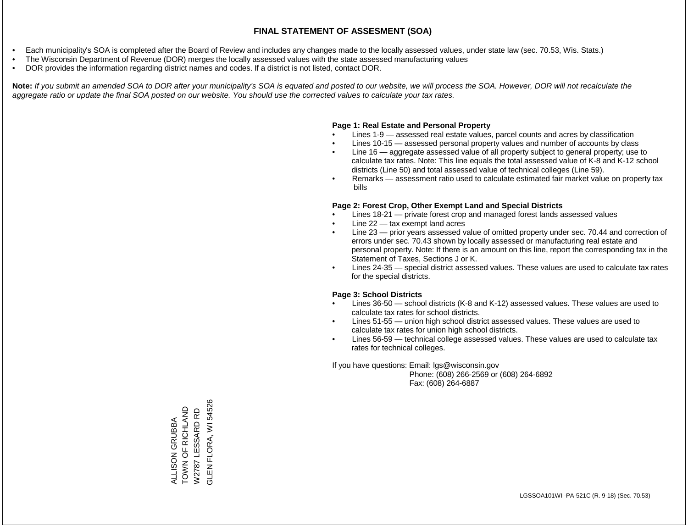- Each municipality's SOA is completed after the Board of Review and includes any changes made to the locally assessed values, under state law (sec. 70.53, Wis. Stats.)
- The Wisconsin Department of Revenue (DOR) merges the locally assessed values with the state assessed manufacturing values
- DOR provides the information regarding district names and codes. If a district is not listed, contact DOR.

Note: If you submit an amended SOA to DOR after your municipality's SOA is equated and posted to our website, we will process the SOA. However, DOR will not recalculate the *aggregate ratio or update the final SOA posted on our website. You should use the corrected values to calculate your tax rates.*

### **Page 1: Real Estate and Personal Property**

- Lines 1-9 assessed real estate values, parcel counts and acres by classification
- Lines 10-15 assessed personal property values and number of accounts by class
- Line 16 aggregate assessed value of all property subject to general property; use to calculate tax rates. Note: This line equals the total assessed value of K-8 and K-12 school districts (Line 50) and total assessed value of technical colleges (Line 59).
- Remarks assessment ratio used to calculate estimated fair market value on property tax bills

### **Page 2: Forest Crop, Other Exempt Land and Special Districts**

- Lines 18-21 private forest crop and managed forest lands assessed values
- Line  $22 -$  tax exempt land acres
- Line 23 prior years assessed value of omitted property under sec. 70.44 and correction of errors under sec. 70.43 shown by locally assessed or manufacturing real estate and personal property. Note: If there is an amount on this line, report the corresponding tax in the Statement of Taxes, Sections J or K.
- Lines 24-35 special district assessed values. These values are used to calculate tax rates for the special districts.

### **Page 3: School Districts**

- Lines 36-50 school districts (K-8 and K-12) assessed values. These values are used to calculate tax rates for school districts.
- Lines 51-55 union high school district assessed values. These values are used to calculate tax rates for union high school districts.
- Lines 56-59 technical college assessed values. These values are used to calculate tax rates for technical colleges.

If you have questions: Email: lgs@wisconsin.gov

 Phone: (608) 266-2569 or (608) 264-6892 Fax: (608) 264-6887

GLEN FLORA, WI 54526 GLEN FLORA, WI 54526TOWN OF RICHLAND TOWN OF RICHLAND W2787 LESSARD RD W2787 LESSARD RD ALLISON GRUBBA ALLISON GRUBBA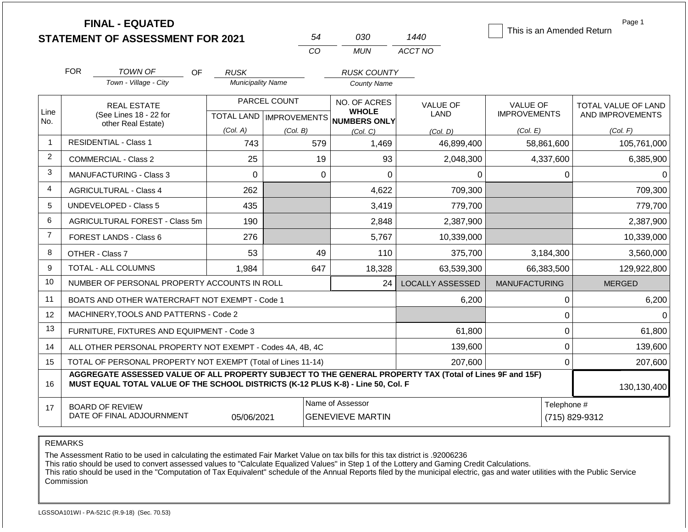|                |            | <b>FINAL - EQUATED</b><br><b>STATEMENT OF ASSESSMENT FOR 2021</b>                                                                                                                            |                          | 54           | 030                                                                  | 1440                    | This is an Amended Return              | Page 1                                         |
|----------------|------------|----------------------------------------------------------------------------------------------------------------------------------------------------------------------------------------------|--------------------------|--------------|----------------------------------------------------------------------|-------------------------|----------------------------------------|------------------------------------------------|
|                |            |                                                                                                                                                                                              |                          | CO           | <b>MUN</b>                                                           | ACCT NO                 |                                        |                                                |
|                | <b>FOR</b> | <b>TOWN OF</b><br>OF.                                                                                                                                                                        | <b>RUSK</b>              |              | <b>RUSK COUNTY</b>                                                   |                         |                                        |                                                |
|                |            | Town - Village - City                                                                                                                                                                        | <b>Municipality Name</b> |              | <b>County Name</b>                                                   |                         |                                        |                                                |
| Line           |            | <b>REAL ESTATE</b><br>(See Lines 18 - 22 for                                                                                                                                                 |                          | PARCEL COUNT | NO. OF ACRES<br><b>WHOLE</b><br>TOTAL LAND IMPROVEMENTS NUMBERS ONLY | <b>VALUE OF</b><br>LAND | <b>VALUE OF</b><br><b>IMPROVEMENTS</b> | <b>TOTAL VALUE OF LAND</b><br>AND IMPROVEMENTS |
| No.            |            | other Real Estate)                                                                                                                                                                           | (Col. A)                 | (Col. B)     | (Col, C)                                                             | (Col. D)                | (Col. E)                               | (Col. F)                                       |
| $\mathbf 1$    |            | <b>RESIDENTIAL - Class 1</b>                                                                                                                                                                 | 743                      | 579          | 1,469                                                                | 46,899,400              | 58,861,600                             | 105,761,000                                    |
| $\overline{2}$ |            | <b>COMMERCIAL - Class 2</b>                                                                                                                                                                  | 25                       | 19           | 93                                                                   | 2,048,300               | 4,337,600                              | 6,385,900                                      |
| 3              |            | <b>MANUFACTURING - Class 3</b>                                                                                                                                                               | $\Omega$                 | $\Omega$     | $\Omega$                                                             | $\Omega$                | $\Omega$                               | $\Omega$                                       |
| 4              |            | <b>AGRICULTURAL - Class 4</b>                                                                                                                                                                | 262                      |              | 4,622                                                                | 709,300                 |                                        | 709,300                                        |
| 5              |            | <b>UNDEVELOPED - Class 5</b>                                                                                                                                                                 | 435                      |              | 3,419                                                                | 779,700                 |                                        | 779,700                                        |
| 6              |            | AGRICULTURAL FOREST - Class 5m                                                                                                                                                               | 190                      |              | 2,848                                                                | 2,387,900               |                                        | 2,387,900                                      |
| $\overline{7}$ |            | FOREST LANDS - Class 6                                                                                                                                                                       | 276                      |              | 5,767                                                                | 10,339,000              |                                        | 10,339,000                                     |
| 8              |            | OTHER - Class 7                                                                                                                                                                              | 53                       | 49           | 110                                                                  | 375,700                 | 3,184,300                              | 3,560,000                                      |
| 9              |            | <b>TOTAL - ALL COLUMNS</b>                                                                                                                                                                   | 1,984                    | 647          | 18,328                                                               | 63,539,300              | 66,383,500                             | 129,922,800                                    |
| 10             |            | NUMBER OF PERSONAL PROPERTY ACCOUNTS IN ROLL                                                                                                                                                 |                          |              | 24                                                                   | <b>LOCALLY ASSESSED</b> | <b>MANUFACTURING</b>                   | <b>MERGED</b>                                  |
| 11             |            | BOATS AND OTHER WATERCRAFT NOT EXEMPT - Code 1                                                                                                                                               |                          |              |                                                                      | 6,200                   | 0                                      | 6,200                                          |
| 12             |            | MACHINERY, TOOLS AND PATTERNS - Code 2                                                                                                                                                       |                          |              |                                                                      |                         | $\mathbf 0$                            | $\Omega$                                       |
| 13             |            | FURNITURE, FIXTURES AND EQUIPMENT - Code 3                                                                                                                                                   |                          |              |                                                                      | 61,800                  | $\mathbf 0$                            | 61,800                                         |
| 14             |            | ALL OTHER PERSONAL PROPERTY NOT EXEMPT - Codes 4A, 4B, 4C                                                                                                                                    |                          |              |                                                                      | 139,600                 | $\mathbf 0$                            | 139,600                                        |
| 15             |            | TOTAL OF PERSONAL PROPERTY NOT EXEMPT (Total of Lines 11-14)                                                                                                                                 |                          |              |                                                                      | 207,600                 | $\mathbf 0$                            | 207,600                                        |
| 16             |            | AGGREGATE ASSESSED VALUE OF ALL PROPERTY SUBJECT TO THE GENERAL PROPERTY TAX (Total of Lines 9F and 15F)<br>MUST EQUAL TOTAL VALUE OF THE SCHOOL DISTRICTS (K-12 PLUS K-8) - Line 50, Col. F |                          |              |                                                                      |                         |                                        | 130,130,400                                    |
| 17             |            | <b>BOARD OF REVIEW</b><br>DATE OF FINAL ADJOURNMENT                                                                                                                                          |                          | Telephone #  | (715) 829-9312                                                       |                         |                                        |                                                |

The Assessment Ratio to be used in calculating the estimated Fair Market Value on tax bills for this tax district is .92006236

This ratio should be used to convert assessed values to "Calculate Equalized Values" in Step 1 of the Lottery and Gaming Credit Calculations.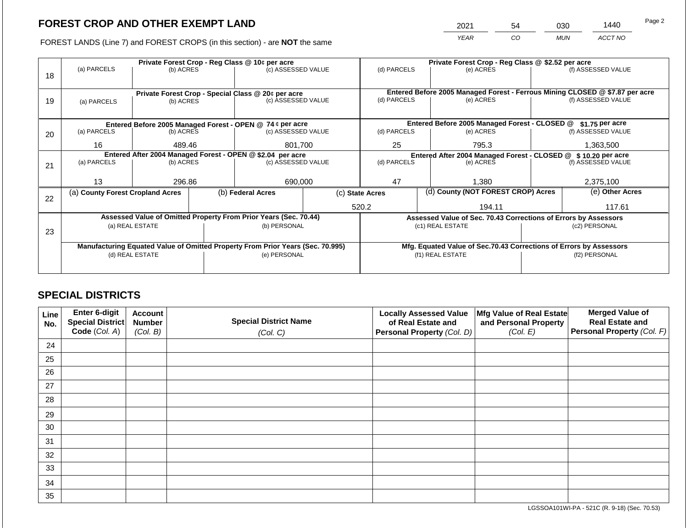2021 54 030 1440

FOREST LANDS (Line 7) and FOREST CROPS (in this section) - are **NOT** the same *YEAR CO MUN ACCT NO*

|    |                                                                                |                 |  | Private Forest Crop - Reg Class @ 10¢ per acre                           |  | Private Forest Crop - Reg Class @ \$2.52 per acre             |                  |                                                                                           |               |                    |
|----|--------------------------------------------------------------------------------|-----------------|--|--------------------------------------------------------------------------|--|---------------------------------------------------------------|------------------|-------------------------------------------------------------------------------------------|---------------|--------------------|
|    | (a) PARCELS                                                                    | (b) ACRES       |  | (c) ASSESSED VALUE                                                       |  | (d) PARCELS                                                   |                  | (e) ACRES                                                                                 |               | (f) ASSESSED VALUE |
| 18 |                                                                                |                 |  |                                                                          |  |                                                               |                  |                                                                                           |               |                    |
|    |                                                                                |                 |  |                                                                          |  |                                                               |                  |                                                                                           |               |                    |
| 19 |                                                                                | (b) ACRES       |  | Private Forest Crop - Special Class @ 20¢ per acre<br>(c) ASSESSED VALUE |  | (d) PARCELS                                                   |                  | Entered Before 2005 Managed Forest - Ferrous Mining CLOSED @ \$7.87 per acre<br>(e) ACRES |               | (f) ASSESSED VALUE |
|    | (a) PARCELS                                                                    |                 |  |                                                                          |  |                                                               |                  |                                                                                           |               |                    |
|    |                                                                                |                 |  |                                                                          |  |                                                               |                  |                                                                                           |               |                    |
|    |                                                                                |                 |  | Entered Before 2005 Managed Forest - OPEN @ 74 ¢ per acre                |  |                                                               |                  | Entered Before 2005 Managed Forest - CLOSED @                                             |               | $$1.75$ per acre   |
| 20 | (a) PARCELS                                                                    | (b) ACRES       |  | (c) ASSESSED VALUE                                                       |  | (d) PARCELS                                                   |                  | (e) ACRES                                                                                 |               | (f) ASSESSED VALUE |
|    | 16                                                                             | 489.46          |  | 801,700                                                                  |  | 25                                                            |                  | 795.3                                                                                     |               | 1,363,500          |
|    |                                                                                |                 |  |                                                                          |  |                                                               |                  |                                                                                           |               |                    |
|    |                                                                                |                 |  | Entered After 2004 Managed Forest - OPEN @ \$2.04 per acre               |  | Entered After 2004 Managed Forest - CLOSED @ \$10.20 per acre |                  |                                                                                           |               |                    |
| 21 | (a) PARCELS                                                                    | (b) ACRES       |  | (c) ASSESSED VALUE                                                       |  | (d) PARCELS                                                   |                  | (e) ACRES                                                                                 |               | (f) ASSESSED VALUE |
|    |                                                                                |                 |  |                                                                          |  |                                                               |                  |                                                                                           |               |                    |
|    | 13                                                                             | 296.86          |  | 690,000                                                                  |  | 47                                                            |                  | 1.380                                                                                     |               | 2,375,100          |
|    | (a) County Forest Cropland Acres                                               |                 |  | (b) Federal Acres                                                        |  | (d) County (NOT FOREST CROP) Acres<br>(c) State Acres         |                  | (e) Other Acres                                                                           |               |                    |
| 22 |                                                                                |                 |  |                                                                          |  |                                                               |                  |                                                                                           |               |                    |
|    |                                                                                |                 |  |                                                                          |  | 520.2                                                         |                  | 194.11                                                                                    |               | 117.61             |
|    |                                                                                |                 |  | Assessed Value of Omitted Property From Prior Years (Sec. 70.44)         |  |                                                               |                  | Assessed Value of Sec. 70.43 Corrections of Errors by Assessors                           |               |                    |
|    | (a) REAL ESTATE                                                                |                 |  | (b) PERSONAL                                                             |  |                                                               |                  | (c1) REAL ESTATE                                                                          | (c2) PERSONAL |                    |
| 23 |                                                                                |                 |  |                                                                          |  |                                                               |                  |                                                                                           |               |                    |
|    | Manufacturing Equated Value of Omitted Property From Prior Years (Sec. 70.995) |                 |  |                                                                          |  |                                                               |                  | Mfg. Equated Value of Sec.70.43 Corrections of Errors by Assessors                        |               |                    |
|    |                                                                                | (d) REAL ESTATE |  | (e) PERSONAL                                                             |  |                                                               | (f1) REAL ESTATE | (f2) PERSONAL                                                                             |               |                    |
|    |                                                                                |                 |  |                                                                          |  |                                                               |                  |                                                                                           |               |                    |
|    |                                                                                |                 |  |                                                                          |  |                                                               |                  |                                                                                           |               |                    |

## **SPECIAL DISTRICTS**

| Line<br>No. | <b>Enter 6-digit</b><br>Special District | <b>Account</b><br><b>Number</b> | <b>Special District Name</b> | <b>Locally Assessed Value</b><br>of Real Estate and | Mfg Value of Real Estate<br>and Personal Property | <b>Merged Value of</b><br><b>Real Estate and</b> |
|-------------|------------------------------------------|---------------------------------|------------------------------|-----------------------------------------------------|---------------------------------------------------|--------------------------------------------------|
|             | Code (Col. A)                            | (Col. B)                        | (Col. C)                     | Personal Property (Col. D)                          | (Col. E)                                          | Personal Property (Col. F)                       |
| 24          |                                          |                                 |                              |                                                     |                                                   |                                                  |
| 25          |                                          |                                 |                              |                                                     |                                                   |                                                  |
| 26          |                                          |                                 |                              |                                                     |                                                   |                                                  |
| 27          |                                          |                                 |                              |                                                     |                                                   |                                                  |
| 28          |                                          |                                 |                              |                                                     |                                                   |                                                  |
| 29          |                                          |                                 |                              |                                                     |                                                   |                                                  |
| 30          |                                          |                                 |                              |                                                     |                                                   |                                                  |
| 31          |                                          |                                 |                              |                                                     |                                                   |                                                  |
| 32          |                                          |                                 |                              |                                                     |                                                   |                                                  |
| 33          |                                          |                                 |                              |                                                     |                                                   |                                                  |
| 34          |                                          |                                 |                              |                                                     |                                                   |                                                  |
| 35          |                                          |                                 |                              |                                                     |                                                   |                                                  |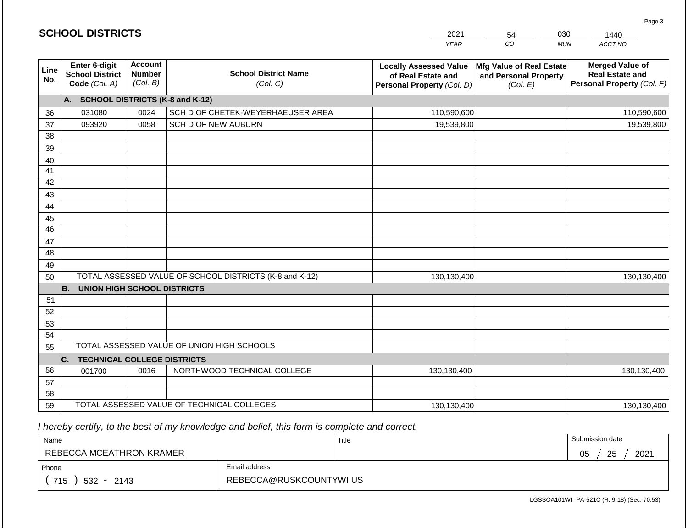|                       | <b>SCHOOL DISTRICTS</b>                                  |                                             |                                                         | 2021                                                                              | 54                                                            | 030<br>1440                                                                    |
|-----------------------|----------------------------------------------------------|---------------------------------------------|---------------------------------------------------------|-----------------------------------------------------------------------------------|---------------------------------------------------------------|--------------------------------------------------------------------------------|
|                       |                                                          |                                             |                                                         | <b>YEAR</b>                                                                       | CO                                                            | ACCT NO<br><b>MUN</b>                                                          |
| Line<br>No.           | Enter 6-digit<br><b>School District</b><br>Code (Col. A) | <b>Account</b><br><b>Number</b><br>(Col. B) | <b>School District Name</b><br>(Col. C)                 | <b>Locally Assessed Value</b><br>of Real Estate and<br>Personal Property (Col. D) | Mfg Value of Real Estate<br>and Personal Property<br>(Col. E) | <b>Merged Value of</b><br><b>Real Estate and</b><br>Personal Property (Col. F) |
|                       | A. SCHOOL DISTRICTS (K-8 and K-12)                       |                                             |                                                         |                                                                                   |                                                               |                                                                                |
| 36                    | 031080                                                   | 0024                                        | SCH D OF CHETEK-WEYERHAEUSER AREA                       | 110,590,600                                                                       |                                                               | 110,590,600                                                                    |
| 37                    | 093920                                                   | 0058                                        | SCH D OF NEW AUBURN                                     | 19,539,800                                                                        |                                                               | 19,539,800                                                                     |
| 38                    |                                                          |                                             |                                                         |                                                                                   |                                                               |                                                                                |
| 39                    |                                                          |                                             |                                                         |                                                                                   |                                                               |                                                                                |
| 40                    |                                                          |                                             |                                                         |                                                                                   |                                                               |                                                                                |
| 41                    |                                                          |                                             |                                                         |                                                                                   |                                                               |                                                                                |
| 42                    |                                                          |                                             |                                                         |                                                                                   |                                                               |                                                                                |
| 43                    |                                                          |                                             |                                                         |                                                                                   |                                                               |                                                                                |
| 44                    |                                                          |                                             |                                                         |                                                                                   |                                                               |                                                                                |
| 45<br>$\overline{46}$ |                                                          |                                             |                                                         |                                                                                   |                                                               |                                                                                |
| 47                    |                                                          |                                             |                                                         |                                                                                   |                                                               |                                                                                |
| 48                    |                                                          |                                             |                                                         |                                                                                   |                                                               |                                                                                |
| 49                    |                                                          |                                             |                                                         |                                                                                   |                                                               |                                                                                |
| 50                    |                                                          |                                             | TOTAL ASSESSED VALUE OF SCHOOL DISTRICTS (K-8 and K-12) | 130,130,400                                                                       |                                                               | 130,130,400                                                                    |
|                       | <b>B. UNION HIGH SCHOOL DISTRICTS</b>                    |                                             |                                                         |                                                                                   |                                                               |                                                                                |
| 51                    |                                                          |                                             |                                                         |                                                                                   |                                                               |                                                                                |
| 52                    |                                                          |                                             |                                                         |                                                                                   |                                                               |                                                                                |
| 53                    |                                                          |                                             |                                                         |                                                                                   |                                                               |                                                                                |
| 54                    |                                                          |                                             |                                                         |                                                                                   |                                                               |                                                                                |
| 55                    |                                                          |                                             | TOTAL ASSESSED VALUE OF UNION HIGH SCHOOLS              |                                                                                   |                                                               |                                                                                |
|                       | C.<br><b>TECHNICAL COLLEGE DISTRICTS</b>                 |                                             |                                                         |                                                                                   |                                                               |                                                                                |
| 56                    | 001700                                                   | 0016                                        | NORTHWOOD TECHNICAL COLLEGE                             | 130,130,400                                                                       |                                                               | 130,130,400                                                                    |
| 57                    |                                                          |                                             |                                                         |                                                                                   |                                                               |                                                                                |
| 58                    |                                                          |                                             |                                                         |                                                                                   |                                                               |                                                                                |
| 59                    |                                                          |                                             | TOTAL ASSESSED VALUE OF TECHNICAL COLLEGES              | 130,130,400                                                                       |                                                               | 130,130,400                                                                    |

**SCHOOL DISTRICTS**

| Name                     |                         | Title | Submission date  |
|--------------------------|-------------------------|-------|------------------|
| REBECCA MCEATHRON KRAMER |                         |       | 25<br>2021<br>05 |
| Phone                    | Email address           |       |                  |
| 715<br>532 -<br>2143     | REBECCA@RUSKCOUNTYWI.US |       |                  |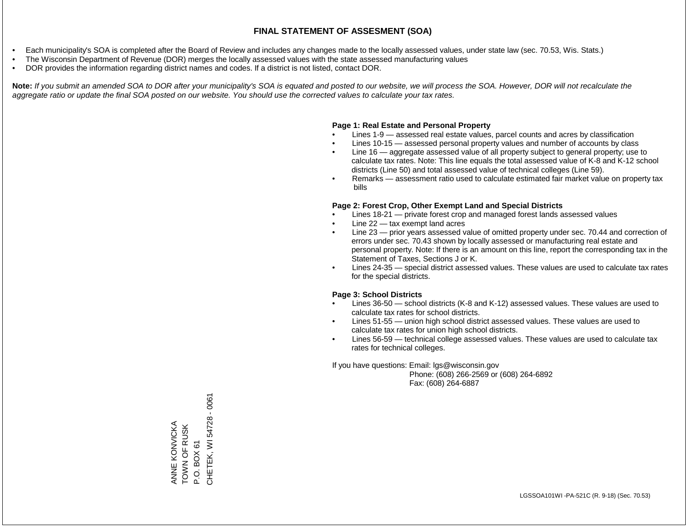- Each municipality's SOA is completed after the Board of Review and includes any changes made to the locally assessed values, under state law (sec. 70.53, Wis. Stats.)
- The Wisconsin Department of Revenue (DOR) merges the locally assessed values with the state assessed manufacturing values
- DOR provides the information regarding district names and codes. If a district is not listed, contact DOR.

Note: If you submit an amended SOA to DOR after your municipality's SOA is equated and posted to our website, we will process the SOA. However, DOR will not recalculate the *aggregate ratio or update the final SOA posted on our website. You should use the corrected values to calculate your tax rates.*

#### **Page 1: Real Estate and Personal Property**

- Lines 1-9 assessed real estate values, parcel counts and acres by classification
- Lines 10-15 assessed personal property values and number of accounts by class
- Line 16 aggregate assessed value of all property subject to general property; use to calculate tax rates. Note: This line equals the total assessed value of K-8 and K-12 school districts (Line 50) and total assessed value of technical colleges (Line 59).
- Remarks assessment ratio used to calculate estimated fair market value on property tax bills

#### **Page 2: Forest Crop, Other Exempt Land and Special Districts**

- Lines 18-21 private forest crop and managed forest lands assessed values
- Line  $22 -$  tax exempt land acres
- Line 23 prior years assessed value of omitted property under sec. 70.44 and correction of errors under sec. 70.43 shown by locally assessed or manufacturing real estate and personal property. Note: If there is an amount on this line, report the corresponding tax in the Statement of Taxes, Sections J or K.
- Lines 24-35 special district assessed values. These values are used to calculate tax rates for the special districts.

#### **Page 3: School Districts**

- Lines 36-50 school districts (K-8 and K-12) assessed values. These values are used to calculate tax rates for school districts.
- Lines 51-55 union high school district assessed values. These values are used to calculate tax rates for union high school districts.
- Lines 56-59 technical college assessed values. These values are used to calculate tax rates for technical colleges.

If you have questions: Email: lgs@wisconsin.gov

 Phone: (608) 266-2569 or (608) 264-6892 Fax: (608) 264-6887

CHETEK, WI 54728 - 0061 CHETEK, WI 54728 - 0061ANNE KONVICKA<br>TOWN OF RUSK ANNE KONVICKA TOWN OF RUSK P.O. BOX 61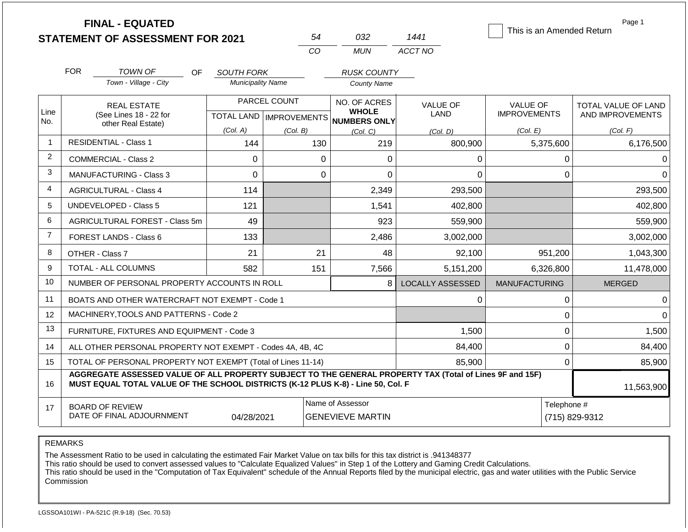|                |            | <b>FINAL - EQUATED</b><br><b>STATEMENT OF ASSESSMENT FOR 2021</b>                                                                                                                            |                                  |              | 54                                          | 032                                          | 1441                           | This is an Amended Return              | Page 1                                  |  |  |
|----------------|------------|----------------------------------------------------------------------------------------------------------------------------------------------------------------------------------------------|----------------------------------|--------------|---------------------------------------------|----------------------------------------------|--------------------------------|----------------------------------------|-----------------------------------------|--|--|
|                |            |                                                                                                                                                                                              |                                  |              | CO.                                         | <b>MUN</b>                                   | ACCT NO                        |                                        |                                         |  |  |
|                | <b>FOR</b> | <b>TOWN OF</b><br>OF.                                                                                                                                                                        | <b>SOUTH FORK</b>                |              |                                             | <b>RUSK COUNTY</b>                           |                                |                                        |                                         |  |  |
|                |            | Town - Village - City                                                                                                                                                                        | <b>Municipality Name</b>         |              |                                             | <b>County Name</b>                           |                                |                                        |                                         |  |  |
| Line           |            | <b>REAL ESTATE</b><br>(See Lines 18 - 22 for                                                                                                                                                 | <b>TOTAL LAND   IMPROVEMENTS</b> | PARCEL COUNT |                                             | NO. OF ACRES<br><b>WHOLE</b><br>NUMBERS ONLY | <b>VALUE OF</b><br><b>LAND</b> | <b>VALUE OF</b><br><b>IMPROVEMENTS</b> | TOTAL VALUE OF LAND<br>AND IMPROVEMENTS |  |  |
| No.            |            | other Real Estate)                                                                                                                                                                           | (Col. A)                         | (Col. B)     |                                             | (Col, C)                                     | (Col, D)                       | (Col. E)                               | (Col. F)                                |  |  |
| $\mathbf{1}$   |            | <b>RESIDENTIAL - Class 1</b>                                                                                                                                                                 | 144                              |              | 130                                         | 219                                          | 800,900                        | 5,375,600                              | 6,176,500                               |  |  |
| $\overline{2}$ |            | <b>COMMERCIAL - Class 2</b>                                                                                                                                                                  | $\Omega$                         |              | $\Omega$                                    | 0                                            | 0                              | 0                                      | 0                                       |  |  |
| 3              |            | MANUFACTURING - Class 3                                                                                                                                                                      | $\Omega$                         |              | $\mathbf 0$                                 | 0                                            | 0                              | $\mathbf 0$                            | $\Omega$                                |  |  |
| 4              |            | <b>AGRICULTURAL - Class 4</b>                                                                                                                                                                | 114                              |              |                                             | 2,349                                        | 293,500                        |                                        | 293,500                                 |  |  |
| 5              |            | UNDEVELOPED - Class 5                                                                                                                                                                        | 121                              |              |                                             | 1,541                                        | 402,800                        |                                        | 402,800                                 |  |  |
| 6              |            | AGRICULTURAL FOREST - Class 5m                                                                                                                                                               | 49                               |              |                                             | 923                                          | 559,900                        |                                        | 559,900                                 |  |  |
| $\overline{7}$ |            | <b>FOREST LANDS - Class 6</b>                                                                                                                                                                | 133                              |              |                                             | 2,486                                        | 3,002,000                      |                                        | 3,002,000                               |  |  |
| 8              |            | OTHER - Class 7                                                                                                                                                                              | 21                               |              | 21                                          | 48                                           | 92,100                         | 951,200                                | 1,043,300                               |  |  |
| 9              |            | TOTAL - ALL COLUMNS                                                                                                                                                                          | 582                              |              | 151                                         | 7,566                                        | 5,151,200                      | 6,326,800                              | 11,478,000                              |  |  |
| 10             |            | NUMBER OF PERSONAL PROPERTY ACCOUNTS IN ROLL                                                                                                                                                 |                                  |              |                                             | 8                                            | <b>LOCALLY ASSESSED</b>        | <b>MANUFACTURING</b>                   | <b>MERGED</b>                           |  |  |
| 11             |            | BOATS AND OTHER WATERCRAFT NOT EXEMPT - Code 1                                                                                                                                               |                                  |              |                                             |                                              | 0                              | $\mathbf 0$                            | 0                                       |  |  |
| 12             |            | MACHINERY.TOOLS AND PATTERNS - Code 2                                                                                                                                                        |                                  |              |                                             |                                              |                                | $\pmb{0}$                              | $\Omega$                                |  |  |
| 13             |            | FURNITURE, FIXTURES AND EQUIPMENT - Code 3                                                                                                                                                   |                                  |              |                                             |                                              | 1,500                          | $\mathbf 0$                            | 1,500                                   |  |  |
| 14             |            | ALL OTHER PERSONAL PROPERTY NOT EXEMPT - Codes 4A, 4B, 4C                                                                                                                                    |                                  |              |                                             |                                              | 84,400                         | $\pmb{0}$                              | 84,400                                  |  |  |
| 15             |            | TOTAL OF PERSONAL PROPERTY NOT EXEMPT (Total of Lines 11-14)                                                                                                                                 |                                  |              |                                             |                                              | 85.900                         | $\Omega$                               | 85,900                                  |  |  |
| 16             |            | AGGREGATE ASSESSED VALUE OF ALL PROPERTY SUBJECT TO THE GENERAL PROPERTY TAX (Total of Lines 9F and 15F)<br>MUST EQUAL TOTAL VALUE OF THE SCHOOL DISTRICTS (K-12 PLUS K-8) - Line 50, Col. F |                                  |              |                                             |                                              |                                |                                        | 11,563,900                              |  |  |
| 17             |            | <b>BOARD OF REVIEW</b><br>DATE OF FINAL ADJOURNMENT                                                                                                                                          | 04/28/2021                       |              | Name of Assessor<br><b>GENEVIEVE MARTIN</b> |                                              |                                |                                        | Telephone #<br>(715) 829-9312           |  |  |

The Assessment Ratio to be used in calculating the estimated Fair Market Value on tax bills for this tax district is .941348377

This ratio should be used to convert assessed values to "Calculate Equalized Values" in Step 1 of the Lottery and Gaming Credit Calculations.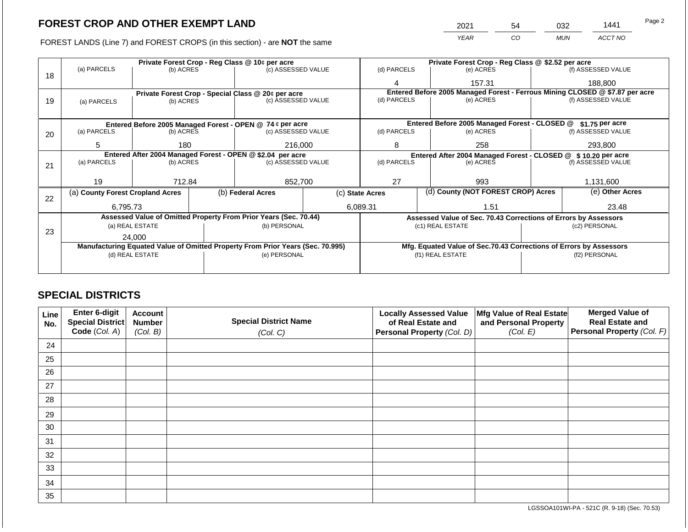FOREST LANDS (Line 7) and FOREST CROPS (in this section) - are **NOT** the same

| 2021 | 54 | 032        | 1441    | Page 2 |
|------|----|------------|---------|--------|
| YEAR | CO | <b>MUN</b> | ACCT NO |        |

|    |                                                                                |                 |  | Private Forest Crop - Reg Class @ 10¢ per acre                   |  | Private Forest Crop - Reg Class @ \$2.52 per acre                            |                                                                    |           |                    |  |
|----|--------------------------------------------------------------------------------|-----------------|--|------------------------------------------------------------------|--|------------------------------------------------------------------------------|--------------------------------------------------------------------|-----------|--------------------|--|
|    | (a) PARCELS                                                                    | (b) ACRES       |  | (c) ASSESSED VALUE                                               |  | (d) PARCELS                                                                  | (e) ACRES                                                          |           | (f) ASSESSED VALUE |  |
| 18 |                                                                                |                 |  |                                                                  |  | Λ                                                                            | 157.31                                                             |           | 188,800            |  |
|    |                                                                                |                 |  | Private Forest Crop - Special Class @ 20¢ per acre               |  | Entered Before 2005 Managed Forest - Ferrous Mining CLOSED @ \$7.87 per acre |                                                                    |           |                    |  |
| 19 | (a) PARCELS                                                                    | (b) ACRES       |  | (c) ASSESSED VALUE                                               |  | (d) PARCELS                                                                  |                                                                    | (e) ACRES |                    |  |
|    |                                                                                |                 |  |                                                                  |  |                                                                              |                                                                    |           |                    |  |
|    |                                                                                |                 |  | Entered Before 2005 Managed Forest - OPEN @ 74 ¢ per acre        |  |                                                                              | Entered Before 2005 Managed Forest - CLOSED @                      |           | \$1.75 per acre    |  |
| 20 | (a) PARCELS                                                                    | (b) ACRES       |  | (c) ASSESSED VALUE                                               |  | (d) PARCELS                                                                  | (e) ACRES                                                          |           | (f) ASSESSED VALUE |  |
|    | 5                                                                              | 180             |  | 216,000                                                          |  | 8                                                                            | 258                                                                |           | 293,800            |  |
|    | Entered After 2004 Managed Forest - OPEN @ \$2.04 per acre                     |                 |  |                                                                  |  | Entered After 2004 Managed Forest - CLOSED @                                 |                                                                    |           | \$10.20 per acre   |  |
| 21 | (a) PARCELS                                                                    | (b) ACRES       |  | (c) ASSESSED VALUE                                               |  | (d) PARCELS                                                                  | (e) ACRES                                                          |           | (f) ASSESSED VALUE |  |
|    |                                                                                |                 |  |                                                                  |  |                                                                              |                                                                    |           |                    |  |
|    | 19                                                                             | 712.84          |  | 852,700                                                          |  | 27                                                                           | 993                                                                |           | 1,131,600          |  |
| 22 | (a) County Forest Cropland Acres                                               |                 |  | (b) Federal Acres                                                |  | (d) County (NOT FOREST CROP) Acres<br>(c) State Acres                        |                                                                    |           | (e) Other Acres    |  |
|    | 6,795.73                                                                       |                 |  |                                                                  |  | 6,089.31                                                                     | 1.51                                                               |           | 23.48              |  |
|    |                                                                                |                 |  | Assessed Value of Omitted Property From Prior Years (Sec. 70.44) |  |                                                                              | Assessed Value of Sec. 70.43 Corrections of Errors by Assessors    |           |                    |  |
|    |                                                                                | (a) REAL ESTATE |  | (b) PERSONAL                                                     |  |                                                                              | (c1) REAL ESTATE                                                   |           | (c2) PERSONAL      |  |
| 23 | 24,000                                                                         |                 |  |                                                                  |  |                                                                              |                                                                    |           |                    |  |
|    | Manufacturing Equated Value of Omitted Property From Prior Years (Sec. 70.995) |                 |  |                                                                  |  |                                                                              | Mfg. Equated Value of Sec.70.43 Corrections of Errors by Assessors |           |                    |  |
|    |                                                                                | (d) REAL ESTATE |  | (e) PERSONAL                                                     |  |                                                                              | (f1) REAL ESTATE                                                   |           | (f2) PERSONAL      |  |
|    |                                                                                |                 |  |                                                                  |  |                                                                              |                                                                    |           |                    |  |
|    |                                                                                |                 |  |                                                                  |  |                                                                              |                                                                    |           |                    |  |

## **SPECIAL DISTRICTS**

| Line<br>No. | Enter 6-digit<br>Special District | <b>Account</b><br><b>Number</b> | <b>Locally Assessed Value</b><br>Mfg Value of Real Estate<br><b>Special District Name</b><br>of Real Estate and<br>and Personal Property |                            | <b>Merged Value of</b><br><b>Real Estate and</b> |                            |
|-------------|-----------------------------------|---------------------------------|------------------------------------------------------------------------------------------------------------------------------------------|----------------------------|--------------------------------------------------|----------------------------|
|             | Code (Col. A)                     | (Col. B)                        | (Col. C)                                                                                                                                 | Personal Property (Col. D) | (Col. E)                                         | Personal Property (Col. F) |
| 24          |                                   |                                 |                                                                                                                                          |                            |                                                  |                            |
| 25          |                                   |                                 |                                                                                                                                          |                            |                                                  |                            |
| 26          |                                   |                                 |                                                                                                                                          |                            |                                                  |                            |
| 27          |                                   |                                 |                                                                                                                                          |                            |                                                  |                            |
| 28          |                                   |                                 |                                                                                                                                          |                            |                                                  |                            |
| 29          |                                   |                                 |                                                                                                                                          |                            |                                                  |                            |
| 30          |                                   |                                 |                                                                                                                                          |                            |                                                  |                            |
| 31          |                                   |                                 |                                                                                                                                          |                            |                                                  |                            |
| 32          |                                   |                                 |                                                                                                                                          |                            |                                                  |                            |
| 33          |                                   |                                 |                                                                                                                                          |                            |                                                  |                            |
| 34          |                                   |                                 |                                                                                                                                          |                            |                                                  |                            |
| 35          |                                   |                                 |                                                                                                                                          |                            |                                                  |                            |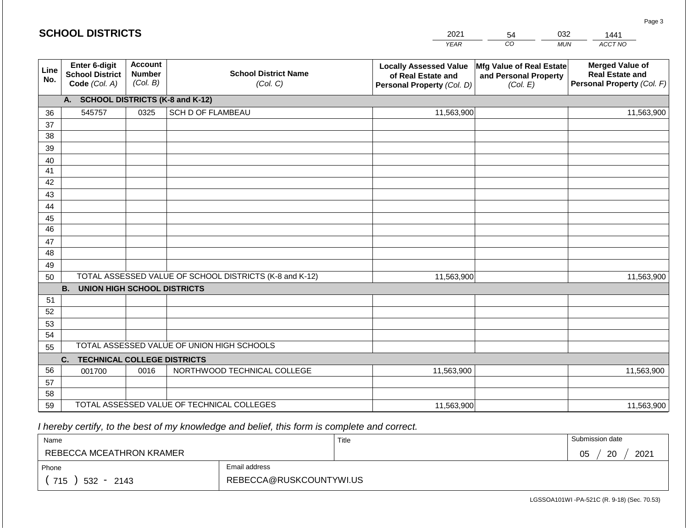|             | <b>SCHOOL DISTRICTS</b>                                  |                                             |                                                         | 2021                                                                              | 54                                                            | 032        | 1441                                                                           |
|-------------|----------------------------------------------------------|---------------------------------------------|---------------------------------------------------------|-----------------------------------------------------------------------------------|---------------------------------------------------------------|------------|--------------------------------------------------------------------------------|
|             |                                                          |                                             |                                                         | <b>YEAR</b>                                                                       | CO                                                            | <b>MUN</b> | ACCT NO                                                                        |
| Line<br>No. | Enter 6-digit<br><b>School District</b><br>Code (Col. A) | <b>Account</b><br><b>Number</b><br>(Col. B) | <b>School District Name</b><br>(Col. C)                 | <b>Locally Assessed Value</b><br>of Real Estate and<br>Personal Property (Col. D) | Mfg Value of Real Estate<br>and Personal Property<br>(Col. E) |            | <b>Merged Value of</b><br><b>Real Estate and</b><br>Personal Property (Col. F) |
|             | A. SCHOOL DISTRICTS (K-8 and K-12)                       |                                             |                                                         |                                                                                   |                                                               |            |                                                                                |
| 36          | 545757                                                   | 0325                                        | SCH D OF FLAMBEAU                                       | 11,563,900                                                                        |                                                               |            | 11,563,900                                                                     |
| 37          |                                                          |                                             |                                                         |                                                                                   |                                                               |            |                                                                                |
| 38          |                                                          |                                             |                                                         |                                                                                   |                                                               |            |                                                                                |
| 39          |                                                          |                                             |                                                         |                                                                                   |                                                               |            |                                                                                |
| 40          |                                                          |                                             |                                                         |                                                                                   |                                                               |            |                                                                                |
| 41<br>42    |                                                          |                                             |                                                         |                                                                                   |                                                               |            |                                                                                |
| 43          |                                                          |                                             |                                                         |                                                                                   |                                                               |            |                                                                                |
| 44          |                                                          |                                             |                                                         |                                                                                   |                                                               |            |                                                                                |
| 45          |                                                          |                                             |                                                         |                                                                                   |                                                               |            |                                                                                |
| 46          |                                                          |                                             |                                                         |                                                                                   |                                                               |            |                                                                                |
| 47          |                                                          |                                             |                                                         |                                                                                   |                                                               |            |                                                                                |
| 48          |                                                          |                                             |                                                         |                                                                                   |                                                               |            |                                                                                |
| 49          |                                                          |                                             |                                                         |                                                                                   |                                                               |            |                                                                                |
| 50          |                                                          |                                             | TOTAL ASSESSED VALUE OF SCHOOL DISTRICTS (K-8 and K-12) | 11,563,900                                                                        |                                                               |            | 11,563,900                                                                     |
|             | <b>B. UNION HIGH SCHOOL DISTRICTS</b>                    |                                             |                                                         |                                                                                   |                                                               |            |                                                                                |
| 51<br>52    |                                                          |                                             |                                                         |                                                                                   |                                                               |            |                                                                                |
| 53          |                                                          |                                             |                                                         |                                                                                   |                                                               |            |                                                                                |
| 54          |                                                          |                                             |                                                         |                                                                                   |                                                               |            |                                                                                |
| 55          |                                                          |                                             | TOTAL ASSESSED VALUE OF UNION HIGH SCHOOLS              |                                                                                   |                                                               |            |                                                                                |
|             | C.<br><b>TECHNICAL COLLEGE DISTRICTS</b>                 |                                             |                                                         |                                                                                   |                                                               |            |                                                                                |
| 56          | 001700                                                   | 0016                                        | NORTHWOOD TECHNICAL COLLEGE                             | 11,563,900                                                                        |                                                               |            | 11,563,900                                                                     |
| 57          |                                                          |                                             |                                                         |                                                                                   |                                                               |            |                                                                                |
| 58          |                                                          |                                             |                                                         |                                                                                   |                                                               |            |                                                                                |
| 59          |                                                          |                                             | TOTAL ASSESSED VALUE OF TECHNICAL COLLEGES              | 11,563,900                                                                        |                                                               |            | 11,563,900                                                                     |

| Name                     |                         | Title | Submission date  |
|--------------------------|-------------------------|-------|------------------|
| REBECCA MCEATHRON KRAMER |                         |       | 20<br>2021<br>05 |
| Phone                    | Email address           |       |                  |
| 715<br>$532 -$<br>2143   | REBECCA@RUSKCOUNTYWI.US |       |                  |

LGSSOA101WI -PA-521C (R. 9-18) (Sec. 70.53)

Page 3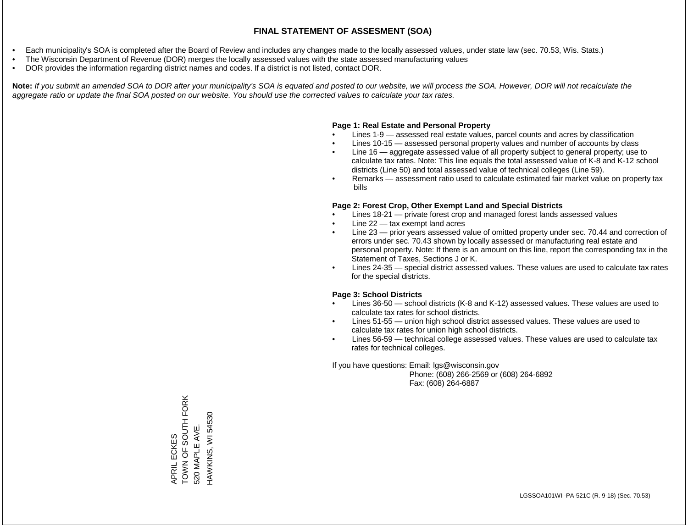- Each municipality's SOA is completed after the Board of Review and includes any changes made to the locally assessed values, under state law (sec. 70.53, Wis. Stats.)
- The Wisconsin Department of Revenue (DOR) merges the locally assessed values with the state assessed manufacturing values
- DOR provides the information regarding district names and codes. If a district is not listed, contact DOR.

Note: If you submit an amended SOA to DOR after your municipality's SOA is equated and posted to our website, we will process the SOA. However, DOR will not recalculate the *aggregate ratio or update the final SOA posted on our website. You should use the corrected values to calculate your tax rates.*

#### **Page 1: Real Estate and Personal Property**

- Lines 1-9 assessed real estate values, parcel counts and acres by classification
- Lines 10-15 assessed personal property values and number of accounts by class
- Line 16 aggregate assessed value of all property subject to general property; use to calculate tax rates. Note: This line equals the total assessed value of K-8 and K-12 school districts (Line 50) and total assessed value of technical colleges (Line 59).
- Remarks assessment ratio used to calculate estimated fair market value on property tax bills

#### **Page 2: Forest Crop, Other Exempt Land and Special Districts**

- Lines 18-21 private forest crop and managed forest lands assessed values
- Line  $22 -$  tax exempt land acres
- Line 23 prior years assessed value of omitted property under sec. 70.44 and correction of errors under sec. 70.43 shown by locally assessed or manufacturing real estate and personal property. Note: If there is an amount on this line, report the corresponding tax in the Statement of Taxes, Sections J or K.
- Lines 24-35 special district assessed values. These values are used to calculate tax rates for the special districts.

#### **Page 3: School Districts**

- Lines 36-50 school districts (K-8 and K-12) assessed values. These values are used to calculate tax rates for school districts.
- Lines 51-55 union high school district assessed values. These values are used to calculate tax rates for union high school districts.
- Lines 56-59 technical college assessed values. These values are used to calculate tax rates for technical colleges.

If you have questions: Email: lgs@wisconsin.gov

 Phone: (608) 266-2569 or (608) 264-6892 Fax: (608) 264-6887

TOWN OF SOUTH FORK APRIL ECKES<br>TOWN OF SOUTH FORK HAWKINS, WI 54530 HAWKINS, WI 54530520 MAPLE AVE. 520 MAPLE AVE.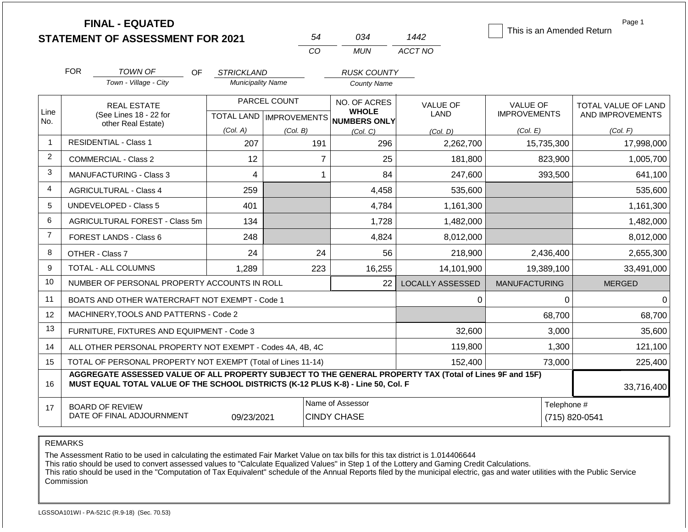|                |                                                                                                                                                                                              | <b>FINAL - EQUATED</b><br><b>STATEMENT OF ASSESSMENT FOR 2021</b> |                                           |          | 54                                     | 034                             | 1442                    | This is an Amended Return              | Page 1                                         |  |
|----------------|----------------------------------------------------------------------------------------------------------------------------------------------------------------------------------------------|-------------------------------------------------------------------|-------------------------------------------|----------|----------------------------------------|---------------------------------|-------------------------|----------------------------------------|------------------------------------------------|--|
|                |                                                                                                                                                                                              |                                                                   |                                           | CO       |                                        | <b>MUN</b>                      | ACCT NO                 |                                        |                                                |  |
|                | <b>FOR</b>                                                                                                                                                                                   | TOWN OF<br>OF.                                                    | <b>STRICKLAND</b>                         |          |                                        | <b>RUSK COUNTY</b>              |                         |                                        |                                                |  |
|                |                                                                                                                                                                                              | Town - Village - City                                             | <b>Municipality Name</b>                  |          |                                        | <b>County Name</b>              |                         |                                        |                                                |  |
| Line           |                                                                                                                                                                                              | <b>REAL ESTATE</b><br>(See Lines 18 - 22 for                      | PARCEL COUNT<br>TOTAL LAND   IMPROVEMENTS |          |                                        | NO. OF ACRES<br><b>WHOLE</b>    | <b>VALUE OF</b><br>LAND | <b>VALUE OF</b><br><b>IMPROVEMENTS</b> | <b>TOTAL VALUE OF LAND</b><br>AND IMPROVEMENTS |  |
| No.            | other Real Estate)                                                                                                                                                                           |                                                                   | (Col. A)                                  | (Col. B) |                                        | <b>NUMBERS ONLY</b><br>(Col, C) | (Col. D)                | (Col. E)                               | (Col. F)                                       |  |
| $\mathbf 1$    |                                                                                                                                                                                              | <b>RESIDENTIAL - Class 1</b>                                      | 207                                       |          | 191                                    | 296                             | 2,262,700               | 15,735,300                             | 17,998,000                                     |  |
| $\overline{2}$ |                                                                                                                                                                                              | <b>COMMERCIAL - Class 2</b>                                       | 12                                        |          | $\overline{7}$                         | 25                              | 181,800                 | 823,900                                | 1,005,700                                      |  |
| 3              |                                                                                                                                                                                              | <b>MANUFACTURING - Class 3</b>                                    | $\overline{4}$                            |          | 1                                      | 84                              | 247,600                 | 393,500                                | 641,100                                        |  |
| 4              |                                                                                                                                                                                              | <b>AGRICULTURAL - Class 4</b>                                     | 259                                       |          |                                        | 4,458                           | 535,600                 |                                        | 535,600                                        |  |
| 5              |                                                                                                                                                                                              | <b>UNDEVELOPED - Class 5</b>                                      | 401                                       |          |                                        | 4,784                           | 1,161,300               |                                        | 1,161,300                                      |  |
| 6              |                                                                                                                                                                                              | AGRICULTURAL FOREST - Class 5m                                    | 134                                       |          |                                        | 1,728                           | 1,482,000               |                                        | 1,482,000                                      |  |
| $\overline{7}$ |                                                                                                                                                                                              | <b>FOREST LANDS - Class 6</b>                                     | 248                                       |          |                                        | 4,824                           | 8,012,000               |                                        | 8,012,000                                      |  |
| 8              |                                                                                                                                                                                              | OTHER - Class 7                                                   | 24                                        |          | 24                                     | 56                              | 218,900                 | 2,436,400                              | 2,655,300                                      |  |
| 9              |                                                                                                                                                                                              | <b>TOTAL - ALL COLUMNS</b>                                        | 1,289                                     |          | 223                                    | 16,255                          | 14,101,900              | 19,389,100                             | 33,491,000                                     |  |
| 10             |                                                                                                                                                                                              | NUMBER OF PERSONAL PROPERTY ACCOUNTS IN ROLL                      |                                           |          |                                        | 22                              | LOCALLY ASSESSED        | <b>MANUFACTURING</b>                   | <b>MERGED</b>                                  |  |
| 11             |                                                                                                                                                                                              | BOATS AND OTHER WATERCRAFT NOT EXEMPT - Code 1                    |                                           |          |                                        |                                 | 0                       | $\Omega$                               | $\Omega$                                       |  |
| 12             |                                                                                                                                                                                              | MACHINERY, TOOLS AND PATTERNS - Code 2                            |                                           |          |                                        |                                 |                         | 68,700                                 | 68,700                                         |  |
| 13             |                                                                                                                                                                                              | FURNITURE, FIXTURES AND EQUIPMENT - Code 3                        |                                           |          |                                        |                                 | 32,600                  | 3,000                                  | 35,600                                         |  |
| 14             |                                                                                                                                                                                              | ALL OTHER PERSONAL PROPERTY NOT EXEMPT - Codes 4A, 4B, 4C         |                                           |          |                                        |                                 | 119,800                 | 1,300                                  | 121,100                                        |  |
| 15             | TOTAL OF PERSONAL PROPERTY NOT EXEMPT (Total of Lines 11-14)                                                                                                                                 |                                                                   |                                           |          |                                        |                                 | 152,400                 | 73,000                                 | 225,400                                        |  |
| 16             | AGGREGATE ASSESSED VALUE OF ALL PROPERTY SUBJECT TO THE GENERAL PROPERTY TAX (Total of Lines 9F and 15F)<br>MUST EQUAL TOTAL VALUE OF THE SCHOOL DISTRICTS (K-12 PLUS K-8) - Line 50, Col. F |                                                                   |                                           |          |                                        |                                 |                         |                                        | 33,716,400                                     |  |
| 17             | <b>BOARD OF REVIEW</b><br>DATE OF FINAL ADJOURNMENT<br>09/23/2021                                                                                                                            |                                                                   |                                           |          | Name of Assessor<br><b>CINDY CHASE</b> |                                 |                         |                                        | Telephone #<br>(715) 820-0541                  |  |

The Assessment Ratio to be used in calculating the estimated Fair Market Value on tax bills for this tax district is 1.014406644

This ratio should be used to convert assessed values to "Calculate Equalized Values" in Step 1 of the Lottery and Gaming Credit Calculations.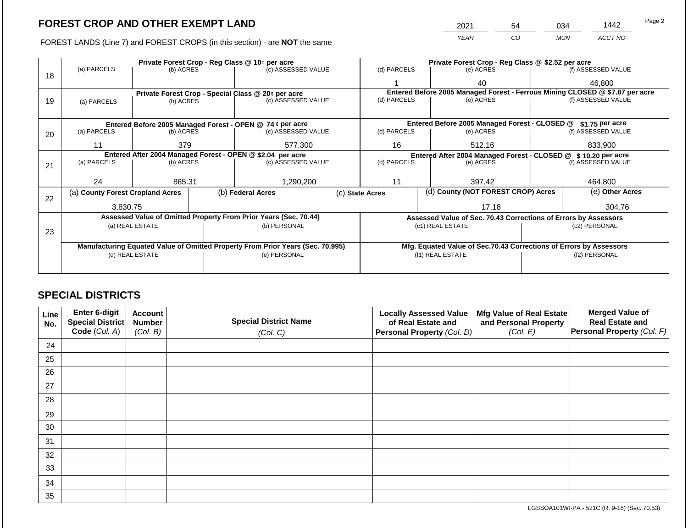2021 54 034 1442

FOREST LANDS (Line 7) and FOREST CROPS (in this section) - are **NOT** the same *YEAR CO MUN ACCT NO*

|    |                                                                                |                                                            |  | Private Forest Crop - Reg Class @ 10¢ per acre                   |  |                                                                              |                                                               | Private Forest Crop - Reg Class @ \$2.52 per acre                  |        |                    |  |  |
|----|--------------------------------------------------------------------------------|------------------------------------------------------------|--|------------------------------------------------------------------|--|------------------------------------------------------------------------------|---------------------------------------------------------------|--------------------------------------------------------------------|--------|--------------------|--|--|
| 18 | (a) PARCELS                                                                    | (b) ACRES                                                  |  | (c) ASSESSED VALUE                                               |  | (d) PARCELS                                                                  |                                                               | (e) ACRES                                                          |        | (f) ASSESSED VALUE |  |  |
|    |                                                                                |                                                            |  |                                                                  |  |                                                                              |                                                               | 40                                                                 |        | 46.800             |  |  |
|    |                                                                                |                                                            |  | Private Forest Crop - Special Class @ 20¢ per acre               |  | Entered Before 2005 Managed Forest - Ferrous Mining CLOSED @ \$7.87 per acre |                                                               |                                                                    |        |                    |  |  |
| 19 | (a) PARCELS                                                                    | (b) ACRES                                                  |  | (c) ASSESSED VALUE                                               |  | (d) PARCELS                                                                  |                                                               | (e) ACRES                                                          |        | (f) ASSESSED VALUE |  |  |
|    |                                                                                |                                                            |  |                                                                  |  |                                                                              |                                                               |                                                                    |        |                    |  |  |
|    |                                                                                |                                                            |  | Entered Before 2005 Managed Forest - OPEN @ 74 ¢ per acre        |  |                                                                              |                                                               | Entered Before 2005 Managed Forest - CLOSED @                      |        | \$1.75 per acre    |  |  |
| 20 | (a) PARCELS<br>(b) ACRES                                                       |                                                            |  | (c) ASSESSED VALUE                                               |  | (d) PARCELS                                                                  |                                                               | (e) ACRES                                                          |        | (f) ASSESSED VALUE |  |  |
|    | 11                                                                             | 379                                                        |  | 577,300                                                          |  | 16                                                                           |                                                               | 512.16                                                             |        | 833,900            |  |  |
|    |                                                                                | Entered After 2004 Managed Forest - OPEN @ \$2.04 per acre |  |                                                                  |  |                                                                              | Entered After 2004 Managed Forest - CLOSED @ \$10.20 per acre |                                                                    |        |                    |  |  |
| 21 | (a) PARCELS                                                                    | (b) ACRES                                                  |  | (c) ASSESSED VALUE                                               |  | (d) PARCELS                                                                  |                                                               | (e) ACRES                                                          |        | (f) ASSESSED VALUE |  |  |
|    |                                                                                |                                                            |  |                                                                  |  |                                                                              |                                                               |                                                                    |        |                    |  |  |
|    | 24                                                                             | 865.31                                                     |  | 1,290,200                                                        |  | 11                                                                           |                                                               | 397.42                                                             |        | 464,800            |  |  |
| 22 | (a) County Forest Cropland Acres                                               |                                                            |  | (b) Federal Acres                                                |  | (c) State Acres                                                              |                                                               | (d) County (NOT FOREST CROP) Acres                                 |        | (e) Other Acres    |  |  |
|    | 3,830.75                                                                       |                                                            |  |                                                                  |  | 17.18                                                                        |                                                               |                                                                    | 304.76 |                    |  |  |
|    |                                                                                |                                                            |  | Assessed Value of Omitted Property From Prior Years (Sec. 70.44) |  |                                                                              |                                                               | Assessed Value of Sec. 70.43 Corrections of Errors by Assessors    |        |                    |  |  |
|    | (a) REAL ESTATE                                                                |                                                            |  | (b) PERSONAL                                                     |  |                                                                              |                                                               | (c1) REAL ESTATE                                                   |        | (c2) PERSONAL      |  |  |
| 23 |                                                                                |                                                            |  |                                                                  |  |                                                                              |                                                               |                                                                    |        |                    |  |  |
|    | Manufacturing Equated Value of Omitted Property From Prior Years (Sec. 70.995) |                                                            |  |                                                                  |  |                                                                              |                                                               | Mfg. Equated Value of Sec.70.43 Corrections of Errors by Assessors |        |                    |  |  |
|    |                                                                                | (d) REAL ESTATE                                            |  | (e) PERSONAL                                                     |  | (f1) REAL ESTATE                                                             |                                                               |                                                                    |        | (f2) PERSONAL      |  |  |
|    |                                                                                |                                                            |  |                                                                  |  |                                                                              |                                                               |                                                                    |        |                    |  |  |
|    |                                                                                |                                                            |  |                                                                  |  |                                                                              |                                                               |                                                                    |        |                    |  |  |

## **SPECIAL DISTRICTS**

| <b>Line</b><br>No. | Enter 6-digit<br><b>Special District</b> | <b>Account</b><br><b>Number</b> | <b>Special District Name</b> | <b>Locally Assessed Value</b><br>Mfg Value of Real Estate<br>of Real Estate and<br>and Personal Property |          | <b>Merged Value of</b><br><b>Real Estate and</b> |
|--------------------|------------------------------------------|---------------------------------|------------------------------|----------------------------------------------------------------------------------------------------------|----------|--------------------------------------------------|
|                    | Code (Col. A)                            | (Col. B)                        | (Col. C)                     | Personal Property (Col. D)                                                                               | (Col. E) | Personal Property (Col. F)                       |
| 24                 |                                          |                                 |                              |                                                                                                          |          |                                                  |
| 25                 |                                          |                                 |                              |                                                                                                          |          |                                                  |
| 26                 |                                          |                                 |                              |                                                                                                          |          |                                                  |
| 27                 |                                          |                                 |                              |                                                                                                          |          |                                                  |
| 28                 |                                          |                                 |                              |                                                                                                          |          |                                                  |
| 29                 |                                          |                                 |                              |                                                                                                          |          |                                                  |
| 30                 |                                          |                                 |                              |                                                                                                          |          |                                                  |
| 31                 |                                          |                                 |                              |                                                                                                          |          |                                                  |
| 32                 |                                          |                                 |                              |                                                                                                          |          |                                                  |
| 33                 |                                          |                                 |                              |                                                                                                          |          |                                                  |
| 34                 |                                          |                                 |                              |                                                                                                          |          |                                                  |
| 35                 |                                          |                                 |                              |                                                                                                          |          |                                                  |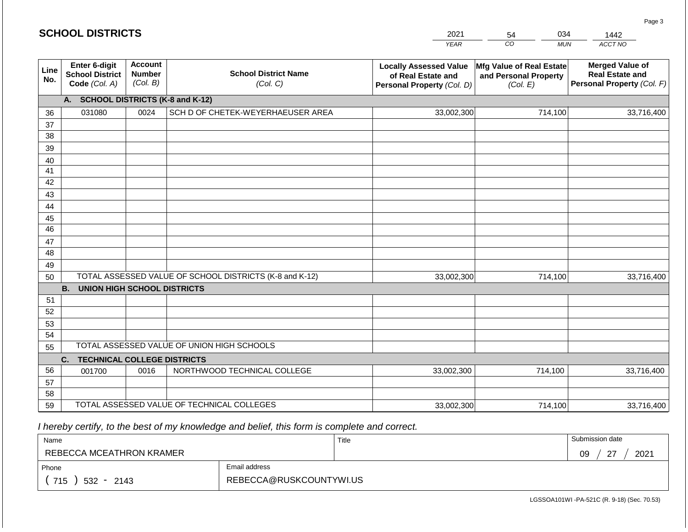|             | <b>SCHOOL DISTRICTS</b>                                                                                                                            |      |                                                         | 2021                                                                              | 034<br>54                                                     | 1442                                                                           |
|-------------|----------------------------------------------------------------------------------------------------------------------------------------------------|------|---------------------------------------------------------|-----------------------------------------------------------------------------------|---------------------------------------------------------------|--------------------------------------------------------------------------------|
|             |                                                                                                                                                    |      |                                                         | <b>YEAR</b>                                                                       | CO<br><b>MUN</b>                                              | ACCT NO                                                                        |
| Line<br>No. | <b>Account</b><br>Enter 6-digit<br><b>School District Name</b><br><b>School District</b><br><b>Number</b><br>(Col. B)<br>Code (Col. A)<br>(Col. C) |      |                                                         | <b>Locally Assessed Value</b><br>of Real Estate and<br>Personal Property (Col. D) | Mfg Value of Real Estate<br>and Personal Property<br>(Col. E) | <b>Merged Value of</b><br><b>Real Estate and</b><br>Personal Property (Col. F) |
|             | A. SCHOOL DISTRICTS (K-8 and K-12)                                                                                                                 |      |                                                         |                                                                                   |                                                               |                                                                                |
| 36          | 031080                                                                                                                                             | 0024 | SCH D OF CHETEK-WEYERHAEUSER AREA                       | 33,002,300                                                                        | 714,100                                                       | 33,716,400                                                                     |
| 37          |                                                                                                                                                    |      |                                                         |                                                                                   |                                                               |                                                                                |
| 38          |                                                                                                                                                    |      |                                                         |                                                                                   |                                                               |                                                                                |
| 39          |                                                                                                                                                    |      |                                                         |                                                                                   |                                                               |                                                                                |
| 40          |                                                                                                                                                    |      |                                                         |                                                                                   |                                                               |                                                                                |
| 41          |                                                                                                                                                    |      |                                                         |                                                                                   |                                                               |                                                                                |
| 42          |                                                                                                                                                    |      |                                                         |                                                                                   |                                                               |                                                                                |
| 43          |                                                                                                                                                    |      |                                                         |                                                                                   |                                                               |                                                                                |
| 44<br>45    |                                                                                                                                                    |      |                                                         |                                                                                   |                                                               |                                                                                |
| 46          |                                                                                                                                                    |      |                                                         |                                                                                   |                                                               |                                                                                |
| 47          |                                                                                                                                                    |      |                                                         |                                                                                   |                                                               |                                                                                |
| 48          |                                                                                                                                                    |      |                                                         |                                                                                   |                                                               |                                                                                |
| 49          |                                                                                                                                                    |      |                                                         |                                                                                   |                                                               |                                                                                |
| 50          |                                                                                                                                                    |      | TOTAL ASSESSED VALUE OF SCHOOL DISTRICTS (K-8 and K-12) | 33,002,300                                                                        | 714,100                                                       | 33,716,400                                                                     |
|             | <b>B.</b><br><b>UNION HIGH SCHOOL DISTRICTS</b>                                                                                                    |      |                                                         |                                                                                   |                                                               |                                                                                |
| 51          |                                                                                                                                                    |      |                                                         |                                                                                   |                                                               |                                                                                |
| 52          |                                                                                                                                                    |      |                                                         |                                                                                   |                                                               |                                                                                |
| 53          |                                                                                                                                                    |      |                                                         |                                                                                   |                                                               |                                                                                |
| 54          |                                                                                                                                                    |      |                                                         |                                                                                   |                                                               |                                                                                |
| 55          |                                                                                                                                                    |      | TOTAL ASSESSED VALUE OF UNION HIGH SCHOOLS              |                                                                                   |                                                               |                                                                                |
|             | C.<br><b>TECHNICAL COLLEGE DISTRICTS</b>                                                                                                           |      |                                                         |                                                                                   |                                                               |                                                                                |
| 56          | 001700                                                                                                                                             | 0016 | NORTHWOOD TECHNICAL COLLEGE                             | 33,002,300                                                                        | 714,100                                                       | 33,716,400                                                                     |
| 57          |                                                                                                                                                    |      |                                                         |                                                                                   |                                                               |                                                                                |
| 58<br>59    |                                                                                                                                                    |      | TOTAL ASSESSED VALUE OF TECHNICAL COLLEGES              |                                                                                   |                                                               |                                                                                |
|             |                                                                                                                                                    |      |                                                         | 33,002,300                                                                        | 714,100                                                       | 33,716,400                                                                     |

| Name                     |                         | Title | Submission date      |
|--------------------------|-------------------------|-------|----------------------|
| REBECCA MCEATHRON KRAMER |                         |       | $\sim$<br>2021<br>09 |
| Phone                    | Email address           |       |                      |
| 715<br>$532 -$<br>2143   | REBECCA@RUSKCOUNTYWI.US |       |                      |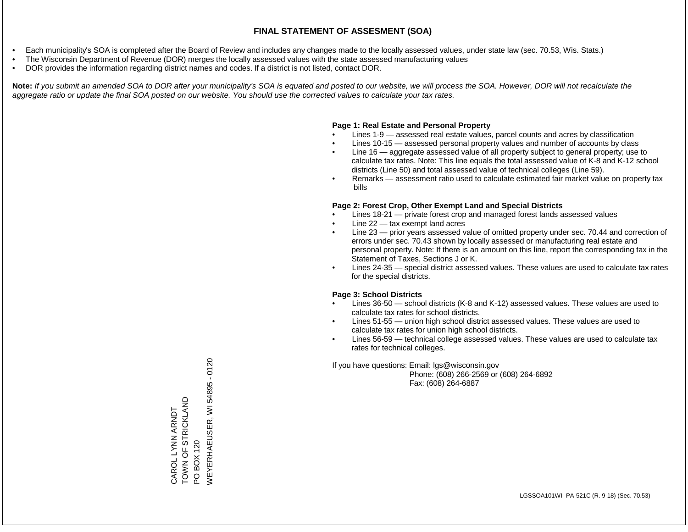- Each municipality's SOA is completed after the Board of Review and includes any changes made to the locally assessed values, under state law (sec. 70.53, Wis. Stats.)
- The Wisconsin Department of Revenue (DOR) merges the locally assessed values with the state assessed manufacturing values
- DOR provides the information regarding district names and codes. If a district is not listed, contact DOR.

Note: If you submit an amended SOA to DOR after your municipality's SOA is equated and posted to our website, we will process the SOA. However, DOR will not recalculate the *aggregate ratio or update the final SOA posted on our website. You should use the corrected values to calculate your tax rates.*

### **Page 1: Real Estate and Personal Property**

- Lines 1-9 assessed real estate values, parcel counts and acres by classification
- Lines 10-15 assessed personal property values and number of accounts by class
- Line 16 aggregate assessed value of all property subject to general property; use to calculate tax rates. Note: This line equals the total assessed value of K-8 and K-12 school districts (Line 50) and total assessed value of technical colleges (Line 59).
- Remarks assessment ratio used to calculate estimated fair market value on property tax bills

### **Page 2: Forest Crop, Other Exempt Land and Special Districts**

- Lines 18-21 private forest crop and managed forest lands assessed values
- Line  $22 -$  tax exempt land acres
- Line 23 prior years assessed value of omitted property under sec. 70.44 and correction of errors under sec. 70.43 shown by locally assessed or manufacturing real estate and personal property. Note: If there is an amount on this line, report the corresponding tax in the Statement of Taxes, Sections J or K.
- Lines 24-35 special district assessed values. These values are used to calculate tax rates for the special districts.

### **Page 3: School Districts**

- Lines 36-50 school districts (K-8 and K-12) assessed values. These values are used to calculate tax rates for school districts.
- Lines 51-55 union high school district assessed values. These values are used to calculate tax rates for union high school districts.
- Lines 56-59 technical college assessed values. These values are used to calculate tax rates for technical colleges.

If you have questions: Email: lgs@wisconsin.gov

 Phone: (608) 266-2569 or (608) 264-6892 Fax: (608) 264-6887

WEYERHAEUSER, WI 54895 - 0120VEYERHAEUSER, WI 54895 - 0120 TOWN OF STRICKLAND TOWN OF STRICKLAND CAROL LYNN ARNDT CAROL LYNN ARNDT PO BOX 120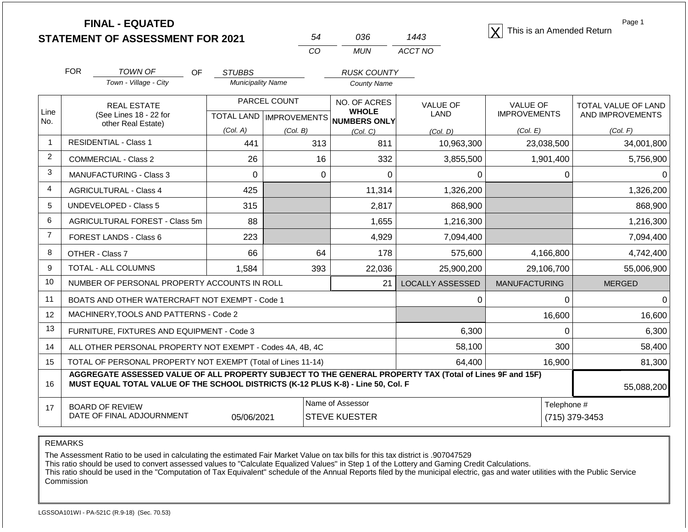|                   |                                                                                                                                                                                              | <b>FINAL - EQUATED</b><br><b>STATEMENT OF ASSESSMENT FOR 2021</b> |                          | 54                                        | 036                                          | 1443                    | This is an Amended Return              | Page 1                                  |  |
|-------------------|----------------------------------------------------------------------------------------------------------------------------------------------------------------------------------------------|-------------------------------------------------------------------|--------------------------|-------------------------------------------|----------------------------------------------|-------------------------|----------------------------------------|-----------------------------------------|--|
|                   |                                                                                                                                                                                              |                                                                   |                          | CO                                        | <b>MUN</b>                                   | ACCT NO                 |                                        |                                         |  |
|                   | <b>FOR</b>                                                                                                                                                                                   | <b>TOWN OF</b><br>OF                                              | <b>STUBBS</b>            |                                           | <b>RUSK COUNTY</b>                           |                         |                                        |                                         |  |
|                   |                                                                                                                                                                                              | Town - Village - City                                             | <b>Municipality Name</b> |                                           | <b>County Name</b>                           |                         |                                        |                                         |  |
| Line              |                                                                                                                                                                                              | <b>REAL ESTATE</b><br>(See Lines 18 - 22 for                      |                          | PARCEL COUNT<br>TOTAL LAND   IMPROVEMENTS | NO. OF ACRES<br><b>WHOLE</b><br>NUMBERS ONLY | VALUE OF<br><b>LAND</b> | <b>VALUE OF</b><br><b>IMPROVEMENTS</b> | TOTAL VALUE OF LAND<br>AND IMPROVEMENTS |  |
| No.               |                                                                                                                                                                                              | other Real Estate)                                                | (Col. A)                 | (Col. B)                                  | (Col. C)                                     | (Col, D)                | (Col. E)                               | (Col. F)                                |  |
|                   |                                                                                                                                                                                              | <b>RESIDENTIAL - Class 1</b>                                      | 441                      | 313                                       | 811                                          | 10,963,300              | 23,038,500                             | 34,001,800                              |  |
| 2                 |                                                                                                                                                                                              | <b>COMMERCIAL - Class 2</b>                                       | 26                       | 16                                        | 332                                          | 3,855,500               | 1,901,400                              | 5,756,900                               |  |
| 3                 |                                                                                                                                                                                              | <b>MANUFACTURING - Class 3</b>                                    | $\mathbf 0$              |                                           | $\Omega$<br>$\Omega$                         | 0                       | 0                                      | 0                                       |  |
| 4                 |                                                                                                                                                                                              | <b>AGRICULTURAL - Class 4</b>                                     | 425                      |                                           | 11,314                                       | 1,326,200               |                                        | 1,326,200                               |  |
| 5                 |                                                                                                                                                                                              | <b>UNDEVELOPED - Class 5</b>                                      | 315                      |                                           | 2,817                                        | 868,900                 |                                        | 868,900                                 |  |
| 6                 |                                                                                                                                                                                              | AGRICULTURAL FOREST - Class 5m                                    | 88                       |                                           | 1,655                                        | 1,216,300               |                                        | 1,216,300                               |  |
| $\overline{7}$    |                                                                                                                                                                                              | FOREST LANDS - Class 6                                            | 223                      |                                           | 4,929                                        | 7,094,400               |                                        | 7,094,400                               |  |
| 8                 |                                                                                                                                                                                              | OTHER - Class 7                                                   | 66                       | 64                                        | 178                                          | 575,600                 | 4,166,800                              | 4,742,400                               |  |
| 9                 |                                                                                                                                                                                              | <b>TOTAL - ALL COLUMNS</b>                                        | 1,584                    | 393                                       | 22,036                                       | 25,900,200              | 29,106,700                             | 55,006,900                              |  |
| 10                |                                                                                                                                                                                              | NUMBER OF PERSONAL PROPERTY ACCOUNTS IN ROLL                      |                          |                                           | 21                                           | <b>LOCALLY ASSESSED</b> | <b>MANUFACTURING</b>                   | <b>MERGED</b>                           |  |
| 11                |                                                                                                                                                                                              | BOATS AND OTHER WATERCRAFT NOT EXEMPT - Code 1                    |                          |                                           |                                              | 0                       | $\Omega$                               | 0                                       |  |
| $12 \overline{ }$ |                                                                                                                                                                                              | MACHINERY, TOOLS AND PATTERNS - Code 2                            |                          |                                           |                                              |                         | 16,600                                 | 16,600                                  |  |
| 13                |                                                                                                                                                                                              | FURNITURE, FIXTURES AND EQUIPMENT - Code 3                        |                          |                                           |                                              | 6,300                   | $\mathbf 0$                            | 6,300                                   |  |
| 14                |                                                                                                                                                                                              | ALL OTHER PERSONAL PROPERTY NOT EXEMPT - Codes 4A, 4B, 4C         |                          |                                           |                                              | 58,100                  | 300                                    | 58,400                                  |  |
| 15                | TOTAL OF PERSONAL PROPERTY NOT EXEMPT (Total of Lines 11-14)                                                                                                                                 |                                                                   |                          |                                           |                                              | 64,400                  | 16,900                                 | 81,300                                  |  |
| 16                | AGGREGATE ASSESSED VALUE OF ALL PROPERTY SUBJECT TO THE GENERAL PROPERTY TAX (Total of Lines 9F and 15F)<br>MUST EQUAL TOTAL VALUE OF THE SCHOOL DISTRICTS (K-12 PLUS K-8) - Line 50, Col. F |                                                                   |                          |                                           |                                              |                         |                                        | 55,088,200                              |  |
| 17                |                                                                                                                                                                                              | <b>BOARD OF REVIEW</b>                                            |                          |                                           | Name of Assessor                             |                         | Telephone #                            |                                         |  |
|                   | DATE OF FINAL ADJOURNMENT                                                                                                                                                                    |                                                                   | 05/06/2021               |                                           | <b>STEVE KUESTER</b>                         |                         |                                        | (715) 379-3453                          |  |

The Assessment Ratio to be used in calculating the estimated Fair Market Value on tax bills for this tax district is .907047529

This ratio should be used to convert assessed values to "Calculate Equalized Values" in Step 1 of the Lottery and Gaming Credit Calculations.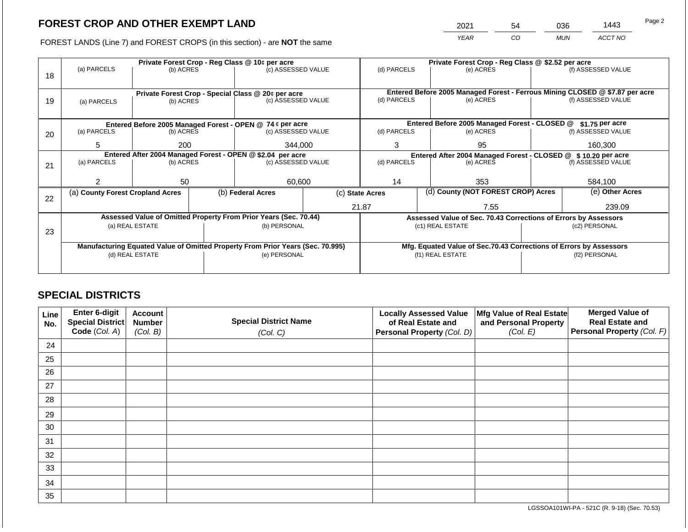2021 54 036 1443

FOREST LANDS (Line 7) and FOREST CROPS (in this section) - are **NOT** the same *YEAR CO MUN ACCT NO*

|    |                                                                                |                 |  | Private Forest Crop - Reg Class @ 10¢ per acre                   |                                                               | Private Forest Crop - Reg Class @ \$2.52 per acre |  |                                                                    |                                                                                                    |                    |  |
|----|--------------------------------------------------------------------------------|-----------------|--|------------------------------------------------------------------|---------------------------------------------------------------|---------------------------------------------------|--|--------------------------------------------------------------------|----------------------------------------------------------------------------------------------------|--------------------|--|
|    | (a) PARCELS                                                                    | (b) ACRES       |  | (c) ASSESSED VALUE                                               |                                                               | (d) PARCELS                                       |  | (e) ACRES                                                          |                                                                                                    | (f) ASSESSED VALUE |  |
| 18 |                                                                                |                 |  |                                                                  |                                                               |                                                   |  |                                                                    |                                                                                                    |                    |  |
|    |                                                                                |                 |  |                                                                  |                                                               |                                                   |  |                                                                    |                                                                                                    |                    |  |
|    |                                                                                |                 |  | Private Forest Crop - Special Class @ 20¢ per acre               |                                                               | (d) PARCELS                                       |  | (e) ACRES                                                          | Entered Before 2005 Managed Forest - Ferrous Mining CLOSED @ \$7.87 per acre<br>(f) ASSESSED VALUE |                    |  |
| 19 | (a) PARCELS                                                                    | (b) ACRES       |  | (c) ASSESSED VALUE                                               |                                                               |                                                   |  |                                                                    |                                                                                                    |                    |  |
|    |                                                                                |                 |  |                                                                  |                                                               |                                                   |  |                                                                    |                                                                                                    |                    |  |
|    |                                                                                |                 |  | Entered Before 2005 Managed Forest - OPEN @ 74 ¢ per acre        |                                                               |                                                   |  | Entered Before 2005 Managed Forest - CLOSED @                      |                                                                                                    | \$1.75 per acre    |  |
| 20 | (a) PARCELS                                                                    | (b) ACRES       |  | (c) ASSESSED VALUE                                               |                                                               | (d) PARCELS                                       |  | (e) ACRES                                                          |                                                                                                    | (f) ASSESSED VALUE |  |
|    |                                                                                |                 |  |                                                                  |                                                               |                                                   |  |                                                                    |                                                                                                    |                    |  |
|    | 5                                                                              | 200             |  | 344,000                                                          |                                                               | 3                                                 |  | 95                                                                 |                                                                                                    | 160,300            |  |
|    |                                                                                |                 |  | Entered After 2004 Managed Forest - OPEN @ \$2.04 per acre       | Entered After 2004 Managed Forest - CLOSED @ \$10.20 per acre |                                                   |  |                                                                    |                                                                                                    |                    |  |
| 21 | (a) PARCELS                                                                    | (b) ACRES       |  | (c) ASSESSED VALUE                                               |                                                               | (d) PARCELS                                       |  | (e) ACRES                                                          |                                                                                                    | (f) ASSESSED VALUE |  |
|    |                                                                                |                 |  |                                                                  |                                                               |                                                   |  |                                                                    |                                                                                                    |                    |  |
|    | っ                                                                              | 50              |  | 60,600                                                           |                                                               | 14                                                |  | 353                                                                |                                                                                                    | 584,100            |  |
|    | (a) County Forest Cropland Acres                                               |                 |  | (b) Federal Acres                                                |                                                               | (c) State Acres                                   |  | (d) County (NOT FOREST CROP) Acres                                 | (e) Other Acres                                                                                    |                    |  |
| 22 |                                                                                |                 |  |                                                                  |                                                               |                                                   |  |                                                                    |                                                                                                    |                    |  |
|    |                                                                                |                 |  |                                                                  |                                                               | 21.87                                             |  | 7.55                                                               |                                                                                                    | 239.09             |  |
|    |                                                                                |                 |  | Assessed Value of Omitted Property From Prior Years (Sec. 70.44) |                                                               |                                                   |  | Assessed Value of Sec. 70.43 Corrections of Errors by Assessors    |                                                                                                    |                    |  |
|    |                                                                                | (a) REAL ESTATE |  | (b) PERSONAL                                                     |                                                               |                                                   |  | (c1) REAL ESTATE                                                   |                                                                                                    | (c2) PERSONAL      |  |
| 23 |                                                                                |                 |  |                                                                  |                                                               |                                                   |  |                                                                    |                                                                                                    |                    |  |
|    | Manufacturing Equated Value of Omitted Property From Prior Years (Sec. 70.995) |                 |  |                                                                  |                                                               |                                                   |  | Mfg. Equated Value of Sec.70.43 Corrections of Errors by Assessors |                                                                                                    |                    |  |
|    |                                                                                | (d) REAL ESTATE |  |                                                                  |                                                               |                                                   |  | (f1) REAL ESTATE                                                   |                                                                                                    | (f2) PERSONAL      |  |
|    |                                                                                |                 |  | (e) PERSONAL                                                     |                                                               |                                                   |  |                                                                    |                                                                                                    |                    |  |
|    |                                                                                |                 |  |                                                                  |                                                               |                                                   |  |                                                                    |                                                                                                    |                    |  |

## **SPECIAL DISTRICTS**

| Line<br>No. | <b>Enter 6-digit</b><br>Special District | <b>Account</b><br><b>Number</b> | <b>Special District Name</b> | <b>Locally Assessed Value</b><br>of Real Estate and | Mfg Value of Real Estate<br>and Personal Property | <b>Merged Value of</b><br><b>Real Estate and</b> |
|-------------|------------------------------------------|---------------------------------|------------------------------|-----------------------------------------------------|---------------------------------------------------|--------------------------------------------------|
|             | Code (Col. A)                            | (Col. B)                        | (Col. C)                     | Personal Property (Col. D)                          | (Col. E)                                          | Personal Property (Col. F)                       |
| 24          |                                          |                                 |                              |                                                     |                                                   |                                                  |
| 25          |                                          |                                 |                              |                                                     |                                                   |                                                  |
| 26          |                                          |                                 |                              |                                                     |                                                   |                                                  |
| 27          |                                          |                                 |                              |                                                     |                                                   |                                                  |
| 28          |                                          |                                 |                              |                                                     |                                                   |                                                  |
| 29          |                                          |                                 |                              |                                                     |                                                   |                                                  |
| 30          |                                          |                                 |                              |                                                     |                                                   |                                                  |
| 31          |                                          |                                 |                              |                                                     |                                                   |                                                  |
| 32          |                                          |                                 |                              |                                                     |                                                   |                                                  |
| 33          |                                          |                                 |                              |                                                     |                                                   |                                                  |
| 34          |                                          |                                 |                              |                                                     |                                                   |                                                  |
| 35          |                                          |                                 |                              |                                                     |                                                   |                                                  |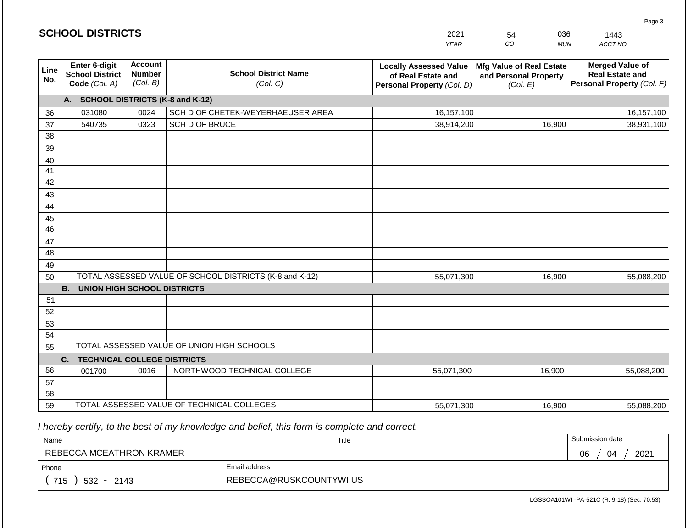|             | <b>SCHOOL DISTRICTS</b>                                  |                                             |                                                         | 2021                                                                              | 036<br>54                                                     | 1443                                                                           |
|-------------|----------------------------------------------------------|---------------------------------------------|---------------------------------------------------------|-----------------------------------------------------------------------------------|---------------------------------------------------------------|--------------------------------------------------------------------------------|
|             |                                                          |                                             |                                                         | <b>YEAR</b>                                                                       | CO<br><b>MUN</b>                                              | ACCT NO                                                                        |
| Line<br>No. | Enter 6-digit<br><b>School District</b><br>Code (Col. A) | <b>Account</b><br><b>Number</b><br>(Col. B) | <b>School District Name</b><br>(Col. C)                 | <b>Locally Assessed Value</b><br>of Real Estate and<br>Personal Property (Col. D) | Mfg Value of Real Estate<br>and Personal Property<br>(Col. E) | <b>Merged Value of</b><br><b>Real Estate and</b><br>Personal Property (Col. F) |
|             | A. SCHOOL DISTRICTS (K-8 and K-12)                       |                                             |                                                         |                                                                                   |                                                               |                                                                                |
| 36          | 031080                                                   | 0024                                        | SCH D OF CHETEK-WEYERHAEUSER AREA                       | 16,157,100                                                                        |                                                               | 16, 157, 100                                                                   |
| 37          | 540735                                                   | 0323                                        | SCH D OF BRUCE                                          | 38,914,200                                                                        | 16,900                                                        | 38,931,100                                                                     |
| 38          |                                                          |                                             |                                                         |                                                                                   |                                                               |                                                                                |
| 39          |                                                          |                                             |                                                         |                                                                                   |                                                               |                                                                                |
| 40          |                                                          |                                             |                                                         |                                                                                   |                                                               |                                                                                |
| 41          |                                                          |                                             |                                                         |                                                                                   |                                                               |                                                                                |
| 42          |                                                          |                                             |                                                         |                                                                                   |                                                               |                                                                                |
| 43          |                                                          |                                             |                                                         |                                                                                   |                                                               |                                                                                |
| 44<br>45    |                                                          |                                             |                                                         |                                                                                   |                                                               |                                                                                |
| 46          |                                                          |                                             |                                                         |                                                                                   |                                                               |                                                                                |
| 47          |                                                          |                                             |                                                         |                                                                                   |                                                               |                                                                                |
| 48          |                                                          |                                             |                                                         |                                                                                   |                                                               |                                                                                |
| 49          |                                                          |                                             |                                                         |                                                                                   |                                                               |                                                                                |
| 50          |                                                          |                                             | TOTAL ASSESSED VALUE OF SCHOOL DISTRICTS (K-8 and K-12) | 55,071,300                                                                        | 16,900                                                        | 55,088,200                                                                     |
|             | <b>B.</b><br><b>UNION HIGH SCHOOL DISTRICTS</b>          |                                             |                                                         |                                                                                   |                                                               |                                                                                |
| 51          |                                                          |                                             |                                                         |                                                                                   |                                                               |                                                                                |
| 52          |                                                          |                                             |                                                         |                                                                                   |                                                               |                                                                                |
| 53          |                                                          |                                             |                                                         |                                                                                   |                                                               |                                                                                |
| 54          |                                                          |                                             |                                                         |                                                                                   |                                                               |                                                                                |
| 55          |                                                          |                                             | TOTAL ASSESSED VALUE OF UNION HIGH SCHOOLS              |                                                                                   |                                                               |                                                                                |
|             | C.<br><b>TECHNICAL COLLEGE DISTRICTS</b>                 |                                             |                                                         |                                                                                   |                                                               |                                                                                |
| 56          | 001700                                                   | 0016                                        | NORTHWOOD TECHNICAL COLLEGE                             | 55,071,300                                                                        | 16,900                                                        | 55,088,200                                                                     |
| 57          |                                                          |                                             |                                                         |                                                                                   |                                                               |                                                                                |
| 58          |                                                          |                                             |                                                         |                                                                                   |                                                               |                                                                                |
| 59          |                                                          |                                             | TOTAL ASSESSED VALUE OF TECHNICAL COLLEGES              | 55,071,300                                                                        | 16,900                                                        | 55,088,200                                                                     |

| Name                         |                         | Title | Submission date  |
|------------------------------|-------------------------|-------|------------------|
| REBECCA MCEATHRON KRAMER     |                         |       | 2021<br>06<br>04 |
| Phone                        | Email address           |       |                  |
| 715<br>532<br>2143<br>$\sim$ | REBECCA@RUSKCOUNTYWI.US |       |                  |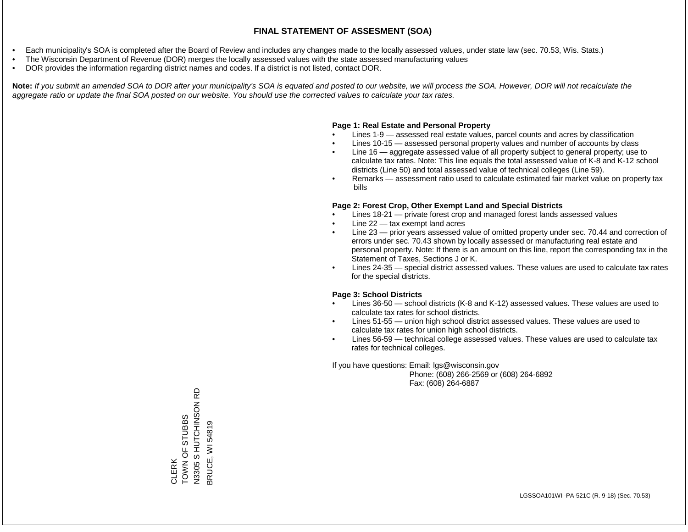- Each municipality's SOA is completed after the Board of Review and includes any changes made to the locally assessed values, under state law (sec. 70.53, Wis. Stats.)
- The Wisconsin Department of Revenue (DOR) merges the locally assessed values with the state assessed manufacturing values
- DOR provides the information regarding district names and codes. If a district is not listed, contact DOR.

Note: If you submit an amended SOA to DOR after your municipality's SOA is equated and posted to our website, we will process the SOA. However, DOR will not recalculate the *aggregate ratio or update the final SOA posted on our website. You should use the corrected values to calculate your tax rates.*

#### **Page 1: Real Estate and Personal Property**

- Lines 1-9 assessed real estate values, parcel counts and acres by classification
- Lines 10-15 assessed personal property values and number of accounts by class
- Line 16 aggregate assessed value of all property subject to general property; use to calculate tax rates. Note: This line equals the total assessed value of K-8 and K-12 school districts (Line 50) and total assessed value of technical colleges (Line 59).
- Remarks assessment ratio used to calculate estimated fair market value on property tax bills

#### **Page 2: Forest Crop, Other Exempt Land and Special Districts**

- Lines 18-21 private forest crop and managed forest lands assessed values
- Line  $22 -$  tax exempt land acres
- Line 23 prior years assessed value of omitted property under sec. 70.44 and correction of errors under sec. 70.43 shown by locally assessed or manufacturing real estate and personal property. Note: If there is an amount on this line, report the corresponding tax in the Statement of Taxes, Sections J or K.
- Lines 24-35 special district assessed values. These values are used to calculate tax rates for the special districts.

#### **Page 3: School Districts**

- Lines 36-50 school districts (K-8 and K-12) assessed values. These values are used to calculate tax rates for school districts.
- Lines 51-55 union high school district assessed values. These values are used to calculate tax rates for union high school districts.
- Lines 56-59 technical college assessed values. These values are used to calculate tax rates for technical colleges.

If you have questions: Email: lgs@wisconsin.gov

 Phone: (608) 266-2569 or (608) 264-6892 Fax: (608) 264-6887

윤 N3305 S HUTCHINSON RD N3305 S HUTCHINSON TOWN OF STUBBS CLERK<br>TOWN OF STUBBS 3RUCE, WI 54819 BRUCE, WI 54819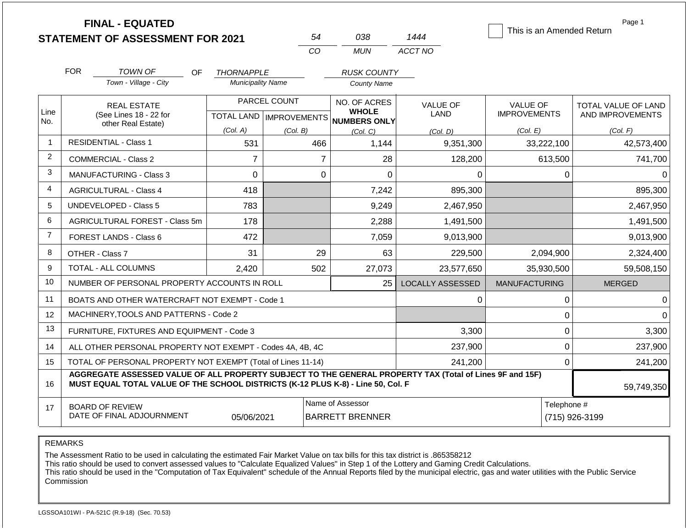|                |            | <b>FINAL - EQUATED</b><br><b>STATEMENT OF ASSESSMENT FOR 2021</b>                                                                                                                            |                          | 54                        |                        | 038                          | 1444                    |                      |              | Page 1<br>This is an Amended Return |  |
|----------------|------------|----------------------------------------------------------------------------------------------------------------------------------------------------------------------------------------------|--------------------------|---------------------------|------------------------|------------------------------|-------------------------|----------------------|--------------|-------------------------------------|--|
|                |            |                                                                                                                                                                                              |                          | CO                        |                        | <b>MUN</b>                   | ACCT NO                 |                      |              |                                     |  |
|                | <b>FOR</b> | TOWN OF<br><b>OF</b>                                                                                                                                                                         | <b>THORNAPPLE</b>        |                           |                        | <b>RUSK COUNTY</b>           |                         |                      |              |                                     |  |
|                |            | Town - Village - City                                                                                                                                                                        | <b>Municipality Name</b> |                           | <b>County Name</b>     |                              |                         |                      |              |                                     |  |
|                |            | <b>REAL ESTATE</b>                                                                                                                                                                           |                          | PARCEL COUNT              |                        | NO. OF ACRES                 | <b>VALUE OF</b>         | <b>VALUE OF</b>      |              | TOTAL VALUE OF LAND                 |  |
| Line<br>No.    |            | (See Lines 18 - 22 for<br>other Real Estate)                                                                                                                                                 |                          | TOTAL LAND   IMPROVEMENTS |                        | <b>WHOLE</b><br>NUMBERS ONLY | <b>LAND</b>             | <b>IMPROVEMENTS</b>  |              | AND IMPROVEMENTS                    |  |
|                |            |                                                                                                                                                                                              | (Col. A)                 | (Col. B)                  |                        | (Col, C)                     | (Col. D)                | (Col. E)             |              | (Col. F)                            |  |
| $\mathbf{1}$   |            | <b>RESIDENTIAL - Class 1</b>                                                                                                                                                                 | 531                      |                           | 466                    | 1,144                        | 9,351,300               |                      | 33,222,100   | 42,573,400                          |  |
| 2              |            | <b>COMMERCIAL - Class 2</b>                                                                                                                                                                  | $\overline{7}$           |                           | $\overline{7}$         | 28                           | 128,200                 |                      | 613,500      | 741,700                             |  |
| 3              |            | MANUFACTURING - Class 3                                                                                                                                                                      | 0                        |                           | 0                      | $\Omega$                     | 0                       |                      | $\mathbf{0}$ | $\Omega$                            |  |
| 4              |            | <b>AGRICULTURAL - Class 4</b>                                                                                                                                                                | 418                      |                           |                        | 7,242                        | 895,300                 |                      |              | 895,300                             |  |
| 5              |            | <b>UNDEVELOPED - Class 5</b>                                                                                                                                                                 | 783                      |                           |                        | 9,249                        | 2,467,950               |                      |              | 2,467,950                           |  |
| 6              |            | AGRICULTURAL FOREST - Class 5m                                                                                                                                                               | 178                      |                           |                        | 2,288                        | 1,491,500               |                      |              | 1,491,500                           |  |
| $\overline{7}$ |            | <b>FOREST LANDS - Class 6</b>                                                                                                                                                                | 472                      |                           |                        | 7,059                        | 9,013,900               |                      |              | 9,013,900                           |  |
| 8              |            | OTHER - Class 7                                                                                                                                                                              | 31                       |                           | 29                     | 63                           | 229,500                 |                      | 2,094,900    | 2,324,400                           |  |
| 9              |            | TOTAL - ALL COLUMNS                                                                                                                                                                          | 2,420                    |                           | 502                    | 27,073                       | 23,577,650              |                      | 35,930,500   | 59,508,150                          |  |
| 10             |            | NUMBER OF PERSONAL PROPERTY ACCOUNTS IN ROLL                                                                                                                                                 |                          |                           |                        | 25                           | <b>LOCALLY ASSESSED</b> | <b>MANUFACTURING</b> |              | <b>MERGED</b>                       |  |
| 11             |            | BOATS AND OTHER WATERCRAFT NOT EXEMPT - Code 1                                                                                                                                               |                          |                           |                        |                              | 0                       |                      | $\mathbf{0}$ | $\Omega$                            |  |
| 12             |            | MACHINERY, TOOLS AND PATTERNS - Code 2                                                                                                                                                       |                          |                           |                        |                              |                         |                      | $\mathbf 0$  | $\Omega$                            |  |
| 13             |            | FURNITURE, FIXTURES AND EQUIPMENT - Code 3                                                                                                                                                   |                          |                           |                        |                              | 3,300                   |                      | $\mathbf 0$  | 3,300                               |  |
| 14             |            | ALL OTHER PERSONAL PROPERTY NOT EXEMPT - Codes 4A, 4B, 4C                                                                                                                                    |                          |                           |                        |                              | 237,900                 |                      | $\mathbf 0$  | 237,900                             |  |
| 15             |            | TOTAL OF PERSONAL PROPERTY NOT EXEMPT (Total of Lines 11-14)                                                                                                                                 |                          |                           |                        |                              | 241,200                 |                      | $\mathbf{0}$ | 241,200                             |  |
| 16             |            | AGGREGATE ASSESSED VALUE OF ALL PROPERTY SUBJECT TO THE GENERAL PROPERTY TAX (Total of Lines 9F and 15F)<br>MUST EQUAL TOTAL VALUE OF THE SCHOOL DISTRICTS (K-12 PLUS K-8) - Line 50, Col. F |                          |                           |                        |                              |                         |                      |              | 59,749,350                          |  |
| 17             |            | <b>BOARD OF REVIEW</b>                                                                                                                                                                       |                          |                           | Name of Assessor       |                              |                         |                      |              | Telephone #                         |  |
|                |            | DATE OF FINAL ADJOURNMENT                                                                                                                                                                    | 05/06/2021               |                           | <b>BARRETT BRENNER</b> |                              |                         |                      |              | (715) 926-3199                      |  |

The Assessment Ratio to be used in calculating the estimated Fair Market Value on tax bills for this tax district is .865358212

This ratio should be used to convert assessed values to "Calculate Equalized Values" in Step 1 of the Lottery and Gaming Credit Calculations.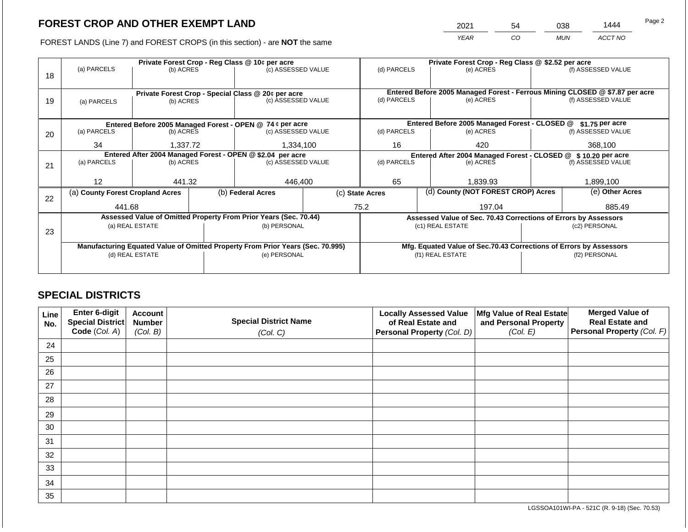2021 54 038 1444

FOREST LANDS (Line 7) and FOREST CROPS (in this section) - are **NOT** the same *YEAR CO MUN ACCT NO*

|    |                                                                                                   |                 |  | Private Forest Crop - Reg Class @ 10¢ per acre                           | Private Forest Crop - Reg Class @ \$2.52 per acre |                 |                  |                                                                                           |                                                                    |                    |  |
|----|---------------------------------------------------------------------------------------------------|-----------------|--|--------------------------------------------------------------------------|---------------------------------------------------|-----------------|------------------|-------------------------------------------------------------------------------------------|--------------------------------------------------------------------|--------------------|--|
|    | (a) PARCELS                                                                                       | (b) ACRES       |  | (c) ASSESSED VALUE                                                       |                                                   | (d) PARCELS     |                  | (e) ACRES                                                                                 |                                                                    | (f) ASSESSED VALUE |  |
| 18 |                                                                                                   |                 |  |                                                                          |                                                   |                 |                  |                                                                                           |                                                                    |                    |  |
|    |                                                                                                   |                 |  |                                                                          |                                                   |                 |                  |                                                                                           |                                                                    |                    |  |
|    |                                                                                                   |                 |  | Private Forest Crop - Special Class @ 20¢ per acre<br>(c) ASSESSED VALUE |                                                   | (d) PARCELS     |                  | Entered Before 2005 Managed Forest - Ferrous Mining CLOSED @ \$7.87 per acre<br>(e) ACRES |                                                                    | (f) ASSESSED VALUE |  |
| 19 | (a) PARCELS                                                                                       | (b) ACRES       |  |                                                                          |                                                   |                 |                  |                                                                                           |                                                                    |                    |  |
|    |                                                                                                   |                 |  |                                                                          |                                                   |                 |                  |                                                                                           |                                                                    |                    |  |
|    |                                                                                                   |                 |  | Entered Before 2005 Managed Forest - OPEN @ 74 ¢ per acre                |                                                   |                 |                  | Entered Before 2005 Managed Forest - CLOSED @                                             |                                                                    | \$1.75 per acre    |  |
| 20 | (a) PARCELS                                                                                       | (b) ACRES       |  | (c) ASSESSED VALUE                                                       |                                                   | (d) PARCELS     |                  | (e) ACRES                                                                                 |                                                                    | (f) ASSESSED VALUE |  |
|    |                                                                                                   |                 |  |                                                                          |                                                   |                 |                  |                                                                                           |                                                                    |                    |  |
|    | 34<br>1,337.72                                                                                    |                 |  | 1,334,100                                                                |                                                   | 16<br>420       |                  |                                                                                           |                                                                    | 368,100            |  |
|    | Entered After 2004 Managed Forest - OPEN @ \$2.04 per acre                                        |                 |  |                                                                          |                                                   |                 |                  | Entered After 2004 Managed Forest - CLOSED @ \$10.20 per acre                             |                                                                    |                    |  |
| 21 | (a) PARCELS<br>(b) ACRES                                                                          |                 |  | (c) ASSESSED VALUE                                                       |                                                   | (d) PARCELS     |                  | (e) ACRES                                                                                 |                                                                    | (f) ASSESSED VALUE |  |
|    |                                                                                                   |                 |  |                                                                          |                                                   |                 |                  |                                                                                           |                                                                    |                    |  |
|    | 12                                                                                                | 441.32          |  | 446,400                                                                  |                                                   | 65              |                  | 1,839.93                                                                                  |                                                                    | 1,899,100          |  |
|    | (a) County Forest Cropland Acres                                                                  |                 |  | (b) Federal Acres                                                        |                                                   | (c) State Acres |                  | (d) County (NOT FOREST CROP) Acres                                                        |                                                                    | (e) Other Acres    |  |
| 22 |                                                                                                   |                 |  |                                                                          |                                                   |                 |                  |                                                                                           |                                                                    |                    |  |
|    | 441.68                                                                                            |                 |  |                                                                          |                                                   | 75.2<br>197.04  |                  |                                                                                           | 885.49                                                             |                    |  |
|    |                                                                                                   |                 |  | Assessed Value of Omitted Property From Prior Years (Sec. 70.44)         |                                                   |                 |                  |                                                                                           | Assessed Value of Sec. 70.43 Corrections of Errors by Assessors    |                    |  |
|    |                                                                                                   | (a) REAL ESTATE |  | (b) PERSONAL                                                             |                                                   |                 |                  | (c1) REAL ESTATE                                                                          | (c2) PERSONAL                                                      |                    |  |
| 23 |                                                                                                   |                 |  |                                                                          |                                                   |                 |                  |                                                                                           |                                                                    |                    |  |
|    |                                                                                                   |                 |  |                                                                          |                                                   |                 |                  |                                                                                           | Mfg. Equated Value of Sec.70.43 Corrections of Errors by Assessors |                    |  |
|    | Manufacturing Equated Value of Omitted Property From Prior Years (Sec. 70.995)<br>(d) REAL ESTATE |                 |  | (e) PERSONAL                                                             |                                                   |                 | (f1) REAL ESTATE |                                                                                           | (f2) PERSONAL                                                      |                    |  |
|    |                                                                                                   |                 |  |                                                                          |                                                   |                 |                  |                                                                                           |                                                                    |                    |  |
|    |                                                                                                   |                 |  |                                                                          |                                                   |                 |                  |                                                                                           |                                                                    |                    |  |

## **SPECIAL DISTRICTS**

| Line<br>No. | <b>Enter 6-digit</b><br>Special District | <b>Account</b><br><b>Number</b> | <b>Special District Name</b> | <b>Locally Assessed Value</b><br>of Real Estate and | Mfg Value of Real Estate<br>and Personal Property | <b>Merged Value of</b><br><b>Real Estate and</b> |
|-------------|------------------------------------------|---------------------------------|------------------------------|-----------------------------------------------------|---------------------------------------------------|--------------------------------------------------|
|             | Code (Col. A)                            | (Col. B)                        | (Col. C)                     | Personal Property (Col. D)                          | (Col. E)                                          | Personal Property (Col. F)                       |
| 24          |                                          |                                 |                              |                                                     |                                                   |                                                  |
| 25          |                                          |                                 |                              |                                                     |                                                   |                                                  |
| 26          |                                          |                                 |                              |                                                     |                                                   |                                                  |
| 27          |                                          |                                 |                              |                                                     |                                                   |                                                  |
| 28          |                                          |                                 |                              |                                                     |                                                   |                                                  |
| 29          |                                          |                                 |                              |                                                     |                                                   |                                                  |
| 30          |                                          |                                 |                              |                                                     |                                                   |                                                  |
| 31          |                                          |                                 |                              |                                                     |                                                   |                                                  |
| 32          |                                          |                                 |                              |                                                     |                                                   |                                                  |
| 33          |                                          |                                 |                              |                                                     |                                                   |                                                  |
| 34          |                                          |                                 |                              |                                                     |                                                   |                                                  |
| 35          |                                          |                                 |                              |                                                     |                                                   |                                                  |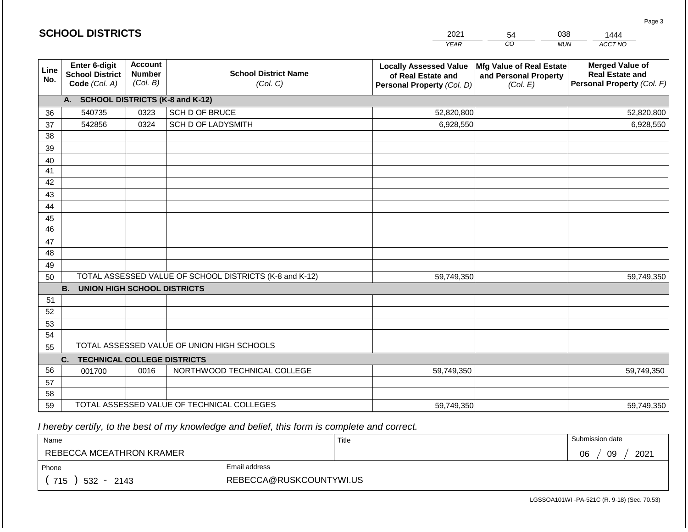|             | <b>SCHOOL DISTRICTS</b>                                  |                                             |                                                         | 2021                                                                              | 54                                                            | 038<br>1444                                                                    |
|-------------|----------------------------------------------------------|---------------------------------------------|---------------------------------------------------------|-----------------------------------------------------------------------------------|---------------------------------------------------------------|--------------------------------------------------------------------------------|
|             |                                                          |                                             |                                                         | <b>YEAR</b>                                                                       | CO                                                            | ACCT NO<br><b>MUN</b>                                                          |
| Line<br>No. | Enter 6-digit<br><b>School District</b><br>Code (Col. A) | <b>Account</b><br><b>Number</b><br>(Col. B) | <b>School District Name</b><br>(Col. C)                 | <b>Locally Assessed Value</b><br>of Real Estate and<br>Personal Property (Col. D) | Mfg Value of Real Estate<br>and Personal Property<br>(Col. E) | <b>Merged Value of</b><br><b>Real Estate and</b><br>Personal Property (Col. F) |
|             | A. SCHOOL DISTRICTS (K-8 and K-12)                       |                                             |                                                         |                                                                                   |                                                               |                                                                                |
| 36          | 540735                                                   | 0323                                        | SCH D OF BRUCE                                          | 52,820,800                                                                        |                                                               | 52,820,800                                                                     |
| 37          | 542856                                                   | 0324                                        | SCH D OF LADYSMITH                                      | 6,928,550                                                                         |                                                               | 6,928,550                                                                      |
| 38          |                                                          |                                             |                                                         |                                                                                   |                                                               |                                                                                |
| 39          |                                                          |                                             |                                                         |                                                                                   |                                                               |                                                                                |
| 40          |                                                          |                                             |                                                         |                                                                                   |                                                               |                                                                                |
| 41<br>42    |                                                          |                                             |                                                         |                                                                                   |                                                               |                                                                                |
| 43          |                                                          |                                             |                                                         |                                                                                   |                                                               |                                                                                |
| 44          |                                                          |                                             |                                                         |                                                                                   |                                                               |                                                                                |
| 45          |                                                          |                                             |                                                         |                                                                                   |                                                               |                                                                                |
| 46          |                                                          |                                             |                                                         |                                                                                   |                                                               |                                                                                |
| 47          |                                                          |                                             |                                                         |                                                                                   |                                                               |                                                                                |
| 48          |                                                          |                                             |                                                         |                                                                                   |                                                               |                                                                                |
| 49          |                                                          |                                             |                                                         |                                                                                   |                                                               |                                                                                |
| 50          |                                                          |                                             | TOTAL ASSESSED VALUE OF SCHOOL DISTRICTS (K-8 and K-12) | 59,749,350                                                                        |                                                               | 59,749,350                                                                     |
|             | <b>B.</b><br><b>UNION HIGH SCHOOL DISTRICTS</b>          |                                             |                                                         |                                                                                   |                                                               |                                                                                |
| 51<br>52    |                                                          |                                             |                                                         |                                                                                   |                                                               |                                                                                |
| 53          |                                                          |                                             |                                                         |                                                                                   |                                                               |                                                                                |
| 54          |                                                          |                                             |                                                         |                                                                                   |                                                               |                                                                                |
| 55          |                                                          |                                             | TOTAL ASSESSED VALUE OF UNION HIGH SCHOOLS              |                                                                                   |                                                               |                                                                                |
|             | <b>TECHNICAL COLLEGE DISTRICTS</b><br>C.                 |                                             |                                                         |                                                                                   |                                                               |                                                                                |
| 56          | 001700                                                   | 0016                                        | NORTHWOOD TECHNICAL COLLEGE                             | 59,749,350                                                                        |                                                               | 59,749,350                                                                     |
| 57          |                                                          |                                             |                                                         |                                                                                   |                                                               |                                                                                |
| 58          |                                                          |                                             |                                                         |                                                                                   |                                                               |                                                                                |
| 59          |                                                          |                                             | TOTAL ASSESSED VALUE OF TECHNICAL COLLEGES              | 59,749,350                                                                        |                                                               | 59,749,350                                                                     |

**SCHOOL DISTRICTS**

| Name                     |                         | Title | Submission date  |
|--------------------------|-------------------------|-------|------------------|
| REBECCA MCEATHRON KRAMER |                         |       | 09<br>2021<br>06 |
| Phone                    | Email address           |       |                  |
| 715<br>$532 -$<br>2143   | REBECCA@RUSKCOUNTYWI.US |       |                  |

Page 3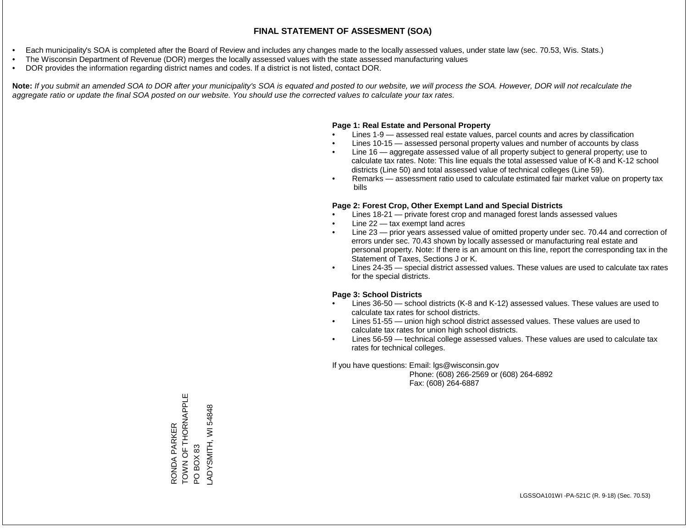- Each municipality's SOA is completed after the Board of Review and includes any changes made to the locally assessed values, under state law (sec. 70.53, Wis. Stats.)
- The Wisconsin Department of Revenue (DOR) merges the locally assessed values with the state assessed manufacturing values
- DOR provides the information regarding district names and codes. If a district is not listed, contact DOR.

Note: If you submit an amended SOA to DOR after your municipality's SOA is equated and posted to our website, we will process the SOA. However, DOR will not recalculate the *aggregate ratio or update the final SOA posted on our website. You should use the corrected values to calculate your tax rates.*

### **Page 1: Real Estate and Personal Property**

- Lines 1-9 assessed real estate values, parcel counts and acres by classification
- Lines 10-15 assessed personal property values and number of accounts by class
- Line 16 aggregate assessed value of all property subject to general property; use to calculate tax rates. Note: This line equals the total assessed value of K-8 and K-12 school districts (Line 50) and total assessed value of technical colleges (Line 59).
- Remarks assessment ratio used to calculate estimated fair market value on property tax bills

### **Page 2: Forest Crop, Other Exempt Land and Special Districts**

- Lines 18-21 private forest crop and managed forest lands assessed values
- Line  $22 -$  tax exempt land acres
- Line 23 prior years assessed value of omitted property under sec. 70.44 and correction of errors under sec. 70.43 shown by locally assessed or manufacturing real estate and personal property. Note: If there is an amount on this line, report the corresponding tax in the Statement of Taxes, Sections J or K.
- Lines 24-35 special district assessed values. These values are used to calculate tax rates for the special districts.

### **Page 3: School Districts**

- Lines 36-50 school districts (K-8 and K-12) assessed values. These values are used to calculate tax rates for school districts.
- Lines 51-55 union high school district assessed values. These values are used to calculate tax rates for union high school districts.
- Lines 56-59 technical college assessed values. These values are used to calculate tax rates for technical colleges.

If you have questions: Email: lgs@wisconsin.gov

 Phone: (608) 266-2569 or (608) 264-6892 Fax: (608) 264-6887

RONDA PARKER<br>TOWN OF THORNAPPLE<br>PO BOX 83 TOWN OF THORNAPPLE WI54848 LADYSMITH, WI 54848RONDA PARKER ADYSMITH,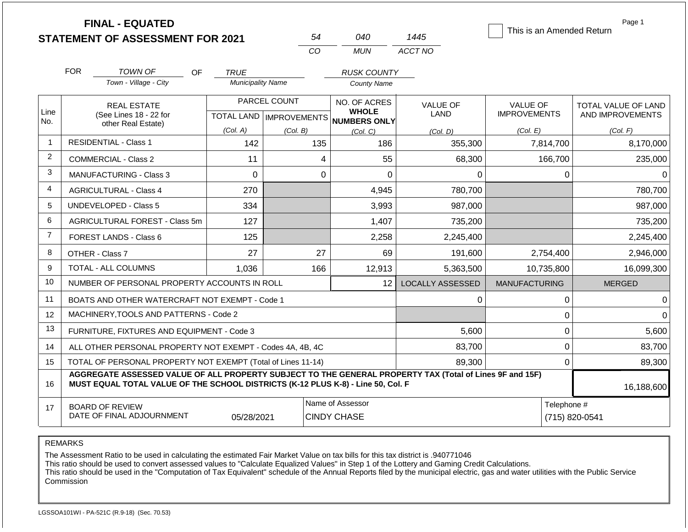|                |            | <b>FINAL - EQUATED</b><br><b>STATEMENT OF ASSESSMENT FOR 2021</b>                                                                                                                            |                          | 54                                        | 040                                                 | 1445                    | This is an Amended Return              | Page 1                                         |
|----------------|------------|----------------------------------------------------------------------------------------------------------------------------------------------------------------------------------------------|--------------------------|-------------------------------------------|-----------------------------------------------------|-------------------------|----------------------------------------|------------------------------------------------|
|                |            |                                                                                                                                                                                              |                          | CO                                        | MUN                                                 | ACCT NO                 |                                        |                                                |
|                | <b>FOR</b> | TOWN OF<br>OF.                                                                                                                                                                               | <b>TRUE</b>              |                                           | <b>RUSK COUNTY</b>                                  |                         |                                        |                                                |
|                |            | Town - Village - City                                                                                                                                                                        | <b>Municipality Name</b> |                                           | <b>County Name</b>                                  |                         |                                        |                                                |
| Line<br>No.    |            | <b>REAL ESTATE</b><br>(See Lines 18 - 22 for                                                                                                                                                 |                          | PARCEL COUNT<br>TOTAL LAND   IMPROVEMENTS | NO. OF ACRES<br><b>WHOLE</b><br><b>NUMBERS ONLY</b> | <b>VALUE OF</b><br>LAND | <b>VALUE OF</b><br><b>IMPROVEMENTS</b> | <b>TOTAL VALUE OF LAND</b><br>AND IMPROVEMENTS |
|                |            | other Real Estate)                                                                                                                                                                           | (Col. A)                 | (Col. B)                                  | (Col, C)                                            | (Col. D)                | (Col. E)                               | (Col. F)                                       |
| $\mathbf 1$    |            | <b>RESIDENTIAL - Class 1</b>                                                                                                                                                                 | 142                      | 135                                       | 186                                                 | 355,300                 | 7,814,700                              | 8,170,000                                      |
| $\overline{2}$ |            | <b>COMMERCIAL - Class 2</b>                                                                                                                                                                  | 11                       |                                           | 4<br>55                                             | 68,300                  | 166,700                                | 235,000                                        |
| 3              |            | <b>MANUFACTURING - Class 3</b>                                                                                                                                                               | $\Omega$                 |                                           | $\Omega$<br>$\Omega$                                | $\Omega$                | $\Omega$                               | $\Omega$                                       |
| 4              |            | <b>AGRICULTURAL - Class 4</b>                                                                                                                                                                | 270                      |                                           | 4,945                                               | 780,700                 |                                        | 780,700                                        |
| 5              |            | <b>UNDEVELOPED - Class 5</b>                                                                                                                                                                 | 334                      |                                           | 3,993                                               | 987,000                 |                                        | 987,000                                        |
| 6              |            | AGRICULTURAL FOREST - Class 5m                                                                                                                                                               | 127                      |                                           | 1,407                                               | 735,200                 |                                        | 735,200                                        |
| $\overline{7}$ |            | <b>FOREST LANDS - Class 6</b>                                                                                                                                                                | 125                      |                                           | 2,258                                               | 2,245,400               |                                        | 2,245,400                                      |
| 8              |            | OTHER - Class 7                                                                                                                                                                              | 27                       | 27                                        | 69                                                  | 191,600                 | 2,754,400                              | 2,946,000                                      |
| 9              |            | <b>TOTAL - ALL COLUMNS</b>                                                                                                                                                                   | 1,036                    | 166                                       | 12,913                                              | 5,363,500               | 10,735,800                             | 16,099,300                                     |
| 10             |            | NUMBER OF PERSONAL PROPERTY ACCOUNTS IN ROLL                                                                                                                                                 |                          |                                           | 12 <sup>°</sup>                                     | <b>LOCALLY ASSESSED</b> | <b>MANUFACTURING</b>                   | <b>MERGED</b>                                  |
| 11             |            | BOATS AND OTHER WATERCRAFT NOT EXEMPT - Code 1                                                                                                                                               |                          |                                           |                                                     | 0                       | 0                                      | $\Omega$                                       |
| 12             |            | MACHINERY, TOOLS AND PATTERNS - Code 2                                                                                                                                                       |                          |                                           |                                                     |                         | $\mathbf 0$                            | $\Omega$                                       |
| 13             |            | FURNITURE, FIXTURES AND EQUIPMENT - Code 3                                                                                                                                                   |                          |                                           |                                                     | 5,600                   | $\mathbf 0$                            | 5,600                                          |
| 14             |            | ALL OTHER PERSONAL PROPERTY NOT EXEMPT - Codes 4A, 4B, 4C                                                                                                                                    |                          |                                           |                                                     | 83,700                  | $\mathbf 0$                            | 83,700                                         |
| 15             |            | TOTAL OF PERSONAL PROPERTY NOT EXEMPT (Total of Lines 11-14)                                                                                                                                 |                          |                                           |                                                     | 89,300                  | $\mathbf 0$                            | 89,300                                         |
| 16             |            | AGGREGATE ASSESSED VALUE OF ALL PROPERTY SUBJECT TO THE GENERAL PROPERTY TAX (Total of Lines 9F and 15F)<br>MUST EQUAL TOTAL VALUE OF THE SCHOOL DISTRICTS (K-12 PLUS K-8) - Line 50, Col. F |                          |                                           |                                                     |                         |                                        | 16,188,600                                     |
| 17             |            | <b>BOARD OF REVIEW</b><br>DATE OF FINAL ADJOURNMENT                                                                                                                                          | 05/28/2021               |                                           | Name of Assessor<br><b>CINDY CHASE</b>              |                         | Telephone #<br>(715) 820-0541          |                                                |

The Assessment Ratio to be used in calculating the estimated Fair Market Value on tax bills for this tax district is .940771046

This ratio should be used to convert assessed values to "Calculate Equalized Values" in Step 1 of the Lottery and Gaming Credit Calculations.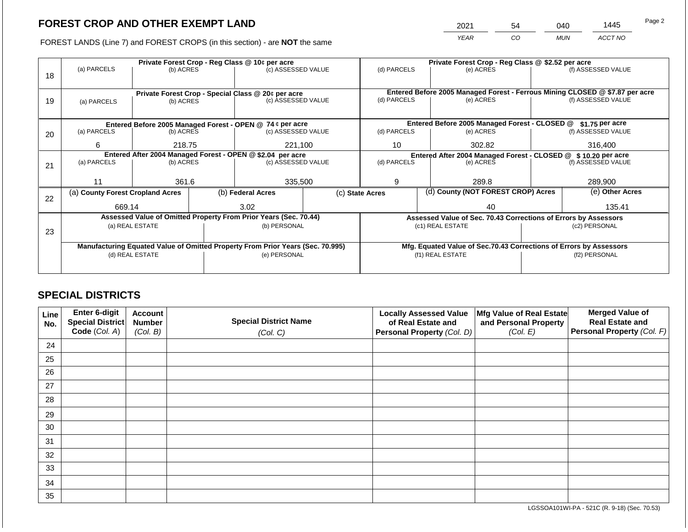2021 54 040 1445

FOREST LANDS (Line 7) and FOREST CROPS (in this section) - are **NOT** the same *YEAR CO MUN ACCT NO*

|    |                                                                                |                          |  | Private Forest Crop - Reg Class @ 10¢ per acre                   | Private Forest Crop - Reg Class @ \$2.52 per acre             |                 |  |                                                                              |               |                    |
|----|--------------------------------------------------------------------------------|--------------------------|--|------------------------------------------------------------------|---------------------------------------------------------------|-----------------|--|------------------------------------------------------------------------------|---------------|--------------------|
|    | (a) PARCELS                                                                    | (b) ACRES                |  | (c) ASSESSED VALUE                                               |                                                               | (d) PARCELS     |  | (e) ACRES                                                                    |               | (f) ASSESSED VALUE |
| 18 |                                                                                |                          |  |                                                                  |                                                               |                 |  |                                                                              |               |                    |
|    |                                                                                |                          |  |                                                                  |                                                               |                 |  |                                                                              |               |                    |
|    |                                                                                |                          |  | Private Forest Crop - Special Class @ 20¢ per acre               |                                                               |                 |  | Entered Before 2005 Managed Forest - Ferrous Mining CLOSED @ \$7.87 per acre |               |                    |
| 19 | (a) PARCELS                                                                    | (b) ACRES                |  | (c) ASSESSED VALUE                                               |                                                               | (d) PARCELS     |  | (e) ACRES                                                                    |               | (f) ASSESSED VALUE |
|    |                                                                                |                          |  |                                                                  |                                                               |                 |  |                                                                              |               |                    |
|    | Entered Before 2005 Managed Forest - OPEN @ 74 ¢ per acre                      |                          |  |                                                                  |                                                               |                 |  | Entered Before 2005 Managed Forest - CLOSED @                                |               | \$1.75 per acre    |
| 20 | (a) PARCELS                                                                    | (b) ACRES                |  | (c) ASSESSED VALUE                                               |                                                               | (d) PARCELS     |  | (e) ACRES                                                                    |               | (f) ASSESSED VALUE |
|    |                                                                                |                          |  |                                                                  |                                                               |                 |  |                                                                              |               |                    |
|    | 6<br>218.75                                                                    |                          |  | 221,100                                                          |                                                               | 10              |  | 302.82                                                                       |               | 316,400            |
|    | Entered After 2004 Managed Forest - OPEN @ \$2.04 per acre                     |                          |  |                                                                  | Entered After 2004 Managed Forest - CLOSED @ \$10.20 per acre |                 |  |                                                                              |               |                    |
| 21 |                                                                                | (a) PARCELS<br>(b) ACRES |  | (c) ASSESSED VALUE                                               |                                                               | (d) PARCELS     |  | (e) ACRES                                                                    |               | (f) ASSESSED VALUE |
|    |                                                                                |                          |  |                                                                  |                                                               |                 |  |                                                                              |               |                    |
|    |                                                                                | 361.6                    |  | 335,500                                                          |                                                               | 9               |  | 289.8                                                                        |               | 289,900            |
|    | (a) County Forest Cropland Acres                                               |                          |  | (b) Federal Acres                                                |                                                               | (c) State Acres |  | (d) County (NOT FOREST CROP) Acres                                           |               | (e) Other Acres    |
| 22 |                                                                                |                          |  |                                                                  |                                                               |                 |  |                                                                              |               |                    |
|    | 669.14                                                                         |                          |  | 3.02                                                             |                                                               | 40              |  |                                                                              | 135.41        |                    |
|    |                                                                                |                          |  | Assessed Value of Omitted Property From Prior Years (Sec. 70.44) |                                                               |                 |  | Assessed Value of Sec. 70.43 Corrections of Errors by Assessors              |               |                    |
|    | (a) REAL ESTATE                                                                |                          |  | (b) PERSONAL                                                     |                                                               |                 |  | (c1) REAL ESTATE                                                             | (c2) PERSONAL |                    |
| 23 |                                                                                |                          |  |                                                                  |                                                               |                 |  |                                                                              |               |                    |
|    | Manufacturing Equated Value of Omitted Property From Prior Years (Sec. 70.995) |                          |  |                                                                  |                                                               |                 |  | Mfg. Equated Value of Sec.70.43 Corrections of Errors by Assessors           |               |                    |
|    | (d) REAL ESTATE                                                                |                          |  | (e) PERSONAL                                                     |                                                               |                 |  | (f1) REAL ESTATE                                                             |               | (f2) PERSONAL      |
|    |                                                                                |                          |  |                                                                  |                                                               |                 |  |                                                                              |               |                    |
|    |                                                                                |                          |  |                                                                  |                                                               |                 |  |                                                                              |               |                    |

## **SPECIAL DISTRICTS**

| Line<br>No. | <b>Enter 6-digit</b><br>Special District | <b>Account</b><br><b>Number</b> | <b>Special District Name</b> | <b>Locally Assessed Value</b><br>of Real Estate and | Mfg Value of Real Estate<br>and Personal Property | <b>Merged Value of</b><br><b>Real Estate and</b> |
|-------------|------------------------------------------|---------------------------------|------------------------------|-----------------------------------------------------|---------------------------------------------------|--------------------------------------------------|
|             | Code (Col. A)                            | (Col. B)                        | (Col. C)                     | Personal Property (Col. D)                          | (Col. E)                                          | Personal Property (Col. F)                       |
| 24          |                                          |                                 |                              |                                                     |                                                   |                                                  |
| 25          |                                          |                                 |                              |                                                     |                                                   |                                                  |
| 26          |                                          |                                 |                              |                                                     |                                                   |                                                  |
| 27          |                                          |                                 |                              |                                                     |                                                   |                                                  |
| 28          |                                          |                                 |                              |                                                     |                                                   |                                                  |
| 29          |                                          |                                 |                              |                                                     |                                                   |                                                  |
| 30          |                                          |                                 |                              |                                                     |                                                   |                                                  |
| 31          |                                          |                                 |                              |                                                     |                                                   |                                                  |
| 32          |                                          |                                 |                              |                                                     |                                                   |                                                  |
| 33          |                                          |                                 |                              |                                                     |                                                   |                                                  |
| 34          |                                          |                                 |                              |                                                     |                                                   |                                                  |
| 35          |                                          |                                 |                              |                                                     |                                                   |                                                  |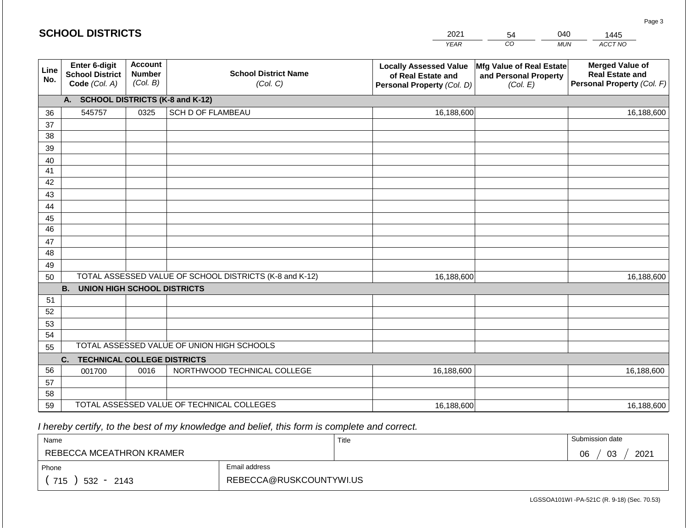|             | <b>SCHOOL DISTRICTS</b>                                  |                                             |                                                         | 2021                                                                              | 54                                                            | 040        | 1445                                                                           |
|-------------|----------------------------------------------------------|---------------------------------------------|---------------------------------------------------------|-----------------------------------------------------------------------------------|---------------------------------------------------------------|------------|--------------------------------------------------------------------------------|
|             |                                                          |                                             |                                                         | <b>YEAR</b>                                                                       | CO                                                            | <b>MUN</b> | ACCT NO                                                                        |
| Line<br>No. | Enter 6-digit<br><b>School District</b><br>Code (Col. A) | <b>Account</b><br><b>Number</b><br>(Col. B) | <b>School District Name</b><br>(Col. C)                 | <b>Locally Assessed Value</b><br>of Real Estate and<br>Personal Property (Col. D) | Mfg Value of Real Estate<br>and Personal Property<br>(Col. E) |            | <b>Merged Value of</b><br><b>Real Estate and</b><br>Personal Property (Col. F) |
|             | A. SCHOOL DISTRICTS (K-8 and K-12)                       |                                             |                                                         |                                                                                   |                                                               |            |                                                                                |
| 36          | 545757                                                   | 0325                                        | SCH D OF FLAMBEAU                                       | 16,188,600                                                                        |                                                               |            | 16,188,600                                                                     |
| 37          |                                                          |                                             |                                                         |                                                                                   |                                                               |            |                                                                                |
| 38          |                                                          |                                             |                                                         |                                                                                   |                                                               |            |                                                                                |
| 39          |                                                          |                                             |                                                         |                                                                                   |                                                               |            |                                                                                |
| 40          |                                                          |                                             |                                                         |                                                                                   |                                                               |            |                                                                                |
| 41<br>42    |                                                          |                                             |                                                         |                                                                                   |                                                               |            |                                                                                |
| 43          |                                                          |                                             |                                                         |                                                                                   |                                                               |            |                                                                                |
| 44          |                                                          |                                             |                                                         |                                                                                   |                                                               |            |                                                                                |
| 45          |                                                          |                                             |                                                         |                                                                                   |                                                               |            |                                                                                |
| 46          |                                                          |                                             |                                                         |                                                                                   |                                                               |            |                                                                                |
| 47          |                                                          |                                             |                                                         |                                                                                   |                                                               |            |                                                                                |
| 48          |                                                          |                                             |                                                         |                                                                                   |                                                               |            |                                                                                |
| 49          |                                                          |                                             |                                                         |                                                                                   |                                                               |            |                                                                                |
| 50          |                                                          |                                             | TOTAL ASSESSED VALUE OF SCHOOL DISTRICTS (K-8 and K-12) | 16,188,600                                                                        |                                                               |            | 16,188,600                                                                     |
|             | <b>B. UNION HIGH SCHOOL DISTRICTS</b>                    |                                             |                                                         |                                                                                   |                                                               |            |                                                                                |
| 51          |                                                          |                                             |                                                         |                                                                                   |                                                               |            |                                                                                |
| 52<br>53    |                                                          |                                             |                                                         |                                                                                   |                                                               |            |                                                                                |
| 54          |                                                          |                                             |                                                         |                                                                                   |                                                               |            |                                                                                |
| 55          |                                                          |                                             | TOTAL ASSESSED VALUE OF UNION HIGH SCHOOLS              |                                                                                   |                                                               |            |                                                                                |
|             | C.<br><b>TECHNICAL COLLEGE DISTRICTS</b>                 |                                             |                                                         |                                                                                   |                                                               |            |                                                                                |
| 56          | 001700                                                   | 0016                                        | NORTHWOOD TECHNICAL COLLEGE                             | 16,188,600                                                                        |                                                               |            | 16,188,600                                                                     |
| 57          |                                                          |                                             |                                                         |                                                                                   |                                                               |            |                                                                                |
| 58          |                                                          |                                             |                                                         |                                                                                   |                                                               |            |                                                                                |
| 59          |                                                          |                                             | TOTAL ASSESSED VALUE OF TECHNICAL COLLEGES              | 16,188,600                                                                        |                                                               |            | 16,188,600                                                                     |

| Name                     |                         | Title | Submission date  |
|--------------------------|-------------------------|-------|------------------|
| REBECCA MCEATHRON KRAMER |                         |       | 03<br>2021<br>06 |
| Phone                    | Email address           |       |                  |
| 715<br>$532 -$<br>2143   | REBECCA@RUSKCOUNTYWI.US |       |                  |

LGSSOA101WI -PA-521C (R. 9-18) (Sec. 70.53)

Page 3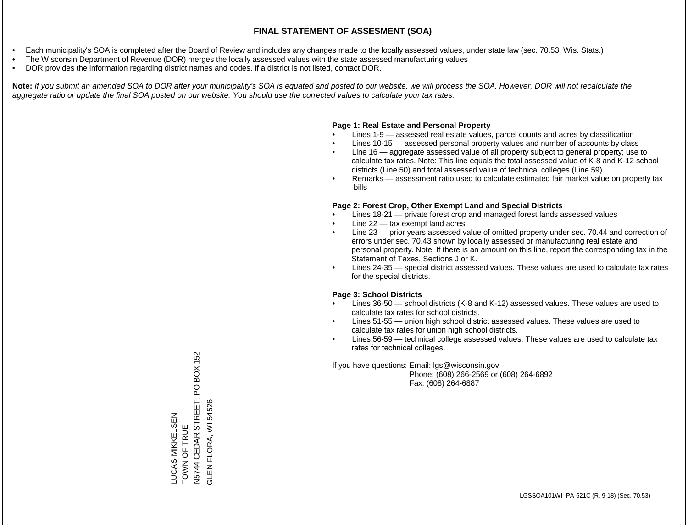- Each municipality's SOA is completed after the Board of Review and includes any changes made to the locally assessed values, under state law (sec. 70.53, Wis. Stats.)
- The Wisconsin Department of Revenue (DOR) merges the locally assessed values with the state assessed manufacturing values
- DOR provides the information regarding district names and codes. If a district is not listed, contact DOR.

Note: If you submit an amended SOA to DOR after your municipality's SOA is equated and posted to our website, we will process the SOA. However, DOR will not recalculate the *aggregate ratio or update the final SOA posted on our website. You should use the corrected values to calculate your tax rates.*

#### **Page 1: Real Estate and Personal Property**

- Lines 1-9 assessed real estate values, parcel counts and acres by classification
- Lines 10-15 assessed personal property values and number of accounts by class
- Line 16 aggregate assessed value of all property subject to general property; use to calculate tax rates. Note: This line equals the total assessed value of K-8 and K-12 school districts (Line 50) and total assessed value of technical colleges (Line 59).
- Remarks assessment ratio used to calculate estimated fair market value on property tax bills

#### **Page 2: Forest Crop, Other Exempt Land and Special Districts**

- Lines 18-21 private forest crop and managed forest lands assessed values
- Line  $22 -$  tax exempt land acres
- Line 23 prior years assessed value of omitted property under sec. 70.44 and correction of errors under sec. 70.43 shown by locally assessed or manufacturing real estate and personal property. Note: If there is an amount on this line, report the corresponding tax in the Statement of Taxes, Sections J or K.
- Lines 24-35 special district assessed values. These values are used to calculate tax rates for the special districts.

#### **Page 3: School Districts**

- Lines 36-50 school districts (K-8 and K-12) assessed values. These values are used to calculate tax rates for school districts.
- Lines 51-55 union high school district assessed values. These values are used to calculate tax rates for union high school districts.
- Lines 56-59 technical college assessed values. These values are used to calculate tax rates for technical colleges.

If you have questions: Email: lgs@wisconsin.gov

 Phone: (608) 266-2569 or (608) 264-6892 Fax: (608) 264-6887

PO BOX 152 N5744 CEDAR STREET, PO BOX 152 STREET, FLORA, WI 54526 GLEN FLORA, WI 54526**LUCAS MIKKELSEN** LUCAS MIKKELSEN TOWN OF TRUE TOWN OF TRUE CEDAR<sub>S</sub> N5744 GLEN<sub>i</sub>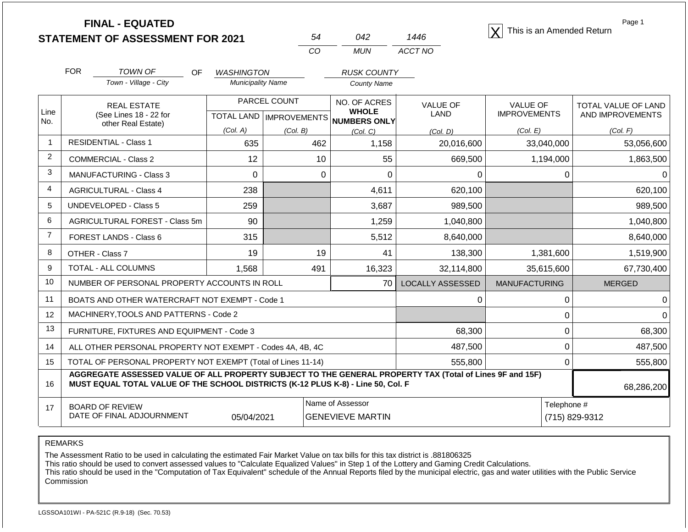|                |            | <b>FINAL - EQUATED</b><br><b>STATEMENT OF ASSESSMENT FOR 2021</b>                                                                                                                            |                           |              | 54           | 042                                         | 1446                          | This is an Amended Return | Page 1              |
|----------------|------------|----------------------------------------------------------------------------------------------------------------------------------------------------------------------------------------------|---------------------------|--------------|--------------|---------------------------------------------|-------------------------------|---------------------------|---------------------|
|                |            |                                                                                                                                                                                              |                           |              | CO           | <b>MUN</b>                                  | ACCT NO                       |                           |                     |
|                | <b>FOR</b> | <b>TOWN OF</b><br><b>OF</b>                                                                                                                                                                  | <b>WASHINGTON</b>         |              |              | <b>RUSK COUNTY</b>                          |                               |                           |                     |
|                |            | Town - Village - City                                                                                                                                                                        | <b>Municipality Name</b>  |              |              | <b>County Name</b>                          |                               |                           |                     |
|                |            | <b>REAL ESTATE</b>                                                                                                                                                                           |                           | PARCEL COUNT | NO. OF ACRES |                                             | <b>VALUE OF</b>               | VALUE OF                  | TOTAL VALUE OF LAND |
| Line<br>No.    |            | (See Lines 18 - 22 for                                                                                                                                                                       | TOTAL LAND   IMPROVEMENTS |              |              | <b>WHOLE</b><br>NUMBERS ONLY                | LAND                          | <b>IMPROVEMENTS</b>       | AND IMPROVEMENTS    |
|                |            | other Real Estate)                                                                                                                                                                           | (Col. A)                  | (Col. B)     |              | (Col. C)                                    | (Col. D)                      | (Col. E)                  | (Col. F)            |
| $\mathbf{1}$   |            | <b>RESIDENTIAL - Class 1</b>                                                                                                                                                                 | 635                       |              | 462          | 1,158                                       | 20,016,600                    | 33,040,000                | 53,056,600          |
| $\overline{2}$ |            | <b>COMMERCIAL - Class 2</b>                                                                                                                                                                  | 12                        |              | 10           | 55                                          | 669,500                       | 1,194,000                 | 1,863,500           |
| 3              |            | <b>MANUFACTURING - Class 3</b>                                                                                                                                                               | $\mathbf 0$               |              | $\mathbf 0$  | $\mathbf 0$                                 | 0                             | 0                         | 0                   |
| $\overline{4}$ |            | <b>AGRICULTURAL - Class 4</b>                                                                                                                                                                | 238                       |              |              | 4,611                                       | 620,100                       |                           | 620,100             |
| 5              |            | <b>UNDEVELOPED - Class 5</b>                                                                                                                                                                 | 259                       |              |              | 3,687                                       | 989,500                       |                           | 989,500             |
| 6              |            | AGRICULTURAL FOREST - Class 5m                                                                                                                                                               | 90                        |              |              | 1,259                                       | 1,040,800                     |                           | 1,040,800           |
| $\overline{7}$ |            | <b>FOREST LANDS - Class 6</b>                                                                                                                                                                | 315                       |              |              | 5,512                                       | 8,640,000                     |                           | 8,640,000           |
| 8              |            | OTHER - Class 7                                                                                                                                                                              | 19                        |              | 19           | 41                                          | 138,300                       | 1,381,600                 | 1,519,900           |
| 9              |            | TOTAL - ALL COLUMNS                                                                                                                                                                          | 1,568                     |              | 491          | 16,323                                      | 32,114,800                    | 35,615,600                | 67,730,400          |
| 10             |            | NUMBER OF PERSONAL PROPERTY ACCOUNTS IN ROLL                                                                                                                                                 |                           |              |              | 70                                          | <b>LOCALLY ASSESSED</b>       | <b>MANUFACTURING</b>      | <b>MERGED</b>       |
| 11             |            | BOATS AND OTHER WATERCRAFT NOT EXEMPT - Code 1                                                                                                                                               |                           |              |              |                                             | $\Omega$                      | 0                         | $\mathbf 0$         |
| 12             |            | MACHINERY, TOOLS AND PATTERNS - Code 2                                                                                                                                                       |                           |              |              |                                             |                               | 0                         | $\overline{0}$      |
| 13             |            | FURNITURE, FIXTURES AND EQUIPMENT - Code 3                                                                                                                                                   |                           |              |              |                                             | 68,300                        | 0                         | 68,300              |
| 14             |            | ALL OTHER PERSONAL PROPERTY NOT EXEMPT - Codes 4A, 4B, 4C                                                                                                                                    |                           |              |              |                                             | 487,500                       | $\mathbf 0$               | 487,500             |
| 15             |            | TOTAL OF PERSONAL PROPERTY NOT EXEMPT (Total of Lines 11-14)                                                                                                                                 |                           |              |              |                                             | 555,800                       | $\Omega$                  | 555,800             |
| 16             |            | AGGREGATE ASSESSED VALUE OF ALL PROPERTY SUBJECT TO THE GENERAL PROPERTY TAX (Total of Lines 9F and 15F)<br>MUST EQUAL TOTAL VALUE OF THE SCHOOL DISTRICTS (K-12 PLUS K-8) - Line 50, Col. F |                           |              |              |                                             |                               |                           | 68,286,200          |
| 17             |            | <b>BOARD OF REVIEW</b><br>DATE OF FINAL ADJOURNMENT                                                                                                                                          | 05/04/2021                |              |              | Name of Assessor<br><b>GENEVIEVE MARTIN</b> | Telephone #<br>(715) 829-9312 |                           |                     |

The Assessment Ratio to be used in calculating the estimated Fair Market Value on tax bills for this tax district is .881806325

This ratio should be used to convert assessed values to "Calculate Equalized Values" in Step 1 of the Lottery and Gaming Credit Calculations.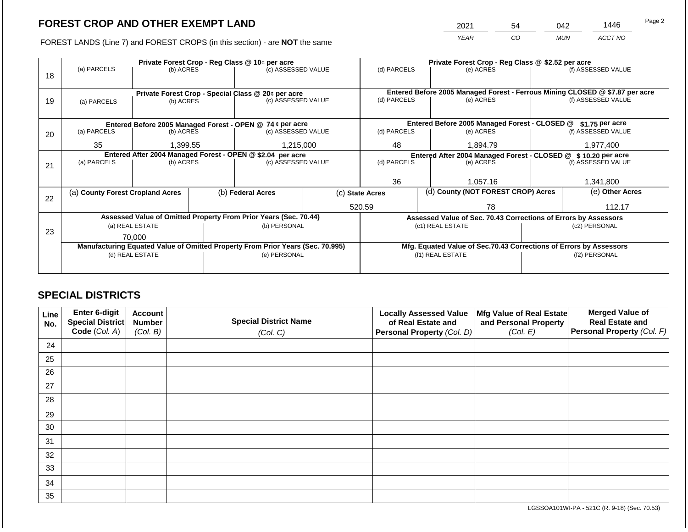2021 54 042 1446

FOREST LANDS (Line 7) and FOREST CROPS (in this section) - are **NOT** the same *YEAR CO MUN ACCT NO*

|    |                                                                                |                          |  | Private Forest Crop - Reg Class @ 10¢ per acre                           |                                                               |                  |                                                                              | Private Forest Crop - Reg Class @ \$2.52 per acre                  |               |                    |  |
|----|--------------------------------------------------------------------------------|--------------------------|--|--------------------------------------------------------------------------|---------------------------------------------------------------|------------------|------------------------------------------------------------------------------|--------------------------------------------------------------------|---------------|--------------------|--|
|    | (a) PARCELS                                                                    | (b) ACRES                |  | (c) ASSESSED VALUE                                                       |                                                               | (d) PARCELS      |                                                                              | (e) ACRES                                                          |               | (f) ASSESSED VALUE |  |
| 18 |                                                                                |                          |  |                                                                          |                                                               |                  |                                                                              |                                                                    |               |                    |  |
|    |                                                                                |                          |  |                                                                          |                                                               |                  | Entered Before 2005 Managed Forest - Ferrous Mining CLOSED @ \$7.87 per acre |                                                                    |               |                    |  |
|    |                                                                                |                          |  | Private Forest Crop - Special Class @ 20¢ per acre<br>(c) ASSESSED VALUE |                                                               |                  |                                                                              |                                                                    |               | (f) ASSESSED VALUE |  |
| 19 | (a) PARCELS                                                                    | (b) ACRES                |  |                                                                          |                                                               | (d) PARCELS      |                                                                              | (e) ACRES                                                          |               |                    |  |
|    |                                                                                |                          |  |                                                                          |                                                               |                  |                                                                              |                                                                    |               |                    |  |
|    |                                                                                |                          |  | Entered Before 2005 Managed Forest - OPEN @ 74 ¢ per acre                |                                                               |                  |                                                                              | Entered Before 2005 Managed Forest - CLOSED @                      |               | $$1.75$ per acre   |  |
| 20 | (a) PARCELS                                                                    | (b) ACRES                |  | (c) ASSESSED VALUE                                                       |                                                               | (d) PARCELS      |                                                                              | (e) ACRES                                                          |               | (f) ASSESSED VALUE |  |
|    |                                                                                |                          |  |                                                                          |                                                               |                  |                                                                              |                                                                    |               |                    |  |
|    | 35<br>1,399.55                                                                 |                          |  | 1,215,000                                                                |                                                               | 48<br>1,894.79   |                                                                              |                                                                    |               | 1,977,400          |  |
|    | Entered After 2004 Managed Forest - OPEN @ \$2.04 per acre                     |                          |  |                                                                          | Entered After 2004 Managed Forest - CLOSED @ \$10.20 per acre |                  |                                                                              |                                                                    |               |                    |  |
| 21 |                                                                                | (a) PARCELS<br>(b) ACRES |  | (c) ASSESSED VALUE                                                       |                                                               | (d) PARCELS      |                                                                              | (e) ACRES                                                          |               | (f) ASSESSED VALUE |  |
|    |                                                                                |                          |  |                                                                          |                                                               |                  |                                                                              |                                                                    |               |                    |  |
|    |                                                                                |                          |  |                                                                          |                                                               | 36               |                                                                              | 1,057.16                                                           |               | 1,341,800          |  |
|    | (a) County Forest Cropland Acres                                               |                          |  | (b) Federal Acres                                                        |                                                               | (c) State Acres  |                                                                              | (d) County (NOT FOREST CROP) Acres                                 |               | (e) Other Acres    |  |
| 22 |                                                                                |                          |  |                                                                          |                                                               |                  |                                                                              |                                                                    |               |                    |  |
|    |                                                                                |                          |  |                                                                          |                                                               | 520.59<br>78     |                                                                              |                                                                    | 112.17        |                    |  |
|    |                                                                                |                          |  | Assessed Value of Omitted Property From Prior Years (Sec. 70.44)         |                                                               |                  |                                                                              | Assessed Value of Sec. 70.43 Corrections of Errors by Assessors    |               |                    |  |
|    | (a) REAL ESTATE                                                                |                          |  | (b) PERSONAL                                                             |                                                               | (c1) REAL ESTATE |                                                                              |                                                                    | (c2) PERSONAL |                    |  |
| 23 | 70.000                                                                         |                          |  |                                                                          |                                                               |                  |                                                                              |                                                                    |               |                    |  |
|    | Manufacturing Equated Value of Omitted Property From Prior Years (Sec. 70.995) |                          |  |                                                                          |                                                               |                  |                                                                              | Mfg. Equated Value of Sec.70.43 Corrections of Errors by Assessors |               |                    |  |
|    | (d) REAL ESTATE                                                                |                          |  | (e) PERSONAL                                                             |                                                               |                  |                                                                              | (f1) REAL ESTATE                                                   |               | (f2) PERSONAL      |  |
|    |                                                                                |                          |  |                                                                          |                                                               |                  |                                                                              |                                                                    |               |                    |  |
|    |                                                                                |                          |  |                                                                          |                                                               |                  |                                                                              |                                                                    |               |                    |  |

## **SPECIAL DISTRICTS**

| Line<br>No. | Enter 6-digit<br>Special District<br>Code (Col. A) | <b>Account</b><br><b>Number</b><br>(Col. B) | <b>Special District Name</b><br>(Col. C) | <b>Locally Assessed Value</b><br>of Real Estate and<br><b>Personal Property (Col. D)</b> | Mfg Value of Real Estate<br>and Personal Property<br>(Col. E) | <b>Merged Value of</b><br><b>Real Estate and</b><br>Personal Property (Col. F) |
|-------------|----------------------------------------------------|---------------------------------------------|------------------------------------------|------------------------------------------------------------------------------------------|---------------------------------------------------------------|--------------------------------------------------------------------------------|
| 24          |                                                    |                                             |                                          |                                                                                          |                                                               |                                                                                |
| 25          |                                                    |                                             |                                          |                                                                                          |                                                               |                                                                                |
| 26          |                                                    |                                             |                                          |                                                                                          |                                                               |                                                                                |
| 27          |                                                    |                                             |                                          |                                                                                          |                                                               |                                                                                |
| 28          |                                                    |                                             |                                          |                                                                                          |                                                               |                                                                                |
| 29          |                                                    |                                             |                                          |                                                                                          |                                                               |                                                                                |
| 30          |                                                    |                                             |                                          |                                                                                          |                                                               |                                                                                |
| 31          |                                                    |                                             |                                          |                                                                                          |                                                               |                                                                                |
| 32          |                                                    |                                             |                                          |                                                                                          |                                                               |                                                                                |
| 33          |                                                    |                                             |                                          |                                                                                          |                                                               |                                                                                |
| 34          |                                                    |                                             |                                          |                                                                                          |                                                               |                                                                                |
| 35          |                                                    |                                             |                                          |                                                                                          |                                                               |                                                                                |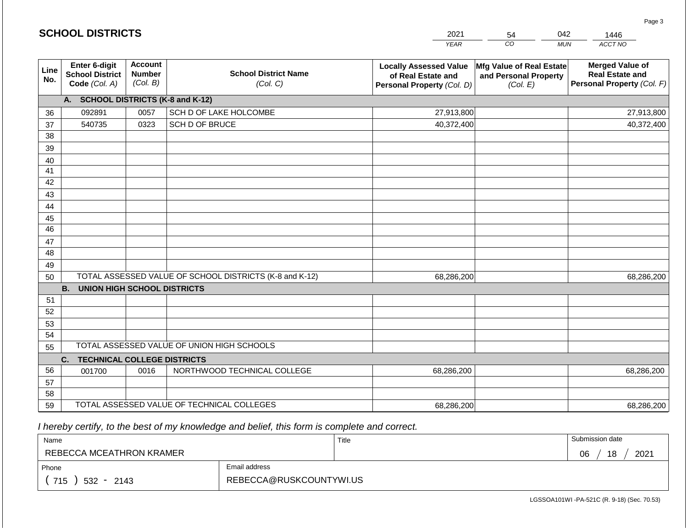|             | <b>SCHOOL DISTRICTS</b>                                         |                                             |                                                         | 2021                                                                              | 54                                                            | 042<br>1446                                                                    |
|-------------|-----------------------------------------------------------------|---------------------------------------------|---------------------------------------------------------|-----------------------------------------------------------------------------------|---------------------------------------------------------------|--------------------------------------------------------------------------------|
|             |                                                                 |                                             |                                                         | <b>YEAR</b>                                                                       | CO                                                            | ACCT NO<br><b>MUN</b>                                                          |
| Line<br>No. | <b>Enter 6-digit</b><br><b>School District</b><br>Code (Col. A) | <b>Account</b><br><b>Number</b><br>(Col. B) | <b>School District Name</b><br>(Col. C)                 | <b>Locally Assessed Value</b><br>of Real Estate and<br>Personal Property (Col. D) | Mfg Value of Real Estate<br>and Personal Property<br>(Col. E) | <b>Merged Value of</b><br><b>Real Estate and</b><br>Personal Property (Col. F) |
|             | A. SCHOOL DISTRICTS (K-8 and K-12)                              |                                             |                                                         |                                                                                   |                                                               |                                                                                |
| 36          | 092891                                                          | 0057                                        | SCH D OF LAKE HOLCOMBE                                  | 27,913,800                                                                        |                                                               | 27,913,800                                                                     |
| 37          | 540735                                                          | 0323                                        | SCH D OF BRUCE                                          | 40,372,400                                                                        |                                                               | 40,372,400                                                                     |
| 38          |                                                                 |                                             |                                                         |                                                                                   |                                                               |                                                                                |
| 39          |                                                                 |                                             |                                                         |                                                                                   |                                                               |                                                                                |
| 40          |                                                                 |                                             |                                                         |                                                                                   |                                                               |                                                                                |
| 41          |                                                                 |                                             |                                                         |                                                                                   |                                                               |                                                                                |
| 42          |                                                                 |                                             |                                                         |                                                                                   |                                                               |                                                                                |
| 43          |                                                                 |                                             |                                                         |                                                                                   |                                                               |                                                                                |
| 44          |                                                                 |                                             |                                                         |                                                                                   |                                                               |                                                                                |
| 45<br>46    |                                                                 |                                             |                                                         |                                                                                   |                                                               |                                                                                |
| 47          |                                                                 |                                             |                                                         |                                                                                   |                                                               |                                                                                |
| 48          |                                                                 |                                             |                                                         |                                                                                   |                                                               |                                                                                |
| 49          |                                                                 |                                             |                                                         |                                                                                   |                                                               |                                                                                |
| 50          |                                                                 |                                             | TOTAL ASSESSED VALUE OF SCHOOL DISTRICTS (K-8 and K-12) | 68,286,200                                                                        |                                                               | 68,286,200                                                                     |
|             | <b>B. UNION HIGH SCHOOL DISTRICTS</b>                           |                                             |                                                         |                                                                                   |                                                               |                                                                                |
| 51          |                                                                 |                                             |                                                         |                                                                                   |                                                               |                                                                                |
| 52          |                                                                 |                                             |                                                         |                                                                                   |                                                               |                                                                                |
| 53          |                                                                 |                                             |                                                         |                                                                                   |                                                               |                                                                                |
| 54          |                                                                 |                                             |                                                         |                                                                                   |                                                               |                                                                                |
| 55          |                                                                 |                                             | TOTAL ASSESSED VALUE OF UNION HIGH SCHOOLS              |                                                                                   |                                                               |                                                                                |
|             | C.<br><b>TECHNICAL COLLEGE DISTRICTS</b>                        |                                             |                                                         |                                                                                   |                                                               |                                                                                |
| 56          | 001700                                                          | 0016                                        | NORTHWOOD TECHNICAL COLLEGE                             | 68,286,200                                                                        |                                                               | 68,286,200                                                                     |
| 57          |                                                                 |                                             |                                                         |                                                                                   |                                                               |                                                                                |
| 58          |                                                                 |                                             |                                                         |                                                                                   |                                                               |                                                                                |
| 59          |                                                                 |                                             | TOTAL ASSESSED VALUE OF TECHNICAL COLLEGES              | 68,286,200                                                                        |                                                               | 68,286,200                                                                     |

| Name                     |                         | Title | Submission date  |
|--------------------------|-------------------------|-------|------------------|
| REBECCA MCEATHRON KRAMER |                         |       | 18<br>2021<br>06 |
| Phone                    | Email address           |       |                  |
| 715<br>$532 -$<br>2143   | REBECCA@RUSKCOUNTYWI.US |       |                  |

Page 3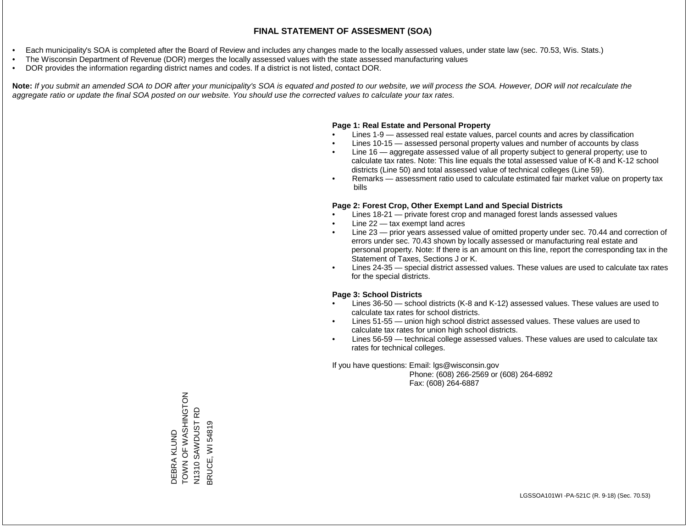- Each municipality's SOA is completed after the Board of Review and includes any changes made to the locally assessed values, under state law (sec. 70.53, Wis. Stats.)
- The Wisconsin Department of Revenue (DOR) merges the locally assessed values with the state assessed manufacturing values
- DOR provides the information regarding district names and codes. If a district is not listed, contact DOR.

Note: If you submit an amended SOA to DOR after your municipality's SOA is equated and posted to our website, we will process the SOA. However, DOR will not recalculate the *aggregate ratio or update the final SOA posted on our website. You should use the corrected values to calculate your tax rates.*

### **Page 1: Real Estate and Personal Property**

- Lines 1-9 assessed real estate values, parcel counts and acres by classification
- Lines 10-15 assessed personal property values and number of accounts by class
- Line 16 aggregate assessed value of all property subject to general property; use to calculate tax rates. Note: This line equals the total assessed value of K-8 and K-12 school districts (Line 50) and total assessed value of technical colleges (Line 59).
- Remarks assessment ratio used to calculate estimated fair market value on property tax bills

### **Page 2: Forest Crop, Other Exempt Land and Special Districts**

- Lines 18-21 private forest crop and managed forest lands assessed values
- Line  $22 -$  tax exempt land acres
- Line 23 prior years assessed value of omitted property under sec. 70.44 and correction of errors under sec. 70.43 shown by locally assessed or manufacturing real estate and personal property. Note: If there is an amount on this line, report the corresponding tax in the Statement of Taxes, Sections J or K.
- Lines 24-35 special district assessed values. These values are used to calculate tax rates for the special districts.

### **Page 3: School Districts**

- Lines 36-50 school districts (K-8 and K-12) assessed values. These values are used to calculate tax rates for school districts.
- Lines 51-55 union high school district assessed values. These values are used to calculate tax rates for union high school districts.
- Lines 56-59 technical college assessed values. These values are used to calculate tax rates for technical colleges.

If you have questions: Email: lgs@wisconsin.gov

 Phone: (608) 266-2569 or (608) 264-6892 Fax: (608) 264-6887

ZOLUNIHSYN LONNOL DEBRA KLUND<br>TOWN OF WASHINGTON SAWDUST RD N1310 SAWDUST RD BRUCE, WI 54819 BRUCE, WI 54819N1310 \$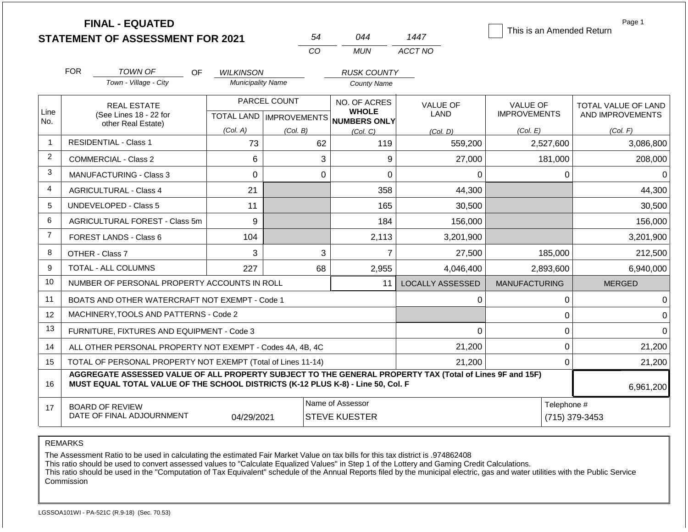|                | <b>FINAL - EQUATED</b><br><b>STATEMENT OF ASSESSMENT FOR 2021</b>                                                                                                                                         |                               | 54                                        | 044                                                 | 1447                    | This is an Amended Return              | Page 1                                  |  |
|----------------|-----------------------------------------------------------------------------------------------------------------------------------------------------------------------------------------------------------|-------------------------------|-------------------------------------------|-----------------------------------------------------|-------------------------|----------------------------------------|-----------------------------------------|--|
|                |                                                                                                                                                                                                           |                               | CO                                        | <b>MUN</b>                                          | ACCT NO                 |                                        |                                         |  |
|                | <b>FOR</b><br>TOWN OF<br>OF.                                                                                                                                                                              | <b>WILKINSON</b>              |                                           | <b>RUSK COUNTY</b>                                  |                         |                                        |                                         |  |
|                | Town - Village - City                                                                                                                                                                                     | <b>Municipality Name</b>      |                                           | <b>County Name</b>                                  |                         |                                        |                                         |  |
| Line<br>No.    | <b>REAL ESTATE</b><br>(See Lines 18 - 22 for<br>other Real Estate)                                                                                                                                        |                               | PARCEL COUNT<br>TOTAL LAND   IMPROVEMENTS | NO. OF ACRES<br><b>WHOLE</b><br><b>NUMBERS ONLY</b> | <b>VALUE OF</b><br>LAND | <b>VALUE OF</b><br><b>IMPROVEMENTS</b> | TOTAL VALUE OF LAND<br>AND IMPROVEMENTS |  |
|                |                                                                                                                                                                                                           | (Col. A)                      | (Col. B)                                  | (Col, C)                                            | (Col, D)                | (Col. E)                               | (Col. F)                                |  |
| $\overline{1}$ | <b>RESIDENTIAL - Class 1</b>                                                                                                                                                                              | 73                            | 62                                        | 119                                                 | 559,200                 | 2,527,600                              | 3,086,800                               |  |
| 2              | <b>COMMERCIAL - Class 2</b>                                                                                                                                                                               | 6                             | 3                                         | 9                                                   | 27,000                  | 181,000                                | 208,000                                 |  |
| 3              | MANUFACTURING - Class 3                                                                                                                                                                                   | 0                             | $\overline{0}$                            | 0                                                   | 0                       | $\mathbf{0}$                           | $\Omega$                                |  |
| 4              | <b>AGRICULTURAL - Class 4</b>                                                                                                                                                                             | 21                            |                                           | 358                                                 | 44,300                  |                                        | 44,300                                  |  |
| 5              | <b>UNDEVELOPED - Class 5</b>                                                                                                                                                                              | 11                            |                                           | 165                                                 | 30,500                  |                                        | 30,500                                  |  |
| 6              | AGRICULTURAL FOREST - Class 5m                                                                                                                                                                            | 9                             |                                           | 184                                                 | 156,000                 |                                        | 156,000                                 |  |
| $\overline{7}$ | <b>FOREST LANDS - Class 6</b>                                                                                                                                                                             | 104                           |                                           | 2,113                                               | 3,201,900               |                                        | 3,201,900                               |  |
| 8              | OTHER - Class 7                                                                                                                                                                                           | 3                             | 3                                         | $\overline{7}$                                      | 27,500                  | 185,000                                | 212,500                                 |  |
| 9              | TOTAL - ALL COLUMNS                                                                                                                                                                                       | 227                           | 68                                        | 2,955                                               | 4,046,400               | 2,893,600                              | 6,940,000                               |  |
| 10             | NUMBER OF PERSONAL PROPERTY ACCOUNTS IN ROLL                                                                                                                                                              |                               |                                           | 11                                                  | <b>LOCALLY ASSESSED</b> | <b>MANUFACTURING</b>                   | <b>MERGED</b>                           |  |
| 11             | BOATS AND OTHER WATERCRAFT NOT EXEMPT - Code 1                                                                                                                                                            |                               |                                           |                                                     | 0                       | 0                                      | $\Omega$                                |  |
| 12             | MACHINERY, TOOLS AND PATTERNS - Code 2                                                                                                                                                                    |                               |                                           |                                                     |                         | $\mathbf 0$                            | $\Omega$                                |  |
| 13             | FURNITURE, FIXTURES AND EQUIPMENT - Code 3                                                                                                                                                                |                               |                                           |                                                     | $\Omega$                | $\mathbf 0$                            | $\Omega$                                |  |
| 14             | ALL OTHER PERSONAL PROPERTY NOT EXEMPT - Codes 4A, 4B, 4C                                                                                                                                                 |                               |                                           |                                                     | 21,200                  | $\mathbf 0$                            | 21,200                                  |  |
| 15             | TOTAL OF PERSONAL PROPERTY NOT EXEMPT (Total of Lines 11-14)                                                                                                                                              | 21,200                        | $\mathbf 0$                               | 21,200                                              |                         |                                        |                                         |  |
| 16             | AGGREGATE ASSESSED VALUE OF ALL PROPERTY SUBJECT TO THE GENERAL PROPERTY TAX (Total of Lines 9F and 15F)<br>MUST EQUAL TOTAL VALUE OF THE SCHOOL DISTRICTS (K-12 PLUS K-8) - Line 50, Col. F<br>6,961,200 |                               |                                           |                                                     |                         |                                        |                                         |  |
| 17             | <b>BOARD OF REVIEW</b><br>DATE OF FINAL ADJOURNMENT                                                                                                                                                       | Telephone #<br>(715) 379-3453 |                                           |                                                     |                         |                                        |                                         |  |

The Assessment Ratio to be used in calculating the estimated Fair Market Value on tax bills for this tax district is .974862408

This ratio should be used to convert assessed values to "Calculate Equalized Values" in Step 1 of the Lottery and Gaming Credit Calculations.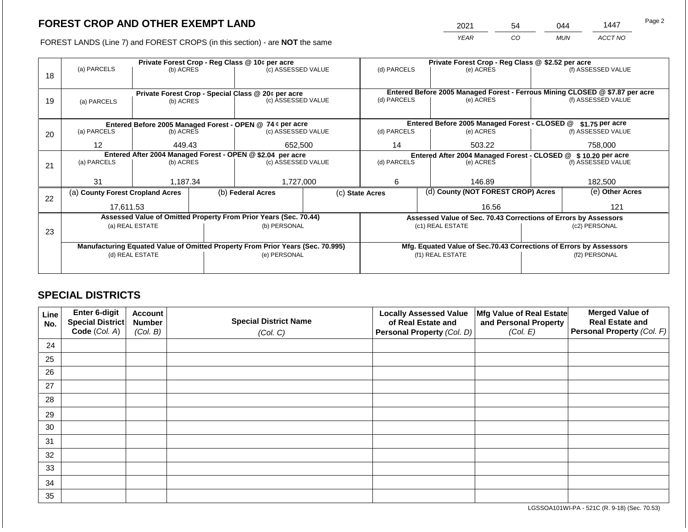2021 54 044 1447

FOREST LANDS (Line 7) and FOREST CROPS (in this section) - are **NOT** the same *YEAR CO MUN ACCT NO*

|    |                                                                                |                 |                                                            | Private Forest Crop - Reg Class @ 10¢ per acre                   |                                                                    | Private Forest Crop - Reg Class @ \$2.52 per acre             |                  |                                                                 |               |                                                                              |
|----|--------------------------------------------------------------------------------|-----------------|------------------------------------------------------------|------------------------------------------------------------------|--------------------------------------------------------------------|---------------------------------------------------------------|------------------|-----------------------------------------------------------------|---------------|------------------------------------------------------------------------------|
|    | (a) PARCELS                                                                    | (b) ACRES       |                                                            | (c) ASSESSED VALUE                                               |                                                                    | (d) PARCELS                                                   |                  | (e) ACRES                                                       |               | (f) ASSESSED VALUE                                                           |
| 18 |                                                                                |                 |                                                            |                                                                  |                                                                    |                                                               |                  |                                                                 |               |                                                                              |
|    |                                                                                |                 |                                                            |                                                                  |                                                                    |                                                               |                  |                                                                 |               |                                                                              |
|    |                                                                                |                 |                                                            | Private Forest Crop - Special Class @ 20¢ per acre               |                                                                    |                                                               |                  |                                                                 |               | Entered Before 2005 Managed Forest - Ferrous Mining CLOSED @ \$7.87 per acre |
| 19 | (a) PARCELS                                                                    | (b) ACRES       |                                                            | (c) ASSESSED VALUE                                               |                                                                    | (d) PARCELS                                                   |                  | (e) ACRES                                                       |               | (f) ASSESSED VALUE                                                           |
|    |                                                                                |                 |                                                            |                                                                  |                                                                    |                                                               |                  |                                                                 |               |                                                                              |
|    |                                                                                |                 |                                                            | Entered Before 2005 Managed Forest - OPEN @ 74 ¢ per acre        |                                                                    |                                                               |                  | Entered Before 2005 Managed Forest - CLOSED @                   |               | \$1.75 per acre                                                              |
| 20 | (a) PARCELS                                                                    | (b) ACRES       |                                                            | (c) ASSESSED VALUE                                               |                                                                    | (d) PARCELS                                                   |                  | (e) ACRES                                                       |               | (f) ASSESSED VALUE                                                           |
|    |                                                                                |                 |                                                            |                                                                  |                                                                    |                                                               |                  |                                                                 |               |                                                                              |
|    | $12 \overline{ }$                                                              | 449.43          |                                                            | 652,500                                                          |                                                                    | 14                                                            |                  | 503.22                                                          |               | 758,000                                                                      |
|    |                                                                                |                 | Entered After 2004 Managed Forest - OPEN @ \$2.04 per acre |                                                                  |                                                                    | Entered After 2004 Managed Forest - CLOSED @ \$10.20 per acre |                  |                                                                 |               |                                                                              |
| 21 | (a) PARCELS                                                                    | (b) ACRES       |                                                            | (c) ASSESSED VALUE                                               |                                                                    | (d) PARCELS                                                   |                  | (e) ACRES                                                       |               | (f) ASSESSED VALUE                                                           |
|    |                                                                                |                 |                                                            |                                                                  |                                                                    |                                                               |                  |                                                                 |               |                                                                              |
|    | 31                                                                             | 1,187.34        |                                                            | 1,727,000                                                        |                                                                    | 6                                                             |                  | 146.89                                                          |               | 182,500                                                                      |
|    | (a) County Forest Cropland Acres                                               |                 |                                                            | (b) Federal Acres                                                |                                                                    | (c) State Acres                                               |                  | (d) County (NOT FOREST CROP) Acres                              |               | (e) Other Acres                                                              |
| 22 |                                                                                |                 |                                                            |                                                                  |                                                                    |                                                               |                  |                                                                 |               |                                                                              |
|    | 17.611.53                                                                      |                 |                                                            |                                                                  |                                                                    |                                                               |                  | 16.56                                                           |               | 121                                                                          |
|    |                                                                                |                 |                                                            | Assessed Value of Omitted Property From Prior Years (Sec. 70.44) |                                                                    |                                                               |                  | Assessed Value of Sec. 70.43 Corrections of Errors by Assessors |               |                                                                              |
|    |                                                                                | (a) REAL ESTATE |                                                            | (b) PERSONAL                                                     |                                                                    |                                                               |                  | (c1) REAL ESTATE                                                | (c2) PERSONAL |                                                                              |
| 23 |                                                                                |                 |                                                            |                                                                  |                                                                    |                                                               |                  |                                                                 |               |                                                                              |
|    | Manufacturing Equated Value of Omitted Property From Prior Years (Sec. 70.995) |                 |                                                            |                                                                  | Mfg. Equated Value of Sec.70.43 Corrections of Errors by Assessors |                                                               |                  |                                                                 |               |                                                                              |
|    | (d) REAL ESTATE                                                                |                 | (e) PERSONAL                                               |                                                                  |                                                                    |                                                               | (f1) REAL ESTATE | (f2) PERSONAL                                                   |               |                                                                              |
|    |                                                                                |                 |                                                            |                                                                  |                                                                    |                                                               |                  |                                                                 |               |                                                                              |
|    |                                                                                |                 |                                                            |                                                                  |                                                                    |                                                               |                  |                                                                 |               |                                                                              |

## **SPECIAL DISTRICTS**

| Line<br>No. | Enter 6-digit<br>Special District<br>Code (Col. A) | <b>Account</b><br><b>Number</b><br>(Col. B) | <b>Special District Name</b><br>(Col. C) | <b>Locally Assessed Value</b><br>of Real Estate and<br><b>Personal Property (Col. D)</b> | Mfg Value of Real Estate<br>and Personal Property<br>(Col. E) | <b>Merged Value of</b><br><b>Real Estate and</b><br>Personal Property (Col. F) |
|-------------|----------------------------------------------------|---------------------------------------------|------------------------------------------|------------------------------------------------------------------------------------------|---------------------------------------------------------------|--------------------------------------------------------------------------------|
| 24          |                                                    |                                             |                                          |                                                                                          |                                                               |                                                                                |
| 25          |                                                    |                                             |                                          |                                                                                          |                                                               |                                                                                |
| 26          |                                                    |                                             |                                          |                                                                                          |                                                               |                                                                                |
| 27          |                                                    |                                             |                                          |                                                                                          |                                                               |                                                                                |
| 28          |                                                    |                                             |                                          |                                                                                          |                                                               |                                                                                |
| 29          |                                                    |                                             |                                          |                                                                                          |                                                               |                                                                                |
| 30          |                                                    |                                             |                                          |                                                                                          |                                                               |                                                                                |
| 31          |                                                    |                                             |                                          |                                                                                          |                                                               |                                                                                |
| 32          |                                                    |                                             |                                          |                                                                                          |                                                               |                                                                                |
| 33          |                                                    |                                             |                                          |                                                                                          |                                                               |                                                                                |
| 34          |                                                    |                                             |                                          |                                                                                          |                                                               |                                                                                |
| 35          |                                                    |                                             |                                          |                                                                                          |                                                               |                                                                                |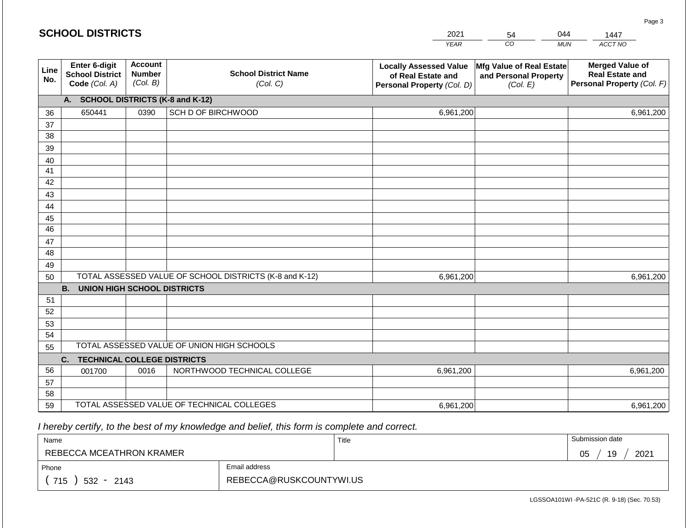|                 | <b>SCHOOL DISTRICTS</b>                                                                                        |      |                                                         | 2021                                                                              | 54                                                            | 044        | 1447                                                                           |  |
|-----------------|----------------------------------------------------------------------------------------------------------------|------|---------------------------------------------------------|-----------------------------------------------------------------------------------|---------------------------------------------------------------|------------|--------------------------------------------------------------------------------|--|
|                 |                                                                                                                |      |                                                         | <b>YEAR</b>                                                                       | CO                                                            | <b>MUN</b> | ACCT NO                                                                        |  |
| Line<br>No.     | <b>Account</b><br><b>Enter 6-digit</b><br><b>Number</b><br><b>School District</b><br>(Col. B)<br>Code (Col. A) |      | <b>School District Name</b><br>(Col. C)                 | <b>Locally Assessed Value</b><br>of Real Estate and<br>Personal Property (Col. D) | Mfg Value of Real Estate<br>and Personal Property<br>(Col. E) |            | <b>Merged Value of</b><br><b>Real Estate and</b><br>Personal Property (Col. F) |  |
|                 | A. SCHOOL DISTRICTS (K-8 and K-12)                                                                             |      |                                                         |                                                                                   |                                                               |            |                                                                                |  |
| 36              | 650441                                                                                                         | 0390 | SCH D OF BIRCHWOOD                                      | 6,961,200                                                                         |                                                               |            | 6,961,200                                                                      |  |
| 37              |                                                                                                                |      |                                                         |                                                                                   |                                                               |            |                                                                                |  |
| 38              |                                                                                                                |      |                                                         |                                                                                   |                                                               |            |                                                                                |  |
| 39              |                                                                                                                |      |                                                         |                                                                                   |                                                               |            |                                                                                |  |
| 40              |                                                                                                                |      |                                                         |                                                                                   |                                                               |            |                                                                                |  |
| 41              |                                                                                                                |      |                                                         |                                                                                   |                                                               |            |                                                                                |  |
| 42              |                                                                                                                |      |                                                         |                                                                                   |                                                               |            |                                                                                |  |
| 43              |                                                                                                                |      |                                                         |                                                                                   |                                                               |            |                                                                                |  |
| 44<br>45        |                                                                                                                |      |                                                         |                                                                                   |                                                               |            |                                                                                |  |
| $\overline{46}$ |                                                                                                                |      |                                                         |                                                                                   |                                                               |            |                                                                                |  |
| 47              |                                                                                                                |      |                                                         |                                                                                   |                                                               |            |                                                                                |  |
| 48              |                                                                                                                |      |                                                         |                                                                                   |                                                               |            |                                                                                |  |
| 49              |                                                                                                                |      |                                                         |                                                                                   |                                                               |            |                                                                                |  |
| 50              |                                                                                                                |      | TOTAL ASSESSED VALUE OF SCHOOL DISTRICTS (K-8 and K-12) | 6,961,200                                                                         |                                                               |            | 6,961,200                                                                      |  |
|                 | <b>B.</b><br><b>UNION HIGH SCHOOL DISTRICTS</b>                                                                |      |                                                         |                                                                                   |                                                               |            |                                                                                |  |
| 51              |                                                                                                                |      |                                                         |                                                                                   |                                                               |            |                                                                                |  |
| 52              |                                                                                                                |      |                                                         |                                                                                   |                                                               |            |                                                                                |  |
| 53              |                                                                                                                |      |                                                         |                                                                                   |                                                               |            |                                                                                |  |
| 54              |                                                                                                                |      |                                                         |                                                                                   |                                                               |            |                                                                                |  |
| 55              |                                                                                                                |      | TOTAL ASSESSED VALUE OF UNION HIGH SCHOOLS              |                                                                                   |                                                               |            |                                                                                |  |
|                 | <b>TECHNICAL COLLEGE DISTRICTS</b><br>C.                                                                       |      |                                                         |                                                                                   |                                                               |            |                                                                                |  |
| 56              | 001700                                                                                                         | 0016 | NORTHWOOD TECHNICAL COLLEGE                             | 6,961,200                                                                         |                                                               |            | 6,961,200                                                                      |  |
| 57              |                                                                                                                |      |                                                         |                                                                                   |                                                               |            |                                                                                |  |
| 58<br>59        |                                                                                                                |      | TOTAL ASSESSED VALUE OF TECHNICAL COLLEGES              |                                                                                   |                                                               |            |                                                                                |  |
|                 |                                                                                                                |      |                                                         | 6,961,200                                                                         |                                                               |            | 6,961,200                                                                      |  |

**SCHOOL DISTRICTS**

| Name                     |                         | Title | Submission date  |
|--------------------------|-------------------------|-------|------------------|
| REBECCA MCEATHRON KRAMER |                         |       | 19<br>2021<br>05 |
| Phone                    | Email address           |       |                  |
| 715<br>$532 -$<br>2143   | REBECCA@RUSKCOUNTYWI.US |       |                  |

Page 3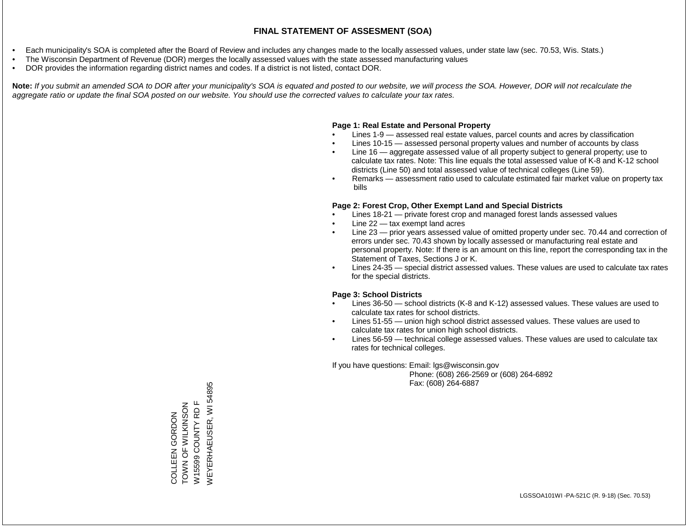- Each municipality's SOA is completed after the Board of Review and includes any changes made to the locally assessed values, under state law (sec. 70.53, Wis. Stats.)
- The Wisconsin Department of Revenue (DOR) merges the locally assessed values with the state assessed manufacturing values
- DOR provides the information regarding district names and codes. If a district is not listed, contact DOR.

Note: If you submit an amended SOA to DOR after your municipality's SOA is equated and posted to our website, we will process the SOA. However, DOR will not recalculate the *aggregate ratio or update the final SOA posted on our website. You should use the corrected values to calculate your tax rates.*

### **Page 1: Real Estate and Personal Property**

- Lines 1-9 assessed real estate values, parcel counts and acres by classification
- Lines 10-15 assessed personal property values and number of accounts by class
- Line 16 aggregate assessed value of all property subject to general property; use to calculate tax rates. Note: This line equals the total assessed value of K-8 and K-12 school districts (Line 50) and total assessed value of technical colleges (Line 59).
- Remarks assessment ratio used to calculate estimated fair market value on property tax bills

### **Page 2: Forest Crop, Other Exempt Land and Special Districts**

- Lines 18-21 private forest crop and managed forest lands assessed values
- Line  $22 -$  tax exempt land acres
- Line 23 prior years assessed value of omitted property under sec. 70.44 and correction of errors under sec. 70.43 shown by locally assessed or manufacturing real estate and personal property. Note: If there is an amount on this line, report the corresponding tax in the Statement of Taxes, Sections J or K.
- Lines 24-35 special district assessed values. These values are used to calculate tax rates for the special districts.

### **Page 3: School Districts**

- Lines 36-50 school districts (K-8 and K-12) assessed values. These values are used to calculate tax rates for school districts.
- Lines 51-55 union high school district assessed values. These values are used to calculate tax rates for union high school districts.
- Lines 56-59 technical college assessed values. These values are used to calculate tax rates for technical colleges.

If you have questions: Email: lgs@wisconsin.gov

 Phone: (608) 266-2569 or (608) 264-6892 Fax: (608) 264-6887

**NEYERHAEUSER, WI 54895** WEYERHAEUSER, WI 54895COLLEEN GORDON<br>TOWN OF WILKINSON W15599 COUNTY RD F ZOSNININ LO NNOL W15599 COUNTY RD F COLLEEN GORDON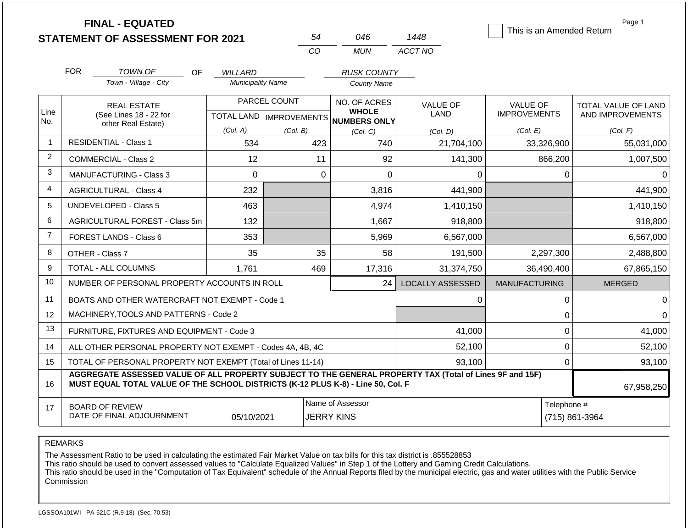|                |                                                                                                                                                                                              | <b>FINAL - EQUATED</b><br><b>STATEMENT OF ASSESSMENT FOR 2021</b> |                          | 54           | 046                                                                 | 1448                    | This is an Amended Return              | Page 1                                  |  |
|----------------|----------------------------------------------------------------------------------------------------------------------------------------------------------------------------------------------|-------------------------------------------------------------------|--------------------------|--------------|---------------------------------------------------------------------|-------------------------|----------------------------------------|-----------------------------------------|--|
|                |                                                                                                                                                                                              |                                                                   |                          | CO           | <b>MUN</b>                                                          | ACCT NO                 |                                        |                                         |  |
|                | <b>FOR</b>                                                                                                                                                                                   | TOWN OF<br><b>OF</b>                                              | <b>WILLARD</b>           |              | <b>RUSK COUNTY</b>                                                  |                         |                                        |                                         |  |
|                |                                                                                                                                                                                              | Town - Village - City                                             | <b>Municipality Name</b> |              | <b>County Name</b>                                                  |                         |                                        |                                         |  |
| Line           |                                                                                                                                                                                              | <b>REAL ESTATE</b><br>(See Lines 18 - 22 for                      |                          | PARCEL COUNT | NO. OF ACRES<br><b>WHOLE</b><br>TOTAL LAND MPROVEMENTS NUMBERS ONLY | <b>VALUE OF</b><br>LAND | <b>VALUE OF</b><br><b>IMPROVEMENTS</b> | TOTAL VALUE OF LAND<br>AND IMPROVEMENTS |  |
| No.            | other Real Estate)                                                                                                                                                                           |                                                                   | (Col. A)                 | (Col. B)     | (Col. C)                                                            | (Col. D)                | (Col. E)                               | (Col. F)                                |  |
| $\overline{1}$ |                                                                                                                                                                                              | <b>RESIDENTIAL - Class 1</b>                                      | 534                      | 423          | 740                                                                 | 21,704,100              | 33,326,900                             | 55,031,000                              |  |
| $\overline{2}$ |                                                                                                                                                                                              | COMMERCIAL - Class 2                                              | 12                       | 11           | 92                                                                  | 141,300                 | 866,200                                | 1,007,500                               |  |
| 3              |                                                                                                                                                                                              | <b>MANUFACTURING - Class 3</b>                                    | $\Omega$                 |              | $\Omega$<br>$\Omega$                                                | $\Omega$                | $\mathbf{0}$                           | $\Omega$                                |  |
| $\overline{4}$ |                                                                                                                                                                                              | <b>AGRICULTURAL - Class 4</b>                                     | 232                      |              | 3,816                                                               | 441,900                 |                                        | 441,900                                 |  |
| 5              |                                                                                                                                                                                              | <b>UNDEVELOPED - Class 5</b>                                      | 463                      |              | 4,974                                                               | 1,410,150               |                                        | 1,410,150                               |  |
| 6              |                                                                                                                                                                                              | AGRICULTURAL FOREST - Class 5m                                    | 132                      |              | 1,667                                                               | 918,800                 |                                        | 918,800                                 |  |
| $\overline{7}$ |                                                                                                                                                                                              | FOREST LANDS - Class 6                                            | 353                      |              | 5,969                                                               | 6,567,000               |                                        | 6,567,000                               |  |
| 8              |                                                                                                                                                                                              | OTHER - Class 7                                                   | 35                       | 35           | 58                                                                  | 191,500                 | 2,297,300                              | 2,488,800                               |  |
| 9              |                                                                                                                                                                                              | <b>TOTAL - ALL COLUMNS</b>                                        | 1,761                    | 469          | 17,316                                                              | 31,374,750              | 36,490,400                             | 67,865,150                              |  |
| 10             |                                                                                                                                                                                              | NUMBER OF PERSONAL PROPERTY ACCOUNTS IN ROLL                      |                          |              | 24                                                                  | LOCALLY ASSESSED        | <b>MANUFACTURING</b>                   | <b>MERGED</b>                           |  |
| 11             |                                                                                                                                                                                              | BOATS AND OTHER WATERCRAFT NOT EXEMPT - Code 1                    |                          |              |                                                                     | 0                       | 0                                      | $\Omega$                                |  |
| 12             |                                                                                                                                                                                              | MACHINERY, TOOLS AND PATTERNS - Code 2                            |                          |              |                                                                     |                         | $\mathsf 0$                            | $\Omega$                                |  |
| 13             |                                                                                                                                                                                              | FURNITURE, FIXTURES AND EQUIPMENT - Code 3                        |                          |              |                                                                     | 41,000                  | $\mathbf 0$                            | 41,000                                  |  |
| 14             |                                                                                                                                                                                              | ALL OTHER PERSONAL PROPERTY NOT EXEMPT - Codes 4A, 4B, 4C         |                          |              |                                                                     | 52,100                  | $\mathbf 0$                            | 52,100                                  |  |
| 15             |                                                                                                                                                                                              | TOTAL OF PERSONAL PROPERTY NOT EXEMPT (Total of Lines 11-14)      |                          |              |                                                                     | 93.100                  | $\Omega$                               | 93,100                                  |  |
| 16             | AGGREGATE ASSESSED VALUE OF ALL PROPERTY SUBJECT TO THE GENERAL PROPERTY TAX (Total of Lines 9F and 15F)<br>MUST EQUAL TOTAL VALUE OF THE SCHOOL DISTRICTS (K-12 PLUS K-8) - Line 50, Col. F |                                                                   |                          |              |                                                                     |                         |                                        | 67,958,250                              |  |
| 17             |                                                                                                                                                                                              | <b>BOARD OF REVIEW</b><br>DATE OF FINAL ADJOURNMENT               | 05/10/2021               |              | Name of Assessor<br><b>JERRY KINS</b>                               |                         |                                        | Telephone #<br>(715) 861-3964           |  |

The Assessment Ratio to be used in calculating the estimated Fair Market Value on tax bills for this tax district is .855528853

This ratio should be used to convert assessed values to "Calculate Equalized Values" in Step 1 of the Lottery and Gaming Credit Calculations.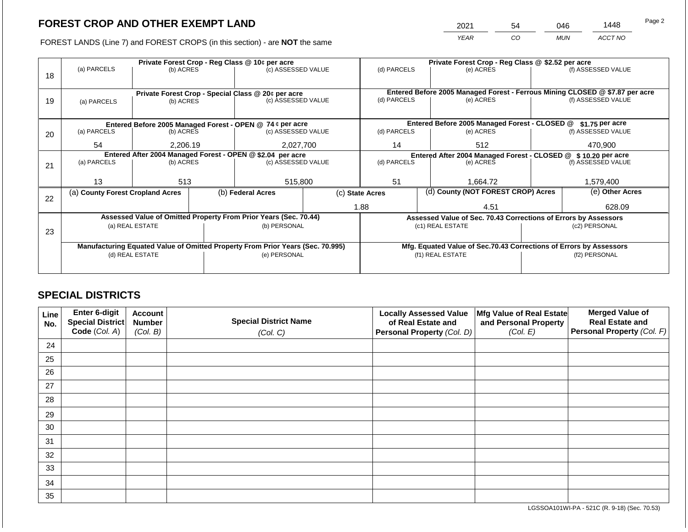2021 54 046 1448

FOREST LANDS (Line 7) and FOREST CROPS (in this section) - are **NOT** the same *YEAR CO MUN ACCT NO*

|    |                                                                                |                 |  | Private Forest Crop - Reg Class @ 10¢ per acre                           |                                                                    | Private Forest Crop - Reg Class @ \$2.52 per acre             |  |                                                                              |               |                    |
|----|--------------------------------------------------------------------------------|-----------------|--|--------------------------------------------------------------------------|--------------------------------------------------------------------|---------------------------------------------------------------|--|------------------------------------------------------------------------------|---------------|--------------------|
|    | (a) PARCELS                                                                    | (b) ACRES       |  | (c) ASSESSED VALUE                                                       |                                                                    | (d) PARCELS                                                   |  | (e) ACRES                                                                    |               | (f) ASSESSED VALUE |
| 18 |                                                                                |                 |  |                                                                          |                                                                    |                                                               |  |                                                                              |               |                    |
|    |                                                                                |                 |  |                                                                          |                                                                    |                                                               |  | Entered Before 2005 Managed Forest - Ferrous Mining CLOSED @ \$7.87 per acre |               |                    |
|    |                                                                                |                 |  | Private Forest Crop - Special Class @ 20¢ per acre<br>(c) ASSESSED VALUE |                                                                    | (d) PARCELS                                                   |  | (e) ACRES                                                                    |               | (f) ASSESSED VALUE |
| 19 | (a) PARCELS                                                                    | (b) ACRES       |  |                                                                          |                                                                    |                                                               |  |                                                                              |               |                    |
|    |                                                                                |                 |  |                                                                          |                                                                    |                                                               |  |                                                                              |               |                    |
|    |                                                                                |                 |  | Entered Before 2005 Managed Forest - OPEN @ 74 ¢ per acre                |                                                                    |                                                               |  | Entered Before 2005 Managed Forest - CLOSED @                                |               | $$1.75$ per acre   |
| 20 | (a) PARCELS                                                                    | (b) ACRES       |  | (c) ASSESSED VALUE                                                       |                                                                    | (d) PARCELS                                                   |  | (e) ACRES                                                                    |               | (f) ASSESSED VALUE |
|    |                                                                                |                 |  |                                                                          |                                                                    |                                                               |  |                                                                              |               |                    |
|    | 54                                                                             | 2,206.19        |  | 2,027,700                                                                |                                                                    | 14                                                            |  | 512                                                                          |               | 470,900            |
|    | Entered After 2004 Managed Forest - OPEN @ \$2.04 per acre                     |                 |  |                                                                          |                                                                    | Entered After 2004 Managed Forest - CLOSED @ \$10.20 per acre |  |                                                                              |               |                    |
| 21 | (a) PARCELS                                                                    | (b) ACRES       |  | (c) ASSESSED VALUE                                                       |                                                                    | (d) PARCELS                                                   |  | (e) ACRES                                                                    |               | (f) ASSESSED VALUE |
|    |                                                                                |                 |  |                                                                          |                                                                    |                                                               |  |                                                                              |               |                    |
|    | 13                                                                             | 513             |  | 515,800                                                                  |                                                                    | 51                                                            |  | 1,664.72                                                                     |               | 1,579,400          |
|    | (a) County Forest Cropland Acres                                               |                 |  | (b) Federal Acres                                                        |                                                                    | (c) State Acres                                               |  | (d) County (NOT FOREST CROP) Acres                                           |               | (e) Other Acres    |
| 22 |                                                                                |                 |  |                                                                          |                                                                    |                                                               |  |                                                                              |               |                    |
|    |                                                                                |                 |  |                                                                          |                                                                    | 1.88                                                          |  | 4.51                                                                         |               | 628.09             |
|    |                                                                                |                 |  | Assessed Value of Omitted Property From Prior Years (Sec. 70.44)         |                                                                    |                                                               |  | Assessed Value of Sec. 70.43 Corrections of Errors by Assessors              |               |                    |
|    |                                                                                | (a) REAL ESTATE |  | (b) PERSONAL                                                             |                                                                    |                                                               |  | (c1) REAL ESTATE                                                             |               | (c2) PERSONAL      |
| 23 |                                                                                |                 |  |                                                                          |                                                                    |                                                               |  |                                                                              |               |                    |
|    | Manufacturing Equated Value of Omitted Property From Prior Years (Sec. 70.995) |                 |  |                                                                          | Mfg. Equated Value of Sec.70.43 Corrections of Errors by Assessors |                                                               |  |                                                                              |               |                    |
|    |                                                                                | (d) REAL ESTATE |  | (e) PERSONAL                                                             |                                                                    |                                                               |  | (f1) REAL ESTATE                                                             | (f2) PERSONAL |                    |
|    |                                                                                |                 |  |                                                                          |                                                                    |                                                               |  |                                                                              |               |                    |
|    |                                                                                |                 |  |                                                                          |                                                                    |                                                               |  |                                                                              |               |                    |

## **SPECIAL DISTRICTS**

| Line<br>No. | Enter 6-digit<br>Special District<br>Code (Col. A) | <b>Account</b><br><b>Number</b><br>(Col. B) | <b>Special District Name</b><br>(Col. C) | <b>Locally Assessed Value</b><br>of Real Estate and<br><b>Personal Property (Col. D)</b> | Mfg Value of Real Estate<br>and Personal Property<br>(Col. E) | <b>Merged Value of</b><br><b>Real Estate and</b><br>Personal Property (Col. F) |
|-------------|----------------------------------------------------|---------------------------------------------|------------------------------------------|------------------------------------------------------------------------------------------|---------------------------------------------------------------|--------------------------------------------------------------------------------|
| 24          |                                                    |                                             |                                          |                                                                                          |                                                               |                                                                                |
| 25          |                                                    |                                             |                                          |                                                                                          |                                                               |                                                                                |
| 26          |                                                    |                                             |                                          |                                                                                          |                                                               |                                                                                |
| 27          |                                                    |                                             |                                          |                                                                                          |                                                               |                                                                                |
| 28          |                                                    |                                             |                                          |                                                                                          |                                                               |                                                                                |
| 29          |                                                    |                                             |                                          |                                                                                          |                                                               |                                                                                |
| 30          |                                                    |                                             |                                          |                                                                                          |                                                               |                                                                                |
| 31          |                                                    |                                             |                                          |                                                                                          |                                                               |                                                                                |
| 32          |                                                    |                                             |                                          |                                                                                          |                                                               |                                                                                |
| 33          |                                                    |                                             |                                          |                                                                                          |                                                               |                                                                                |
| 34          |                                                    |                                             |                                          |                                                                                          |                                                               |                                                                                |
| 35          |                                                    |                                             |                                          |                                                                                          |                                                               |                                                                                |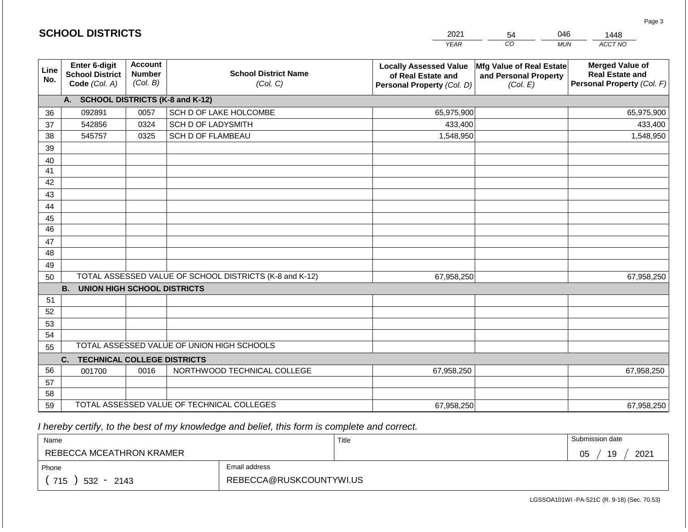|             | <b>SCHOOL DISTRICTS</b>                                         |                                             |                                                         | 2021                                                                              | 046<br>54                                                     | 1448                                                                           |
|-------------|-----------------------------------------------------------------|---------------------------------------------|---------------------------------------------------------|-----------------------------------------------------------------------------------|---------------------------------------------------------------|--------------------------------------------------------------------------------|
|             |                                                                 |                                             |                                                         | <b>YEAR</b>                                                                       | CO<br><b>MUN</b>                                              | ACCT NO                                                                        |
| Line<br>No. | <b>Enter 6-digit</b><br><b>School District</b><br>Code (Col. A) | <b>Account</b><br><b>Number</b><br>(Col. B) | <b>School District Name</b><br>(Col. C)                 | <b>Locally Assessed Value</b><br>of Real Estate and<br>Personal Property (Col. D) | Mfg Value of Real Estate<br>and Personal Property<br>(Col. E) | <b>Merged Value of</b><br><b>Real Estate and</b><br>Personal Property (Col. F) |
|             | A. SCHOOL DISTRICTS (K-8 and K-12)                              |                                             |                                                         |                                                                                   |                                                               |                                                                                |
| 36          | 092891                                                          | 0057                                        | SCH D OF LAKE HOLCOMBE                                  | 65,975,900                                                                        |                                                               | 65,975,900                                                                     |
| 37          | 542856                                                          | 0324                                        | <b>SCH D OF LADYSMITH</b>                               | 433,400                                                                           |                                                               | 433,400                                                                        |
| 38          | 545757                                                          | 0325                                        | <b>SCH D OF FLAMBEAU</b>                                | 1,548,950                                                                         |                                                               | 1,548,950                                                                      |
| 39          |                                                                 |                                             |                                                         |                                                                                   |                                                               |                                                                                |
| 40          |                                                                 |                                             |                                                         |                                                                                   |                                                               |                                                                                |
| 41          |                                                                 |                                             |                                                         |                                                                                   |                                                               |                                                                                |
| 42          |                                                                 |                                             |                                                         |                                                                                   |                                                               |                                                                                |
| 43          |                                                                 |                                             |                                                         |                                                                                   |                                                               |                                                                                |
| 44          |                                                                 |                                             |                                                         |                                                                                   |                                                               |                                                                                |
| 45<br>46    |                                                                 |                                             |                                                         |                                                                                   |                                                               |                                                                                |
| 47          |                                                                 |                                             |                                                         |                                                                                   |                                                               |                                                                                |
| 48          |                                                                 |                                             |                                                         |                                                                                   |                                                               |                                                                                |
| 49          |                                                                 |                                             |                                                         |                                                                                   |                                                               |                                                                                |
| 50          |                                                                 |                                             | TOTAL ASSESSED VALUE OF SCHOOL DISTRICTS (K-8 and K-12) | 67,958,250                                                                        |                                                               | 67,958,250                                                                     |
|             | <b>B.</b><br><b>UNION HIGH SCHOOL DISTRICTS</b>                 |                                             |                                                         |                                                                                   |                                                               |                                                                                |
| 51          |                                                                 |                                             |                                                         |                                                                                   |                                                               |                                                                                |
| 52          |                                                                 |                                             |                                                         |                                                                                   |                                                               |                                                                                |
| 53          |                                                                 |                                             |                                                         |                                                                                   |                                                               |                                                                                |
| 54          |                                                                 |                                             |                                                         |                                                                                   |                                                               |                                                                                |
| 55          |                                                                 |                                             | TOTAL ASSESSED VALUE OF UNION HIGH SCHOOLS              |                                                                                   |                                                               |                                                                                |
|             | C.<br><b>TECHNICAL COLLEGE DISTRICTS</b>                        |                                             |                                                         |                                                                                   |                                                               |                                                                                |
| 56          | 001700                                                          | 0016                                        | NORTHWOOD TECHNICAL COLLEGE                             | 67,958,250                                                                        |                                                               | 67,958,250                                                                     |
| 57          |                                                                 |                                             |                                                         |                                                                                   |                                                               |                                                                                |
| 58          |                                                                 |                                             |                                                         |                                                                                   |                                                               |                                                                                |
| 59          |                                                                 |                                             | TOTAL ASSESSED VALUE OF TECHNICAL COLLEGES              | 67,958,250                                                                        |                                                               | 67,958,250                                                                     |

| Name                     |                         | Title | Submission date  |
|--------------------------|-------------------------|-------|------------------|
| REBECCA MCEATHRON KRAMER |                         |       | 19<br>2021<br>05 |
| Phone                    | Email address           |       |                  |
| 715<br>$532 -$<br>2143   | REBECCA@RUSKCOUNTYWI.US |       |                  |

Page 3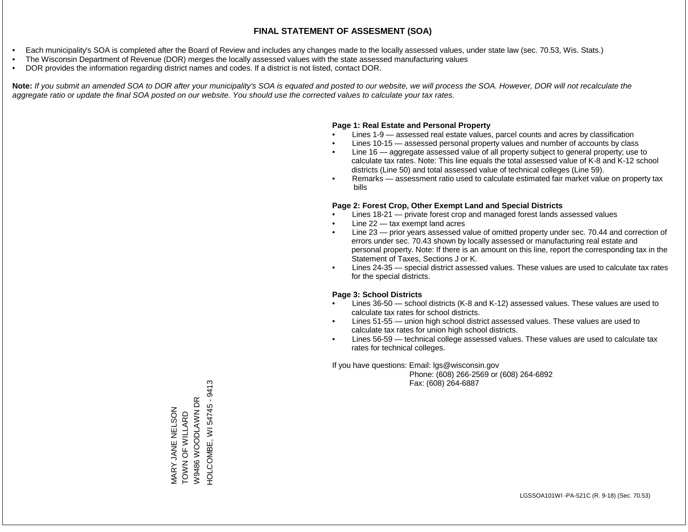- Each municipality's SOA is completed after the Board of Review and includes any changes made to the locally assessed values, under state law (sec. 70.53, Wis. Stats.)
- The Wisconsin Department of Revenue (DOR) merges the locally assessed values with the state assessed manufacturing values
- DOR provides the information regarding district names and codes. If a district is not listed, contact DOR.

Note: If you submit an amended SOA to DOR after your municipality's SOA is equated and posted to our website, we will process the SOA. However, DOR will not recalculate the *aggregate ratio or update the final SOA posted on our website. You should use the corrected values to calculate your tax rates.*

### **Page 1: Real Estate and Personal Property**

- Lines 1-9 assessed real estate values, parcel counts and acres by classification
- Lines 10-15 assessed personal property values and number of accounts by class
- Line 16 aggregate assessed value of all property subject to general property; use to calculate tax rates. Note: This line equals the total assessed value of K-8 and K-12 school districts (Line 50) and total assessed value of technical colleges (Line 59).
- Remarks assessment ratio used to calculate estimated fair market value on property tax bills

### **Page 2: Forest Crop, Other Exempt Land and Special Districts**

- Lines 18-21 private forest crop and managed forest lands assessed values
- Line  $22 -$  tax exempt land acres
- Line 23 prior years assessed value of omitted property under sec. 70.44 and correction of errors under sec. 70.43 shown by locally assessed or manufacturing real estate and personal property. Note: If there is an amount on this line, report the corresponding tax in the Statement of Taxes, Sections J or K.
- Lines 24-35 special district assessed values. These values are used to calculate tax rates for the special districts.

### **Page 3: School Districts**

- Lines 36-50 school districts (K-8 and K-12) assessed values. These values are used to calculate tax rates for school districts.
- Lines 51-55 union high school district assessed values. These values are used to calculate tax rates for union high school districts.
- Lines 56-59 technical college assessed values. These values are used to calculate tax rates for technical colleges.

If you have questions: Email: lgs@wisconsin.gov

 Phone: (608) 266-2569 or (608) 264-6892 Fax: (608) 264-6887

HOLCOMBE, WI 54745 - 9413 HOLCOMBE, WI 54745 - 9413W9486 WOODLAWN DR W9486 WOODLAWN DR MARY JANE NELSON<br>TOWN OF WILLARD MARY JANE NELSON TOWN OF WILLARD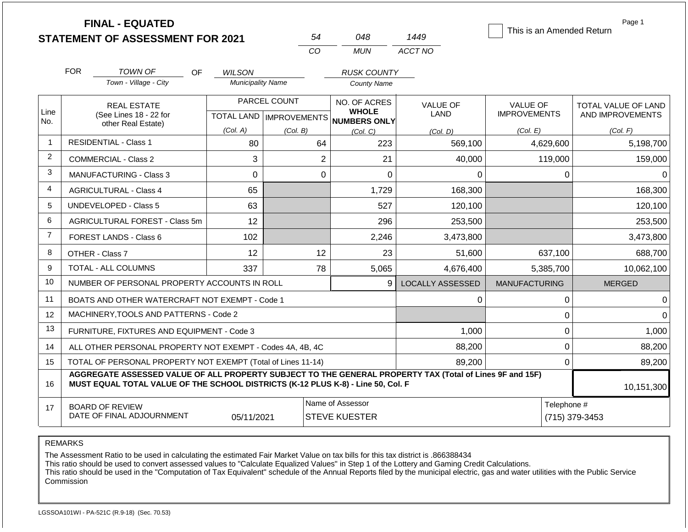|                | <b>FINAL - EQUATED</b><br>54<br><b>STATEMENT OF ASSESSMENT FOR 2021</b>                                                                                                                      |                                                |                   |              |                | 048                                                                 | 1449                           | This is an Amended Return              |             | Page 1                                  |
|----------------|----------------------------------------------------------------------------------------------------------------------------------------------------------------------------------------------|------------------------------------------------|-------------------|--------------|----------------|---------------------------------------------------------------------|--------------------------------|----------------------------------------|-------------|-----------------------------------------|
|                |                                                                                                                                                                                              |                                                |                   |              | CO.            | <b>MUN</b>                                                          | ACCT NO                        |                                        |             |                                         |
|                | <b>FOR</b>                                                                                                                                                                                   | <b>TOWN OF</b><br><b>OF</b>                    | <b>WILSON</b>     |              |                | <b>RUSK COUNTY</b>                                                  |                                |                                        |             |                                         |
|                |                                                                                                                                                                                              | Town - Village - City                          | Municipality Name |              |                | <b>County Name</b>                                                  |                                |                                        |             |                                         |
| Line<br>No.    |                                                                                                                                                                                              | <b>REAL ESTATE</b><br>(See Lines 18 - 22 for   |                   | PARCEL COUNT |                | NO. OF ACRES<br><b>WHOLE</b><br>TOTAL LAND MPROVEMENTS NUMBERS ONLY | <b>VALUE OF</b><br><b>LAND</b> | <b>VALUE OF</b><br><b>IMPROVEMENTS</b> |             | TOTAL VALUE OF LAND<br>AND IMPROVEMENTS |
|                |                                                                                                                                                                                              | other Real Estate)                             | (Col, A)          | (Col. B)     |                | (Col, C)                                                            | (Col. D)                       | (Col. E)                               |             | (Col. F)                                |
| $\overline{1}$ |                                                                                                                                                                                              | <b>RESIDENTIAL - Class 1</b>                   | 80                |              | 64             | 223                                                                 | 569,100                        | 4,629,600                              |             | 5,198,700                               |
| 2              |                                                                                                                                                                                              | <b>COMMERCIAL - Class 2</b>                    | 3                 |              | $\overline{2}$ | 21                                                                  | 40,000                         |                                        | 119,000     | 159,000                                 |
| 3              |                                                                                                                                                                                              | <b>MANUFACTURING - Class 3</b>                 | 0                 |              | $\Omega$       | $\Omega$                                                            | 0                              |                                        | $\Omega$    | $\Omega$                                |
| $\overline{4}$ |                                                                                                                                                                                              | <b>AGRICULTURAL - Class 4</b>                  | 65                |              |                | 1,729                                                               | 168,300                        |                                        |             | 168,300                                 |
| 5              |                                                                                                                                                                                              | UNDEVELOPED - Class 5                          | 63                |              |                | 527                                                                 | 120,100                        |                                        |             | 120,100                                 |
| 6              |                                                                                                                                                                                              | AGRICULTURAL FOREST - Class 5m                 | 12                |              |                | 296                                                                 | 253,500                        |                                        |             | 253,500                                 |
| $\overline{7}$ |                                                                                                                                                                                              | FOREST LANDS - Class 6                         | 102               |              |                | 2,246                                                               | 3,473,800                      |                                        |             | 3,473,800                               |
| 8              |                                                                                                                                                                                              | OTHER - Class 7                                | 12                |              | 12             | 23                                                                  | 51,600                         |                                        | 637,100     | 688,700                                 |
| 9              |                                                                                                                                                                                              | <b>TOTAL - ALL COLUMNS</b>                     | 337               |              | 78             | 5,065                                                               | 4,676,400                      | 5,385,700                              |             | 10,062,100                              |
| 10             |                                                                                                                                                                                              | NUMBER OF PERSONAL PROPERTY ACCOUNTS IN ROLL   |                   |              |                | 9                                                                   | <b>LOCALLY ASSESSED</b>        | <b>MANUFACTURING</b>                   |             | <b>MERGED</b>                           |
| 11             |                                                                                                                                                                                              | BOATS AND OTHER WATERCRAFT NOT EXEMPT - Code 1 |                   |              |                |                                                                     | 0                              |                                        | 0           | $\Omega$                                |
| 12             |                                                                                                                                                                                              | MACHINERY, TOOLS AND PATTERNS - Code 2         |                   |              |                |                                                                     |                                |                                        | $\mathbf 0$ | $\Omega$                                |
| 13             |                                                                                                                                                                                              | FURNITURE, FIXTURES AND EQUIPMENT - Code 3     |                   |              |                |                                                                     | 1,000                          |                                        | $\mathbf 0$ | 1,000                                   |
| 14             | ALL OTHER PERSONAL PROPERTY NOT EXEMPT - Codes 4A, 4B, 4C                                                                                                                                    |                                                |                   |              |                | 88,200                                                              |                                | $\mathbf 0$                            | 88,200      |                                         |
| 15             | TOTAL OF PERSONAL PROPERTY NOT EXEMPT (Total of Lines 11-14)                                                                                                                                 |                                                |                   |              |                | 89,200                                                              |                                | $\mathbf 0$                            | 89,200      |                                         |
| 16             | AGGREGATE ASSESSED VALUE OF ALL PROPERTY SUBJECT TO THE GENERAL PROPERTY TAX (Total of Lines 9F and 15F)<br>MUST EQUAL TOTAL VALUE OF THE SCHOOL DISTRICTS (K-12 PLUS K-8) - Line 50, Col. F |                                                |                   |              |                |                                                                     |                                |                                        | 10,151,300  |                                         |
| 17             |                                                                                                                                                                                              | <b>BOARD OF REVIEW</b>                         |                   |              |                | Name of Assessor                                                    |                                |                                        | Telephone # |                                         |
|                |                                                                                                                                                                                              | DATE OF FINAL ADJOURNMENT                      | 05/11/2021        |              |                | <b>STEVE KUESTER</b>                                                |                                |                                        |             | (715) 379-3453                          |

The Assessment Ratio to be used in calculating the estimated Fair Market Value on tax bills for this tax district is .866388434

This ratio should be used to convert assessed values to "Calculate Equalized Values" in Step 1 of the Lottery and Gaming Credit Calculations.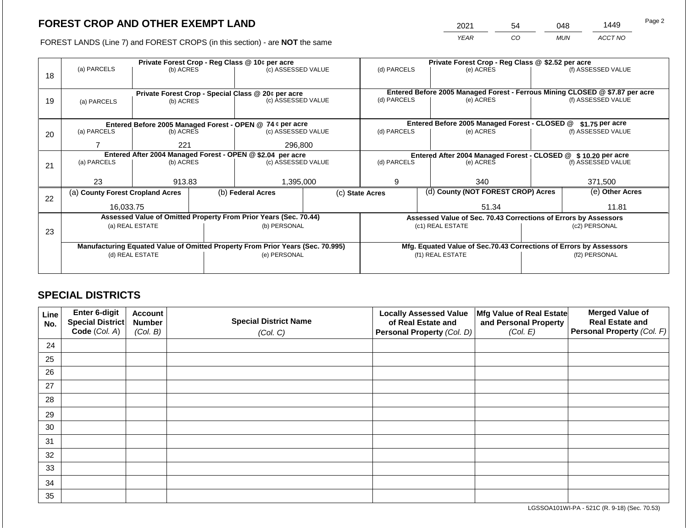2021 54 048 1449

FOREST LANDS (Line 7) and FOREST CROPS (in this section) - are **NOT** the same *YEAR CO MUN ACCT NO*

|    | Private Forest Crop - Reg Class @ 10¢ per acre |                 |  |                                                                                |  | Private Forest Crop - Reg Class @ \$2.52 per acre |                                                                              |                                                                    |                    |                    |
|----|------------------------------------------------|-----------------|--|--------------------------------------------------------------------------------|--|---------------------------------------------------|------------------------------------------------------------------------------|--------------------------------------------------------------------|--------------------|--------------------|
| 18 | (a) PARCELS                                    | (b) ACRES       |  | (c) ASSESSED VALUE                                                             |  | (d) PARCELS                                       |                                                                              | (e) ACRES                                                          |                    | (f) ASSESSED VALUE |
|    |                                                |                 |  |                                                                                |  |                                                   |                                                                              |                                                                    |                    |                    |
|    |                                                |                 |  |                                                                                |  |                                                   | Entered Before 2005 Managed Forest - Ferrous Mining CLOSED @ \$7.87 per acre |                                                                    |                    |                    |
| 19 | (a) PARCELS                                    | (b) ACRES       |  | Private Forest Crop - Special Class @ 20¢ per acre<br>(c) ASSESSED VALUE       |  | (d) PARCELS                                       |                                                                              | (e) ACRES                                                          |                    | (f) ASSESSED VALUE |
|    |                                                |                 |  |                                                                                |  |                                                   |                                                                              |                                                                    |                    |                    |
|    |                                                |                 |  |                                                                                |  |                                                   |                                                                              |                                                                    |                    |                    |
|    |                                                |                 |  | Entered Before 2005 Managed Forest - OPEN @ 74 ¢ per acre                      |  |                                                   |                                                                              | Entered Before 2005 Managed Forest - CLOSED @                      |                    | $$1.75$ per acre   |
| 20 | (a) PARCELS                                    | (b) ACRES       |  | (c) ASSESSED VALUE                                                             |  | (d) PARCELS                                       |                                                                              | (e) ACRES                                                          |                    | (f) ASSESSED VALUE |
|    |                                                | 221             |  | 296,800                                                                        |  |                                                   |                                                                              |                                                                    |                    |                    |
|    |                                                |                 |  |                                                                                |  |                                                   |                                                                              |                                                                    |                    |                    |
|    |                                                |                 |  | Entered After 2004 Managed Forest - OPEN @ \$2.04 per acre                     |  |                                                   | Entered After 2004 Managed Forest - CLOSED @ \$10.20 per acre                |                                                                    |                    |                    |
| 21 | (a) PARCELS                                    | (b) ACRES       |  | (c) ASSESSED VALUE                                                             |  | (d) PARCELS                                       | (e) ACRES                                                                    |                                                                    | (f) ASSESSED VALUE |                    |
|    |                                                |                 |  |                                                                                |  |                                                   |                                                                              |                                                                    |                    |                    |
|    | 23                                             | 913.83          |  | 1,395,000                                                                      |  | 9                                                 |                                                                              | 340                                                                |                    | 371,500            |
|    | (a) County Forest Cropland Acres               |                 |  | (b) Federal Acres                                                              |  | (c) State Acres                                   |                                                                              | (d) County (NOT FOREST CROP) Acres                                 |                    | (e) Other Acres    |
| 22 |                                                |                 |  |                                                                                |  |                                                   |                                                                              |                                                                    |                    |                    |
|    | 16.033.75                                      |                 |  |                                                                                |  |                                                   |                                                                              | 51.34                                                              |                    | 11.81              |
|    |                                                |                 |  | Assessed Value of Omitted Property From Prior Years (Sec. 70.44)               |  |                                                   |                                                                              | Assessed Value of Sec. 70.43 Corrections of Errors by Assessors    |                    |                    |
|    |                                                | (a) REAL ESTATE |  | (b) PERSONAL                                                                   |  |                                                   |                                                                              | (c1) REAL ESTATE                                                   | (c2) PERSONAL      |                    |
| 23 |                                                |                 |  |                                                                                |  |                                                   |                                                                              |                                                                    |                    |                    |
|    |                                                |                 |  | Manufacturing Equated Value of Omitted Property From Prior Years (Sec. 70.995) |  |                                                   |                                                                              | Mfg. Equated Value of Sec.70.43 Corrections of Errors by Assessors |                    |                    |
|    |                                                | (d) REAL ESTATE |  | (e) PERSONAL                                                                   |  | (f1) REAL ESTATE                                  |                                                                              |                                                                    | (f2) PERSONAL      |                    |
|    |                                                |                 |  |                                                                                |  |                                                   |                                                                              |                                                                    |                    |                    |
|    |                                                |                 |  |                                                                                |  |                                                   |                                                                              |                                                                    |                    |                    |

## **SPECIAL DISTRICTS**

| Line<br>No. | Enter 6-digit<br>Special District | <b>Account</b><br><b>Number</b> | <b>Special District Name</b> | <b>Locally Assessed Value</b><br>of Real Estate and | Mfg Value of Real Estate<br>and Personal Property | <b>Merged Value of</b><br><b>Real Estate and</b> |
|-------------|-----------------------------------|---------------------------------|------------------------------|-----------------------------------------------------|---------------------------------------------------|--------------------------------------------------|
|             | Code (Col. A)                     | (Col. B)                        | (Col. C)                     | Personal Property (Col. D)                          | (Col. E)                                          | Personal Property (Col. F)                       |
| 24          |                                   |                                 |                              |                                                     |                                                   |                                                  |
| 25          |                                   |                                 |                              |                                                     |                                                   |                                                  |
| 26          |                                   |                                 |                              |                                                     |                                                   |                                                  |
| 27          |                                   |                                 |                              |                                                     |                                                   |                                                  |
| 28          |                                   |                                 |                              |                                                     |                                                   |                                                  |
| 29          |                                   |                                 |                              |                                                     |                                                   |                                                  |
| 30          |                                   |                                 |                              |                                                     |                                                   |                                                  |
| 31          |                                   |                                 |                              |                                                     |                                                   |                                                  |
| 32          |                                   |                                 |                              |                                                     |                                                   |                                                  |
| 33          |                                   |                                 |                              |                                                     |                                                   |                                                  |
| 34          |                                   |                                 |                              |                                                     |                                                   |                                                  |
| 35          |                                   |                                 |                              |                                                     |                                                   |                                                  |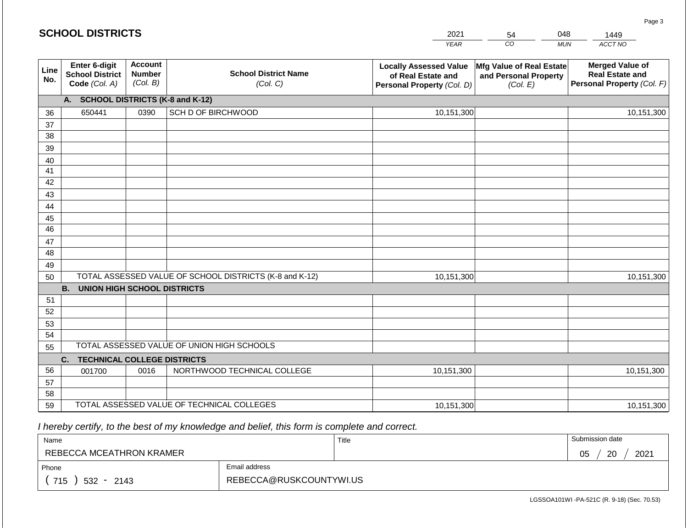|             | <b>SCHOOL DISTRICTS</b>                                  |                                             |                                                         | 2021                                                                              | 54                                                            | 048        | 1449                                                                           |
|-------------|----------------------------------------------------------|---------------------------------------------|---------------------------------------------------------|-----------------------------------------------------------------------------------|---------------------------------------------------------------|------------|--------------------------------------------------------------------------------|
|             |                                                          |                                             |                                                         | <b>YEAR</b>                                                                       | CO                                                            | <b>MUN</b> | ACCT NO                                                                        |
| Line<br>No. | Enter 6-digit<br><b>School District</b><br>Code (Col. A) | <b>Account</b><br><b>Number</b><br>(Col. B) | <b>School District Name</b><br>(Col. C)                 | <b>Locally Assessed Value</b><br>of Real Estate and<br>Personal Property (Col. D) | Mfg Value of Real Estate<br>and Personal Property<br>(Col. E) |            | <b>Merged Value of</b><br><b>Real Estate and</b><br>Personal Property (Col. F) |
|             | A. SCHOOL DISTRICTS (K-8 and K-12)                       |                                             |                                                         |                                                                                   |                                                               |            |                                                                                |
| 36          | 650441                                                   | 0390                                        | SCH D OF BIRCHWOOD                                      | 10,151,300                                                                        |                                                               |            | 10,151,300                                                                     |
| 37          |                                                          |                                             |                                                         |                                                                                   |                                                               |            |                                                                                |
| 38          |                                                          |                                             |                                                         |                                                                                   |                                                               |            |                                                                                |
| 39          |                                                          |                                             |                                                         |                                                                                   |                                                               |            |                                                                                |
| 40          |                                                          |                                             |                                                         |                                                                                   |                                                               |            |                                                                                |
| 41<br>42    |                                                          |                                             |                                                         |                                                                                   |                                                               |            |                                                                                |
| 43          |                                                          |                                             |                                                         |                                                                                   |                                                               |            |                                                                                |
| 44          |                                                          |                                             |                                                         |                                                                                   |                                                               |            |                                                                                |
| 45          |                                                          |                                             |                                                         |                                                                                   |                                                               |            |                                                                                |
| 46          |                                                          |                                             |                                                         |                                                                                   |                                                               |            |                                                                                |
| 47          |                                                          |                                             |                                                         |                                                                                   |                                                               |            |                                                                                |
| 48          |                                                          |                                             |                                                         |                                                                                   |                                                               |            |                                                                                |
| 49          |                                                          |                                             |                                                         |                                                                                   |                                                               |            |                                                                                |
| 50          |                                                          |                                             | TOTAL ASSESSED VALUE OF SCHOOL DISTRICTS (K-8 and K-12) | 10,151,300                                                                        |                                                               |            | 10,151,300                                                                     |
|             | <b>B.</b><br><b>UNION HIGH SCHOOL DISTRICTS</b>          |                                             |                                                         |                                                                                   |                                                               |            |                                                                                |
| 51<br>52    |                                                          |                                             |                                                         |                                                                                   |                                                               |            |                                                                                |
| 53          |                                                          |                                             |                                                         |                                                                                   |                                                               |            |                                                                                |
| 54          |                                                          |                                             |                                                         |                                                                                   |                                                               |            |                                                                                |
| 55          |                                                          |                                             | TOTAL ASSESSED VALUE OF UNION HIGH SCHOOLS              |                                                                                   |                                                               |            |                                                                                |
|             | <b>TECHNICAL COLLEGE DISTRICTS</b><br>C.                 |                                             |                                                         |                                                                                   |                                                               |            |                                                                                |
| 56          | 001700                                                   | 0016                                        | NORTHWOOD TECHNICAL COLLEGE                             | 10,151,300                                                                        |                                                               |            | 10,151,300                                                                     |
| 57          |                                                          |                                             |                                                         |                                                                                   |                                                               |            |                                                                                |
| 58          |                                                          |                                             |                                                         |                                                                                   |                                                               |            |                                                                                |
| 59          |                                                          |                                             | TOTAL ASSESSED VALUE OF TECHNICAL COLLEGES              | 10,151,300                                                                        |                                                               |            | 10,151,300                                                                     |

**SCHOOL DISTRICTS**

| Name                         |                         | Title | Submission date  |
|------------------------------|-------------------------|-------|------------------|
| REBECCA MCEATHRON KRAMER     |                         |       | 20<br>2021<br>05 |
| Phone                        | Email address           |       |                  |
| 715<br>532<br>2143<br>$\sim$ | REBECCA@RUSKCOUNTYWI.US |       |                  |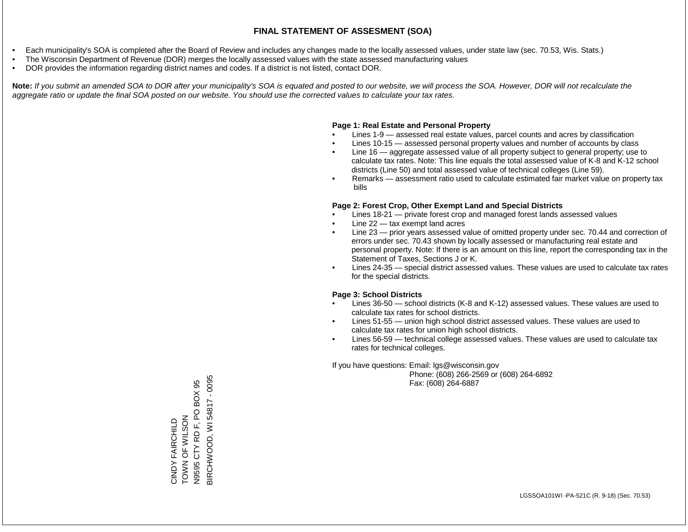- Each municipality's SOA is completed after the Board of Review and includes any changes made to the locally assessed values, under state law (sec. 70.53, Wis. Stats.)
- The Wisconsin Department of Revenue (DOR) merges the locally assessed values with the state assessed manufacturing values
- DOR provides the information regarding district names and codes. If a district is not listed, contact DOR.

Note: If you submit an amended SOA to DOR after your municipality's SOA is equated and posted to our website, we will process the SOA. However, DOR will not recalculate the *aggregate ratio or update the final SOA posted on our website. You should use the corrected values to calculate your tax rates.*

### **Page 1: Real Estate and Personal Property**

- Lines 1-9 assessed real estate values, parcel counts and acres by classification
- Lines 10-15 assessed personal property values and number of accounts by class
- Line 16 aggregate assessed value of all property subject to general property; use to calculate tax rates. Note: This line equals the total assessed value of K-8 and K-12 school districts (Line 50) and total assessed value of technical colleges (Line 59).
- Remarks assessment ratio used to calculate estimated fair market value on property tax bills

### **Page 2: Forest Crop, Other Exempt Land and Special Districts**

- Lines 18-21 private forest crop and managed forest lands assessed values
- Line  $22 -$  tax exempt land acres
- Line 23 prior years assessed value of omitted property under sec. 70.44 and correction of errors under sec. 70.43 shown by locally assessed or manufacturing real estate and personal property. Note: If there is an amount on this line, report the corresponding tax in the Statement of Taxes, Sections J or K.
- Lines 24-35 special district assessed values. These values are used to calculate tax rates for the special districts.

### **Page 3: School Districts**

- Lines 36-50 school districts (K-8 and K-12) assessed values. These values are used to calculate tax rates for school districts.
- Lines 51-55 union high school district assessed values. These values are used to calculate tax rates for union high school districts.
- Lines 56-59 technical college assessed values. These values are used to calculate tax rates for technical colleges.

If you have questions: Email: lgs@wisconsin.gov

 Phone: (608) 266-2569 or (608) 264-6892 Fax: (608) 264-6887

3IRCHWOOD, WI54817 - 0095 BIRCHWOOD, WI 54817 - 0095PO BOX 95 N9595 CTY RD F, PO BOX 95 ZOSTS FOR WILSON TOWN OF WILSON CINDY FAIRCHILD CINDY FAIRCHILD CTY RD F, N9595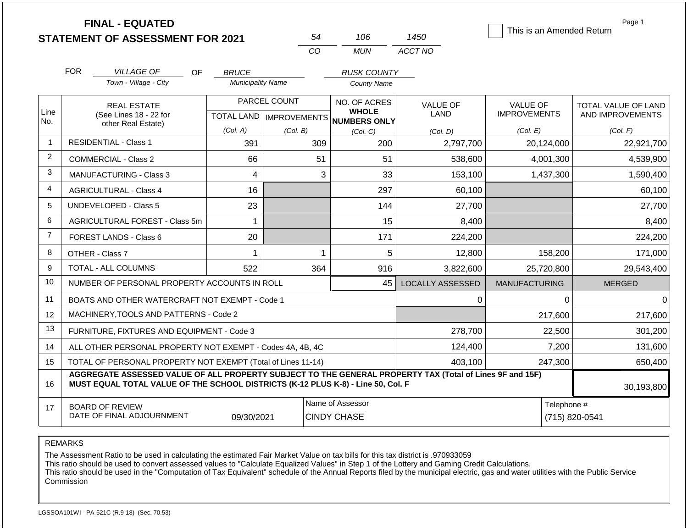|                | <b>FINAL - EQUATED</b><br><b>STATEMENT OF ASSESSMENT FOR 2021</b>                                                                                                                            |                                          | 54                        | 106                                      | 1450                    | This is an Amended Return              | Page 1                                         |
|----------------|----------------------------------------------------------------------------------------------------------------------------------------------------------------------------------------------|------------------------------------------|---------------------------|------------------------------------------|-------------------------|----------------------------------------|------------------------------------------------|
|                |                                                                                                                                                                                              |                                          | CO                        | <b>MUN</b>                               | ACCT NO                 |                                        |                                                |
|                | <b>FOR</b>                                                                                                                                                                                   |                                          |                           |                                          |                         |                                        |                                                |
|                | <b>VILLAGE OF</b><br>OF.<br>Town - Village - City                                                                                                                                            | <b>BRUCE</b><br><b>Municipality Name</b> |                           | <b>RUSK COUNTY</b><br><b>County Name</b> |                         |                                        |                                                |
|                |                                                                                                                                                                                              |                                          |                           |                                          |                         |                                        |                                                |
| Line           | <b>REAL ESTATE</b><br>(See Lines 18 - 22 for                                                                                                                                                 |                                          | PARCEL COUNT              | NO. OF ACRES<br><b>WHOLE</b>             | <b>VALUE OF</b><br>LAND | <b>VALUE OF</b><br><b>IMPROVEMENTS</b> | <b>TOTAL VALUE OF LAND</b><br>AND IMPROVEMENTS |
| No.            | other Real Estate)                                                                                                                                                                           |                                          | TOTAL LAND   IMPROVEMENTS | NUMBERS ONLY                             |                         |                                        |                                                |
| $\overline{1}$ | <b>RESIDENTIAL - Class 1</b>                                                                                                                                                                 | (Col. A)<br>391                          | (Col. B)<br>309           | (Col, C)<br>200                          | (Col. D)<br>2,797,700   | (Col. E)<br>20,124,000                 | (Col. F)<br>22,921,700                         |
| $\overline{2}$ | <b>COMMERCIAL - Class 2</b>                                                                                                                                                                  | 66                                       | 51                        | 51                                       | 538,600                 | 4,001,300                              | 4,539,900                                      |
| 3              | <b>MANUFACTURING - Class 3</b>                                                                                                                                                               | $\overline{4}$                           | 3                         | 33                                       | 153,100                 | 1,437,300                              | 1,590,400                                      |
| 4              |                                                                                                                                                                                              | 16                                       |                           | 297                                      | 60,100                  |                                        | 60,100                                         |
| 5              | <b>AGRICULTURAL - Class 4</b><br><b>UNDEVELOPED - Class 5</b>                                                                                                                                |                                          |                           |                                          |                         |                                        |                                                |
| 6              |                                                                                                                                                                                              | 23                                       |                           | 144                                      | 27,700                  |                                        | 27,700                                         |
| $\overline{7}$ | AGRICULTURAL FOREST - Class 5m                                                                                                                                                               | 1                                        |                           | 15                                       | 8,400                   |                                        | 8,400                                          |
|                | FOREST LANDS - Class 6                                                                                                                                                                       | 20                                       |                           | 171                                      | 224,200                 |                                        | 224,200                                        |
| 8              | OTHER - Class 7                                                                                                                                                                              | 1                                        | 1                         | 5                                        | 12,800                  | 158,200                                | 171,000                                        |
| 9              | <b>TOTAL - ALL COLUMNS</b>                                                                                                                                                                   | 522                                      | 364                       | 916                                      | 3,822,600               | 25,720,800                             | 29,543,400                                     |
| 10             | NUMBER OF PERSONAL PROPERTY ACCOUNTS IN ROLL                                                                                                                                                 |                                          |                           | 45                                       | <b>LOCALLY ASSESSED</b> | <b>MANUFACTURING</b>                   | <b>MERGED</b>                                  |
| 11             | BOATS AND OTHER WATERCRAFT NOT EXEMPT - Code 1                                                                                                                                               |                                          |                           |                                          | 0                       | 0                                      | $\mathbf 0$                                    |
| 12             | MACHINERY, TOOLS AND PATTERNS - Code 2                                                                                                                                                       |                                          |                           |                                          |                         | 217,600                                | 217,600                                        |
| 13             | FURNITURE, FIXTURES AND EQUIPMENT - Code 3                                                                                                                                                   |                                          |                           |                                          | 278,700                 | 22,500                                 | 301,200                                        |
| 14             | ALL OTHER PERSONAL PROPERTY NOT EXEMPT - Codes 4A, 4B, 4C                                                                                                                                    |                                          |                           | 124,400                                  | 7,200                   | 131,600                                |                                                |
| 15             | TOTAL OF PERSONAL PROPERTY NOT EXEMPT (Total of Lines 11-14)                                                                                                                                 | 403,100                                  | 247,300                   | 650,400                                  |                         |                                        |                                                |
| 16             | AGGREGATE ASSESSED VALUE OF ALL PROPERTY SUBJECT TO THE GENERAL PROPERTY TAX (Total of Lines 9F and 15F)<br>MUST EQUAL TOTAL VALUE OF THE SCHOOL DISTRICTS (K-12 PLUS K-8) - Line 50, Col. F |                                          |                           |                                          |                         |                                        | 30,193,800                                     |
| 17             | <b>BOARD OF REVIEW</b><br>DATE OF FINAL ADJOURNMENT                                                                                                                                          | 09/30/2021                               |                           | Name of Assessor<br><b>CINDY CHASE</b>   |                         | Telephone #                            | (715) 820-0541                                 |

The Assessment Ratio to be used in calculating the estimated Fair Market Value on tax bills for this tax district is .970933059

This ratio should be used to convert assessed values to "Calculate Equalized Values" in Step 1 of the Lottery and Gaming Credit Calculations.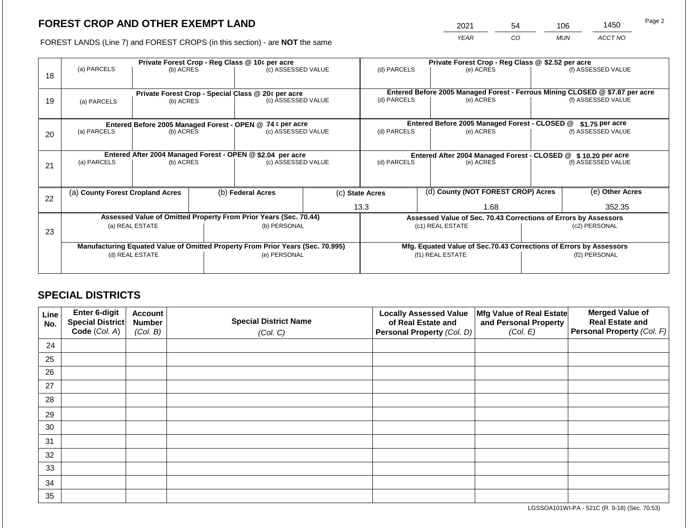2021 54 106 1450

FOREST LANDS (Line 7) and FOREST CROPS (in this section) - are **NOT** the same *YEAR CO MUN ACCT NO*

|    | Private Forest Crop - Reg Class @ 10¢ per acre                                 |                                                                  |  |                                                                          |  |                                                               | Private Forest Crop - Reg Class @ \$2.52 per acre                            |                                                                    |  |                    |
|----|--------------------------------------------------------------------------------|------------------------------------------------------------------|--|--------------------------------------------------------------------------|--|---------------------------------------------------------------|------------------------------------------------------------------------------|--------------------------------------------------------------------|--|--------------------|
| 18 | (a) PARCELS                                                                    | (b) ACRES                                                        |  | (c) ASSESSED VALUE                                                       |  | (d) PARCELS                                                   |                                                                              | (e) ACRES                                                          |  | (f) ASSESSED VALUE |
|    |                                                                                |                                                                  |  |                                                                          |  |                                                               | Entered Before 2005 Managed Forest - Ferrous Mining CLOSED @ \$7.87 per acre |                                                                    |  |                    |
| 19 | (a) PARCELS                                                                    | (b) ACRES                                                        |  | Private Forest Crop - Special Class @ 20¢ per acre<br>(c) ASSESSED VALUE |  | (d) PARCELS                                                   |                                                                              | (e) ACRES                                                          |  | (f) ASSESSED VALUE |
|    |                                                                                |                                                                  |  |                                                                          |  |                                                               |                                                                              |                                                                    |  |                    |
|    |                                                                                | Entered Before 2005 Managed Forest - OPEN @ 74 ¢ per acre        |  |                                                                          |  |                                                               |                                                                              | Entered Before 2005 Managed Forest - CLOSED @                      |  | \$1.75 per acre    |
| 20 | (a) PARCELS                                                                    | (b) ACRES                                                        |  | (c) ASSESSED VALUE                                                       |  | (d) PARCELS                                                   |                                                                              | (e) ACRES                                                          |  | (f) ASSESSED VALUE |
|    |                                                                                |                                                                  |  |                                                                          |  |                                                               |                                                                              |                                                                    |  |                    |
|    |                                                                                | Entered After 2004 Managed Forest - OPEN @ \$2.04 per acre       |  |                                                                          |  | Entered After 2004 Managed Forest - CLOSED @ \$10.20 per acre |                                                                              |                                                                    |  |                    |
| 21 | (a) PARCELS                                                                    | (b) ACRES                                                        |  | (c) ASSESSED VALUE                                                       |  | (d) PARCELS<br>(e) ACRES                                      |                                                                              | (f) ASSESSED VALUE                                                 |  |                    |
|    |                                                                                |                                                                  |  |                                                                          |  |                                                               |                                                                              |                                                                    |  |                    |
|    | (a) County Forest Cropland Acres                                               |                                                                  |  | (b) Federal Acres                                                        |  | (c) State Acres                                               |                                                                              | (d) County (NOT FOREST CROP) Acres                                 |  | (e) Other Acres    |
| 22 |                                                                                |                                                                  |  |                                                                          |  |                                                               |                                                                              |                                                                    |  |                    |
|    |                                                                                |                                                                  |  |                                                                          |  | 13.3                                                          |                                                                              | 1.68                                                               |  | 352.35             |
|    |                                                                                | Assessed Value of Omitted Property From Prior Years (Sec. 70.44) |  |                                                                          |  |                                                               |                                                                              | Assessed Value of Sec. 70.43 Corrections of Errors by Assessors    |  |                    |
| 23 |                                                                                | (a) REAL ESTATE                                                  |  | (b) PERSONAL                                                             |  |                                                               |                                                                              | (c1) REAL ESTATE                                                   |  | (c2) PERSONAL      |
|    |                                                                                |                                                                  |  |                                                                          |  |                                                               |                                                                              |                                                                    |  |                    |
|    | Manufacturing Equated Value of Omitted Property From Prior Years (Sec. 70.995) |                                                                  |  |                                                                          |  |                                                               |                                                                              | Mfg. Equated Value of Sec.70.43 Corrections of Errors by Assessors |  |                    |
|    |                                                                                | (d) REAL ESTATE                                                  |  | (e) PERSONAL                                                             |  |                                                               |                                                                              | (f1) REAL ESTATE                                                   |  | (f2) PERSONAL      |
|    |                                                                                |                                                                  |  |                                                                          |  |                                                               |                                                                              |                                                                    |  |                    |
|    |                                                                                |                                                                  |  |                                                                          |  |                                                               |                                                                              |                                                                    |  |                    |

## **SPECIAL DISTRICTS**

| Line<br>No. | Enter 6-digit<br>Special District<br>Code (Col. A) | <b>Account</b><br><b>Number</b><br>(Col. B) | <b>Special District Name</b><br>(Col. C) | <b>Locally Assessed Value</b><br>of Real Estate and<br><b>Personal Property (Col. D)</b> | Mfg Value of Real Estate<br>and Personal Property<br>(Col. E) | <b>Merged Value of</b><br><b>Real Estate and</b><br>Personal Property (Col. F) |
|-------------|----------------------------------------------------|---------------------------------------------|------------------------------------------|------------------------------------------------------------------------------------------|---------------------------------------------------------------|--------------------------------------------------------------------------------|
| 24          |                                                    |                                             |                                          |                                                                                          |                                                               |                                                                                |
| 25          |                                                    |                                             |                                          |                                                                                          |                                                               |                                                                                |
| 26          |                                                    |                                             |                                          |                                                                                          |                                                               |                                                                                |
| 27          |                                                    |                                             |                                          |                                                                                          |                                                               |                                                                                |
| 28          |                                                    |                                             |                                          |                                                                                          |                                                               |                                                                                |
| 29          |                                                    |                                             |                                          |                                                                                          |                                                               |                                                                                |
| 30          |                                                    |                                             |                                          |                                                                                          |                                                               |                                                                                |
| 31          |                                                    |                                             |                                          |                                                                                          |                                                               |                                                                                |
| 32          |                                                    |                                             |                                          |                                                                                          |                                                               |                                                                                |
| 33          |                                                    |                                             |                                          |                                                                                          |                                                               |                                                                                |
| 34          |                                                    |                                             |                                          |                                                                                          |                                                               |                                                                                |
| 35          |                                                    |                                             |                                          |                                                                                          |                                                               |                                                                                |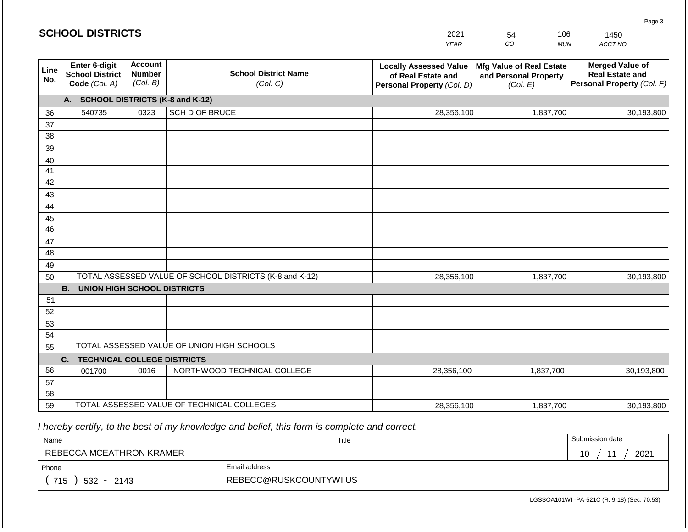| CO<br><b>YEAR</b><br><b>MUN</b>                                                                                                                                                                                                                                                                                         | ACCT NO                                                                        |  |  |  |  |  |
|-------------------------------------------------------------------------------------------------------------------------------------------------------------------------------------------------------------------------------------------------------------------------------------------------------------------------|--------------------------------------------------------------------------------|--|--|--|--|--|
|                                                                                                                                                                                                                                                                                                                         |                                                                                |  |  |  |  |  |
| <b>Account</b><br>Enter 6-digit<br><b>Locally Assessed Value</b><br>Mfg Value of Real Estate<br>Line<br><b>School District Name</b><br><b>Number</b><br><b>School District</b><br>and Personal Property<br>of Real Estate and<br>No.<br>(Col. B)<br>Code (Col. A)<br>(Col. C)<br>Personal Property (Col. D)<br>(Col. E) | <b>Merged Value of</b><br><b>Real Estate and</b><br>Personal Property (Col. F) |  |  |  |  |  |
| <b>SCHOOL DISTRICTS (K-8 and K-12)</b><br>A.                                                                                                                                                                                                                                                                            |                                                                                |  |  |  |  |  |
| 540735<br>SCH D OF BRUCE<br>28,356,100<br>1,837,700<br>0323<br>36                                                                                                                                                                                                                                                       | 30,193,800                                                                     |  |  |  |  |  |
| 37                                                                                                                                                                                                                                                                                                                      |                                                                                |  |  |  |  |  |
| 38                                                                                                                                                                                                                                                                                                                      |                                                                                |  |  |  |  |  |
| 39                                                                                                                                                                                                                                                                                                                      |                                                                                |  |  |  |  |  |
| 40                                                                                                                                                                                                                                                                                                                      |                                                                                |  |  |  |  |  |
| 41<br>42                                                                                                                                                                                                                                                                                                                |                                                                                |  |  |  |  |  |
| 43                                                                                                                                                                                                                                                                                                                      |                                                                                |  |  |  |  |  |
| 44                                                                                                                                                                                                                                                                                                                      |                                                                                |  |  |  |  |  |
| 45                                                                                                                                                                                                                                                                                                                      |                                                                                |  |  |  |  |  |
| 46                                                                                                                                                                                                                                                                                                                      |                                                                                |  |  |  |  |  |
| 47                                                                                                                                                                                                                                                                                                                      |                                                                                |  |  |  |  |  |
| 48                                                                                                                                                                                                                                                                                                                      |                                                                                |  |  |  |  |  |
| 49                                                                                                                                                                                                                                                                                                                      |                                                                                |  |  |  |  |  |
| TOTAL ASSESSED VALUE OF SCHOOL DISTRICTS (K-8 and K-12)<br>28,356,100<br>1,837,700<br>50                                                                                                                                                                                                                                | 30,193,800                                                                     |  |  |  |  |  |
| <b>B.</b><br><b>UNION HIGH SCHOOL DISTRICTS</b>                                                                                                                                                                                                                                                                         |                                                                                |  |  |  |  |  |
| 51                                                                                                                                                                                                                                                                                                                      |                                                                                |  |  |  |  |  |
| 52                                                                                                                                                                                                                                                                                                                      |                                                                                |  |  |  |  |  |
| 53                                                                                                                                                                                                                                                                                                                      |                                                                                |  |  |  |  |  |
| 54                                                                                                                                                                                                                                                                                                                      |                                                                                |  |  |  |  |  |
| TOTAL ASSESSED VALUE OF UNION HIGH SCHOOLS<br>55                                                                                                                                                                                                                                                                        |                                                                                |  |  |  |  |  |
| <b>TECHNICAL COLLEGE DISTRICTS</b><br>C.                                                                                                                                                                                                                                                                                |                                                                                |  |  |  |  |  |
| 56<br>NORTHWOOD TECHNICAL COLLEGE<br>0016<br>28,356,100<br>1,837,700<br>001700                                                                                                                                                                                                                                          | 30,193,800                                                                     |  |  |  |  |  |
| 57<br>58                                                                                                                                                                                                                                                                                                                |                                                                                |  |  |  |  |  |
| TOTAL ASSESSED VALUE OF TECHNICAL COLLEGES<br>59<br>1,837,700<br>28,356,100                                                                                                                                                                                                                                             | 30,193,800                                                                     |  |  |  |  |  |

| Name                     |                        | Title | Submission date                       |
|--------------------------|------------------------|-------|---------------------------------------|
| REBECCA MCEATHRON KRAMER |                        |       | 2021<br>$\overline{A}$ $\overline{C}$ |
| Phone                    | Email address          |       |                                       |
| 715<br>$532 -$<br>2143   | REBECC@RUSKCOUNTYWI.US |       |                                       |

LGSSOA101WI -PA-521C (R. 9-18) (Sec. 70.53)

Page 3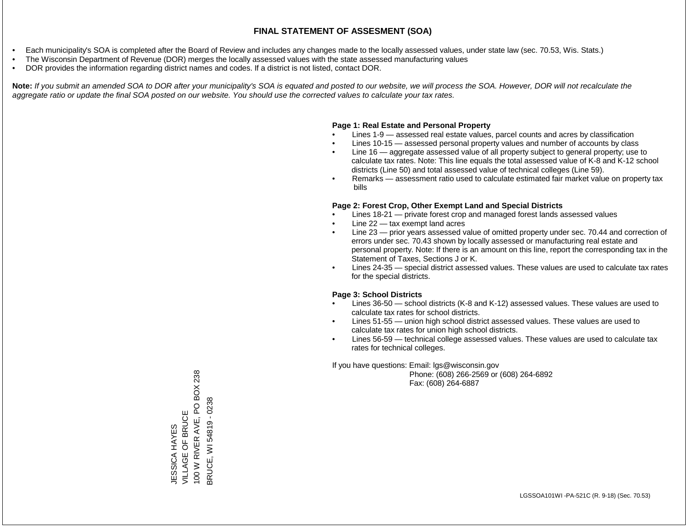- Each municipality's SOA is completed after the Board of Review and includes any changes made to the locally assessed values, under state law (sec. 70.53, Wis. Stats.)
- The Wisconsin Department of Revenue (DOR) merges the locally assessed values with the state assessed manufacturing values
- DOR provides the information regarding district names and codes. If a district is not listed, contact DOR.

Note: If you submit an amended SOA to DOR after your municipality's SOA is equated and posted to our website, we will process the SOA. However, DOR will not recalculate the *aggregate ratio or update the final SOA posted on our website. You should use the corrected values to calculate your tax rates.*

### **Page 1: Real Estate and Personal Property**

- Lines 1-9 assessed real estate values, parcel counts and acres by classification
- Lines 10-15 assessed personal property values and number of accounts by class
- Line 16 aggregate assessed value of all property subject to general property; use to calculate tax rates. Note: This line equals the total assessed value of K-8 and K-12 school districts (Line 50) and total assessed value of technical colleges (Line 59).
- Remarks assessment ratio used to calculate estimated fair market value on property tax bills

### **Page 2: Forest Crop, Other Exempt Land and Special Districts**

- Lines 18-21 private forest crop and managed forest lands assessed values
- Line  $22 -$  tax exempt land acres
- Line 23 prior years assessed value of omitted property under sec. 70.44 and correction of errors under sec. 70.43 shown by locally assessed or manufacturing real estate and personal property. Note: If there is an amount on this line, report the corresponding tax in the Statement of Taxes, Sections J or K.
- Lines 24-35 special district assessed values. These values are used to calculate tax rates for the special districts.

### **Page 3: School Districts**

- Lines 36-50 school districts (K-8 and K-12) assessed values. These values are used to calculate tax rates for school districts.
- Lines 51-55 union high school district assessed values. These values are used to calculate tax rates for union high school districts.
- Lines 56-59 technical college assessed values. These values are used to calculate tax rates for technical colleges.

If you have questions: Email: lgs@wisconsin.gov

 Phone: (608) 266-2569 or (608) 264-6892 Fax: (608) 264-6887

JESSICA HAYES<br>VILLAGE OF BRUCE<br>100 W RIVER AVE, PO BOX 238 100 W RIVER AVE, PO BOX 238 3RUCE, WI 54819 - 0238 BRUCE, WI 54819 - 0238VILLAGE OF BRUCE **JESSICA HAYES** JESSICA HAYES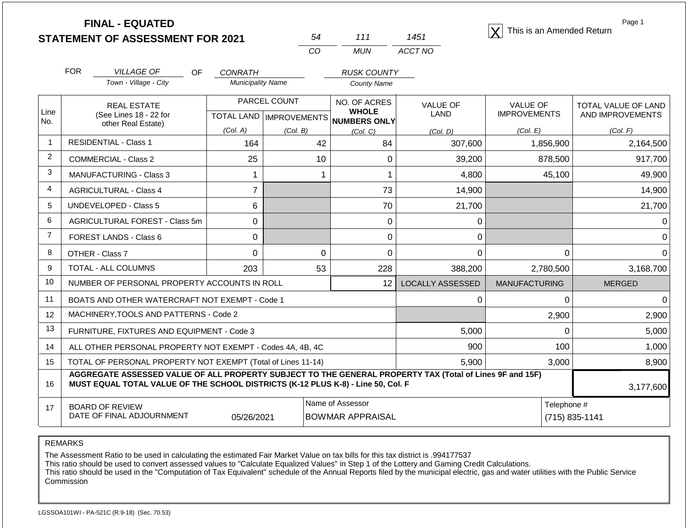**STATEMENT OF ASSESSMENT FOR 2021**

| 54 | 111 | 1451    |
|----|-----|---------|
| Γn | MUN | ACCT NO |

**FINAL - EQUATED**<br>  $\overline{X}$  This is an Amended Return

Page 1

|                | <b>FOR</b>                                                                                                                                                                                   | <b>VILLAGE OF</b><br>OF                        | CONRATH                  |                           | <b>RUSK COUNTY</b>           |                         |                      |                     |
|----------------|----------------------------------------------------------------------------------------------------------------------------------------------------------------------------------------------|------------------------------------------------|--------------------------|---------------------------|------------------------------|-------------------------|----------------------|---------------------|
|                |                                                                                                                                                                                              | Town - Village - City                          | <b>Municipality Name</b> |                           | <b>County Name</b>           |                         |                      |                     |
| Line           | <b>REAL ESTATE</b>                                                                                                                                                                           |                                                |                          | PARCEL COUNT              | NO. OF ACRES<br><b>WHOLE</b> | <b>VALUE OF</b>         | <b>VALUE OF</b>      | TOTAL VALUE OF LAND |
| No.            |                                                                                                                                                                                              | (See Lines 18 - 22 for<br>other Real Estate)   |                          | TOTAL LAND   IMPROVEMENTS | <b>NUMBERS ONLY</b>          | <b>LAND</b>             | <b>IMPROVEMENTS</b>  | AND IMPROVEMENTS    |
|                |                                                                                                                                                                                              |                                                | (Col. A)                 | (Col. B)                  | (Col. C)                     | (Col, D)                | (Col. E)             | (Col. F)            |
| $\overline{1}$ |                                                                                                                                                                                              | <b>RESIDENTIAL - Class 1</b>                   | 164                      | 42                        | 84                           | 307,600                 | 1,856,900            | 2,164,500           |
| $\overline{2}$ |                                                                                                                                                                                              | <b>COMMERCIAL - Class 2</b>                    | 25                       | 10                        | $\Omega$                     | 39,200                  | 878,500              | 917,700             |
| 3              |                                                                                                                                                                                              | <b>MANUFACTURING - Class 3</b>                 |                          |                           |                              | 4,800                   | 45,100               | 49,900              |
| 4              |                                                                                                                                                                                              | <b>AGRICULTURAL - Class 4</b>                  | $\overline{7}$           |                           | 73                           | 14,900                  |                      | 14,900              |
| 5              |                                                                                                                                                                                              | <b>UNDEVELOPED - Class 5</b>                   | 6                        |                           | 70                           | 21,700                  |                      | 21,700              |
| 6              |                                                                                                                                                                                              | AGRICULTURAL FOREST - Class 5m                 | $\mathbf 0$              |                           | 0                            | 0                       |                      |                     |
| $\overline{7}$ |                                                                                                                                                                                              | FOREST LANDS - Class 6                         | $\mathbf 0$              |                           | 0                            | 0                       |                      |                     |
| 8              |                                                                                                                                                                                              | OTHER - Class 7                                | $\Omega$                 | $\mathbf 0$               | $\Omega$                     | $\Omega$                | $\Omega$             | $\Omega$            |
| 9              |                                                                                                                                                                                              | <b>TOTAL - ALL COLUMNS</b>                     | 203                      | 53                        | 228                          | 388,200                 | 2,780,500            | 3,168,700           |
| 10             |                                                                                                                                                                                              | NUMBER OF PERSONAL PROPERTY ACCOUNTS IN ROLL   |                          |                           | 12                           | <b>LOCALLY ASSESSED</b> | <b>MANUFACTURING</b> | <b>MERGED</b>       |
| 11             |                                                                                                                                                                                              | BOATS AND OTHER WATERCRAFT NOT EXEMPT - Code 1 |                          |                           |                              | $\Omega$                | $\Omega$             | $\Omega$            |
| 12             |                                                                                                                                                                                              | MACHINERY, TOOLS AND PATTERNS - Code 2         |                          |                           |                              |                         | 2,900                | 2,900               |
| 13             |                                                                                                                                                                                              | FURNITURE, FIXTURES AND EQUIPMENT - Code 3     |                          |                           |                              | 5,000                   | $\Omega$             | 5,000               |
| 14             | ALL OTHER PERSONAL PROPERTY NOT EXEMPT - Codes 4A, 4B, 4C                                                                                                                                    |                                                |                          |                           |                              | 900                     | 100                  | 1,000               |
| 15             | TOTAL OF PERSONAL PROPERTY NOT EXEMPT (Total of Lines 11-14)                                                                                                                                 |                                                |                          |                           |                              | 5,900                   | 3,000                | 8,900               |
| 16             | AGGREGATE ASSESSED VALUE OF ALL PROPERTY SUBJECT TO THE GENERAL PROPERTY TAX (Total of Lines 9F and 15F)<br>MUST EQUAL TOTAL VALUE OF THE SCHOOL DISTRICTS (K-12 PLUS K-8) - Line 50, Col. F |                                                |                          |                           |                              |                         | 3,177,600            |                     |
| 17             |                                                                                                                                                                                              | <b>BOARD OF REVIEW</b>                         |                          |                           | Name of Assessor             |                         | Telephone #          |                     |
|                |                                                                                                                                                                                              | DATE OF FINAL ADJOURNMENT                      | 05/26/2021               |                           | <b>BOWMAR APPRAISAL</b>      |                         |                      | (715) 835-1141      |

REMARKS

The Assessment Ratio to be used in calculating the estimated Fair Market Value on tax bills for this tax district is .994177537

This ratio should be used to convert assessed values to "Calculate Equalized Values" in Step 1 of the Lottery and Gaming Credit Calculations.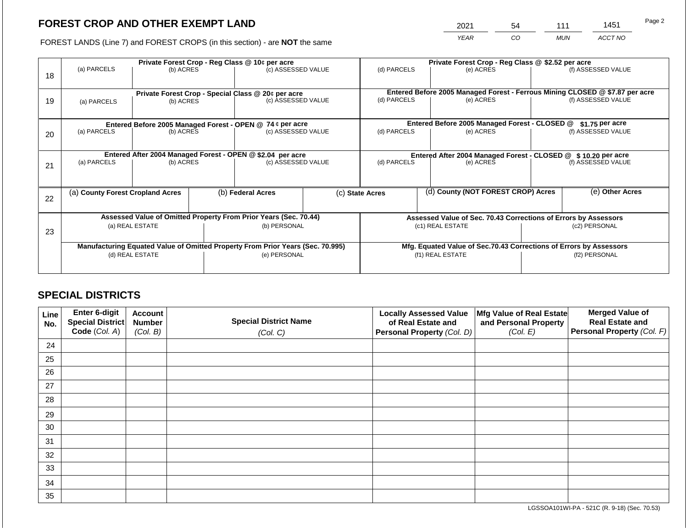2021 54 111 1451

FOREST LANDS (Line 7) and FOREST CROPS (in this section) - are **NOT** the same *YEAR CO MUN ACCT NO*

|    |                                                                                | Private Forest Crop - Reg Class @ 10¢ per acre                  |  |                                                                  |  | Private Forest Crop - Reg Class @ \$2.52 per acre                                           |  |                                                                    |               |                    |
|----|--------------------------------------------------------------------------------|-----------------------------------------------------------------|--|------------------------------------------------------------------|--|---------------------------------------------------------------------------------------------|--|--------------------------------------------------------------------|---------------|--------------------|
| 18 | (a) PARCELS                                                                    | (b) ACRES                                                       |  | (c) ASSESSED VALUE                                               |  | (d) PARCELS                                                                                 |  | (e) ACRES                                                          |               | (f) ASSESSED VALUE |
| 19 | (a) PARCELS                                                                    | Private Forest Crop - Special Class @ 20¢ per acre<br>(b) ACRES |  | (c) ASSESSED VALUE                                               |  | Entered Before 2005 Managed Forest - Ferrous Mining CLOSED @ \$7.87 per acre<br>(d) PARCELS |  | (e) ACRES                                                          |               | (f) ASSESSED VALUE |
|    |                                                                                |                                                                 |  |                                                                  |  |                                                                                             |  |                                                                    |               |                    |
|    |                                                                                |                                                                 |  | Entered Before 2005 Managed Forest - OPEN @ 74 ¢ per acre        |  |                                                                                             |  | Entered Before 2005 Managed Forest - CLOSED @                      |               | $$1.75$ per acre   |
| 20 | (a) PARCELS                                                                    | (b) ACRES                                                       |  | (c) ASSESSED VALUE                                               |  | (d) PARCELS                                                                                 |  | (e) ACRES                                                          |               | (f) ASSESSED VALUE |
|    |                                                                                |                                                                 |  | Entered After 2004 Managed Forest - OPEN @ \$2.04 per acre       |  | Entered After 2004 Managed Forest - CLOSED @ \$10.20 per acre                               |  |                                                                    |               |                    |
| 21 | (a) PARCELS                                                                    | (b) ACRES                                                       |  | (c) ASSESSED VALUE                                               |  | (d) PARCELS                                                                                 |  | (e) ACRES                                                          |               | (f) ASSESSED VALUE |
|    |                                                                                |                                                                 |  |                                                                  |  |                                                                                             |  |                                                                    |               |                    |
| 22 | (a) County Forest Cropland Acres                                               |                                                                 |  | (b) Federal Acres                                                |  | (c) State Acres                                                                             |  | (d) County (NOT FOREST CROP) Acres                                 |               | (e) Other Acres    |
|    |                                                                                |                                                                 |  |                                                                  |  |                                                                                             |  |                                                                    |               |                    |
|    |                                                                                |                                                                 |  | Assessed Value of Omitted Property From Prior Years (Sec. 70.44) |  | Assessed Value of Sec. 70.43 Corrections of Errors by Assessors                             |  |                                                                    |               |                    |
| 23 | (a) REAL ESTATE                                                                |                                                                 |  | (b) PERSONAL                                                     |  | (c1) REAL ESTATE                                                                            |  |                                                                    | (c2) PERSONAL |                    |
|    | Manufacturing Equated Value of Omitted Property From Prior Years (Sec. 70.995) |                                                                 |  |                                                                  |  |                                                                                             |  | Mfg. Equated Value of Sec.70.43 Corrections of Errors by Assessors |               |                    |
|    | (d) REAL ESTATE                                                                |                                                                 |  | (e) PERSONAL                                                     |  | (f1) REAL ESTATE                                                                            |  |                                                                    | (f2) PERSONAL |                    |
|    |                                                                                |                                                                 |  |                                                                  |  |                                                                                             |  |                                                                    |               |                    |

## **SPECIAL DISTRICTS**

| Line<br>No. | <b>Enter 6-digit</b><br>Special District | <b>Account</b><br><b>Number</b> | <b>Special District Name</b> | <b>Locally Assessed Value</b><br>of Real Estate and | Mfg Value of Real Estate<br>and Personal Property | <b>Merged Value of</b><br><b>Real Estate and</b> |
|-------------|------------------------------------------|---------------------------------|------------------------------|-----------------------------------------------------|---------------------------------------------------|--------------------------------------------------|
|             | Code (Col. A)                            | (Col. B)                        | (Col. C)                     | Personal Property (Col. D)                          | (Col. E)                                          | Personal Property (Col. F)                       |
| 24          |                                          |                                 |                              |                                                     |                                                   |                                                  |
| 25          |                                          |                                 |                              |                                                     |                                                   |                                                  |
| 26          |                                          |                                 |                              |                                                     |                                                   |                                                  |
| 27          |                                          |                                 |                              |                                                     |                                                   |                                                  |
| 28          |                                          |                                 |                              |                                                     |                                                   |                                                  |
| 29          |                                          |                                 |                              |                                                     |                                                   |                                                  |
| 30          |                                          |                                 |                              |                                                     |                                                   |                                                  |
| 31          |                                          |                                 |                              |                                                     |                                                   |                                                  |
| 32          |                                          |                                 |                              |                                                     |                                                   |                                                  |
| 33          |                                          |                                 |                              |                                                     |                                                   |                                                  |
| 34          |                                          |                                 |                              |                                                     |                                                   |                                                  |
| 35          |                                          |                                 |                              |                                                     |                                                   |                                                  |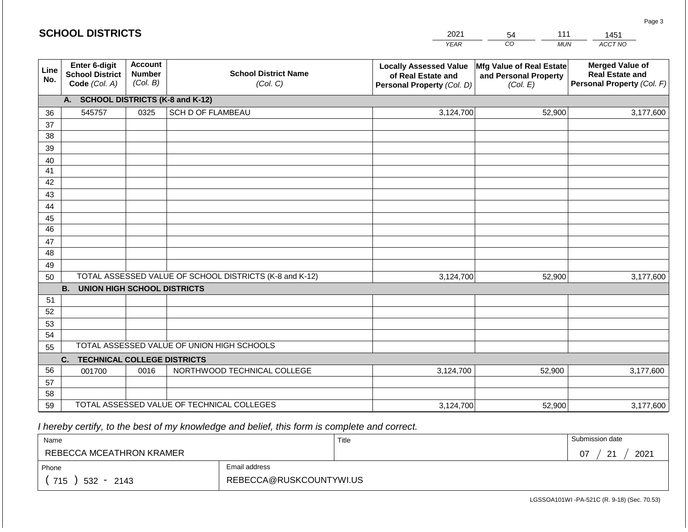|             | <b>SCHOOL DISTRICTS</b>                                  |                                             |                                                         | 2021                                                                              | 111<br>54                                                     | 1451                                                                           |
|-------------|----------------------------------------------------------|---------------------------------------------|---------------------------------------------------------|-----------------------------------------------------------------------------------|---------------------------------------------------------------|--------------------------------------------------------------------------------|
|             |                                                          |                                             |                                                         | <b>YEAR</b>                                                                       | CO<br><b>MUN</b>                                              | ACCT NO                                                                        |
| Line<br>No. | Enter 6-digit<br><b>School District</b><br>Code (Col. A) | <b>Account</b><br><b>Number</b><br>(Col. B) | <b>School District Name</b><br>(Col. C)                 | <b>Locally Assessed Value</b><br>of Real Estate and<br>Personal Property (Col. D) | Mfg Value of Real Estate<br>and Personal Property<br>(Col. E) | <b>Merged Value of</b><br><b>Real Estate and</b><br>Personal Property (Col. F) |
|             | А.                                                       |                                             | <b>SCHOOL DISTRICTS (K-8 and K-12)</b>                  |                                                                                   |                                                               |                                                                                |
| 36          | 545757                                                   | 0325                                        | SCH D OF FLAMBEAU                                       | 3,124,700                                                                         | 52,900                                                        | 3,177,600                                                                      |
| 37          |                                                          |                                             |                                                         |                                                                                   |                                                               |                                                                                |
| 38          |                                                          |                                             |                                                         |                                                                                   |                                                               |                                                                                |
| 39          |                                                          |                                             |                                                         |                                                                                   |                                                               |                                                                                |
| 40          |                                                          |                                             |                                                         |                                                                                   |                                                               |                                                                                |
| 41          |                                                          |                                             |                                                         |                                                                                   |                                                               |                                                                                |
| 42          |                                                          |                                             |                                                         |                                                                                   |                                                               |                                                                                |
| 43          |                                                          |                                             |                                                         |                                                                                   |                                                               |                                                                                |
| 44<br>45    |                                                          |                                             |                                                         |                                                                                   |                                                               |                                                                                |
| 46          |                                                          |                                             |                                                         |                                                                                   |                                                               |                                                                                |
| 47          |                                                          |                                             |                                                         |                                                                                   |                                                               |                                                                                |
| 48          |                                                          |                                             |                                                         |                                                                                   |                                                               |                                                                                |
| 49          |                                                          |                                             |                                                         |                                                                                   |                                                               |                                                                                |
| 50          |                                                          |                                             | TOTAL ASSESSED VALUE OF SCHOOL DISTRICTS (K-8 and K-12) | 3,124,700                                                                         | 52,900                                                        | 3,177,600                                                                      |
|             | <b>B.</b><br><b>UNION HIGH SCHOOL DISTRICTS</b>          |                                             |                                                         |                                                                                   |                                                               |                                                                                |
| 51          |                                                          |                                             |                                                         |                                                                                   |                                                               |                                                                                |
| 52          |                                                          |                                             |                                                         |                                                                                   |                                                               |                                                                                |
| 53          |                                                          |                                             |                                                         |                                                                                   |                                                               |                                                                                |
| 54          |                                                          |                                             |                                                         |                                                                                   |                                                               |                                                                                |
| 55          |                                                          |                                             | TOTAL ASSESSED VALUE OF UNION HIGH SCHOOLS              |                                                                                   |                                                               |                                                                                |
|             | <b>TECHNICAL COLLEGE DISTRICTS</b><br>C.                 |                                             |                                                         |                                                                                   |                                                               |                                                                                |
| 56          | 001700                                                   | 0016                                        | NORTHWOOD TECHNICAL COLLEGE                             | 3,124,700                                                                         | 52,900                                                        | 3,177,600                                                                      |
| 57          |                                                          |                                             |                                                         |                                                                                   |                                                               |                                                                                |
| 58          |                                                          |                                             |                                                         |                                                                                   |                                                               |                                                                                |
| 59          |                                                          |                                             | TOTAL ASSESSED VALUE OF TECHNICAL COLLEGES              | 3,124,700                                                                         | 52,900                                                        | 3,177,600                                                                      |

| Name                     |                         | Title | Submission date             |
|--------------------------|-------------------------|-------|-----------------------------|
| REBECCA MCEATHRON KRAMER |                         |       | 2021<br>ີ<br>07<br><u>_</u> |
| Phone                    | Email address           |       |                             |
| 715<br>532 -<br>2143     | REBECCA@RUSKCOUNTYWI.US |       |                             |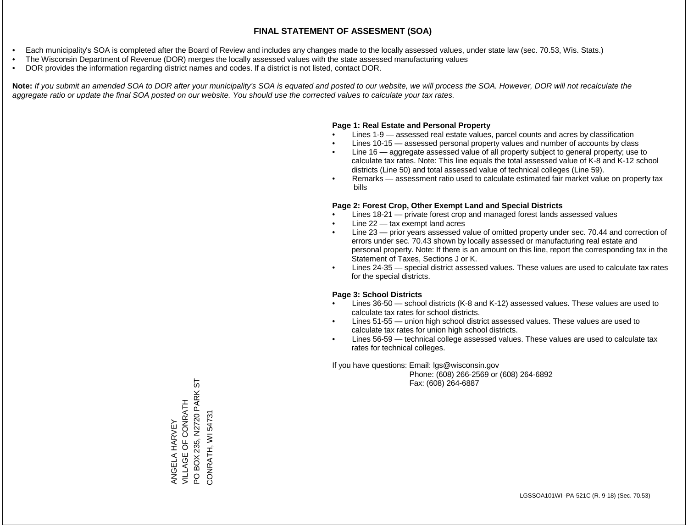- Each municipality's SOA is completed after the Board of Review and includes any changes made to the locally assessed values, under state law (sec. 70.53, Wis. Stats.)
- The Wisconsin Department of Revenue (DOR) merges the locally assessed values with the state assessed manufacturing values
- DOR provides the information regarding district names and codes. If a district is not listed, contact DOR.

Note: If you submit an amended SOA to DOR after your municipality's SOA is equated and posted to our website, we will process the SOA. However, DOR will not recalculate the *aggregate ratio or update the final SOA posted on our website. You should use the corrected values to calculate your tax rates.*

#### **Page 1: Real Estate and Personal Property**

- Lines 1-9 assessed real estate values, parcel counts and acres by classification
- Lines 10-15 assessed personal property values and number of accounts by class
- Line 16 aggregate assessed value of all property subject to general property; use to calculate tax rates. Note: This line equals the total assessed value of K-8 and K-12 school districts (Line 50) and total assessed value of technical colleges (Line 59).
- Remarks assessment ratio used to calculate estimated fair market value on property tax bills

#### **Page 2: Forest Crop, Other Exempt Land and Special Districts**

- Lines 18-21 private forest crop and managed forest lands assessed values
- Line  $22 -$  tax exempt land acres
- Line 23 prior years assessed value of omitted property under sec. 70.44 and correction of errors under sec. 70.43 shown by locally assessed or manufacturing real estate and personal property. Note: If there is an amount on this line, report the corresponding tax in the Statement of Taxes, Sections J or K.
- Lines 24-35 special district assessed values. These values are used to calculate tax rates for the special districts.

#### **Page 3: School Districts**

- Lines 36-50 school districts (K-8 and K-12) assessed values. These values are used to calculate tax rates for school districts.
- Lines 51-55 union high school district assessed values. These values are used to calculate tax rates for union high school districts.
- Lines 56-59 technical college assessed values. These values are used to calculate tax rates for technical colleges.

If you have questions: Email: lgs@wisconsin.gov

 Phone: (608) 266-2569 or (608) 264-6892 Fax: (608) 264-6887

PO BOX 235, N2720 PARK ST PO BOX 235, N2720 PARK ST VILLAGE OF CONRATH **VILLAGE OF CONRATH** CONRATH, WI 54731 CONRATH, WI 54731ANGELA HARVEY ANGELA HARVEY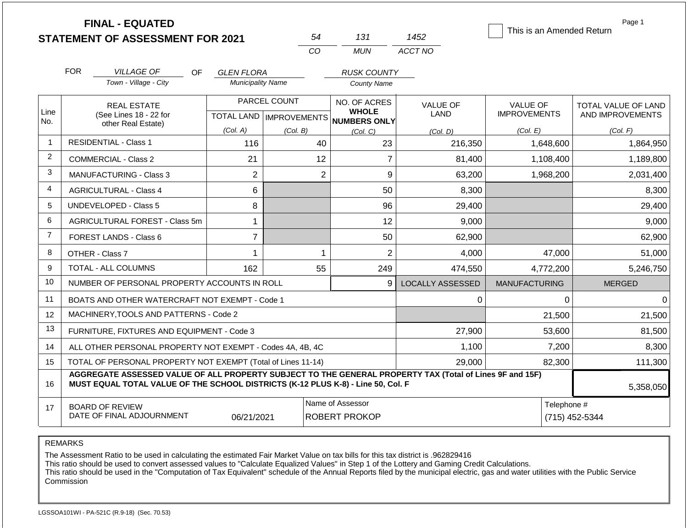|                |                                                                                                               | <b>FINAL - EQUATED</b><br><b>STATEMENT OF ASSESSMENT FOR 2021</b>                                                                                                                            |                                           |          | 54             | 131                                          | 1452                    | This is an Amended Return              | Page 1                                  |
|----------------|---------------------------------------------------------------------------------------------------------------|----------------------------------------------------------------------------------------------------------------------------------------------------------------------------------------------|-------------------------------------------|----------|----------------|----------------------------------------------|-------------------------|----------------------------------------|-----------------------------------------|
|                |                                                                                                               |                                                                                                                                                                                              |                                           |          | CO             | <b>MUN</b>                                   | ACCT NO                 |                                        |                                         |
|                | <b>FOR</b>                                                                                                    | <b>VILLAGE OF</b><br>OF.                                                                                                                                                                     | GLEN FLORA                                |          |                | <b>RUSK COUNTY</b>                           |                         |                                        |                                         |
|                |                                                                                                               | Town - Village - City                                                                                                                                                                        | <b>Municipality Name</b>                  |          |                | <b>County Name</b>                           |                         |                                        |                                         |
| Line<br>No.    |                                                                                                               | <b>REAL ESTATE</b><br>(See Lines 18 - 22 for                                                                                                                                                 | PARCEL COUNT<br>TOTAL LAND   IMPROVEMENTS |          |                | NO. OF ACRES<br><b>WHOLE</b><br>NUMBERS ONLY | <b>VALUE OF</b><br>LAND | <b>VALUE OF</b><br><b>IMPROVEMENTS</b> | TOTAL VALUE OF LAND<br>AND IMPROVEMENTS |
|                |                                                                                                               | other Real Estate)                                                                                                                                                                           | (Col. A)                                  | (Col. B) |                | (Col, C)                                     | (Col, D)                | (Col. E)                               | (Col. F)                                |
| $\mathbf 1$    |                                                                                                               | <b>RESIDENTIAL - Class 1</b>                                                                                                                                                                 | 116                                       |          | 40             | 23                                           | 216,350                 | 1,648,600                              | 1,864,950                               |
| $\overline{2}$ |                                                                                                               | <b>COMMERCIAL - Class 2</b>                                                                                                                                                                  | 21                                        |          | 12             | $\overline{7}$                               | 81,400                  | 1,108,400                              | 1,189,800                               |
| 3              |                                                                                                               | <b>MANUFACTURING - Class 3</b>                                                                                                                                                               | $\overline{2}$                            |          | $\overline{2}$ | 9                                            | 63,200                  | 1,968,200                              | 2,031,400                               |
| 4              |                                                                                                               | <b>AGRICULTURAL - Class 4</b>                                                                                                                                                                | 6                                         |          |                | 50                                           | 8,300                   |                                        | 8,300                                   |
| 5              |                                                                                                               | <b>UNDEVELOPED - Class 5</b>                                                                                                                                                                 | 8                                         |          |                | 96                                           | 29,400                  |                                        | 29,400                                  |
| 6              |                                                                                                               | AGRICULTURAL FOREST - Class 5m                                                                                                                                                               | $\mathbf{1}$                              |          |                | 12                                           | 9,000                   |                                        | 9,000                                   |
| $\overline{7}$ |                                                                                                               | <b>FOREST LANDS - Class 6</b>                                                                                                                                                                | $\overline{7}$                            |          |                | 50                                           | 62,900                  |                                        | 62,900                                  |
| 8              |                                                                                                               | OTHER - Class 7                                                                                                                                                                              | 1                                         |          | 1              | $\overline{2}$                               | 4,000                   | 47,000                                 | 51,000                                  |
| 9              |                                                                                                               | <b>TOTAL - ALL COLUMNS</b>                                                                                                                                                                   | 162                                       |          | 55             | 249                                          | 474,550                 | 4,772,200                              | 5,246,750                               |
| 10             |                                                                                                               | NUMBER OF PERSONAL PROPERTY ACCOUNTS IN ROLL                                                                                                                                                 |                                           |          |                | 9                                            | <b>LOCALLY ASSESSED</b> | <b>MANUFACTURING</b>                   | <b>MERGED</b>                           |
| 11             |                                                                                                               | BOATS AND OTHER WATERCRAFT NOT EXEMPT - Code 1                                                                                                                                               |                                           |          |                |                                              | 0                       | $\Omega$                               | $\Omega$                                |
| 12             |                                                                                                               | MACHINERY, TOOLS AND PATTERNS - Code 2                                                                                                                                                       |                                           |          |                |                                              |                         | 21,500                                 | 21,500                                  |
| 13             |                                                                                                               | FURNITURE, FIXTURES AND EQUIPMENT - Code 3                                                                                                                                                   |                                           |          |                |                                              | 27,900                  | 53,600                                 | 81,500                                  |
| 14             |                                                                                                               | ALL OTHER PERSONAL PROPERTY NOT EXEMPT - Codes 4A, 4B, 4C                                                                                                                                    |                                           |          |                |                                              | 1,100                   | 7,200                                  | 8,300                                   |
| 15             | TOTAL OF PERSONAL PROPERTY NOT EXEMPT (Total of Lines 11-14)                                                  |                                                                                                                                                                                              |                                           |          |                | 29,000<br>82,300                             |                         |                                        | 111,300                                 |
| 16             |                                                                                                               | AGGREGATE ASSESSED VALUE OF ALL PROPERTY SUBJECT TO THE GENERAL PROPERTY TAX (Total of Lines 9F and 15F)<br>MUST EQUAL TOTAL VALUE OF THE SCHOOL DISTRICTS (K-12 PLUS K-8) - Line 50, Col. F |                                           |          |                |                                              |                         |                                        | 5,358,050                               |
| 17             | Name of Assessor<br><b>BOARD OF REVIEW</b><br>DATE OF FINAL ADJOURNMENT<br><b>ROBERT PROKOP</b><br>06/21/2021 |                                                                                                                                                                                              |                                           |          |                |                                              |                         | Telephone #                            | (715) 452-5344                          |

The Assessment Ratio to be used in calculating the estimated Fair Market Value on tax bills for this tax district is .962829416

This ratio should be used to convert assessed values to "Calculate Equalized Values" in Step 1 of the Lottery and Gaming Credit Calculations.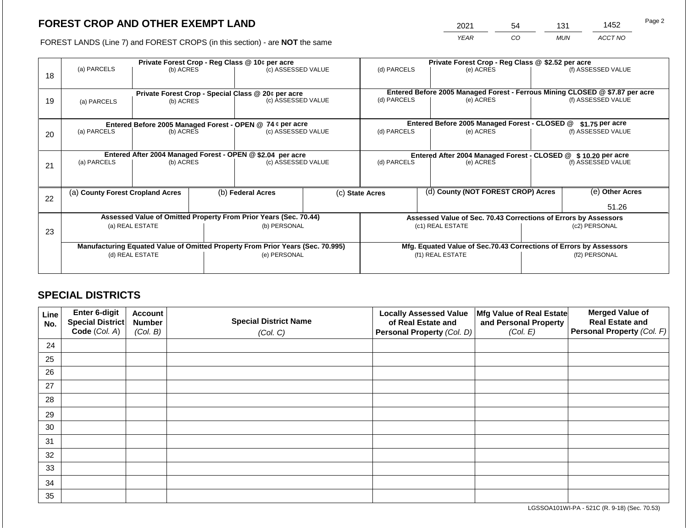2021 54 131 1452

FOREST LANDS (Line 7) and FOREST CROPS (in this section) - are **NOT** the same *YEAR CO MUN ACCT NO*

|    |                                                                                |                                                                 |  | Private Forest Crop - Reg Class @ 10¢ per acre            |                                   | Private Forest Crop - Reg Class @ \$2.52 per acre               |               |                                                                                                  |                                                                    |                    |
|----|--------------------------------------------------------------------------------|-----------------------------------------------------------------|--|-----------------------------------------------------------|-----------------------------------|-----------------------------------------------------------------|---------------|--------------------------------------------------------------------------------------------------|--------------------------------------------------------------------|--------------------|
| 18 | (a) PARCELS                                                                    | (b) ACRES                                                       |  | (c) ASSESSED VALUE                                        |                                   | (d) PARCELS                                                     |               | (e) ACRES                                                                                        |                                                                    | (f) ASSESSED VALUE |
|    |                                                                                |                                                                 |  |                                                           |                                   |                                                                 |               |                                                                                                  |                                                                    |                    |
|    |                                                                                |                                                                 |  |                                                           |                                   |                                                                 |               | Entered Before 2005 Managed Forest - Ferrous Mining CLOSED @ \$7.87 per acre                     |                                                                    |                    |
| 19 | (a) PARCELS                                                                    | Private Forest Crop - Special Class @ 20¢ per acre<br>(b) ACRES |  | (c) ASSESSED VALUE                                        |                                   | (d) PARCELS                                                     |               | (e) ACRES                                                                                        |                                                                    | (f) ASSESSED VALUE |
|    |                                                                                |                                                                 |  |                                                           |                                   |                                                                 |               |                                                                                                  |                                                                    |                    |
|    |                                                                                |                                                                 |  |                                                           |                                   |                                                                 |               |                                                                                                  |                                                                    |                    |
|    |                                                                                |                                                                 |  | Entered Before 2005 Managed Forest - OPEN @ 74 ¢ per acre |                                   |                                                                 |               | Entered Before 2005 Managed Forest - CLOSED @                                                    |                                                                    | \$1.75 per acre    |
| 20 | (a) PARCELS                                                                    | (b) ACRES                                                       |  | (c) ASSESSED VALUE                                        |                                   | (d) PARCELS                                                     |               | (e) ACRES                                                                                        |                                                                    | (f) ASSESSED VALUE |
|    |                                                                                |                                                                 |  |                                                           |                                   |                                                                 |               |                                                                                                  |                                                                    |                    |
|    | Entered After 2004 Managed Forest - OPEN @ \$2.04 per acre                     |                                                                 |  |                                                           |                                   |                                                                 |               |                                                                                                  |                                                                    |                    |
|    | (a) PARCELS                                                                    | (b) ACRES                                                       |  |                                                           | (d) PARCELS<br>(c) ASSESSED VALUE |                                                                 |               | Entered After 2004 Managed Forest - CLOSED @ \$10.20 per acre<br>(f) ASSESSED VALUE<br>(e) ACRES |                                                                    |                    |
| 21 |                                                                                |                                                                 |  |                                                           |                                   |                                                                 |               |                                                                                                  |                                                                    |                    |
|    |                                                                                |                                                                 |  |                                                           |                                   |                                                                 |               |                                                                                                  |                                                                    |                    |
|    | (a) County Forest Cropland Acres                                               |                                                                 |  | (b) Federal Acres                                         |                                   | (c) State Acres                                                 |               | (d) County (NOT FOREST CROP) Acres                                                               |                                                                    | (e) Other Acres    |
| 22 |                                                                                |                                                                 |  |                                                           |                                   |                                                                 |               |                                                                                                  |                                                                    |                    |
|    |                                                                                |                                                                 |  |                                                           |                                   |                                                                 |               |                                                                                                  |                                                                    | 51.26              |
|    | Assessed Value of Omitted Property From Prior Years (Sec. 70.44)               |                                                                 |  |                                                           |                                   | Assessed Value of Sec. 70.43 Corrections of Errors by Assessors |               |                                                                                                  |                                                                    |                    |
|    |                                                                                | (a) REAL ESTATE<br>(b) PERSONAL                                 |  |                                                           |                                   | (c1) REAL ESTATE                                                | (c2) PERSONAL |                                                                                                  |                                                                    |                    |
| 23 |                                                                                |                                                                 |  |                                                           |                                   |                                                                 |               |                                                                                                  |                                                                    |                    |
|    | Manufacturing Equated Value of Omitted Property From Prior Years (Sec. 70.995) |                                                                 |  |                                                           |                                   |                                                                 |               |                                                                                                  | Mfg. Equated Value of Sec.70.43 Corrections of Errors by Assessors |                    |
|    | (d) REAL ESTATE                                                                |                                                                 |  | (e) PERSONAL                                              |                                   | (f1) REAL ESTATE                                                |               |                                                                                                  | (f2) PERSONAL                                                      |                    |
|    |                                                                                |                                                                 |  |                                                           |                                   |                                                                 |               |                                                                                                  |                                                                    |                    |
|    |                                                                                |                                                                 |  |                                                           |                                   |                                                                 |               |                                                                                                  |                                                                    |                    |

## **SPECIAL DISTRICTS**

| Line<br>No. | Enter 6-digit<br>Special District | <b>Account</b><br><b>Number</b> | <b>Special District Name</b> | <b>Locally Assessed Value</b><br>of Real Estate and | Mfg Value of Real Estate<br>and Personal Property | <b>Merged Value of</b><br><b>Real Estate and</b> |
|-------------|-----------------------------------|---------------------------------|------------------------------|-----------------------------------------------------|---------------------------------------------------|--------------------------------------------------|
|             | Code (Col. A)                     | (Col. B)                        | (Col. C)                     | Personal Property (Col. D)                          | (Col. E)                                          | Personal Property (Col. F)                       |
| 24          |                                   |                                 |                              |                                                     |                                                   |                                                  |
| 25          |                                   |                                 |                              |                                                     |                                                   |                                                  |
| 26          |                                   |                                 |                              |                                                     |                                                   |                                                  |
| 27          |                                   |                                 |                              |                                                     |                                                   |                                                  |
| 28          |                                   |                                 |                              |                                                     |                                                   |                                                  |
| 29          |                                   |                                 |                              |                                                     |                                                   |                                                  |
| 30          |                                   |                                 |                              |                                                     |                                                   |                                                  |
| 31          |                                   |                                 |                              |                                                     |                                                   |                                                  |
| 32          |                                   |                                 |                              |                                                     |                                                   |                                                  |
| 33          |                                   |                                 |                              |                                                     |                                                   |                                                  |
| 34          |                                   |                                 |                              |                                                     |                                                   |                                                  |
| 35          |                                   |                                 |                              |                                                     |                                                   |                                                  |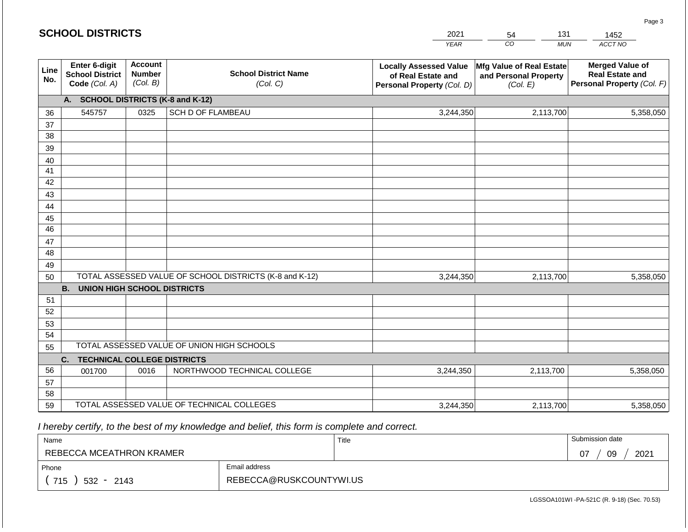|             | <b>SCHOOL DISTRICTS</b>                                  |                                             |                                                         | 2021                                                                              | 131<br>54                                                     | 1452                                                                           |
|-------------|----------------------------------------------------------|---------------------------------------------|---------------------------------------------------------|-----------------------------------------------------------------------------------|---------------------------------------------------------------|--------------------------------------------------------------------------------|
|             |                                                          |                                             |                                                         | <b>YEAR</b>                                                                       | CO<br><b>MUN</b>                                              | ACCT NO                                                                        |
| Line<br>No. | Enter 6-digit<br><b>School District</b><br>Code (Col. A) | <b>Account</b><br><b>Number</b><br>(Col. B) | <b>School District Name</b><br>(Col. C)                 | <b>Locally Assessed Value</b><br>of Real Estate and<br>Personal Property (Col. D) | Mfg Value of Real Estate<br>and Personal Property<br>(Col. E) | <b>Merged Value of</b><br><b>Real Estate and</b><br>Personal Property (Col. F) |
|             | А.                                                       |                                             | <b>SCHOOL DISTRICTS (K-8 and K-12)</b>                  |                                                                                   |                                                               |                                                                                |
| 36          | 545757                                                   | 0325                                        | SCH D OF FLAMBEAU                                       | 3,244,350                                                                         | 2,113,700                                                     | 5,358,050                                                                      |
| 37          |                                                          |                                             |                                                         |                                                                                   |                                                               |                                                                                |
| 38          |                                                          |                                             |                                                         |                                                                                   |                                                               |                                                                                |
| 39          |                                                          |                                             |                                                         |                                                                                   |                                                               |                                                                                |
| 40          |                                                          |                                             |                                                         |                                                                                   |                                                               |                                                                                |
| 41<br>42    |                                                          |                                             |                                                         |                                                                                   |                                                               |                                                                                |
| 43          |                                                          |                                             |                                                         |                                                                                   |                                                               |                                                                                |
| 44          |                                                          |                                             |                                                         |                                                                                   |                                                               |                                                                                |
| 45          |                                                          |                                             |                                                         |                                                                                   |                                                               |                                                                                |
| 46          |                                                          |                                             |                                                         |                                                                                   |                                                               |                                                                                |
| 47          |                                                          |                                             |                                                         |                                                                                   |                                                               |                                                                                |
| 48          |                                                          |                                             |                                                         |                                                                                   |                                                               |                                                                                |
| 49          |                                                          |                                             |                                                         |                                                                                   |                                                               |                                                                                |
| 50          |                                                          |                                             | TOTAL ASSESSED VALUE OF SCHOOL DISTRICTS (K-8 and K-12) | 3,244,350                                                                         | 2,113,700                                                     | 5,358,050                                                                      |
|             | <b>B.</b><br><b>UNION HIGH SCHOOL DISTRICTS</b>          |                                             |                                                         |                                                                                   |                                                               |                                                                                |
| 51          |                                                          |                                             |                                                         |                                                                                   |                                                               |                                                                                |
| 52          |                                                          |                                             |                                                         |                                                                                   |                                                               |                                                                                |
| 53          |                                                          |                                             |                                                         |                                                                                   |                                                               |                                                                                |
| 54          |                                                          |                                             |                                                         |                                                                                   |                                                               |                                                                                |
| 55          |                                                          |                                             | TOTAL ASSESSED VALUE OF UNION HIGH SCHOOLS              |                                                                                   |                                                               |                                                                                |
|             | <b>TECHNICAL COLLEGE DISTRICTS</b><br>C.                 |                                             |                                                         |                                                                                   |                                                               |                                                                                |
| 56          | 001700                                                   | 0016                                        | NORTHWOOD TECHNICAL COLLEGE                             | 3,244,350                                                                         | 2,113,700                                                     | 5,358,050                                                                      |
| 57<br>58    |                                                          |                                             |                                                         |                                                                                   |                                                               |                                                                                |
| 59          |                                                          |                                             | TOTAL ASSESSED VALUE OF TECHNICAL COLLEGES              | 3,244,350                                                                         | 2,113,700                                                     | 5,358,050                                                                      |

| Name                     |                         | Title | Submission date  |
|--------------------------|-------------------------|-------|------------------|
| REBECCA MCEATHRON KRAMER |                         |       | 2021<br>09<br>07 |
| Phone                    | Email address           |       |                  |
| 715<br>$532 -$<br>2143   | REBECCA@RUSKCOUNTYWI.US |       |                  |

Page 3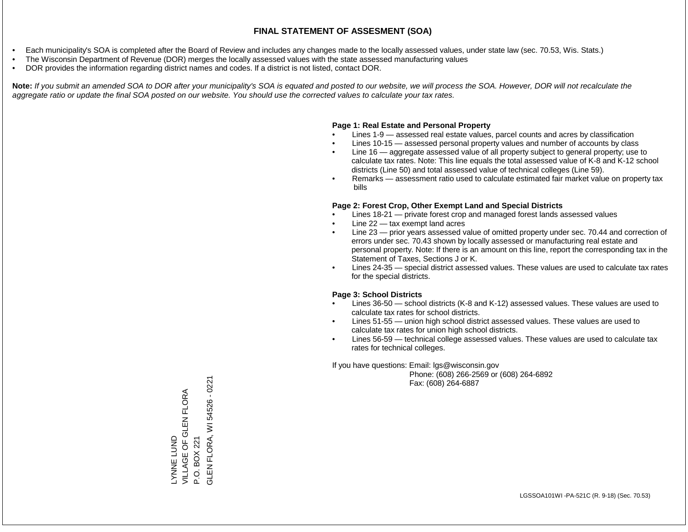- Each municipality's SOA is completed after the Board of Review and includes any changes made to the locally assessed values, under state law (sec. 70.53, Wis. Stats.)
- The Wisconsin Department of Revenue (DOR) merges the locally assessed values with the state assessed manufacturing values
- DOR provides the information regarding district names and codes. If a district is not listed, contact DOR.

Note: If you submit an amended SOA to DOR after your municipality's SOA is equated and posted to our website, we will process the SOA. However, DOR will not recalculate the *aggregate ratio or update the final SOA posted on our website. You should use the corrected values to calculate your tax rates.*

#### **Page 1: Real Estate and Personal Property**

- Lines 1-9 assessed real estate values, parcel counts and acres by classification
- Lines 10-15 assessed personal property values and number of accounts by class
- Line 16 aggregate assessed value of all property subject to general property; use to calculate tax rates. Note: This line equals the total assessed value of K-8 and K-12 school districts (Line 50) and total assessed value of technical colleges (Line 59).
- Remarks assessment ratio used to calculate estimated fair market value on property tax bills

#### **Page 2: Forest Crop, Other Exempt Land and Special Districts**

- Lines 18-21 private forest crop and managed forest lands assessed values
- Line  $22 -$  tax exempt land acres
- Line 23 prior years assessed value of omitted property under sec. 70.44 and correction of errors under sec. 70.43 shown by locally assessed or manufacturing real estate and personal property. Note: If there is an amount on this line, report the corresponding tax in the Statement of Taxes, Sections J or K.
- Lines 24-35 special district assessed values. These values are used to calculate tax rates for the special districts.

#### **Page 3: School Districts**

- Lines 36-50 school districts (K-8 and K-12) assessed values. These values are used to calculate tax rates for school districts.
- Lines 51-55 union high school district assessed values. These values are used to calculate tax rates for union high school districts.
- Lines 56-59 technical college assessed values. These values are used to calculate tax rates for technical colleges.

If you have questions: Email: lgs@wisconsin.gov

 Phone: (608) 266-2569 or (608) 264-6892 Fax: (608) 264-6887

LYNNE LUND<br>VILLAGE OF GLEN FLORA VILLAGE OF GLEN FLORA P.O. BOX 221<br>GLEN FLORA, WI 54526 - 0221 GLEN FLORA, WI 54526 - 0221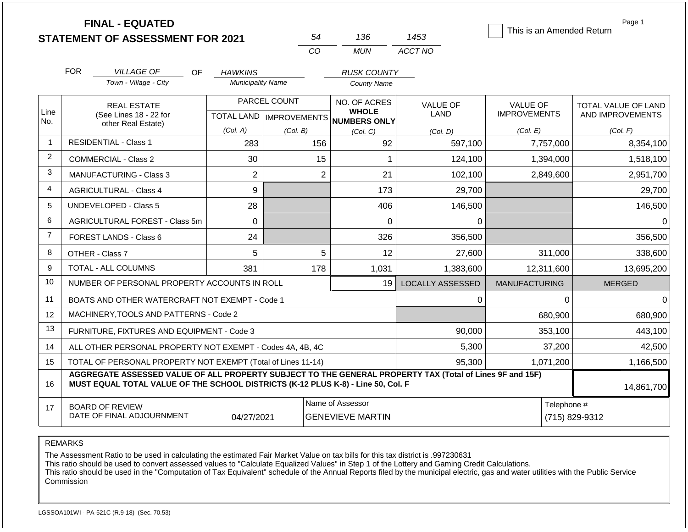|                | <b>FINAL - EQUATED</b><br><b>STATEMENT OF ASSESSMENT FOR 2021</b>                                                                                                                            |                          |                           | 54                           | 136                     | 1453                    |                      | Page 1<br>This is an Amended Return |  |
|----------------|----------------------------------------------------------------------------------------------------------------------------------------------------------------------------------------------|--------------------------|---------------------------|------------------------------|-------------------------|-------------------------|----------------------|-------------------------------------|--|
|                |                                                                                                                                                                                              |                          | CO                        |                              | <b>MUN</b>              | ACCT NO                 |                      |                                     |  |
|                | <b>FOR</b><br><b>VILLAGE OF</b><br>OF.                                                                                                                                                       | <b>HAWKINS</b>           |                           |                              | <b>RUSK COUNTY</b>      |                         |                      |                                     |  |
|                | Town - Village - City                                                                                                                                                                        | <b>Municipality Name</b> |                           |                              | <b>County Name</b>      |                         |                      |                                     |  |
|                | <b>REAL ESTATE</b>                                                                                                                                                                           | PARCEL COUNT             |                           | NO. OF ACRES                 |                         | <b>VALUE OF</b>         | <b>VALUE OF</b>      | TOTAL VALUE OF LAND                 |  |
| Line<br>No.    | (See Lines 18 - 22 for<br>other Real Estate)                                                                                                                                                 |                          | TOTAL LAND   IMPROVEMENTS | <b>WHOLE</b><br>NUMBERS ONLY |                         | LAND                    | <b>IMPROVEMENTS</b>  | AND IMPROVEMENTS                    |  |
|                |                                                                                                                                                                                              | (Col. A)                 | (Col. B)                  | (Col, C)                     |                         | (Col. D)                | (Col. E)             | (Col. F)                            |  |
| 1              | <b>RESIDENTIAL - Class 1</b>                                                                                                                                                                 | 283                      |                           | 156                          | 92                      | 597,100                 | 7,757,000            | 8,354,100                           |  |
| $\overline{2}$ | <b>COMMERCIAL - Class 2</b>                                                                                                                                                                  | 30                       |                           | 15                           | $\mathbf{1}$            | 124,100                 | 1,394,000            | 1,518,100                           |  |
| 3              | <b>MANUFACTURING - Class 3</b>                                                                                                                                                               | $\overline{2}$           |                           | $\overline{2}$               | 21                      | 102,100                 | 2,849,600            | 2,951,700                           |  |
| 4              | <b>AGRICULTURAL - Class 4</b>                                                                                                                                                                | 9                        |                           |                              | 173                     | 29,700                  |                      | 29,700                              |  |
| 5              | UNDEVELOPED - Class 5                                                                                                                                                                        | 28                       |                           | 406                          |                         | 146,500                 |                      | 146,500                             |  |
| 6              | AGRICULTURAL FOREST - Class 5m                                                                                                                                                               | $\Omega$                 |                           |                              | 0                       | 0                       |                      | 0                                   |  |
| $\overline{7}$ | <b>FOREST LANDS - Class 6</b>                                                                                                                                                                | 24                       |                           | 326                          |                         | 356,500                 |                      | 356,500                             |  |
| 8              | OTHER - Class 7                                                                                                                                                                              | 5                        |                           | 5                            | 12                      | 27,600                  | 311,000              | 338,600                             |  |
| 9              | <b>TOTAL - ALL COLUMNS</b>                                                                                                                                                                   | 381                      |                           | 178                          | 1,031                   | 1,383,600               | 12,311,600           | 13,695,200                          |  |
| 10             | NUMBER OF PERSONAL PROPERTY ACCOUNTS IN ROLL                                                                                                                                                 |                          |                           |                              | 19                      | <b>LOCALLY ASSESSED</b> | <b>MANUFACTURING</b> | <b>MERGED</b>                       |  |
| 11             | BOATS AND OTHER WATERCRAFT NOT EXEMPT - Code 1                                                                                                                                               |                          |                           |                              |                         | 0                       |                      | $\Omega$<br>0                       |  |
| 12             | MACHINERY, TOOLS AND PATTERNS - Code 2                                                                                                                                                       |                          |                           |                              |                         |                         | 680,900              | 680,900                             |  |
| 13             | FURNITURE, FIXTURES AND EQUIPMENT - Code 3                                                                                                                                                   |                          |                           |                              |                         | 90,000                  | 353,100              | 443,100                             |  |
| 14             | ALL OTHER PERSONAL PROPERTY NOT EXEMPT - Codes 4A, 4B, 4C                                                                                                                                    |                          |                           |                              |                         | 5,300                   | 37,200               | 42,500                              |  |
| 15             | TOTAL OF PERSONAL PROPERTY NOT EXEMPT (Total of Lines 11-14)                                                                                                                                 |                          |                           |                              |                         | 95,300                  | 1,071,200            | 1,166,500                           |  |
| 16             | AGGREGATE ASSESSED VALUE OF ALL PROPERTY SUBJECT TO THE GENERAL PROPERTY TAX (Total of Lines 9F and 15F)<br>MUST EQUAL TOTAL VALUE OF THE SCHOOL DISTRICTS (K-12 PLUS K-8) - Line 50, Col. F |                          |                           |                              |                         |                         |                      | 14,861,700                          |  |
| 17             | <b>BOARD OF REVIEW</b><br>DATE OF FINAL ADJOURNMENT                                                                                                                                          | 04/27/2021               |                           | Name of Assessor             | <b>GENEVIEVE MARTIN</b> |                         |                      | Telephone #<br>(715) 829-9312       |  |

The Assessment Ratio to be used in calculating the estimated Fair Market Value on tax bills for this tax district is .997230631

This ratio should be used to convert assessed values to "Calculate Equalized Values" in Step 1 of the Lottery and Gaming Credit Calculations.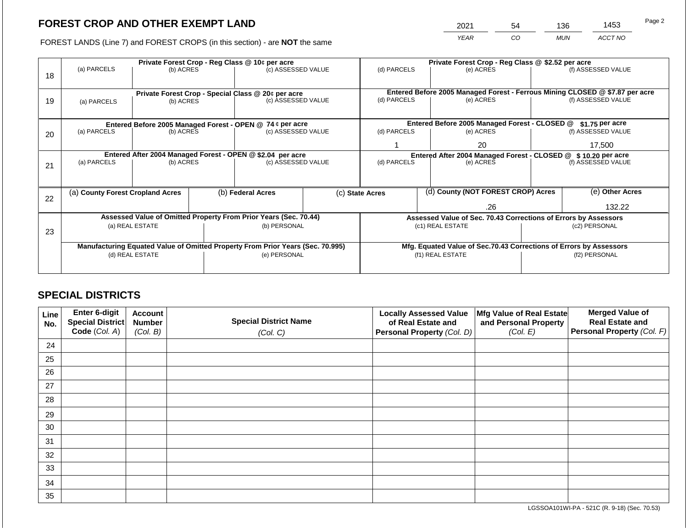2021 54 136 1453

FOREST LANDS (Line 7) and FOREST CROPS (in this section) - are **NOT** the same *YEAR CO MUN ACCT NO*

|    |                                                            | Private Forest Crop - Reg Class @ 10¢ per acre |                                                                                |                                                                  |  | Private Forest Crop - Reg Class @ \$2.52 per acre             |  |                                                                    |                                                                              |                    |
|----|------------------------------------------------------------|------------------------------------------------|--------------------------------------------------------------------------------|------------------------------------------------------------------|--|---------------------------------------------------------------|--|--------------------------------------------------------------------|------------------------------------------------------------------------------|--------------------|
| 18 | (a) PARCELS                                                | (b) ACRES                                      |                                                                                | (c) ASSESSED VALUE                                               |  | (d) PARCELS                                                   |  | (e) ACRES                                                          |                                                                              | (f) ASSESSED VALUE |
|    |                                                            |                                                |                                                                                |                                                                  |  |                                                               |  |                                                                    |                                                                              |                    |
|    |                                                            |                                                |                                                                                | Private Forest Crop - Special Class @ 20¢ per acre               |  |                                                               |  |                                                                    | Entered Before 2005 Managed Forest - Ferrous Mining CLOSED @ \$7.87 per acre |                    |
| 19 | (a) PARCELS                                                | (b) ACRES                                      |                                                                                | (c) ASSESSED VALUE                                               |  | (d) PARCELS                                                   |  | (e) ACRES                                                          |                                                                              | (f) ASSESSED VALUE |
|    |                                                            |                                                |                                                                                |                                                                  |  |                                                               |  |                                                                    |                                                                              |                    |
|    |                                                            |                                                |                                                                                | Entered Before 2005 Managed Forest - OPEN @ 74 ¢ per acre        |  |                                                               |  | Entered Before 2005 Managed Forest - CLOSED @                      |                                                                              | \$1.75 per acre    |
| 20 | (a) PARCELS<br>(b) ACRES                                   |                                                |                                                                                | (c) ASSESSED VALUE                                               |  | (d) PARCELS                                                   |  | (e) ACRES                                                          |                                                                              | (f) ASSESSED VALUE |
|    |                                                            |                                                |                                                                                |                                                                  |  |                                                               |  | 20                                                                 |                                                                              | 17.500             |
|    | Entered After 2004 Managed Forest - OPEN @ \$2.04 per acre |                                                |                                                                                |                                                                  |  | Entered After 2004 Managed Forest - CLOSED @ \$10.20 per acre |  |                                                                    |                                                                              |                    |
| 21 | (a) PARCELS                                                | (b) ACRES                                      |                                                                                | (c) ASSESSED VALUE                                               |  | (d) PARCELS                                                   |  | (e) ACRES                                                          |                                                                              | (f) ASSESSED VALUE |
|    |                                                            |                                                |                                                                                |                                                                  |  |                                                               |  |                                                                    |                                                                              |                    |
|    | (a) County Forest Cropland Acres                           |                                                |                                                                                | (b) Federal Acres                                                |  | (c) State Acres                                               |  | (d) County (NOT FOREST CROP) Acres                                 |                                                                              | (e) Other Acres    |
| 22 |                                                            |                                                |                                                                                |                                                                  |  |                                                               |  |                                                                    |                                                                              |                    |
|    |                                                            |                                                |                                                                                |                                                                  |  | .26                                                           |  |                                                                    | 132.22                                                                       |                    |
|    |                                                            |                                                |                                                                                | Assessed Value of Omitted Property From Prior Years (Sec. 70.44) |  |                                                               |  |                                                                    | Assessed Value of Sec. 70.43 Corrections of Errors by Assessors              |                    |
|    |                                                            | (a) REAL ESTATE                                |                                                                                | (b) PERSONAL                                                     |  |                                                               |  | (c1) REAL ESTATE                                                   | (c2) PERSONAL                                                                |                    |
| 23 |                                                            |                                                |                                                                                |                                                                  |  |                                                               |  |                                                                    |                                                                              |                    |
|    |                                                            |                                                | Manufacturing Equated Value of Omitted Property From Prior Years (Sec. 70.995) |                                                                  |  |                                                               |  | Mfg. Equated Value of Sec.70.43 Corrections of Errors by Assessors |                                                                              |                    |
|    |                                                            | (d) REAL ESTATE                                |                                                                                | (e) PERSONAL                                                     |  |                                                               |  | (f1) REAL ESTATE                                                   | (f2) PERSONAL                                                                |                    |
|    |                                                            |                                                |                                                                                |                                                                  |  |                                                               |  |                                                                    |                                                                              |                    |
|    |                                                            |                                                |                                                                                |                                                                  |  |                                                               |  |                                                                    |                                                                              |                    |

## **SPECIAL DISTRICTS**

| Line<br>No. | <b>Enter 6-digit</b><br>Special District | <b>Account</b><br><b>Number</b> | <b>Special District Name</b> | <b>Locally Assessed Value</b><br>of Real Estate and | Mfg Value of Real Estate<br>and Personal Property | <b>Merged Value of</b><br><b>Real Estate and</b> |
|-------------|------------------------------------------|---------------------------------|------------------------------|-----------------------------------------------------|---------------------------------------------------|--------------------------------------------------|
|             | Code (Col. A)                            | (Col. B)                        | (Col. C)                     | Personal Property (Col. D)                          | (Col. E)                                          | <b>Personal Property (Col. F)</b>                |
| 24          |                                          |                                 |                              |                                                     |                                                   |                                                  |
| 25          |                                          |                                 |                              |                                                     |                                                   |                                                  |
| 26          |                                          |                                 |                              |                                                     |                                                   |                                                  |
| 27          |                                          |                                 |                              |                                                     |                                                   |                                                  |
| 28          |                                          |                                 |                              |                                                     |                                                   |                                                  |
| 29          |                                          |                                 |                              |                                                     |                                                   |                                                  |
| 30          |                                          |                                 |                              |                                                     |                                                   |                                                  |
| 31          |                                          |                                 |                              |                                                     |                                                   |                                                  |
| 32          |                                          |                                 |                              |                                                     |                                                   |                                                  |
| 33          |                                          |                                 |                              |                                                     |                                                   |                                                  |
| 34          |                                          |                                 |                              |                                                     |                                                   |                                                  |
| 35          |                                          |                                 |                              |                                                     |                                                   |                                                  |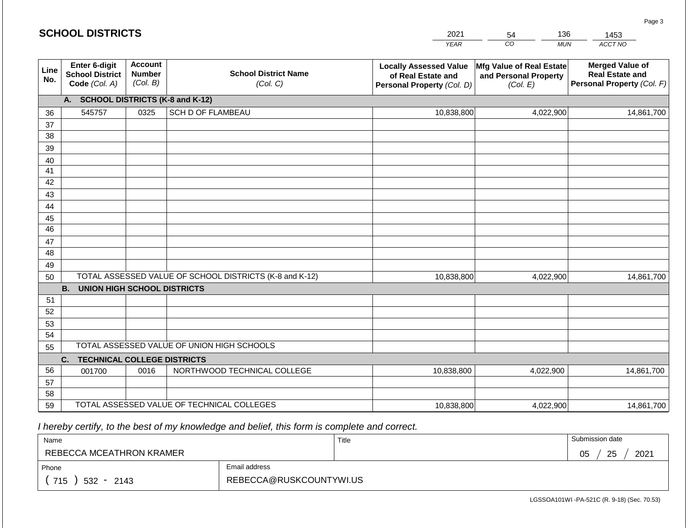|             | <b>SCHOOL DISTRICTS</b>                                  |                                             |                                                         | 2021                                                                              | 136<br>54                                                     | 1453                                                                           |
|-------------|----------------------------------------------------------|---------------------------------------------|---------------------------------------------------------|-----------------------------------------------------------------------------------|---------------------------------------------------------------|--------------------------------------------------------------------------------|
|             |                                                          |                                             |                                                         | <b>YEAR</b>                                                                       | CO<br><b>MUN</b>                                              | ACCT NO                                                                        |
| Line<br>No. | Enter 6-digit<br><b>School District</b><br>Code (Col. A) | <b>Account</b><br><b>Number</b><br>(Col. B) | <b>School District Name</b><br>(Col. C)                 | <b>Locally Assessed Value</b><br>of Real Estate and<br>Personal Property (Col. D) | Mfg Value of Real Estate<br>and Personal Property<br>(Col. E) | <b>Merged Value of</b><br><b>Real Estate and</b><br>Personal Property (Col. F) |
|             | A. SCHOOL DISTRICTS (K-8 and K-12)                       |                                             |                                                         |                                                                                   |                                                               |                                                                                |
| 36          | 545757                                                   | 0325                                        | SCH D OF FLAMBEAU                                       | 10,838,800                                                                        | 4,022,900                                                     | 14,861,700                                                                     |
| 37          |                                                          |                                             |                                                         |                                                                                   |                                                               |                                                                                |
| 38          |                                                          |                                             |                                                         |                                                                                   |                                                               |                                                                                |
| 39          |                                                          |                                             |                                                         |                                                                                   |                                                               |                                                                                |
| 40          |                                                          |                                             |                                                         |                                                                                   |                                                               |                                                                                |
| 41<br>42    |                                                          |                                             |                                                         |                                                                                   |                                                               |                                                                                |
| 43          |                                                          |                                             |                                                         |                                                                                   |                                                               |                                                                                |
| 44          |                                                          |                                             |                                                         |                                                                                   |                                                               |                                                                                |
| 45          |                                                          |                                             |                                                         |                                                                                   |                                                               |                                                                                |
| 46          |                                                          |                                             |                                                         |                                                                                   |                                                               |                                                                                |
| 47          |                                                          |                                             |                                                         |                                                                                   |                                                               |                                                                                |
| 48          |                                                          |                                             |                                                         |                                                                                   |                                                               |                                                                                |
| 49          |                                                          |                                             |                                                         |                                                                                   |                                                               |                                                                                |
| 50          |                                                          |                                             | TOTAL ASSESSED VALUE OF SCHOOL DISTRICTS (K-8 and K-12) | 10,838,800                                                                        | 4,022,900                                                     | 14,861,700                                                                     |
|             | <b>B.</b><br><b>UNION HIGH SCHOOL DISTRICTS</b>          |                                             |                                                         |                                                                                   |                                                               |                                                                                |
| 51          |                                                          |                                             |                                                         |                                                                                   |                                                               |                                                                                |
| 52          |                                                          |                                             |                                                         |                                                                                   |                                                               |                                                                                |
| 53          |                                                          |                                             |                                                         |                                                                                   |                                                               |                                                                                |
| 54<br>55    |                                                          |                                             | TOTAL ASSESSED VALUE OF UNION HIGH SCHOOLS              |                                                                                   |                                                               |                                                                                |
|             | <b>TECHNICAL COLLEGE DISTRICTS</b><br>C.                 |                                             |                                                         |                                                                                   |                                                               |                                                                                |
| 56          | 001700                                                   | 0016                                        | NORTHWOOD TECHNICAL COLLEGE                             | 10,838,800                                                                        | 4,022,900                                                     | 14,861,700                                                                     |
| 57          |                                                          |                                             |                                                         |                                                                                   |                                                               |                                                                                |
| 58          |                                                          |                                             |                                                         |                                                                                   |                                                               |                                                                                |
| 59          |                                                          |                                             | TOTAL ASSESSED VALUE OF TECHNICAL COLLEGES              | 10,838,800                                                                        | 4,022,900                                                     | 14,861,700                                                                     |

| Name                     |                         | Title | Submission date  |
|--------------------------|-------------------------|-------|------------------|
| REBECCA MCEATHRON KRAMER |                         |       | 25<br>2021<br>05 |
| Phone                    | Email address           |       |                  |
| 715<br>532 -<br>2143     | REBECCA@RUSKCOUNTYWI.US |       |                  |

LGSSOA101WI -PA-521C (R. 9-18) (Sec. 70.53)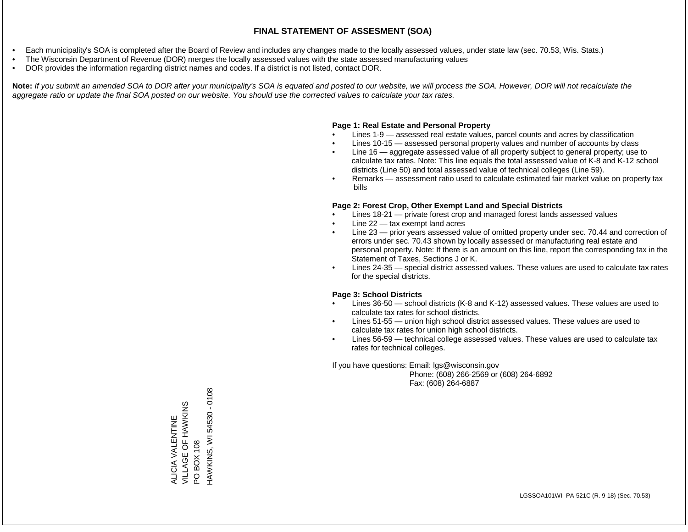- Each municipality's SOA is completed after the Board of Review and includes any changes made to the locally assessed values, under state law (sec. 70.53, Wis. Stats.)
- The Wisconsin Department of Revenue (DOR) merges the locally assessed values with the state assessed manufacturing values
- DOR provides the information regarding district names and codes. If a district is not listed, contact DOR.

Note: If you submit an amended SOA to DOR after your municipality's SOA is equated and posted to our website, we will process the SOA. However, DOR will not recalculate the *aggregate ratio or update the final SOA posted on our website. You should use the corrected values to calculate your tax rates.*

## **Page 1: Real Estate and Personal Property**

- Lines 1-9 assessed real estate values, parcel counts and acres by classification
- Lines 10-15 assessed personal property values and number of accounts by class
- Line 16 aggregate assessed value of all property subject to general property; use to calculate tax rates. Note: This line equals the total assessed value of K-8 and K-12 school districts (Line 50) and total assessed value of technical colleges (Line 59).
- Remarks assessment ratio used to calculate estimated fair market value on property tax bills

## **Page 2: Forest Crop, Other Exempt Land and Special Districts**

- Lines 18-21 private forest crop and managed forest lands assessed values
- Line  $22 -$  tax exempt land acres
- Line 23 prior years assessed value of omitted property under sec. 70.44 and correction of errors under sec. 70.43 shown by locally assessed or manufacturing real estate and personal property. Note: If there is an amount on this line, report the corresponding tax in the Statement of Taxes, Sections J or K.
- Lines 24-35 special district assessed values. These values are used to calculate tax rates for the special districts.

## **Page 3: School Districts**

- Lines 36-50 school districts (K-8 and K-12) assessed values. These values are used to calculate tax rates for school districts.
- Lines 51-55 union high school district assessed values. These values are used to calculate tax rates for union high school districts.
- Lines 56-59 technical college assessed values. These values are used to calculate tax rates for technical colleges.

If you have questions: Email: lgs@wisconsin.gov

 Phone: (608) 266-2569 or (608) 264-6892 Fax: (608) 264-6887

PO BOX 108<br>HAWKINS, WI 54530 - 0108 HAWKINS, WI 54530 - 0108VILLAGE OF HAWKINS ALICIA VALENTINE<br>VILLAGE OF HAWKINS ALICIA VALENTINE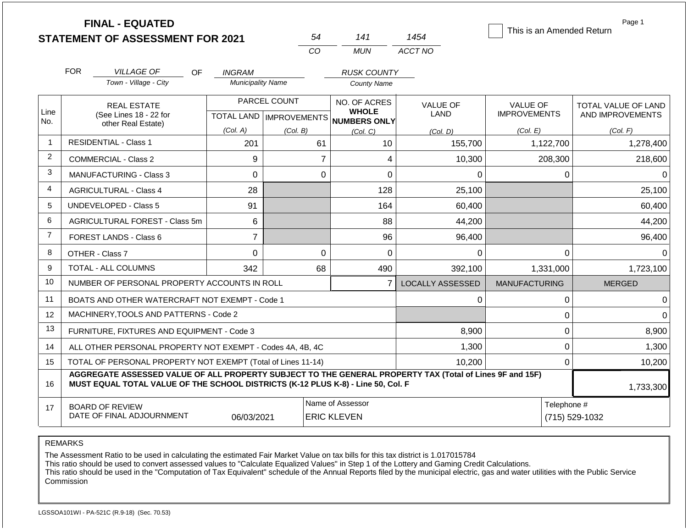|                | <b>FINAL - EQUATED</b><br><b>STATEMENT OF ASSESSMENT FOR 2021</b>                                                                                                                            |                          | 54             | 141                                                                 | 1454                           | This is an Amended Return              | Page 1                                  |  |  |  |
|----------------|----------------------------------------------------------------------------------------------------------------------------------------------------------------------------------------------|--------------------------|----------------|---------------------------------------------------------------------|--------------------------------|----------------------------------------|-----------------------------------------|--|--|--|
|                |                                                                                                                                                                                              |                          | CO             | <b>MUN</b>                                                          | ACCT NO                        |                                        |                                         |  |  |  |
|                | <b>FOR</b><br><b>VILLAGE OF</b><br>OF.                                                                                                                                                       | <b>INGRAM</b>            |                | <b>RUSK COUNTY</b>                                                  |                                |                                        |                                         |  |  |  |
|                | Town - Village - City                                                                                                                                                                        | <b>Municipality Name</b> |                | <b>County Name</b>                                                  |                                |                                        |                                         |  |  |  |
| Line<br>No.    | <b>REAL ESTATE</b><br>(See Lines 18 - 22 for                                                                                                                                                 |                          | PARCEL COUNT   | NO. OF ACRES<br><b>WHOLE</b><br>TOTAL LAND MPROVEMENTS NUMBERS ONLY | <b>VALUE OF</b><br><b>LAND</b> | <b>VALUE OF</b><br><b>IMPROVEMENTS</b> | TOTAL VALUE OF LAND<br>AND IMPROVEMENTS |  |  |  |
|                | other Real Estate)                                                                                                                                                                           | (Col. A)                 | (Col. B)       | (Col, C)                                                            | (Col. D)                       | (Col. E)                               | (Col. F)                                |  |  |  |
| $\overline{1}$ | <b>RESIDENTIAL - Class 1</b>                                                                                                                                                                 | 201                      | 61             | 10                                                                  | 155,700                        | 1,122,700                              | 1,278,400                               |  |  |  |
| $\overline{2}$ | <b>COMMERCIAL - Class 2</b>                                                                                                                                                                  | 9                        | $\overline{7}$ | 4                                                                   | 10,300                         | 208,300                                | 218,600                                 |  |  |  |
| 3              | <b>MANUFACTURING - Class 3</b>                                                                                                                                                               | $\mathbf 0$              | $\mathbf 0$    | 0                                                                   | $\Omega$                       | $\Omega$                               | $\Omega$                                |  |  |  |
| 4              | <b>AGRICULTURAL - Class 4</b>                                                                                                                                                                | 28                       |                | 128                                                                 | 25,100                         |                                        | 25,100                                  |  |  |  |
| 5              | UNDEVELOPED - Class 5                                                                                                                                                                        | 91                       |                | 164                                                                 | 60,400                         |                                        | 60,400                                  |  |  |  |
| 6              | AGRICULTURAL FOREST - Class 5m                                                                                                                                                               | 6                        |                | 88                                                                  | 44,200                         |                                        | 44,200                                  |  |  |  |
| $\overline{7}$ | FOREST LANDS - Class 6                                                                                                                                                                       | $\overline{7}$           |                | 96                                                                  | 96,400                         |                                        | 96,400                                  |  |  |  |
| 8              | OTHER - Class 7                                                                                                                                                                              | $\mathbf 0$              | $\Omega$       | 0                                                                   | $\Omega$                       | $\mathbf 0$                            | $\Omega$                                |  |  |  |
| 9              | <b>TOTAL - ALL COLUMNS</b>                                                                                                                                                                   | 342                      | 68             | 490                                                                 | 392,100                        | 1,331,000                              | 1,723,100                               |  |  |  |
| 10             | NUMBER OF PERSONAL PROPERTY ACCOUNTS IN ROLL                                                                                                                                                 |                          |                | $\overline{7}$                                                      | <b>LOCALLY ASSESSED</b>        | <b>MANUFACTURING</b>                   | <b>MERGED</b>                           |  |  |  |
| 11             | BOATS AND OTHER WATERCRAFT NOT EXEMPT - Code 1                                                                                                                                               |                          |                |                                                                     | 0                              | 0                                      | $\Omega$                                |  |  |  |
| 12             | MACHINERY.TOOLS AND PATTERNS - Code 2                                                                                                                                                        |                          |                |                                                                     |                                | $\pmb{0}$                              | $\Omega$                                |  |  |  |
| 13             | FURNITURE, FIXTURES AND EQUIPMENT - Code 3                                                                                                                                                   |                          |                |                                                                     | 8,900                          | $\pmb{0}$                              | 8,900                                   |  |  |  |
| 14             | ALL OTHER PERSONAL PROPERTY NOT EXEMPT - Codes 4A, 4B, 4C                                                                                                                                    |                          |                |                                                                     | 1,300                          | $\mathbf 0$                            | 1,300                                   |  |  |  |
| 15             | TOTAL OF PERSONAL PROPERTY NOT EXEMPT (Total of Lines 11-14)                                                                                                                                 |                          |                |                                                                     | 10,200                         | 0                                      | 10,200                                  |  |  |  |
| 16             | AGGREGATE ASSESSED VALUE OF ALL PROPERTY SUBJECT TO THE GENERAL PROPERTY TAX (Total of Lines 9F and 15F)<br>MUST EQUAL TOTAL VALUE OF THE SCHOOL DISTRICTS (K-12 PLUS K-8) - Line 50, Col. F |                          |                |                                                                     |                                |                                        |                                         |  |  |  |
| 17             | <b>BOARD OF REVIEW</b><br>DATE OF FINAL ADJOURNMENT                                                                                                                                          | Telephone #              | (715) 529-1032 |                                                                     |                                |                                        |                                         |  |  |  |

The Assessment Ratio to be used in calculating the estimated Fair Market Value on tax bills for this tax district is 1.017015784

This ratio should be used to convert assessed values to "Calculate Equalized Values" in Step 1 of the Lottery and Gaming Credit Calculations.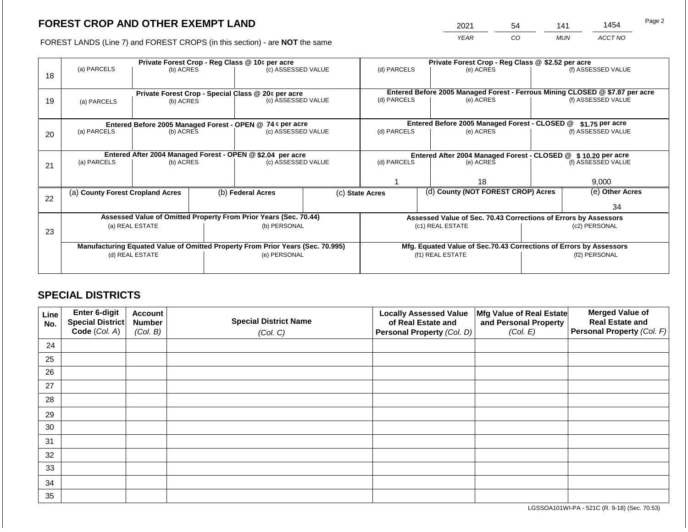2021 54 141 1454

FOREST LANDS (Line 7) and FOREST CROPS (in this section) - are **NOT** the same *YEAR CO MUN ACCT NO*

|    |                                                            |                 |  | Private Forest Crop - Reg Class @ 10¢ per acre                                 |  | Private Forest Crop - Reg Class @ \$2.52 per acre             |  |                                               |                                                                    |                                                                                                    |
|----|------------------------------------------------------------|-----------------|--|--------------------------------------------------------------------------------|--|---------------------------------------------------------------|--|-----------------------------------------------|--------------------------------------------------------------------|----------------------------------------------------------------------------------------------------|
|    | (a) PARCELS                                                | (b) ACRES       |  | (c) ASSESSED VALUE                                                             |  | (d) PARCELS                                                   |  | (e) ACRES                                     |                                                                    | (f) ASSESSED VALUE                                                                                 |
| 18 |                                                            |                 |  |                                                                                |  |                                                               |  |                                               |                                                                    |                                                                                                    |
|    |                                                            |                 |  |                                                                                |  |                                                               |  |                                               |                                                                    |                                                                                                    |
|    |                                                            |                 |  | Private Forest Crop - Special Class @ 20¢ per acre                             |  | (d) PARCELS                                                   |  | (e) ACRES                                     |                                                                    | Entered Before 2005 Managed Forest - Ferrous Mining CLOSED @ \$7.87 per acre<br>(f) ASSESSED VALUE |
| 19 | (a) PARCELS                                                | (b) ACRES       |  | (c) ASSESSED VALUE                                                             |  |                                                               |  |                                               |                                                                    |                                                                                                    |
|    |                                                            |                 |  |                                                                                |  |                                                               |  |                                               |                                                                    |                                                                                                    |
|    |                                                            |                 |  | Entered Before 2005 Managed Forest - OPEN @ 74 ¢ per acre                      |  |                                                               |  | Entered Before 2005 Managed Forest - CLOSED @ |                                                                    | \$1.75 per acre                                                                                    |
| 20 | (a) PARCELS                                                | (b) ACRES       |  | (c) ASSESSED VALUE                                                             |  | (d) PARCELS                                                   |  | (e) ACRES                                     |                                                                    | (f) ASSESSED VALUE                                                                                 |
|    |                                                            |                 |  |                                                                                |  |                                                               |  |                                               |                                                                    |                                                                                                    |
|    |                                                            |                 |  |                                                                                |  |                                                               |  |                                               |                                                                    |                                                                                                    |
|    | Entered After 2004 Managed Forest - OPEN @ \$2.04 per acre |                 |  |                                                                                |  | Entered After 2004 Managed Forest - CLOSED @ \$10.20 per acre |  |                                               |                                                                    |                                                                                                    |
| 21 | (a) PARCELS                                                | (b) ACRES       |  | (c) ASSESSED VALUE                                                             |  | (d) PARCELS                                                   |  | (e) ACRES                                     |                                                                    | (f) ASSESSED VALUE                                                                                 |
|    |                                                            |                 |  |                                                                                |  |                                                               |  |                                               |                                                                    |                                                                                                    |
|    |                                                            |                 |  |                                                                                |  |                                                               |  | 18                                            |                                                                    | 9,000                                                                                              |
|    | (a) County Forest Cropland Acres                           |                 |  | (b) Federal Acres                                                              |  | (c) State Acres                                               |  | (d) County (NOT FOREST CROP) Acres            |                                                                    | (e) Other Acres                                                                                    |
| 22 |                                                            |                 |  |                                                                                |  |                                                               |  |                                               |                                                                    |                                                                                                    |
|    |                                                            |                 |  |                                                                                |  |                                                               |  |                                               |                                                                    | 34                                                                                                 |
|    |                                                            |                 |  | Assessed Value of Omitted Property From Prior Years (Sec. 70.44)               |  |                                                               |  |                                               | Assessed Value of Sec. 70.43 Corrections of Errors by Assessors    |                                                                                                    |
|    |                                                            | (a) REAL ESTATE |  | (b) PERSONAL                                                                   |  |                                                               |  | (c1) REAL ESTATE                              |                                                                    | (c2) PERSONAL                                                                                      |
| 23 |                                                            |                 |  |                                                                                |  |                                                               |  |                                               |                                                                    |                                                                                                    |
|    |                                                            |                 |  | Manufacturing Equated Value of Omitted Property From Prior Years (Sec. 70.995) |  |                                                               |  |                                               | Mfg. Equated Value of Sec.70.43 Corrections of Errors by Assessors |                                                                                                    |
|    | (d) REAL ESTATE                                            |                 |  | (e) PERSONAL                                                                   |  |                                                               |  | (f1) REAL ESTATE                              | (f2) PERSONAL                                                      |                                                                                                    |
|    |                                                            |                 |  |                                                                                |  |                                                               |  |                                               |                                                                    |                                                                                                    |
|    |                                                            |                 |  |                                                                                |  |                                                               |  |                                               |                                                                    |                                                                                                    |

## **SPECIAL DISTRICTS**

| Line<br>No. | Enter 6-digit<br>Special District<br>Code (Col. A) | <b>Account</b><br><b>Number</b><br>(Col. B) | <b>Special District Name</b><br>(Col. C) | <b>Locally Assessed Value</b><br>of Real Estate and<br><b>Personal Property (Col. D)</b> | Mfg Value of Real Estate<br>and Personal Property<br>(Col. E) | <b>Merged Value of</b><br><b>Real Estate and</b><br>Personal Property (Col. F) |
|-------------|----------------------------------------------------|---------------------------------------------|------------------------------------------|------------------------------------------------------------------------------------------|---------------------------------------------------------------|--------------------------------------------------------------------------------|
| 24          |                                                    |                                             |                                          |                                                                                          |                                                               |                                                                                |
| 25          |                                                    |                                             |                                          |                                                                                          |                                                               |                                                                                |
| 26          |                                                    |                                             |                                          |                                                                                          |                                                               |                                                                                |
| 27          |                                                    |                                             |                                          |                                                                                          |                                                               |                                                                                |
| 28          |                                                    |                                             |                                          |                                                                                          |                                                               |                                                                                |
| 29          |                                                    |                                             |                                          |                                                                                          |                                                               |                                                                                |
| 30          |                                                    |                                             |                                          |                                                                                          |                                                               |                                                                                |
| 31          |                                                    |                                             |                                          |                                                                                          |                                                               |                                                                                |
| 32          |                                                    |                                             |                                          |                                                                                          |                                                               |                                                                                |
| 33          |                                                    |                                             |                                          |                                                                                          |                                                               |                                                                                |
| 34          |                                                    |                                             |                                          |                                                                                          |                                                               |                                                                                |
| 35          |                                                    |                                             |                                          |                                                                                          |                                                               |                                                                                |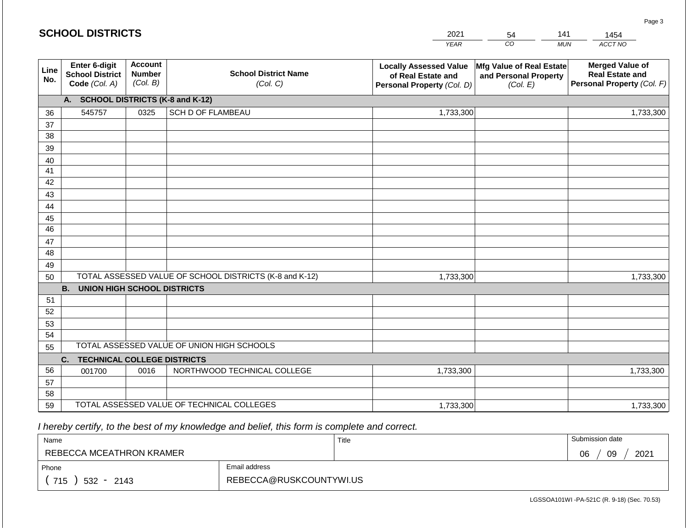#### *YEAR*  2021  $\overline{co}$ 54 *MUN*  141 *ACCT NO*  1454 **SCHOOL DISTRICTS Line No. Enter 6-digit School District Code** *(Col. A)* **Account Number** *(Col. B)* **School District Name** *(Col. C)* **Locally Assessed Value of Real Estate and Personal Property** *(Col. D)* **Mfg Value of Real Estate and Personal Property** *(Col. E)* **Merged Value of Real Estate and Personal Property** *(Col. F)* **A. SCHOOL DISTRICTS (K-8 and K-12)** 36 37 38 39 40 41 42 43 44 45 46 47 48 49 50 TOTAL ASSESSED VALUE OF SCHOOL DISTRICTS (K-8 and K-12) **B. UNION HIGH SCHOOL DISTRICTS** 51 52 53 54 55 **C. TECHNICAL COLLEGE DISTRICTS** 56 57 58 59 TOTAL ASSESSED VALUE OF TECHNICAL COLLEGES TOTAL ASSESSED VALUE OF UNION HIGH SCHOOLS 545757 0325 SCH D OF FLAMBEAU 1,733,300 1,733,300 001700 | 0016 | NORTHWOOD TECHNICAL COLLEGE 1,733,300 1,733,300 1,733,300 1,733,300 1,733,300 1,733,300

 *I hereby certify, to the best of my knowledge and belief, this form is complete and correct.*

| Name                     |                         | Title | Submission date  |
|--------------------------|-------------------------|-------|------------------|
| REBECCA MCEATHRON KRAMER |                         |       | 09<br>2021<br>06 |
| Phone                    | Email address           |       |                  |
| 715<br>$532 - 2143$      | REBECCA@RUSKCOUNTYWI.US |       |                  |

LGSSOA101WI -PA-521C (R. 9-18) (Sec. 70.53)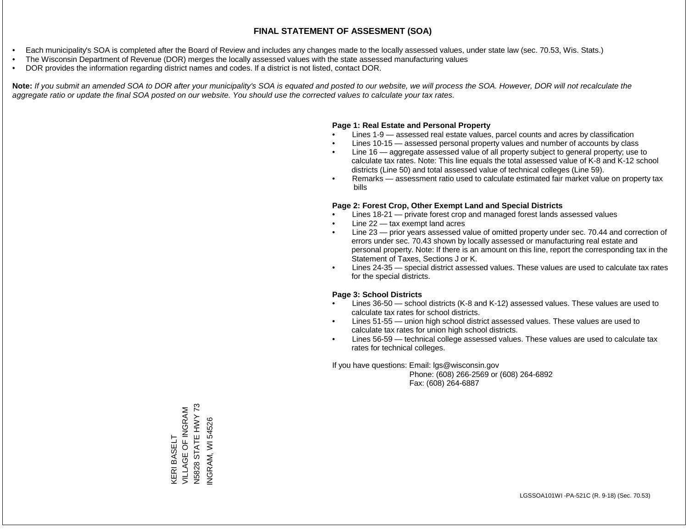- Each municipality's SOA is completed after the Board of Review and includes any changes made to the locally assessed values, under state law (sec. 70.53, Wis. Stats.)
- The Wisconsin Department of Revenue (DOR) merges the locally assessed values with the state assessed manufacturing values
- DOR provides the information regarding district names and codes. If a district is not listed, contact DOR.

Note: If you submit an amended SOA to DOR after your municipality's SOA is equated and posted to our website, we will process the SOA. However, DOR will not recalculate the *aggregate ratio or update the final SOA posted on our website. You should use the corrected values to calculate your tax rates.*

#### **Page 1: Real Estate and Personal Property**

- Lines 1-9 assessed real estate values, parcel counts and acres by classification
- Lines 10-15 assessed personal property values and number of accounts by class
- Line 16 aggregate assessed value of all property subject to general property; use to calculate tax rates. Note: This line equals the total assessed value of K-8 and K-12 school districts (Line 50) and total assessed value of technical colleges (Line 59).
- Remarks assessment ratio used to calculate estimated fair market value on property tax bills

#### **Page 2: Forest Crop, Other Exempt Land and Special Districts**

- Lines 18-21 private forest crop and managed forest lands assessed values
- Line  $22 -$  tax exempt land acres
- Line 23 prior years assessed value of omitted property under sec. 70.44 and correction of errors under sec. 70.43 shown by locally assessed or manufacturing real estate and personal property. Note: If there is an amount on this line, report the corresponding tax in the Statement of Taxes, Sections J or K.
- Lines 24-35 special district assessed values. These values are used to calculate tax rates for the special districts.

#### **Page 3: School Districts**

- Lines 36-50 school districts (K-8 and K-12) assessed values. These values are used to calculate tax rates for school districts.
- Lines 51-55 union high school district assessed values. These values are used to calculate tax rates for union high school districts.
- Lines 56-59 technical college assessed values. These values are used to calculate tax rates for technical colleges.

If you have questions: Email: lgs@wisconsin.gov

 Phone: (608) 266-2569 or (608) 264-6892 Fax: (608) 264-6887

N5828 STATE HWY 73 N5828 STATE HWY 73 KERI BASELT<br>VILLAGE OF INGRAM VILLAGE OF INGRAM **NGRAM, WI 54526** INGRAM, WI 54526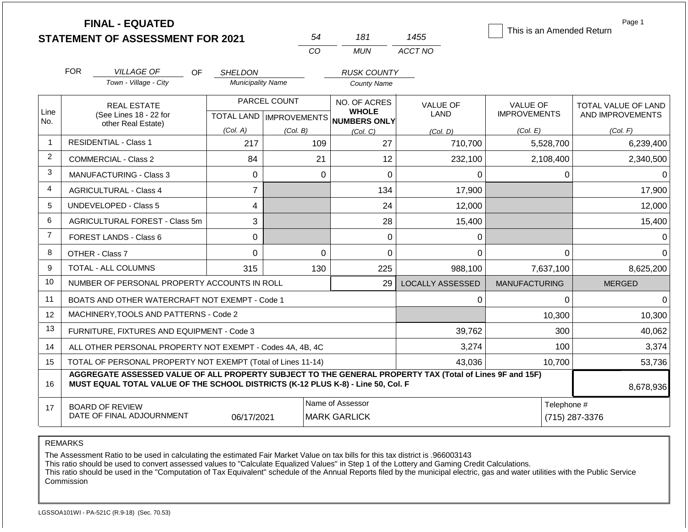|                |                                | <b>FINAL - EQUATED</b><br><b>STATEMENT OF ASSESSMENT FOR 2021</b>                                                                                                                            |                                            | 54              | 181                                      | 1455                           | This is an Amended Return              | Page 1                                  |
|----------------|--------------------------------|----------------------------------------------------------------------------------------------------------------------------------------------------------------------------------------------|--------------------------------------------|-----------------|------------------------------------------|--------------------------------|----------------------------------------|-----------------------------------------|
|                |                                |                                                                                                                                                                                              |                                            | CO              | <b>MUN</b>                               | ACCT NO                        |                                        |                                         |
|                | <b>FOR</b>                     |                                                                                                                                                                                              |                                            |                 |                                          |                                |                                        |                                         |
|                |                                | <b>VILLAGE OF</b><br>OF.<br>Town - Village - City                                                                                                                                            | <b>SHELDON</b><br><b>Municipality Name</b> |                 | <b>RUSK COUNTY</b><br><b>County Name</b> |                                |                                        |                                         |
| Line           |                                | <b>REAL ESTATE</b><br>(See Lines 18 - 22 for                                                                                                                                                 |                                            | PARCEL COUNT    | NO. OF ACRES<br><b>WHOLE</b>             | <b>VALUE OF</b><br><b>LAND</b> | <b>VALUE OF</b><br><b>IMPROVEMENTS</b> | TOTAL VALUE OF LAND<br>AND IMPROVEMENTS |
| No.            |                                | other Real Estate)                                                                                                                                                                           | (Col. A)                                   |                 | TOTAL LAND IMPROVEMENTS NUMBERS ONLY     |                                | (Col. E)                               | (Col. F)                                |
| $\mathbf 1$    |                                | <b>RESIDENTIAL - Class 1</b>                                                                                                                                                                 | 217                                        | (Col. B)<br>109 | (Col, C)<br>27                           | (Col, D)<br>710,700            | 5,528,700                              | 6,239,400                               |
| $\overline{2}$ |                                | <b>COMMERCIAL - Class 2</b>                                                                                                                                                                  | 84                                         | 21              | 12                                       | 232,100                        | 2,108,400                              | 2,340,500                               |
| 3              | <b>MANUFACTURING - Class 3</b> |                                                                                                                                                                                              |                                            | $\Omega$        | $\overline{0}$                           | $\Omega$                       | $\Omega$                               | 0                                       |
| 4              |                                | <b>AGRICULTURAL - Class 4</b>                                                                                                                                                                | $\Omega$<br>$\overline{7}$                 |                 | 134                                      | 17,900                         |                                        | 17,900                                  |
| 5              | <b>UNDEVELOPED - Class 5</b>   |                                                                                                                                                                                              | 4                                          |                 | 24                                       | 12,000                         |                                        | 12,000                                  |
| 6              |                                | AGRICULTURAL FOREST - Class 5m                                                                                                                                                               | 3                                          |                 | 28                                       | 15,400                         |                                        | 15,400                                  |
| $\overline{7}$ |                                | <b>FOREST LANDS - Class 6</b>                                                                                                                                                                | $\Omega$                                   |                 | 0                                        | $\Omega$                       |                                        | $\Omega$                                |
| 8              |                                | OTHER - Class 7                                                                                                                                                                              | 0                                          | $\mathbf 0$     | 0                                        | $\Omega$                       | $\Omega$                               | $\Omega$                                |
| 9              |                                | <b>TOTAL - ALL COLUMNS</b>                                                                                                                                                                   | 315                                        | 130             | 225                                      | 988,100                        | 7,637,100                              | 8,625,200                               |
| 10             |                                | NUMBER OF PERSONAL PROPERTY ACCOUNTS IN ROLL                                                                                                                                                 |                                            |                 | 29                                       | LOCALLY ASSESSED               | <b>MANUFACTURING</b>                   | <b>MERGED</b>                           |
| 11             |                                | BOATS AND OTHER WATERCRAFT NOT EXEMPT - Code 1                                                                                                                                               |                                            |                 |                                          | 0                              | $\Omega$                               | $\Omega$                                |
| 12             |                                | MACHINERY, TOOLS AND PATTERNS - Code 2                                                                                                                                                       |                                            |                 |                                          |                                | 10,300                                 | 10,300                                  |
| 13             |                                | FURNITURE, FIXTURES AND EQUIPMENT - Code 3                                                                                                                                                   |                                            |                 |                                          | 39,762                         | 300                                    | 40,062                                  |
| 14             |                                | ALL OTHER PERSONAL PROPERTY NOT EXEMPT - Codes 4A, 4B, 4C                                                                                                                                    |                                            |                 |                                          | 3,274                          | 100                                    | 3,374                                   |
| 15             |                                | TOTAL OF PERSONAL PROPERTY NOT EXEMPT (Total of Lines 11-14)                                                                                                                                 |                                            |                 |                                          | 43,036                         | 10,700                                 | 53,736                                  |
| 16             |                                | AGGREGATE ASSESSED VALUE OF ALL PROPERTY SUBJECT TO THE GENERAL PROPERTY TAX (Total of Lines 9F and 15F)<br>MUST EQUAL TOTAL VALUE OF THE SCHOOL DISTRICTS (K-12 PLUS K-8) - Line 50, Col. F |                                            |                 |                                          |                                |                                        | 8,678,936                               |
| 17             |                                | <b>BOARD OF REVIEW</b><br>DATE OF FINAL ADJOURNMENT                                                                                                                                          | 06/17/2021                                 |                 | Name of Assessor<br><b>MARK GARLICK</b>  |                                |                                        | Telephone #<br>(715) 287-3376           |

The Assessment Ratio to be used in calculating the estimated Fair Market Value on tax bills for this tax district is .966003143

This ratio should be used to convert assessed values to "Calculate Equalized Values" in Step 1 of the Lottery and Gaming Credit Calculations.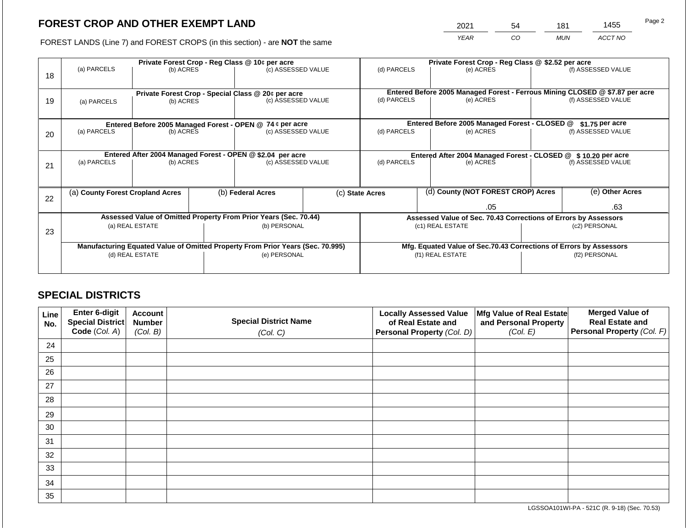2021 54 181 1455

FOREST LANDS (Line 7) and FOREST CROPS (in this section) - are **NOT** the same *YEAR CO MUN ACCT NO*

|    |                                  |                 |                                                           | Private Forest Crop - Reg Class @ 10¢ per acre                                 |  | Private Forest Crop - Reg Class @ \$2.52 per acre               |                                               |                                                                              |                                                                    |                    |
|----|----------------------------------|-----------------|-----------------------------------------------------------|--------------------------------------------------------------------------------|--|-----------------------------------------------------------------|-----------------------------------------------|------------------------------------------------------------------------------|--------------------------------------------------------------------|--------------------|
| 18 | (a) PARCELS                      | (b) ACRES       |                                                           | (c) ASSESSED VALUE                                                             |  | (d) PARCELS                                                     |                                               | (e) ACRES                                                                    |                                                                    | (f) ASSESSED VALUE |
|    |                                  |                 |                                                           |                                                                                |  |                                                                 |                                               |                                                                              |                                                                    |                    |
|    |                                  |                 |                                                           |                                                                                |  |                                                                 |                                               | Entered Before 2005 Managed Forest - Ferrous Mining CLOSED @ \$7.87 per acre |                                                                    |                    |
| 19 | (a) PARCELS                      | (b) ACRES       |                                                           | Private Forest Crop - Special Class @ 20¢ per acre<br>(c) ASSESSED VALUE       |  | (d) PARCELS                                                     |                                               | (e) ACRES                                                                    |                                                                    | (f) ASSESSED VALUE |
|    |                                  |                 |                                                           |                                                                                |  |                                                                 |                                               |                                                                              |                                                                    |                    |
|    |                                  |                 |                                                           |                                                                                |  |                                                                 |                                               |                                                                              |                                                                    |                    |
|    |                                  |                 | Entered Before 2005 Managed Forest - OPEN @ 74 ¢ per acre |                                                                                |  |                                                                 | Entered Before 2005 Managed Forest - CLOSED @ |                                                                              | $$1.75$ per acre                                                   |                    |
| 20 | (a) PARCELS<br>(b) ACRES         |                 |                                                           | (c) ASSESSED VALUE                                                             |  | (d) PARCELS                                                     |                                               | (e) ACRES                                                                    |                                                                    | (f) ASSESSED VALUE |
|    |                                  |                 |                                                           |                                                                                |  |                                                                 |                                               |                                                                              |                                                                    |                    |
|    |                                  |                 |                                                           | Entered After 2004 Managed Forest - OPEN @ \$2.04 per acre                     |  |                                                                 |                                               |                                                                              |                                                                    |                    |
|    | (a) PARCELS                      | (b) ACRES       |                                                           | (c) ASSESSED VALUE                                                             |  | (d) PARCELS                                                     |                                               | Entered After 2004 Managed Forest - CLOSED @ \$10.20 per acre<br>(e) ACRES   |                                                                    | (f) ASSESSED VALUE |
| 21 |                                  |                 |                                                           |                                                                                |  |                                                                 |                                               |                                                                              |                                                                    |                    |
|    |                                  |                 |                                                           |                                                                                |  |                                                                 |                                               |                                                                              |                                                                    |                    |
|    | (a) County Forest Cropland Acres |                 |                                                           | (b) Federal Acres                                                              |  | (c) State Acres                                                 |                                               | (d) County (NOT FOREST CROP) Acres                                           |                                                                    | (e) Other Acres    |
| 22 |                                  |                 |                                                           |                                                                                |  |                                                                 |                                               |                                                                              |                                                                    |                    |
|    |                                  |                 |                                                           |                                                                                |  | .05                                                             |                                               |                                                                              |                                                                    | .63                |
|    |                                  |                 |                                                           | Assessed Value of Omitted Property From Prior Years (Sec. 70.44)               |  | Assessed Value of Sec. 70.43 Corrections of Errors by Assessors |                                               |                                                                              |                                                                    |                    |
|    |                                  | (a) REAL ESTATE |                                                           | (b) PERSONAL                                                                   |  |                                                                 |                                               | (c1) REAL ESTATE                                                             | (c2) PERSONAL                                                      |                    |
| 23 |                                  |                 |                                                           |                                                                                |  |                                                                 |                                               |                                                                              |                                                                    |                    |
|    |                                  |                 |                                                           | Manufacturing Equated Value of Omitted Property From Prior Years (Sec. 70.995) |  |                                                                 |                                               |                                                                              | Mfg. Equated Value of Sec.70.43 Corrections of Errors by Assessors |                    |
|    |                                  | (d) REAL ESTATE |                                                           | (e) PERSONAL                                                                   |  |                                                                 |                                               | (f1) REAL ESTATE                                                             | (f2) PERSONAL                                                      |                    |
|    |                                  |                 |                                                           |                                                                                |  |                                                                 |                                               |                                                                              |                                                                    |                    |
|    |                                  |                 |                                                           |                                                                                |  |                                                                 |                                               |                                                                              |                                                                    |                    |

## **SPECIAL DISTRICTS**

| Line<br>No. | <b>Enter 6-digit</b><br>Special District | <b>Account</b><br><b>Number</b> | <b>Special District Name</b> | <b>Locally Assessed Value</b><br>of Real Estate and | Mfg Value of Real Estate<br>and Personal Property | <b>Merged Value of</b><br><b>Real Estate and</b> |
|-------------|------------------------------------------|---------------------------------|------------------------------|-----------------------------------------------------|---------------------------------------------------|--------------------------------------------------|
|             | Code (Col. A)                            | (Col. B)                        | (Col. C)                     | Personal Property (Col. D)                          | (Col. E)                                          | Personal Property (Col. F)                       |
| 24          |                                          |                                 |                              |                                                     |                                                   |                                                  |
| 25          |                                          |                                 |                              |                                                     |                                                   |                                                  |
| 26          |                                          |                                 |                              |                                                     |                                                   |                                                  |
| 27          |                                          |                                 |                              |                                                     |                                                   |                                                  |
| 28          |                                          |                                 |                              |                                                     |                                                   |                                                  |
| 29          |                                          |                                 |                              |                                                     |                                                   |                                                  |
| 30          |                                          |                                 |                              |                                                     |                                                   |                                                  |
| 31          |                                          |                                 |                              |                                                     |                                                   |                                                  |
| 32          |                                          |                                 |                              |                                                     |                                                   |                                                  |
| 33          |                                          |                                 |                              |                                                     |                                                   |                                                  |
| 34          |                                          |                                 |                              |                                                     |                                                   |                                                  |
| 35          |                                          |                                 |                              |                                                     |                                                   |                                                  |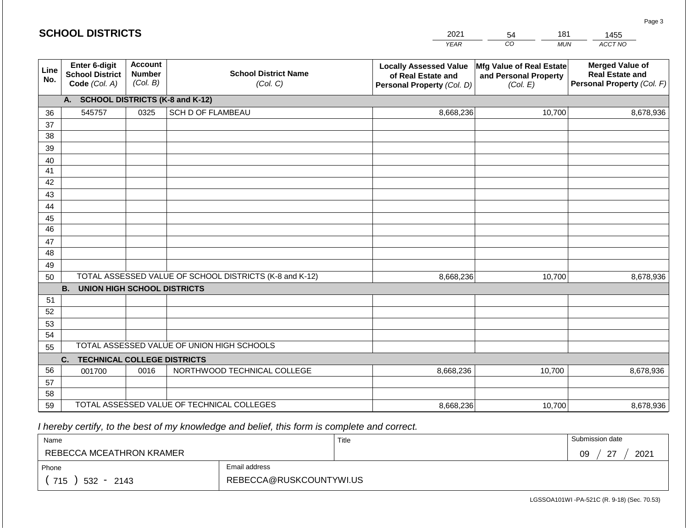|             | <b>SCHOOL DISTRICTS</b>                                  |                                             |                                                         | 2021                                                                              | 181<br>54                                                     | 1455                                                                           |
|-------------|----------------------------------------------------------|---------------------------------------------|---------------------------------------------------------|-----------------------------------------------------------------------------------|---------------------------------------------------------------|--------------------------------------------------------------------------------|
|             |                                                          |                                             |                                                         | <b>YEAR</b>                                                                       | CO<br><b>MUN</b>                                              | ACCT NO                                                                        |
| Line<br>No. | Enter 6-digit<br><b>School District</b><br>Code (Col. A) | <b>Account</b><br><b>Number</b><br>(Col. B) | <b>School District Name</b><br>(Col. C)                 | <b>Locally Assessed Value</b><br>of Real Estate and<br>Personal Property (Col. D) | Mfg Value of Real Estate<br>and Personal Property<br>(Col. E) | <b>Merged Value of</b><br><b>Real Estate and</b><br>Personal Property (Col. F) |
|             | A. SCHOOL DISTRICTS (K-8 and K-12)                       |                                             |                                                         |                                                                                   |                                                               |                                                                                |
| 36          | 545757                                                   | 0325                                        | SCH D OF FLAMBEAU                                       | 8,668,236                                                                         | 10,700                                                        | 8,678,936                                                                      |
| 37          |                                                          |                                             |                                                         |                                                                                   |                                                               |                                                                                |
| 38          |                                                          |                                             |                                                         |                                                                                   |                                                               |                                                                                |
| 39          |                                                          |                                             |                                                         |                                                                                   |                                                               |                                                                                |
| 40          |                                                          |                                             |                                                         |                                                                                   |                                                               |                                                                                |
| 41<br>42    |                                                          |                                             |                                                         |                                                                                   |                                                               |                                                                                |
| 43          |                                                          |                                             |                                                         |                                                                                   |                                                               |                                                                                |
| 44          |                                                          |                                             |                                                         |                                                                                   |                                                               |                                                                                |
| 45          |                                                          |                                             |                                                         |                                                                                   |                                                               |                                                                                |
| 46          |                                                          |                                             |                                                         |                                                                                   |                                                               |                                                                                |
| 47          |                                                          |                                             |                                                         |                                                                                   |                                                               |                                                                                |
| 48          |                                                          |                                             |                                                         |                                                                                   |                                                               |                                                                                |
| 49          |                                                          |                                             |                                                         |                                                                                   |                                                               |                                                                                |
| 50          |                                                          |                                             | TOTAL ASSESSED VALUE OF SCHOOL DISTRICTS (K-8 and K-12) | 8,668,236                                                                         | 10,700                                                        | 8,678,936                                                                      |
|             | <b>B. UNION HIGH SCHOOL DISTRICTS</b>                    |                                             |                                                         |                                                                                   |                                                               |                                                                                |
| 51          |                                                          |                                             |                                                         |                                                                                   |                                                               |                                                                                |
| 52          |                                                          |                                             |                                                         |                                                                                   |                                                               |                                                                                |
| 53          |                                                          |                                             |                                                         |                                                                                   |                                                               |                                                                                |
| 54<br>55    |                                                          |                                             | TOTAL ASSESSED VALUE OF UNION HIGH SCHOOLS              |                                                                                   |                                                               |                                                                                |
|             | <b>TECHNICAL COLLEGE DISTRICTS</b><br>C.                 |                                             |                                                         |                                                                                   |                                                               |                                                                                |
| 56          | 001700                                                   | 0016                                        | NORTHWOOD TECHNICAL COLLEGE                             | 8,668,236                                                                         | 10,700                                                        | 8,678,936                                                                      |
| 57          |                                                          |                                             |                                                         |                                                                                   |                                                               |                                                                                |
| 58          |                                                          |                                             |                                                         |                                                                                   |                                                               |                                                                                |
| 59          |                                                          |                                             | TOTAL ASSESSED VALUE OF TECHNICAL COLLEGES              | 8,668,236                                                                         | 10,700                                                        | 8,678,936                                                                      |

| Name                                           |                         | Title | Submission date      |
|------------------------------------------------|-------------------------|-------|----------------------|
| REBECCA MCEATHRON KRAMER                       |                         |       | $\sim$<br>2021<br>09 |
| Phone                                          | Email address           |       |                      |
| 715<br>532<br>2143<br>$\overline{\phantom{a}}$ | REBECCA@RUSKCOUNTYWI.US |       |                      |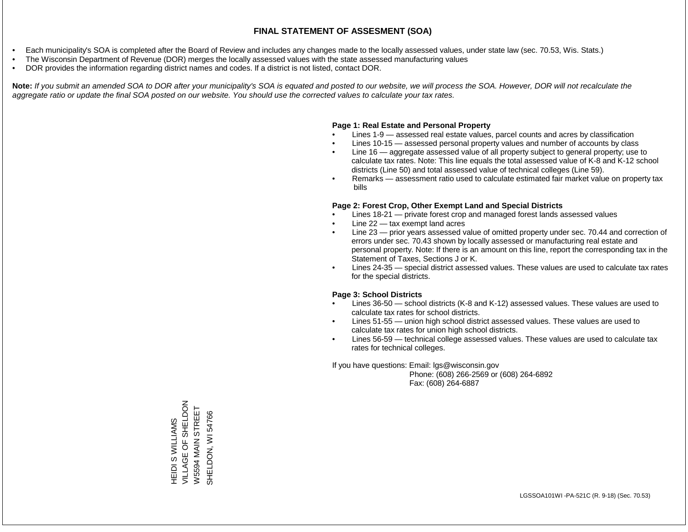- Each municipality's SOA is completed after the Board of Review and includes any changes made to the locally assessed values, under state law (sec. 70.53, Wis. Stats.)
- The Wisconsin Department of Revenue (DOR) merges the locally assessed values with the state assessed manufacturing values
- DOR provides the information regarding district names and codes. If a district is not listed, contact DOR.

Note: If you submit an amended SOA to DOR after your municipality's SOA is equated and posted to our website, we will process the SOA. However, DOR will not recalculate the *aggregate ratio or update the final SOA posted on our website. You should use the corrected values to calculate your tax rates.*

## **Page 1: Real Estate and Personal Property**

- Lines 1-9 assessed real estate values, parcel counts and acres by classification
- Lines 10-15 assessed personal property values and number of accounts by class
- Line 16 aggregate assessed value of all property subject to general property; use to calculate tax rates. Note: This line equals the total assessed value of K-8 and K-12 school districts (Line 50) and total assessed value of technical colleges (Line 59).
- Remarks assessment ratio used to calculate estimated fair market value on property tax bills

## **Page 2: Forest Crop, Other Exempt Land and Special Districts**

- Lines 18-21 private forest crop and managed forest lands assessed values
- Line  $22 -$  tax exempt land acres
- Line 23 prior years assessed value of omitted property under sec. 70.44 and correction of errors under sec. 70.43 shown by locally assessed or manufacturing real estate and personal property. Note: If there is an amount on this line, report the corresponding tax in the Statement of Taxes, Sections J or K.
- Lines 24-35 special district assessed values. These values are used to calculate tax rates for the special districts.

## **Page 3: School Districts**

- Lines 36-50 school districts (K-8 and K-12) assessed values. These values are used to calculate tax rates for school districts.
- Lines 51-55 union high school district assessed values. These values are used to calculate tax rates for union high school districts.
- Lines 56-59 technical college assessed values. These values are used to calculate tax rates for technical colleges.

If you have questions: Email: lgs@wisconsin.gov

 Phone: (608) 266-2569 or (608) 264-6892 Fax: (608) 264-6887

HEIDI S WILLIAMS<br>VILLAGE OF SHELDON<br>VILS594 MAIN STREET VILLAGE OF SHELDON W5594 MAIN STREET SHELDON, WI54766 SHELDON, WI 54766HEIDI S WILLIAMS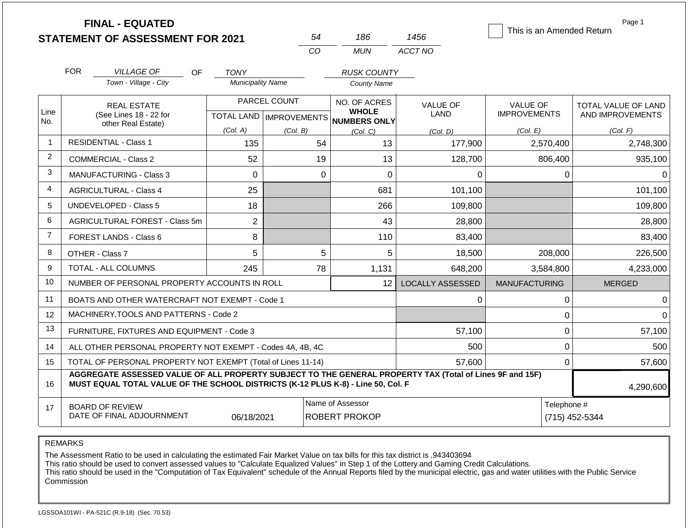|                |                                     | <b>FINAL - EQUATED</b><br><b>STATEMENT OF ASSESSMENT FOR 2021</b>                                                                                                                            |                          | 54                                        | 186                                                 | 1456                    | This is an Amended Return              | Page 1                                         |
|----------------|-------------------------------------|----------------------------------------------------------------------------------------------------------------------------------------------------------------------------------------------|--------------------------|-------------------------------------------|-----------------------------------------------------|-------------------------|----------------------------------------|------------------------------------------------|
|                |                                     |                                                                                                                                                                                              |                          | CO                                        | MUN                                                 | ACCT NO                 |                                        |                                                |
|                | <b>FOR</b>                          | <b>VILLAGE OF</b><br>OF.                                                                                                                                                                     | <b>TONY</b>              |                                           | <b>RUSK COUNTY</b>                                  |                         |                                        |                                                |
|                |                                     | Town - Village - City                                                                                                                                                                        | <b>Municipality Name</b> |                                           | <b>County Name</b>                                  |                         |                                        |                                                |
| Line<br>No.    |                                     | <b>REAL ESTATE</b><br>(See Lines 18 - 22 for                                                                                                                                                 |                          | PARCEL COUNT<br>TOTAL LAND   IMPROVEMENTS | NO. OF ACRES<br><b>WHOLE</b><br><b>NUMBERS ONLY</b> | <b>VALUE OF</b><br>LAND | <b>VALUE OF</b><br><b>IMPROVEMENTS</b> | <b>TOTAL VALUE OF LAND</b><br>AND IMPROVEMENTS |
|                | other Real Estate)                  |                                                                                                                                                                                              | (Col. A)                 | (Col. B)                                  | (Col, C)                                            | (Col. D)                | (Col. E)                               | (Col. F)                                       |
| $\mathbf 1$    |                                     | <b>RESIDENTIAL - Class 1</b>                                                                                                                                                                 | 135                      | 54                                        | 13                                                  | 177,900                 | 2,570,400                              | 2,748,300                                      |
| $\overline{2}$ | <b>COMMERCIAL - Class 2</b>         |                                                                                                                                                                                              | 52                       | 19                                        | 13                                                  | 128,700                 | 806,400                                | 935,100                                        |
| 3              | <b>MANUFACTURING - Class 3</b>      |                                                                                                                                                                                              | $\Omega$                 |                                           | $\Omega$<br>$\overline{0}$                          | $\Omega$                | $\Omega$                               | $\Omega$                                       |
| 4              | 25<br><b>AGRICULTURAL - Class 4</b> |                                                                                                                                                                                              |                          | 681                                       | 101,100                                             |                         | 101,100                                |                                                |
| 5              |                                     | <b>UNDEVELOPED - Class 5</b>                                                                                                                                                                 | 18                       |                                           | 266                                                 | 109,800                 |                                        | 109,800                                        |
| 6              |                                     | AGRICULTURAL FOREST - Class 5m                                                                                                                                                               | $\overline{c}$           |                                           | 43                                                  | 28,800                  |                                        | 28,800                                         |
| $\overline{7}$ |                                     | <b>FOREST LANDS - Class 6</b>                                                                                                                                                                | 8                        |                                           | 110                                                 | 83,400                  |                                        | 83,400                                         |
| 8              |                                     | OTHER - Class 7                                                                                                                                                                              | 5                        |                                           | 5<br>5                                              | 18,500                  | 208,000                                | 226,500                                        |
| 9              |                                     | <b>TOTAL - ALL COLUMNS</b>                                                                                                                                                                   | 245                      | 78                                        | 1,131                                               | 648,200                 | 3,584,800                              | 4,233,000                                      |
| 10             |                                     | NUMBER OF PERSONAL PROPERTY ACCOUNTS IN ROLL                                                                                                                                                 |                          |                                           | 12 <sup>1</sup>                                     | LOCALLY ASSESSED        | <b>MANUFACTURING</b>                   | <b>MERGED</b>                                  |
| 11             |                                     | BOATS AND OTHER WATERCRAFT NOT EXEMPT - Code 1                                                                                                                                               |                          |                                           |                                                     | 0                       | 0                                      | $\Omega$                                       |
| 12             |                                     | MACHINERY, TOOLS AND PATTERNS - Code 2                                                                                                                                                       |                          |                                           |                                                     |                         | $\mathbf 0$                            | $\Omega$                                       |
| 13             |                                     | FURNITURE, FIXTURES AND EQUIPMENT - Code 3                                                                                                                                                   |                          |                                           |                                                     | 57,100                  | $\mathbf 0$                            | 57,100                                         |
| 14             |                                     | ALL OTHER PERSONAL PROPERTY NOT EXEMPT - Codes 4A, 4B, 4C                                                                                                                                    |                          |                                           |                                                     | 500                     | $\mathbf 0$                            | 500                                            |
| 15             |                                     | TOTAL OF PERSONAL PROPERTY NOT EXEMPT (Total of Lines 11-14)                                                                                                                                 |                          |                                           |                                                     | 57,600                  | $\mathbf 0$                            | 57,600                                         |
| 16             |                                     | AGGREGATE ASSESSED VALUE OF ALL PROPERTY SUBJECT TO THE GENERAL PROPERTY TAX (Total of Lines 9F and 15F)<br>MUST EQUAL TOTAL VALUE OF THE SCHOOL DISTRICTS (K-12 PLUS K-8) - Line 50, Col. F |                          |                                           |                                                     |                         |                                        | 4,290,600                                      |
| 17             |                                     | <b>BOARD OF REVIEW</b><br>DATE OF FINAL ADJOURNMENT                                                                                                                                          | Telephone #              | (715) 452-5344                            |                                                     |                         |                                        |                                                |

The Assessment Ratio to be used in calculating the estimated Fair Market Value on tax bills for this tax district is .943403694

This ratio should be used to convert assessed values to "Calculate Equalized Values" in Step 1 of the Lottery and Gaming Credit Calculations.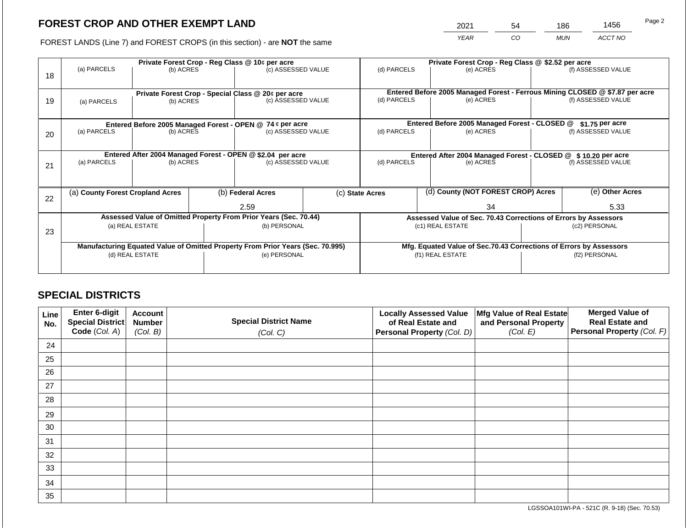2021 54 186 1456

FOREST LANDS (Line 7) and FOREST CROPS (in this section) - are **NOT** the same *YEAR CO MUN ACCT NO*

|    |                                                            |                                  |                                                               | Private Forest Crop - Reg Class @ 10¢ per acre                                 |                   | Private Forest Crop - Reg Class @ \$2.52 per acre                            |                                                       |                                                                    |               |                    |
|----|------------------------------------------------------------|----------------------------------|---------------------------------------------------------------|--------------------------------------------------------------------------------|-------------------|------------------------------------------------------------------------------|-------------------------------------------------------|--------------------------------------------------------------------|---------------|--------------------|
| 18 | (a) PARCELS                                                | (b) ACRES                        |                                                               | (c) ASSESSED VALUE                                                             |                   | (d) PARCELS                                                                  |                                                       | (e) ACRES                                                          |               | (f) ASSESSED VALUE |
|    |                                                            |                                  |                                                               | Private Forest Crop - Special Class @ 20¢ per acre                             |                   | Entered Before 2005 Managed Forest - Ferrous Mining CLOSED @ \$7.87 per acre |                                                       |                                                                    |               |                    |
| 19 | (a) PARCELS                                                | (b) ACRES                        |                                                               | (c) ASSESSED VALUE                                                             |                   | (d) PARCELS                                                                  |                                                       | (e) ACRES                                                          |               | (f) ASSESSED VALUE |
|    |                                                            |                                  |                                                               |                                                                                |                   |                                                                              |                                                       |                                                                    |               |                    |
|    |                                                            |                                  |                                                               | Entered Before 2005 Managed Forest - OPEN @ 74 ¢ per acre                      |                   |                                                                              |                                                       | Entered Before 2005 Managed Forest - CLOSED @                      |               | $$1.75$ per acre   |
| 20 | (a) PARCELS                                                | (b) ACRES                        |                                                               | (c) ASSESSED VALUE                                                             |                   | (d) PARCELS                                                                  |                                                       | (e) ACRES                                                          |               | (f) ASSESSED VALUE |
|    |                                                            |                                  |                                                               |                                                                                |                   |                                                                              |                                                       |                                                                    |               |                    |
|    | Entered After 2004 Managed Forest - OPEN @ \$2.04 per acre |                                  | Entered After 2004 Managed Forest - CLOSED @ \$10.20 per acre |                                                                                |                   |                                                                              |                                                       |                                                                    |               |                    |
| 21 | (a) PARCELS                                                | (b) ACRES                        |                                                               | (c) ASSESSED VALUE                                                             |                   | (d) PARCELS                                                                  |                                                       | (e) ACRES                                                          |               | (f) ASSESSED VALUE |
|    |                                                            |                                  |                                                               |                                                                                |                   |                                                                              |                                                       |                                                                    |               |                    |
|    |                                                            | (a) County Forest Cropland Acres |                                                               |                                                                                | (b) Federal Acres |                                                                              | (d) County (NOT FOREST CROP) Acres<br>(c) State Acres |                                                                    |               | (e) Other Acres    |
| 22 |                                                            |                                  |                                                               | 2.59                                                                           |                   | 34                                                                           |                                                       |                                                                    | 5.33          |                    |
|    |                                                            |                                  |                                                               | Assessed Value of Omitted Property From Prior Years (Sec. 70.44)               |                   |                                                                              |                                                       | Assessed Value of Sec. 70.43 Corrections of Errors by Assessors    |               |                    |
| 23 |                                                            | (a) REAL ESTATE                  |                                                               | (b) PERSONAL                                                                   |                   |                                                                              |                                                       | (c1) REAL ESTATE                                                   | (c2) PERSONAL |                    |
|    |                                                            |                                  |                                                               |                                                                                |                   |                                                                              |                                                       |                                                                    |               |                    |
|    |                                                            |                                  |                                                               | Manufacturing Equated Value of Omitted Property From Prior Years (Sec. 70.995) |                   |                                                                              |                                                       | Mfg. Equated Value of Sec.70.43 Corrections of Errors by Assessors |               |                    |
|    |                                                            | (d) REAL ESTATE                  |                                                               | (e) PERSONAL                                                                   |                   | (f1) REAL ESTATE                                                             |                                                       |                                                                    | (f2) PERSONAL |                    |
|    |                                                            |                                  |                                                               |                                                                                |                   |                                                                              |                                                       |                                                                    |               |                    |

## **SPECIAL DISTRICTS**

| Line<br>No. | Enter 6-digit<br>Special District | <b>Account</b><br><b>Number</b> | <b>Special District Name</b> | <b>Locally Assessed Value</b><br>of Real Estate and | Mfg Value of Real Estate<br>and Personal Property | <b>Merged Value of</b><br><b>Real Estate and</b> |
|-------------|-----------------------------------|---------------------------------|------------------------------|-----------------------------------------------------|---------------------------------------------------|--------------------------------------------------|
|             | Code (Col. A)                     | (Col. B)                        | (Col. C)                     | Personal Property (Col. D)                          | (Col. E)                                          | Personal Property (Col. F)                       |
| 24          |                                   |                                 |                              |                                                     |                                                   |                                                  |
| 25          |                                   |                                 |                              |                                                     |                                                   |                                                  |
| 26          |                                   |                                 |                              |                                                     |                                                   |                                                  |
| 27          |                                   |                                 |                              |                                                     |                                                   |                                                  |
| 28          |                                   |                                 |                              |                                                     |                                                   |                                                  |
| 29          |                                   |                                 |                              |                                                     |                                                   |                                                  |
| 30          |                                   |                                 |                              |                                                     |                                                   |                                                  |
| 31          |                                   |                                 |                              |                                                     |                                                   |                                                  |
| 32          |                                   |                                 |                              |                                                     |                                                   |                                                  |
| 33          |                                   |                                 |                              |                                                     |                                                   |                                                  |
| 34          |                                   |                                 |                              |                                                     |                                                   |                                                  |
| 35          |                                   |                                 |                              |                                                     |                                                   |                                                  |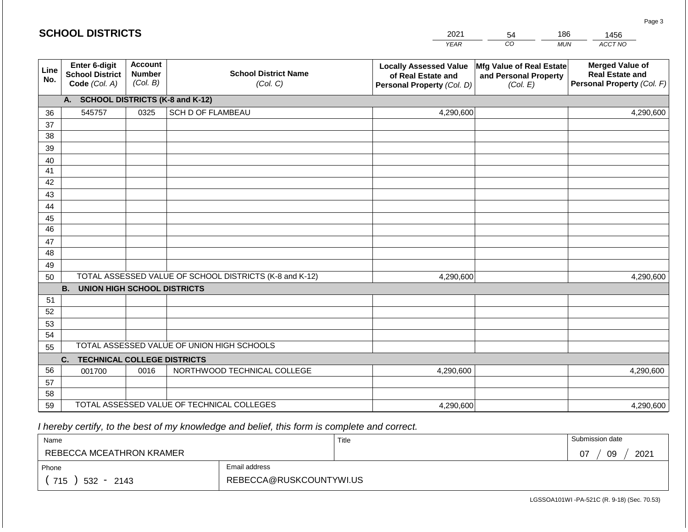|                 | <b>SCHOOL DISTRICTS</b>                                         |                                             |                                                         | 2021                                                                              | 54                                                            | 186        | 1456                                                                           |
|-----------------|-----------------------------------------------------------------|---------------------------------------------|---------------------------------------------------------|-----------------------------------------------------------------------------------|---------------------------------------------------------------|------------|--------------------------------------------------------------------------------|
|                 |                                                                 |                                             |                                                         | <b>YEAR</b>                                                                       | CO                                                            | <b>MUN</b> | ACCT NO                                                                        |
| Line<br>No.     | <b>Enter 6-digit</b><br><b>School District</b><br>Code (Col. A) | <b>Account</b><br><b>Number</b><br>(Col. B) | <b>School District Name</b><br>(Col. C)                 | <b>Locally Assessed Value</b><br>of Real Estate and<br>Personal Property (Col. D) | Mfg Value of Real Estate<br>and Personal Property<br>(Col. E) |            | <b>Merged Value of</b><br><b>Real Estate and</b><br>Personal Property (Col. F) |
|                 | A. SCHOOL DISTRICTS (K-8 and K-12)                              |                                             |                                                         |                                                                                   |                                                               |            |                                                                                |
| 36              | 545757                                                          | 0325                                        | SCH D OF FLAMBEAU                                       | 4,290,600                                                                         |                                                               |            | 4,290,600                                                                      |
| 37              |                                                                 |                                             |                                                         |                                                                                   |                                                               |            |                                                                                |
| 38              |                                                                 |                                             |                                                         |                                                                                   |                                                               |            |                                                                                |
| 39              |                                                                 |                                             |                                                         |                                                                                   |                                                               |            |                                                                                |
| 40              |                                                                 |                                             |                                                         |                                                                                   |                                                               |            |                                                                                |
| 41              |                                                                 |                                             |                                                         |                                                                                   |                                                               |            |                                                                                |
| 42              |                                                                 |                                             |                                                         |                                                                                   |                                                               |            |                                                                                |
| 43              |                                                                 |                                             |                                                         |                                                                                   |                                                               |            |                                                                                |
| 44<br>45        |                                                                 |                                             |                                                         |                                                                                   |                                                               |            |                                                                                |
| $\overline{46}$ |                                                                 |                                             |                                                         |                                                                                   |                                                               |            |                                                                                |
| 47              |                                                                 |                                             |                                                         |                                                                                   |                                                               |            |                                                                                |
| 48              |                                                                 |                                             |                                                         |                                                                                   |                                                               |            |                                                                                |
| 49              |                                                                 |                                             |                                                         |                                                                                   |                                                               |            |                                                                                |
| 50              |                                                                 |                                             | TOTAL ASSESSED VALUE OF SCHOOL DISTRICTS (K-8 and K-12) | 4,290,600                                                                         |                                                               |            | 4,290,600                                                                      |
|                 | <b>B.</b><br><b>UNION HIGH SCHOOL DISTRICTS</b>                 |                                             |                                                         |                                                                                   |                                                               |            |                                                                                |
| 51              |                                                                 |                                             |                                                         |                                                                                   |                                                               |            |                                                                                |
| 52              |                                                                 |                                             |                                                         |                                                                                   |                                                               |            |                                                                                |
| 53              |                                                                 |                                             |                                                         |                                                                                   |                                                               |            |                                                                                |
| 54              |                                                                 |                                             |                                                         |                                                                                   |                                                               |            |                                                                                |
| 55              |                                                                 |                                             | TOTAL ASSESSED VALUE OF UNION HIGH SCHOOLS              |                                                                                   |                                                               |            |                                                                                |
|                 | C.<br><b>TECHNICAL COLLEGE DISTRICTS</b>                        |                                             |                                                         |                                                                                   |                                                               |            |                                                                                |
| 56              | 001700                                                          | 0016                                        | NORTHWOOD TECHNICAL COLLEGE                             | 4,290,600                                                                         |                                                               |            | 4,290,600                                                                      |
| 57<br>58        |                                                                 |                                             |                                                         |                                                                                   |                                                               |            |                                                                                |
| 59              |                                                                 |                                             | TOTAL ASSESSED VALUE OF TECHNICAL COLLEGES              | 4,290,600                                                                         |                                                               |            | 4,290,600                                                                      |
|                 |                                                                 |                                             |                                                         |                                                                                   |                                                               |            |                                                                                |

**SCHOOL DISTRICTS**

| Name                     |                         | Title | Submission date  |
|--------------------------|-------------------------|-------|------------------|
| REBECCA MCEATHRON KRAMER |                         |       | 09<br>2021<br>07 |
| Phone                    | Email address           |       |                  |
| 715<br>$532 -$<br>2143   | REBECCA@RUSKCOUNTYWI.US |       |                  |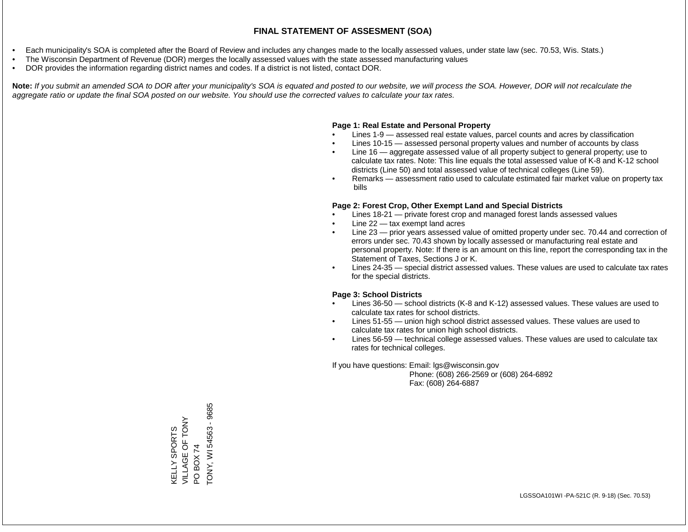- Each municipality's SOA is completed after the Board of Review and includes any changes made to the locally assessed values, under state law (sec. 70.53, Wis. Stats.)
- The Wisconsin Department of Revenue (DOR) merges the locally assessed values with the state assessed manufacturing values
- DOR provides the information regarding district names and codes. If a district is not listed, contact DOR.

Note: If you submit an amended SOA to DOR after your municipality's SOA is equated and posted to our website, we will process the SOA. However, DOR will not recalculate the *aggregate ratio or update the final SOA posted on our website. You should use the corrected values to calculate your tax rates.*

#### **Page 1: Real Estate and Personal Property**

- Lines 1-9 assessed real estate values, parcel counts and acres by classification
- Lines 10-15 assessed personal property values and number of accounts by class
- Line 16 aggregate assessed value of all property subject to general property; use to calculate tax rates. Note: This line equals the total assessed value of K-8 and K-12 school districts (Line 50) and total assessed value of technical colleges (Line 59).
- Remarks assessment ratio used to calculate estimated fair market value on property tax bills

#### **Page 2: Forest Crop, Other Exempt Land and Special Districts**

- Lines 18-21 private forest crop and managed forest lands assessed values
- Line  $22 -$  tax exempt land acres
- Line 23 prior years assessed value of omitted property under sec. 70.44 and correction of errors under sec. 70.43 shown by locally assessed or manufacturing real estate and personal property. Note: If there is an amount on this line, report the corresponding tax in the Statement of Taxes, Sections J or K.
- Lines 24-35 special district assessed values. These values are used to calculate tax rates for the special districts.

#### **Page 3: School Districts**

- Lines 36-50 school districts (K-8 and K-12) assessed values. These values are used to calculate tax rates for school districts.
- Lines 51-55 union high school district assessed values. These values are used to calculate tax rates for union high school districts.
- Lines 56-59 technical college assessed values. These values are used to calculate tax rates for technical colleges.

If you have questions: Email: lgs@wisconsin.gov

 Phone: (608) 266-2569 or (608) 264-6892 Fax: (608) 264-6887

PO BOX 74<br>TONY, WI 54563 - 9685 TONY, WI 54563 - 9685VILLAGE OF TONY VILLAGE OF TONY **KELLY SPORTS** KELLY SPORTS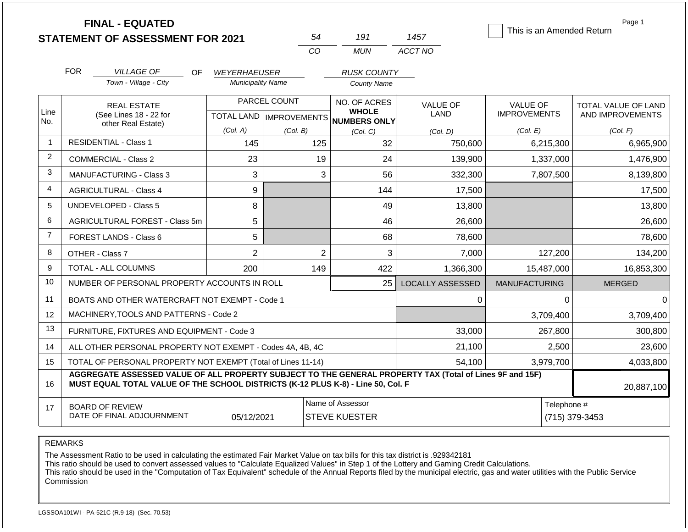|                |                                | <b>FINAL - EQUATED</b><br><b>STATEMENT OF ASSESSMENT FOR 2021</b>                                                                                                                            |                          | 54           | 191                                                                      | 1457                           | This is an Amended Return              | Page 1                                  |
|----------------|--------------------------------|----------------------------------------------------------------------------------------------------------------------------------------------------------------------------------------------|--------------------------|--------------|--------------------------------------------------------------------------|--------------------------------|----------------------------------------|-----------------------------------------|
|                |                                |                                                                                                                                                                                              |                          | CO.          | <b>MUN</b>                                                               | ACCT NO                        |                                        |                                         |
|                | <b>FOR</b>                     | <b>VILLAGE OF</b><br>OF.                                                                                                                                                                     | <b>WEYERHAEUSER</b>      |              | <b>RUSK COUNTY</b>                                                       |                                |                                        |                                         |
|                |                                | Town - Village - City                                                                                                                                                                        | <b>Municipality Name</b> |              | <b>County Name</b>                                                       |                                |                                        |                                         |
| Line           |                                | <b>REAL ESTATE</b><br>(See Lines 18 - 22 for                                                                                                                                                 |                          | PARCEL COUNT | NO. OF ACRES<br><b>WHOLE</b><br>TOTAL LAND   IMPROVEMENTS   NUMBERS ONLY | <b>VALUE OF</b><br><b>LAND</b> | <b>VALUE OF</b><br><b>IMPROVEMENTS</b> | TOTAL VALUE OF LAND<br>AND IMPROVEMENTS |
| No.            | other Real Estate)             |                                                                                                                                                                                              | (Col. A)                 | (Col. B)     | (Col, C)                                                                 | (Col, D)                       | (Col. E)                               | (Col. F)                                |
| $\mathbf{1}$   |                                | <b>RESIDENTIAL - Class 1</b>                                                                                                                                                                 | 145                      | 125          | 32                                                                       | 750,600                        | 6,215,300                              | 6,965,900                               |
| 2              | <b>COMMERCIAL - Class 2</b>    |                                                                                                                                                                                              | 23                       | 19           | 24                                                                       | 139,900                        | 1,337,000                              | 1,476,900                               |
| 3              | <b>MANUFACTURING - Class 3</b> |                                                                                                                                                                                              | 3                        |              | 3<br>56                                                                  | 332,300                        | 7,807,500                              | 8,139,800                               |
| 4              | <b>AGRICULTURAL - Class 4</b>  |                                                                                                                                                                                              | 9                        |              | 144                                                                      | 17,500                         |                                        | 17,500                                  |
| 5              |                                | <b>UNDEVELOPED - Class 5</b>                                                                                                                                                                 | 8                        |              | 49                                                                       | 13,800                         |                                        | 13,800                                  |
| 6              |                                | AGRICULTURAL FOREST - Class 5m                                                                                                                                                               | 5                        |              | 46                                                                       | 26,600                         |                                        | 26,600                                  |
| $\overline{7}$ |                                | FOREST LANDS - Class 6                                                                                                                                                                       | 5                        |              | 68                                                                       | 78,600                         |                                        | 78,600                                  |
| 8              |                                | OTHER - Class 7                                                                                                                                                                              | $\overline{2}$           |              | $\overline{2}$<br>3                                                      | 7,000                          | 127,200                                | 134,200                                 |
| 9              |                                | TOTAL - ALL COLUMNS                                                                                                                                                                          | 200                      | 149          | 422                                                                      | 1,366,300                      | 15,487,000                             | 16,853,300                              |
| 10             |                                | NUMBER OF PERSONAL PROPERTY ACCOUNTS IN ROLL                                                                                                                                                 |                          |              | 25                                                                       | <b>LOCALLY ASSESSED</b>        | <b>MANUFACTURING</b>                   | <b>MERGED</b>                           |
| 11             |                                | BOATS AND OTHER WATERCRAFT NOT EXEMPT - Code 1                                                                                                                                               |                          |              |                                                                          | 0                              | $\Omega$                               | $\Omega$                                |
| 12             |                                | MACHINERY, TOOLS AND PATTERNS - Code 2                                                                                                                                                       |                          |              |                                                                          |                                | 3,709,400                              | 3,709,400                               |
| 13             |                                | FURNITURE, FIXTURES AND EQUIPMENT - Code 3                                                                                                                                                   |                          |              |                                                                          | 33,000                         | 267,800                                | 300,800                                 |
| 14             |                                | ALL OTHER PERSONAL PROPERTY NOT EXEMPT - Codes 4A, 4B, 4C                                                                                                                                    |                          |              |                                                                          | 21,100                         | 2,500                                  | 23,600                                  |
| 15             |                                | TOTAL OF PERSONAL PROPERTY NOT EXEMPT (Total of Lines 11-14)                                                                                                                                 |                          |              |                                                                          | 54,100                         | 3,979,700                              | 4,033,800                               |
| 16             |                                | AGGREGATE ASSESSED VALUE OF ALL PROPERTY SUBJECT TO THE GENERAL PROPERTY TAX (Total of Lines 9F and 15F)<br>MUST EQUAL TOTAL VALUE OF THE SCHOOL DISTRICTS (K-12 PLUS K-8) - Line 50, Col. F |                          |              |                                                                          |                                |                                        | 20,887,100                              |
| 17             |                                | <b>BOARD OF REVIEW</b><br>DATE OF FINAL ADJOURNMENT                                                                                                                                          | 05/12/2021               |              | Telephone #                                                              | (715) 379-3453                 |                                        |                                         |

The Assessment Ratio to be used in calculating the estimated Fair Market Value on tax bills for this tax district is .929342181

This ratio should be used to convert assessed values to "Calculate Equalized Values" in Step 1 of the Lottery and Gaming Credit Calculations.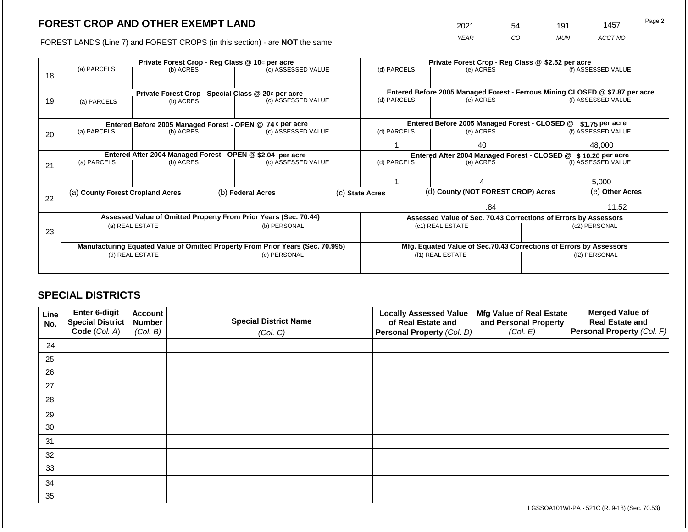2021 54 191 1457

FOREST LANDS (Line 7) and FOREST CROPS (in this section) - are **NOT** the same *YEAR CO MUN ACCT NO*

|    |                                                |                                                                                               |                                                           | Private Forest Crop - Reg Class @ 10¢ per acre                                 |           | Private Forest Crop - Reg Class @ \$2.52 per acre     |                                               |                                                                              |                 |                    |
|----|------------------------------------------------|-----------------------------------------------------------------------------------------------|-----------------------------------------------------------|--------------------------------------------------------------------------------|-----------|-------------------------------------------------------|-----------------------------------------------|------------------------------------------------------------------------------|-----------------|--------------------|
|    | (a) PARCELS                                    | (b) ACRES                                                                                     |                                                           | (c) ASSESSED VALUE                                                             |           | (d) PARCELS                                           |                                               | (e) ACRES                                                                    |                 | (f) ASSESSED VALUE |
| 18 |                                                |                                                                                               |                                                           |                                                                                |           |                                                       |                                               |                                                                              |                 |                    |
|    |                                                |                                                                                               |                                                           |                                                                                |           |                                                       |                                               | Entered Before 2005 Managed Forest - Ferrous Mining CLOSED @ \$7.87 per acre |                 |                    |
| 19 | (a) PARCELS                                    | (b) ACRES                                                                                     |                                                           | Private Forest Crop - Special Class @ 20¢ per acre<br>(c) ASSESSED VALUE       |           | (d) PARCELS                                           |                                               | (e) ACRES                                                                    |                 | (f) ASSESSED VALUE |
|    |                                                |                                                                                               |                                                           |                                                                                |           |                                                       |                                               |                                                                              |                 |                    |
|    |                                                |                                                                                               |                                                           |                                                                                |           |                                                       |                                               |                                                                              |                 |                    |
|    |                                                |                                                                                               | Entered Before 2005 Managed Forest - OPEN @ 74 ¢ per acre |                                                                                |           |                                                       | Entered Before 2005 Managed Forest - CLOSED @ |                                                                              | \$1.75 per acre |                    |
| 20 | (a) PARCELS<br>(b) ACRES<br>(c) ASSESSED VALUE |                                                                                               | (d) PARCELS                                               |                                                                                | (e) ACRES |                                                       | (f) ASSESSED VALUE                            |                                                                              |                 |                    |
|    |                                                |                                                                                               |                                                           |                                                                                |           | 40                                                    |                                               | 48.000                                                                       |                 |                    |
|    |                                                |                                                                                               |                                                           |                                                                                |           |                                                       |                                               | Entered After 2004 Managed Forest - CLOSED @ \$10.20 per acre                |                 |                    |
|    | (a) PARCELS                                    | Entered After 2004 Managed Forest - OPEN @ \$2.04 per acre<br>(c) ASSESSED VALUE<br>(b) ACRES |                                                           | (d) PARCELS<br>(e) ACRES                                                       |           |                                                       |                                               | (f) ASSESSED VALUE                                                           |                 |                    |
| 21 |                                                |                                                                                               |                                                           |                                                                                |           |                                                       |                                               |                                                                              |                 |                    |
|    |                                                |                                                                                               |                                                           |                                                                                |           |                                                       |                                               |                                                                              |                 |                    |
|    |                                                |                                                                                               |                                                           |                                                                                |           |                                                       |                                               |                                                                              | 5,000           |                    |
|    | (a) County Forest Cropland Acres               |                                                                                               |                                                           | (b) Federal Acres                                                              |           | (d) County (NOT FOREST CROP) Acres<br>(c) State Acres |                                               |                                                                              |                 | (e) Other Acres    |
| 22 |                                                |                                                                                               |                                                           |                                                                                |           |                                                       |                                               |                                                                              |                 |                    |
|    |                                                |                                                                                               |                                                           |                                                                                |           |                                                       |                                               | .84                                                                          |                 | 11.52              |
|    |                                                |                                                                                               |                                                           | Assessed Value of Omitted Property From Prior Years (Sec. 70.44)               |           |                                                       |                                               | Assessed Value of Sec. 70.43 Corrections of Errors by Assessors              |                 |                    |
|    |                                                | (a) REAL ESTATE                                                                               |                                                           | (b) PERSONAL                                                                   |           |                                                       |                                               | (c1) REAL ESTATE                                                             |                 | (c2) PERSONAL      |
| 23 |                                                |                                                                                               |                                                           |                                                                                |           |                                                       |                                               |                                                                              |                 |                    |
|    |                                                |                                                                                               |                                                           | Manufacturing Equated Value of Omitted Property From Prior Years (Sec. 70.995) |           |                                                       |                                               | Mfg. Equated Value of Sec.70.43 Corrections of Errors by Assessors           |                 |                    |
|    |                                                | (d) REAL ESTATE                                                                               |                                                           | (e) PERSONAL                                                                   |           |                                                       |                                               | (f1) REAL ESTATE                                                             | (f2) PERSONAL   |                    |
|    |                                                |                                                                                               |                                                           |                                                                                |           |                                                       |                                               |                                                                              |                 |                    |
|    |                                                |                                                                                               |                                                           |                                                                                |           |                                                       |                                               |                                                                              |                 |                    |

## **SPECIAL DISTRICTS**

| Line<br>No. | Enter 6-digit<br>Special District<br>Code (Col. A) | <b>Account</b><br><b>Number</b><br>(Col. B) | <b>Special District Name</b><br>(Col. C) | <b>Locally Assessed Value</b><br>of Real Estate and<br><b>Personal Property (Col. D)</b> | Mfg Value of Real Estate<br>and Personal Property<br>(Col. E) | <b>Merged Value of</b><br><b>Real Estate and</b><br>Personal Property (Col. F) |
|-------------|----------------------------------------------------|---------------------------------------------|------------------------------------------|------------------------------------------------------------------------------------------|---------------------------------------------------------------|--------------------------------------------------------------------------------|
| 24          |                                                    |                                             |                                          |                                                                                          |                                                               |                                                                                |
| 25          |                                                    |                                             |                                          |                                                                                          |                                                               |                                                                                |
| 26          |                                                    |                                             |                                          |                                                                                          |                                                               |                                                                                |
| 27          |                                                    |                                             |                                          |                                                                                          |                                                               |                                                                                |
| 28          |                                                    |                                             |                                          |                                                                                          |                                                               |                                                                                |
| 29          |                                                    |                                             |                                          |                                                                                          |                                                               |                                                                                |
| 30          |                                                    |                                             |                                          |                                                                                          |                                                               |                                                                                |
| 31          |                                                    |                                             |                                          |                                                                                          |                                                               |                                                                                |
| 32          |                                                    |                                             |                                          |                                                                                          |                                                               |                                                                                |
| 33          |                                                    |                                             |                                          |                                                                                          |                                                               |                                                                                |
| 34          |                                                    |                                             |                                          |                                                                                          |                                                               |                                                                                |
| 35          |                                                    |                                             |                                          |                                                                                          |                                                               |                                                                                |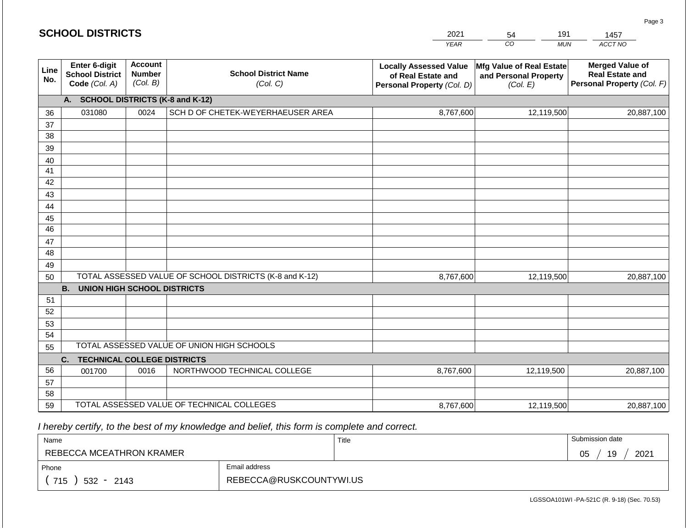|             | <b>SCHOOL DISTRICTS</b>                                  |                                             |                                                         | 2021<br><b>YEAR</b>                                                               | 191<br>54<br>CO<br><b>MUN</b>                                 | 1457<br>ACCT NO                                                                |
|-------------|----------------------------------------------------------|---------------------------------------------|---------------------------------------------------------|-----------------------------------------------------------------------------------|---------------------------------------------------------------|--------------------------------------------------------------------------------|
| Line<br>No. | Enter 6-digit<br><b>School District</b><br>Code (Col. A) | <b>Account</b><br><b>Number</b><br>(Col. B) | <b>School District Name</b><br>(Col. C)                 | <b>Locally Assessed Value</b><br>of Real Estate and<br>Personal Property (Col. D) | Mfg Value of Real Estate<br>and Personal Property<br>(Col. E) | <b>Merged Value of</b><br><b>Real Estate and</b><br>Personal Property (Col. F) |
|             | A.                                                       |                                             | <b>SCHOOL DISTRICTS (K-8 and K-12)</b>                  |                                                                                   |                                                               |                                                                                |
| 36          | 031080                                                   | 0024                                        | SCH D OF CHETEK-WEYERHAEUSER AREA                       | 8,767,600                                                                         | 12,119,500                                                    | 20,887,100                                                                     |
| 37          |                                                          |                                             |                                                         |                                                                                   |                                                               |                                                                                |
| 38          |                                                          |                                             |                                                         |                                                                                   |                                                               |                                                                                |
| 39          |                                                          |                                             |                                                         |                                                                                   |                                                               |                                                                                |
| 40          |                                                          |                                             |                                                         |                                                                                   |                                                               |                                                                                |
| 41          |                                                          |                                             |                                                         |                                                                                   |                                                               |                                                                                |
| 42          |                                                          |                                             |                                                         |                                                                                   |                                                               |                                                                                |
| 43          |                                                          |                                             |                                                         |                                                                                   |                                                               |                                                                                |
| 44          |                                                          |                                             |                                                         |                                                                                   |                                                               |                                                                                |
| 45<br>46    |                                                          |                                             |                                                         |                                                                                   |                                                               |                                                                                |
| 47          |                                                          |                                             |                                                         |                                                                                   |                                                               |                                                                                |
| 48          |                                                          |                                             |                                                         |                                                                                   |                                                               |                                                                                |
| 49          |                                                          |                                             |                                                         |                                                                                   |                                                               |                                                                                |
| 50          |                                                          |                                             | TOTAL ASSESSED VALUE OF SCHOOL DISTRICTS (K-8 and K-12) | 8,767,600                                                                         | 12,119,500                                                    | 20,887,100                                                                     |
|             | <b>B.</b><br><b>UNION HIGH SCHOOL DISTRICTS</b>          |                                             |                                                         |                                                                                   |                                                               |                                                                                |
| 51          |                                                          |                                             |                                                         |                                                                                   |                                                               |                                                                                |
| 52          |                                                          |                                             |                                                         |                                                                                   |                                                               |                                                                                |
| 53          |                                                          |                                             |                                                         |                                                                                   |                                                               |                                                                                |
| 54          |                                                          |                                             |                                                         |                                                                                   |                                                               |                                                                                |
| 55          |                                                          |                                             | TOTAL ASSESSED VALUE OF UNION HIGH SCHOOLS              |                                                                                   |                                                               |                                                                                |
|             | C.<br><b>TECHNICAL COLLEGE DISTRICTS</b>                 |                                             |                                                         |                                                                                   |                                                               |                                                                                |
| 56          | 001700                                                   | 0016                                        | NORTHWOOD TECHNICAL COLLEGE                             | 8,767,600                                                                         | 12,119,500                                                    | 20,887,100                                                                     |
| 57          |                                                          |                                             |                                                         |                                                                                   |                                                               |                                                                                |
| 58          |                                                          |                                             |                                                         |                                                                                   |                                                               |                                                                                |
| 59          |                                                          |                                             | TOTAL ASSESSED VALUE OF TECHNICAL COLLEGES              | 8,767,600                                                                         | 12,119,500                                                    | 20,887,100                                                                     |

| Name                     |                         | Title | Submission date  |
|--------------------------|-------------------------|-------|------------------|
| REBECCA MCEATHRON KRAMER |                         |       | 19<br>2021<br>05 |
| Phone                    | Email address           |       |                  |
| 715<br>$532 - 2143$      | REBECCA@RUSKCOUNTYWI.US |       |                  |

LGSSOA101WI -PA-521C (R. 9-18) (Sec. 70.53)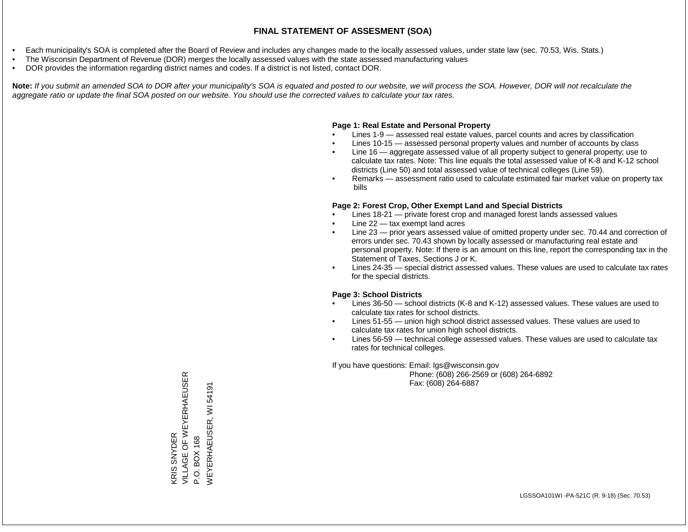- Each municipality's SOA is completed after the Board of Review and includes any changes made to the locally assessed values, under state law (sec. 70.53, Wis. Stats.)
- The Wisconsin Department of Revenue (DOR) merges the locally assessed values with the state assessed manufacturing values
- DOR provides the information regarding district names and codes. If a district is not listed, contact DOR.

Note: If you submit an amended SOA to DOR after your municipality's SOA is equated and posted to our website, we will process the SOA. However, DOR will not recalculate the *aggregate ratio or update the final SOA posted on our website. You should use the corrected values to calculate your tax rates.*

#### **Page 1: Real Estate and Personal Property**

- Lines 1-9 assessed real estate values, parcel counts and acres by classification
- Lines 10-15 assessed personal property values and number of accounts by class
- Line 16 aggregate assessed value of all property subject to general property; use to calculate tax rates. Note: This line equals the total assessed value of K-8 and K-12 school districts (Line 50) and total assessed value of technical colleges (Line 59).
- Remarks assessment ratio used to calculate estimated fair market value on property tax bills

#### **Page 2: Forest Crop, Other Exempt Land and Special Districts**

- Lines 18-21 private forest crop and managed forest lands assessed values
- Line  $22 -$  tax exempt land acres
- Line 23 prior years assessed value of omitted property under sec. 70.44 and correction of errors under sec. 70.43 shown by locally assessed or manufacturing real estate and personal property. Note: If there is an amount on this line, report the corresponding tax in the Statement of Taxes, Sections J or K.
- Lines 24-35 special district assessed values. These values are used to calculate tax rates for the special districts.

#### **Page 3: School Districts**

- Lines 36-50 school districts (K-8 and K-12) assessed values. These values are used to calculate tax rates for school districts.
- Lines 51-55 union high school district assessed values. These values are used to calculate tax rates for union high school districts.
- Lines 56-59 technical college assessed values. These values are used to calculate tax rates for technical colleges.

If you have questions: Email: lgs@wisconsin.gov

 Phone: (608) 266-2569 or (608) 264-6892 Fax: (608) 264-6887

KRIS SNYDER<br>VILLAGE OF WEYERHAEUSER VILLAGE OF WEYERHAEUSER P.O. BOX 168<br>WEYERHAEUSER, WI 54191 WEYERHAEUSER, WI 54191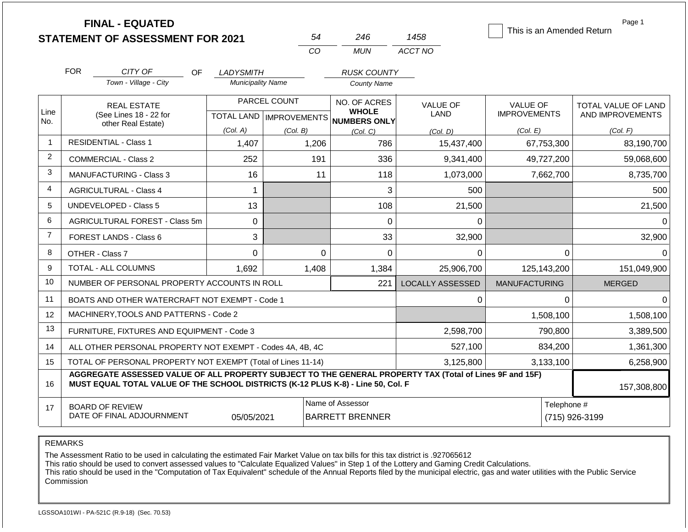|                |                                                                                                                                                                                              | <b>FINAL - EQUATED</b><br><b>STATEMENT OF ASSESSMENT FOR 2021</b> |                                           | 54       | 246                                                 | 1458                    | This is an Amended Return              | Page 1                                         |
|----------------|----------------------------------------------------------------------------------------------------------------------------------------------------------------------------------------------|-------------------------------------------------------------------|-------------------------------------------|----------|-----------------------------------------------------|-------------------------|----------------------------------------|------------------------------------------------|
|                |                                                                                                                                                                                              |                                                                   |                                           | CO       | <b>MUN</b>                                          | ACCT NO                 |                                        |                                                |
|                | <b>FOR</b>                                                                                                                                                                                   | CITY OF<br>OF.                                                    | <b>LADYSMITH</b>                          |          | <b>RUSK COUNTY</b>                                  |                         |                                        |                                                |
|                |                                                                                                                                                                                              | Town - Village - City                                             | <b>Municipality Name</b>                  |          | <b>County Name</b>                                  |                         |                                        |                                                |
| Line           | <b>REAL ESTATE</b><br>(See Lines 18 - 22 for                                                                                                                                                 |                                                                   | PARCEL COUNT<br>TOTAL LAND   IMPROVEMENTS |          | NO. OF ACRES<br><b>WHOLE</b><br><b>NUMBERS ONLY</b> | <b>VALUE OF</b><br>LAND | <b>VALUE OF</b><br><b>IMPROVEMENTS</b> | <b>TOTAL VALUE OF LAND</b><br>AND IMPROVEMENTS |
| No.            |                                                                                                                                                                                              | other Real Estate)                                                | (Col. A)                                  | (Col. B) | (Col, C)                                            | (Col. D)                | (Col. E)                               | (Col. F)                                       |
| $\mathbf 1$    |                                                                                                                                                                                              | <b>RESIDENTIAL - Class 1</b>                                      | 1,407                                     | 1,206    | 786                                                 | 15,437,400              | 67,753,300                             | 83,190,700                                     |
| $\overline{2}$ |                                                                                                                                                                                              | <b>COMMERCIAL - Class 2</b>                                       | 252                                       | 191      | 336                                                 | 9,341,400               | 49,727,200                             | 59,068,600                                     |
| 3              |                                                                                                                                                                                              | <b>MANUFACTURING - Class 3</b>                                    | 16                                        | 11       | 118                                                 | 1,073,000               | 7,662,700                              | 8,735,700                                      |
| 4              |                                                                                                                                                                                              | <b>AGRICULTURAL - Class 4</b>                                     | 1                                         |          | 3                                                   | 500                     |                                        | 500                                            |
| 5              | <b>UNDEVELOPED - Class 5</b>                                                                                                                                                                 |                                                                   | 13                                        |          | 108                                                 | 21,500                  |                                        | 21,500                                         |
| 6              | AGRICULTURAL FOREST - Class 5m                                                                                                                                                               |                                                                   | $\mathbf 0$                               |          | 0                                                   | 0                       |                                        | $\Omega$                                       |
| $\overline{7}$ |                                                                                                                                                                                              | <b>FOREST LANDS - Class 6</b>                                     | 3                                         |          | 33                                                  | 32,900                  |                                        | 32,900                                         |
| 8              |                                                                                                                                                                                              | OTHER - Class 7                                                   | $\Omega$                                  |          | $\Omega$<br>$\overline{0}$                          | 0                       | $\Omega$                               | $\Omega$                                       |
| 9              |                                                                                                                                                                                              | <b>TOTAL - ALL COLUMNS</b>                                        | 1,692                                     | 1,408    | 1,384                                               | 25,906,700              | 125,143,200                            | 151,049,900                                    |
| 10             |                                                                                                                                                                                              | NUMBER OF PERSONAL PROPERTY ACCOUNTS IN ROLL                      |                                           |          | 221                                                 | <b>LOCALLY ASSESSED</b> | <b>MANUFACTURING</b>                   | <b>MERGED</b>                                  |
| 11             |                                                                                                                                                                                              | BOATS AND OTHER WATERCRAFT NOT EXEMPT - Code 1                    |                                           |          |                                                     | 0                       | $\Omega$                               | $\Omega$                                       |
| 12             |                                                                                                                                                                                              | MACHINERY, TOOLS AND PATTERNS - Code 2                            |                                           |          |                                                     |                         | 1,508,100                              | 1,508,100                                      |
| 13             |                                                                                                                                                                                              | FURNITURE, FIXTURES AND EQUIPMENT - Code 3                        |                                           |          |                                                     | 2,598,700               | 790,800                                | 3,389,500                                      |
| 14             |                                                                                                                                                                                              | ALL OTHER PERSONAL PROPERTY NOT EXEMPT - Codes 4A, 4B, 4C         |                                           |          |                                                     | 527,100                 | 834,200                                | 1,361,300                                      |
| 15             | TOTAL OF PERSONAL PROPERTY NOT EXEMPT (Total of Lines 11-14)                                                                                                                                 |                                                                   |                                           |          |                                                     | 3,125,800<br>3,133,100  |                                        | 6,258,900                                      |
| 16             | AGGREGATE ASSESSED VALUE OF ALL PROPERTY SUBJECT TO THE GENERAL PROPERTY TAX (Total of Lines 9F and 15F)<br>MUST EQUAL TOTAL VALUE OF THE SCHOOL DISTRICTS (K-12 PLUS K-8) - Line 50, Col. F |                                                                   |                                           |          |                                                     |                         | 157,308,800                            |                                                |
| 17             | Name of Assessor<br><b>BOARD OF REVIEW</b><br>DATE OF FINAL ADJOURNMENT<br><b>BARRETT BRENNER</b><br>05/05/2021                                                                              |                                                                   |                                           |          |                                                     |                         | Telephone #<br>(715) 926-3199          |                                                |

The Assessment Ratio to be used in calculating the estimated Fair Market Value on tax bills for this tax district is .927065612

This ratio should be used to convert assessed values to "Calculate Equalized Values" in Step 1 of the Lottery and Gaming Credit Calculations.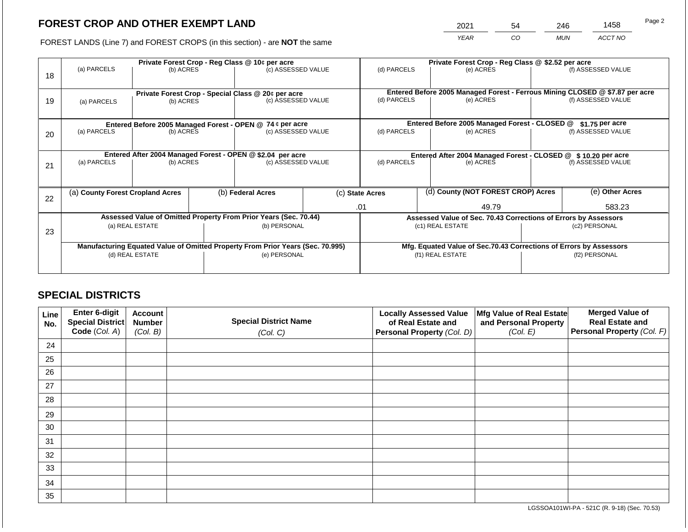2021 54 246 1458

FOREST LANDS (Line 7) and FOREST CROPS (in this section) - are **NOT** the same *YEAR CO MUN ACCT NO*

| Private Forest Crop - Reg Class @ 10¢ per acre                   |                            |                                                                    |                        |  | Private Forest Crop - Reg Class @ \$2.52 per acre                                                                                                                                                                                                                                                                                 |                        |                                                               |               |                                                                                                                                                                     |  |  |
|------------------------------------------------------------------|----------------------------|--------------------------------------------------------------------|------------------------|--|-----------------------------------------------------------------------------------------------------------------------------------------------------------------------------------------------------------------------------------------------------------------------------------------------------------------------------------|------------------------|---------------------------------------------------------------|---------------|---------------------------------------------------------------------------------------------------------------------------------------------------------------------|--|--|
|                                                                  |                            |                                                                    |                        |  | (d) PARCELS                                                                                                                                                                                                                                                                                                                       |                        | (e) ACRES                                                     |               | (f) ASSESSED VALUE                                                                                                                                                  |  |  |
|                                                                  |                            |                                                                    |                        |  |                                                                                                                                                                                                                                                                                                                                   |                        |                                                               |               |                                                                                                                                                                     |  |  |
| (a) PARCELS                                                      | (b) ACRES                  |                                                                    | (c) ASSESSED VALUE     |  | (d) PARCELS                                                                                                                                                                                                                                                                                                                       |                        | (e) ACRES                                                     |               | (f) ASSESSED VALUE                                                                                                                                                  |  |  |
|                                                                  |                            |                                                                    |                        |  |                                                                                                                                                                                                                                                                                                                                   |                        |                                                               |               |                                                                                                                                                                     |  |  |
|                                                                  |                            |                                                                    |                        |  |                                                                                                                                                                                                                                                                                                                                   |                        |                                                               |               | $$1.75$ per acre                                                                                                                                                    |  |  |
|                                                                  |                            |                                                                    |                        |  | (d) PARCELS                                                                                                                                                                                                                                                                                                                       |                        | (e) ACRES                                                     |               | (f) ASSESSED VALUE                                                                                                                                                  |  |  |
|                                                                  |                            |                                                                    |                        |  |                                                                                                                                                                                                                                                                                                                                   |                        |                                                               |               |                                                                                                                                                                     |  |  |
|                                                                  |                            |                                                                    |                        |  |                                                                                                                                                                                                                                                                                                                                   |                        | Entered After 2004 Managed Forest - CLOSED @ \$10.20 per acre |               |                                                                                                                                                                     |  |  |
| (a) PARCELS                                                      | (b) ACRES                  |                                                                    |                        |  | (d) PARCELS                                                                                                                                                                                                                                                                                                                       |                        | (e) ACRES                                                     |               | (f) ASSESSED VALUE                                                                                                                                                  |  |  |
|                                                                  |                            |                                                                    |                        |  |                                                                                                                                                                                                                                                                                                                                   |                        |                                                               |               |                                                                                                                                                                     |  |  |
| (a) County Forest Cropland Acres<br>22                           |                            |                                                                    | (b) Federal Acres      |  |                                                                                                                                                                                                                                                                                                                                   |                        |                                                               |               | (e) Other Acres                                                                                                                                                     |  |  |
|                                                                  |                            |                                                                    |                        |  | 49.79                                                                                                                                                                                                                                                                                                                             |                        |                                                               | 583.23        |                                                                                                                                                                     |  |  |
| Assessed Value of Omitted Property From Prior Years (Sec. 70.44) |                            |                                                                    |                        |  | Assessed Value of Sec. 70.43 Corrections of Errors by Assessors                                                                                                                                                                                                                                                                   |                        |                                                               |               |                                                                                                                                                                     |  |  |
|                                                                  |                            |                                                                    | (b) PERSONAL           |  | (c1) REAL ESTATE                                                                                                                                                                                                                                                                                                                  |                        | (c2) PERSONAL                                                 |               |                                                                                                                                                                     |  |  |
|                                                                  |                            |                                                                    |                        |  |                                                                                                                                                                                                                                                                                                                                   |                        |                                                               |               |                                                                                                                                                                     |  |  |
|                                                                  |                            | Mfg. Equated Value of Sec.70.43 Corrections of Errors by Assessors |                        |  |                                                                                                                                                                                                                                                                                                                                   |                        |                                                               |               |                                                                                                                                                                     |  |  |
| (d) REAL ESTATE                                                  |                            |                                                                    | (e) PERSONAL           |  | (f1) REAL ESTATE                                                                                                                                                                                                                                                                                                                  |                        |                                                               | (f2) PERSONAL |                                                                                                                                                                     |  |  |
|                                                                  |                            |                                                                    |                        |  |                                                                                                                                                                                                                                                                                                                                   |                        |                                                               |               |                                                                                                                                                                     |  |  |
|                                                                  | (a) PARCELS<br>(a) PARCELS | (a) REAL ESTATE                                                    | (b) ACRES<br>(b) ACRES |  | (c) ASSESSED VALUE<br>Private Forest Crop - Special Class @ 20¢ per acre<br>Entered Before 2005 Managed Forest - OPEN @ 74 ¢ per acre<br>(c) ASSESSED VALUE<br>Entered After 2004 Managed Forest - OPEN @ \$2.04 per acre<br>(c) ASSESSED VALUE<br>Manufacturing Equated Value of Omitted Property From Prior Years (Sec. 70.995) | (c) State Acres<br>.01 |                                                               |               | Entered Before 2005 Managed Forest - Ferrous Mining CLOSED @ \$7.87 per acre<br>Entered Before 2005 Managed Forest - CLOSED @<br>(d) County (NOT FOREST CROP) Acres |  |  |

## **SPECIAL DISTRICTS**

| Line<br>No. | Enter 6-digit<br>Special District | <b>Account</b><br><b>Number</b> | <b>Special District Name</b> | <b>Locally Assessed Value</b><br>of Real Estate and | Mfg Value of Real Estate<br>and Personal Property | <b>Merged Value of</b><br><b>Real Estate and</b> |
|-------------|-----------------------------------|---------------------------------|------------------------------|-----------------------------------------------------|---------------------------------------------------|--------------------------------------------------|
|             | Code (Col. A)                     | (Col. B)                        | (Col. C)                     | Personal Property (Col. D)                          | (Col. E)                                          | Personal Property (Col. F)                       |
| 24          |                                   |                                 |                              |                                                     |                                                   |                                                  |
| 25          |                                   |                                 |                              |                                                     |                                                   |                                                  |
| 26          |                                   |                                 |                              |                                                     |                                                   |                                                  |
| 27          |                                   |                                 |                              |                                                     |                                                   |                                                  |
| 28          |                                   |                                 |                              |                                                     |                                                   |                                                  |
| 29          |                                   |                                 |                              |                                                     |                                                   |                                                  |
| 30          |                                   |                                 |                              |                                                     |                                                   |                                                  |
| 31          |                                   |                                 |                              |                                                     |                                                   |                                                  |
| 32          |                                   |                                 |                              |                                                     |                                                   |                                                  |
| 33          |                                   |                                 |                              |                                                     |                                                   |                                                  |
| 34          |                                   |                                 |                              |                                                     |                                                   |                                                  |
| 35          |                                   |                                 |                              |                                                     |                                                   |                                                  |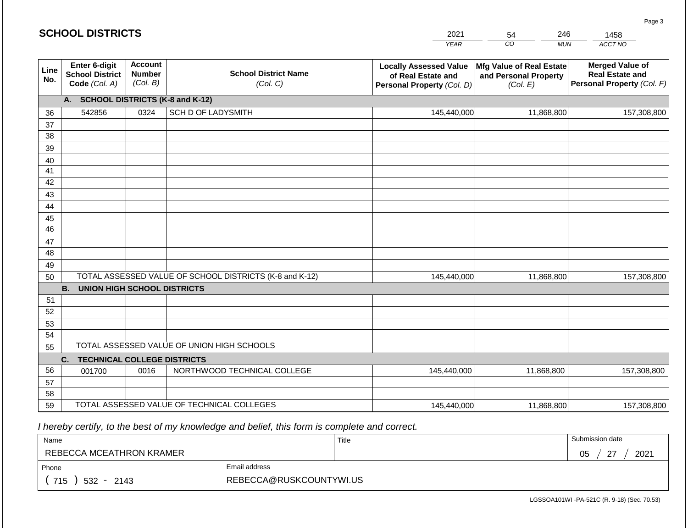|             | <b>SCHOOL DISTRICTS</b>                                  |                                             |                                                         | 2021                                                                              | 246<br>54                                                     | 1458                                                                           |
|-------------|----------------------------------------------------------|---------------------------------------------|---------------------------------------------------------|-----------------------------------------------------------------------------------|---------------------------------------------------------------|--------------------------------------------------------------------------------|
|             |                                                          |                                             |                                                         | <b>YEAR</b>                                                                       | CO<br><b>MUN</b>                                              | ACCT NO                                                                        |
| Line<br>No. | Enter 6-digit<br><b>School District</b><br>Code (Col. A) | <b>Account</b><br><b>Number</b><br>(Col. B) | <b>School District Name</b><br>(Col. C)                 | <b>Locally Assessed Value</b><br>of Real Estate and<br>Personal Property (Col. D) | Mfg Value of Real Estate<br>and Personal Property<br>(Col. E) | <b>Merged Value of</b><br><b>Real Estate and</b><br>Personal Property (Col. F) |
|             | A. SCHOOL DISTRICTS (K-8 and K-12)                       |                                             |                                                         |                                                                                   |                                                               |                                                                                |
| 36          | 542856                                                   | 0324                                        | SCH D OF LADYSMITH                                      | 145,440,000                                                                       | 11,868,800                                                    | 157,308,800                                                                    |
| 37          |                                                          |                                             |                                                         |                                                                                   |                                                               |                                                                                |
| 38          |                                                          |                                             |                                                         |                                                                                   |                                                               |                                                                                |
| 39          |                                                          |                                             |                                                         |                                                                                   |                                                               |                                                                                |
| 40          |                                                          |                                             |                                                         |                                                                                   |                                                               |                                                                                |
| 41          |                                                          |                                             |                                                         |                                                                                   |                                                               |                                                                                |
| 42<br>43    |                                                          |                                             |                                                         |                                                                                   |                                                               |                                                                                |
| 44          |                                                          |                                             |                                                         |                                                                                   |                                                               |                                                                                |
| 45          |                                                          |                                             |                                                         |                                                                                   |                                                               |                                                                                |
| 46          |                                                          |                                             |                                                         |                                                                                   |                                                               |                                                                                |
| 47          |                                                          |                                             |                                                         |                                                                                   |                                                               |                                                                                |
| 48          |                                                          |                                             |                                                         |                                                                                   |                                                               |                                                                                |
| 49          |                                                          |                                             |                                                         |                                                                                   |                                                               |                                                                                |
| 50          |                                                          |                                             | TOTAL ASSESSED VALUE OF SCHOOL DISTRICTS (K-8 and K-12) | 145,440,000                                                                       | 11,868,800                                                    | 157,308,800                                                                    |
|             | <b>B.</b><br><b>UNION HIGH SCHOOL DISTRICTS</b>          |                                             |                                                         |                                                                                   |                                                               |                                                                                |
| 51          |                                                          |                                             |                                                         |                                                                                   |                                                               |                                                                                |
| 52          |                                                          |                                             |                                                         |                                                                                   |                                                               |                                                                                |
| 53          |                                                          |                                             |                                                         |                                                                                   |                                                               |                                                                                |
| 54          |                                                          |                                             | TOTAL ASSESSED VALUE OF UNION HIGH SCHOOLS              |                                                                                   |                                                               |                                                                                |
| 55          |                                                          |                                             |                                                         |                                                                                   |                                                               |                                                                                |
|             | <b>TECHNICAL COLLEGE DISTRICTS</b><br>C.                 |                                             |                                                         |                                                                                   |                                                               |                                                                                |
| 56<br>57    | 001700                                                   | 0016                                        | NORTHWOOD TECHNICAL COLLEGE                             | 145,440,000                                                                       | 11,868,800                                                    | 157,308,800                                                                    |
| 58          |                                                          |                                             |                                                         |                                                                                   |                                                               |                                                                                |
| 59          |                                                          |                                             | TOTAL ASSESSED VALUE OF TECHNICAL COLLEGES              | 145,440,000                                                                       | 11,868,800                                                    | 157,308,800                                                                    |

| Name                     |                         | Title | Submission date             |
|--------------------------|-------------------------|-------|-----------------------------|
| REBECCA MCEATHRON KRAMER |                         |       | $\sim$<br>2021<br>05<br>- 1 |
| Phone                    | Email address           |       |                             |
| 715<br>532 -<br>2143     | REBECCA@RUSKCOUNTYWI.US |       |                             |

Page 3

|  |  | <b>SCHOOL DISTRICTS</b> |  |
|--|--|-------------------------|--|
|  |  |                         |  |